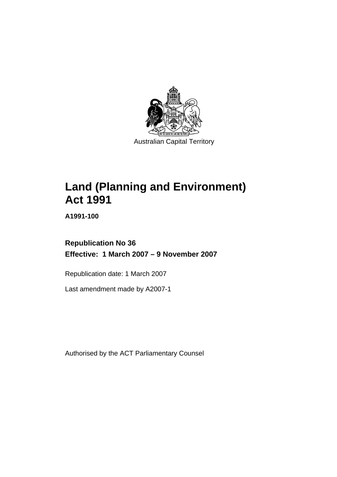

Australian Capital Territory

# **Land (Planning and Environment) Act 1991**

**A1991-100** 

# **Republication No 36 Effective: 1 March 2007 – 9 November 2007**

Republication date: 1 March 2007

Last amendment made by A2007-1

Authorised by the ACT Parliamentary Counsel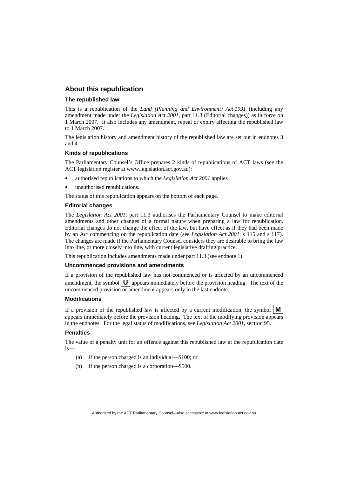#### **About this republication**

#### **The republished law**

This is a republication of the *Land (Planning and Environment) Act 1991* (including any amendment made under the *Legislation Act 2001*, part 11.3 (Editorial changes)) as in force on 1 March 2007*.* It also includes any amendment, repeal or expiry affecting the republished law to 1 March 2007.

The legislation history and amendment history of the republished law are set out in endnotes 3 and 4.

#### **Kinds of republications**

The Parliamentary Counsel's Office prepares 2 kinds of republications of ACT laws (see the ACT legislation register at www.legislation.act.gov.au):

- authorised republications to which the *Legislation Act 2001* applies
- unauthorised republications.

The status of this republication appears on the bottom of each page.

#### **Editorial changes**

The *Legislation Act 2001*, part 11.3 authorises the Parliamentary Counsel to make editorial amendments and other changes of a formal nature when preparing a law for republication. Editorial changes do not change the effect of the law, but have effect as if they had been made by an Act commencing on the republication date (see *Legislation Act 2001*, s 115 and s 117). The changes are made if the Parliamentary Counsel considers they are desirable to bring the law into line, or more closely into line, with current legislative drafting practice.

This republication includes amendments made under part 11.3 (see endnote 1).

#### **Uncommenced provisions and amendments**

If a provision of the republished law has not commenced or is affected by an uncommenced amendment, the symbol  $\mathbf{U}$  appears immediately before the provision heading. The text of the uncommenced provision  $\overline{or}$  amendment appears only in the last endnote.

#### **Modifications**

If a provision of the republished law is affected by a current modification, the symbol  $\mathbf{M}$ appears immediately before the provision heading. The text of the modifying provision appears in the endnotes. For the legal status of modifications, see *Legislation Act 2001*, section 95.

#### **Penalties**

The value of a penalty unit for an offence against this republished law at the republication date is—

- (a) if the person charged is an individual—\$100; or
- (b) if the person charged is a corporation—\$500.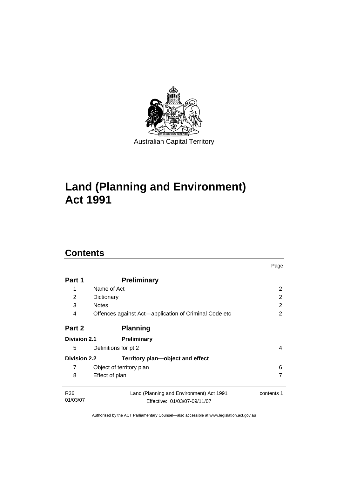

# **Land (Planning and Environment) Act 1991**

# **Contents**

| Part 1              | <b>Preliminary</b>                                    |            |
|---------------------|-------------------------------------------------------|------------|
| 1                   | Name of Act                                           | 2          |
| $\overline{2}$      | Dictionary                                            | 2          |
| 3                   | <b>Notes</b>                                          | 2          |
| 4                   | Offences against Act—application of Criminal Code etc | 2          |
| Part 2              | <b>Planning</b>                                       |            |
| <b>Division 2.1</b> | Preliminary                                           |            |
| 5                   | Definitions for pt 2                                  | 4          |
| <b>Division 2.2</b> | Territory plan-object and effect                      |            |
| 7                   | Object of territory plan                              | 6          |
| 8                   | Effect of plan                                        | 7          |
| R <sub>36</sub>     | Land (Planning and Environment) Act 1991              | contents 1 |
| 01/03/07            | Effective: 01/03/07-09/11/07                          |            |

Page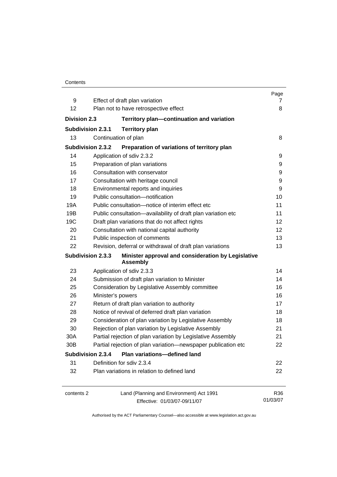|                          |                                                                       | Page              |  |
|--------------------------|-----------------------------------------------------------------------|-------------------|--|
| 9                        | Effect of draft plan variation                                        | 7                 |  |
| 12                       | Plan not to have retrospective effect                                 | 8                 |  |
| <b>Division 2.3</b>      | Territory plan-continuation and variation                             |                   |  |
| <b>Subdivision 2.3.1</b> | <b>Territory plan</b>                                                 |                   |  |
| 13                       | Continuation of plan                                                  | 8                 |  |
| <b>Subdivision 2.3.2</b> | Preparation of variations of territory plan                           |                   |  |
| 14                       | Application of sdiv 2.3.2                                             | 9                 |  |
| 15                       | Preparation of plan variations                                        | 9                 |  |
| 16                       | Consultation with conservator                                         | 9                 |  |
| 17                       | Consultation with heritage council                                    | 9                 |  |
| 18                       | Environmental reports and inquiries                                   |                   |  |
| 19                       | Public consultation-notification                                      | 10                |  |
| 19A                      | Public consultation-notice of interim effect etc                      | 11                |  |
| 19B                      | Public consultation-availability of draft plan variation etc          | 11                |  |
| 19C                      | Draft plan variations that do not affect rights                       | 12                |  |
| 20                       | Consultation with national capital authority                          | $12 \overline{ }$ |  |
| 21                       | Public inspection of comments                                         | 13                |  |
| 22                       | Revision, deferral or withdrawal of draft plan variations             | 13                |  |
| <b>Subdivision 2.3.3</b> | Minister approval and consideration by Legislative<br><b>Assembly</b> |                   |  |
| 23                       | Application of sdiv 2.3.3                                             | 14                |  |
| 24                       | Submission of draft plan variation to Minister                        | 14                |  |
| 25                       | Consideration by Legislative Assembly committee                       | 16                |  |
| 26                       | Minister's powers                                                     | 16                |  |
| 27                       | Return of draft plan variation to authority                           | 17                |  |
| 28                       | Notice of revival of deferred draft plan variation                    | 18                |  |
| 29                       | Consideration of plan variation by Legislative Assembly               | 18                |  |
| 30                       | Rejection of plan variation by Legislative Assembly                   | 21                |  |
| 30A                      | Partial rejection of plan variation by Legislative Assembly           | 21                |  |
| 30B                      | Partial rejection of plan variation-newspaper publication etc         | 22                |  |
| <b>Subdivision 2.3.4</b> | Plan variations-defined land                                          |                   |  |
| 31                       | Definition for sdiv 2.3.4                                             | 22                |  |
| 32                       | Plan variations in relation to defined land                           | 22                |  |
| contents 2               | Land (Planning and Environment) Act 1991                              | R36               |  |
|                          | Effective: 01/03/07-09/11/07                                          | 01/03/07          |  |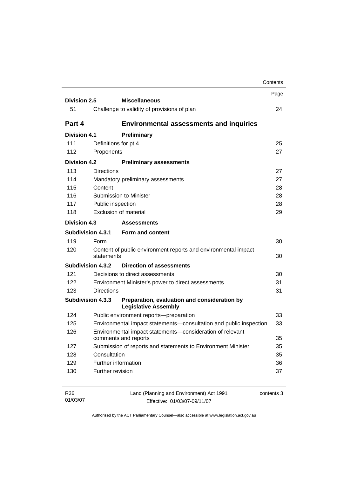|                     |                          |                                                                                   | Contents                   |
|---------------------|--------------------------|-----------------------------------------------------------------------------------|----------------------------|
| <b>Division 2.5</b> |                          | <b>Miscellaneous</b>                                                              | Page                       |
| 51                  |                          | Challenge to validity of provisions of plan                                       | 24                         |
|                     |                          |                                                                                   |                            |
| Part 4              |                          | <b>Environmental assessments and inquiries</b>                                    |                            |
| <b>Division 4.1</b> |                          | Preliminary                                                                       |                            |
| 111                 |                          | Definitions for pt 4                                                              | 25                         |
| 112                 | Proponents               |                                                                                   | 27                         |
| <b>Division 4.2</b> |                          | <b>Preliminary assessments</b>                                                    |                            |
| 113                 | <b>Directions</b>        |                                                                                   | 27                         |
| 114                 |                          | Mandatory preliminary assessments                                                 | 27                         |
| 115                 | Content                  |                                                                                   | 28                         |
| 116                 |                          | Submission to Minister                                                            | 28                         |
| 117                 | Public inspection        |                                                                                   | 28                         |
| 118                 |                          | Exclusion of material                                                             | 29                         |
| <b>Division 4.3</b> |                          | <b>Assessments</b>                                                                |                            |
|                     | <b>Subdivision 4.3.1</b> | Form and content                                                                  |                            |
| 119                 | Form                     |                                                                                   | 30                         |
| 120                 | statements               | Content of public environment reports and environmental impact                    | 30                         |
|                     | <b>Subdivision 4.3.2</b> | <b>Direction of assessments</b>                                                   |                            |
| 121                 |                          | Decisions to direct assessments                                                   | 30                         |
| 122                 |                          | Environment Minister's power to direct assessments                                | 31                         |
| 123                 | <b>Directions</b>        |                                                                                   | 31                         |
|                     | <b>Subdivision 4.3.3</b> | Preparation, evaluation and consideration by<br><b>Legislative Assembly</b>       |                            |
|                     |                          | Public environment reports-preparation                                            | 33                         |
| 124                 |                          |                                                                                   |                            |
| 125                 |                          | Environmental impact statements-consultation and public inspection                |                            |
| 126                 |                          | Environmental impact statements-consideration of relevant<br>comments and reports |                            |
| 127                 |                          | Submission of reports and statements to Environment Minister                      |                            |
| 128                 | Consultation             |                                                                                   |                            |
| 129                 |                          | Further information                                                               | 33<br>35<br>35<br>35<br>36 |

| R36      | Land (Planning and Environment) Act 1991 | contents 3 |
|----------|------------------------------------------|------------|
| 01/03/07 | Effective: 01/03/07-09/11/07             |            |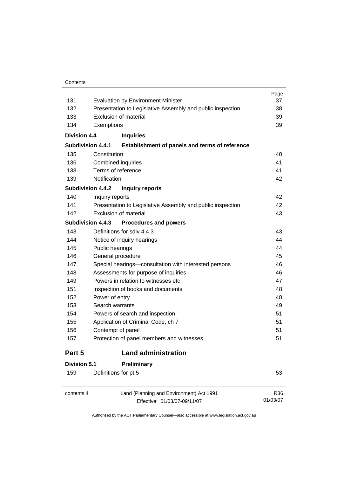| 131                 |                          | <b>Evaluation by Environment Minister</b>                                | Page<br>37      |
|---------------------|--------------------------|--------------------------------------------------------------------------|-----------------|
| 132                 |                          | Presentation to Legislative Assembly and public inspection               | 38              |
| 133                 |                          | Exclusion of material                                                    | 39              |
| 134                 | Exemptions               |                                                                          | 39              |
| <b>Division 4.4</b> |                          | <b>Inquiries</b>                                                         |                 |
|                     | <b>Subdivision 4.4.1</b> | Establishment of panels and terms of reference                           |                 |
| 135                 | Constitution             |                                                                          | 40              |
| 136                 |                          | <b>Combined inquiries</b>                                                | 41              |
| 138                 |                          | Terms of reference                                                       | 41              |
| 139                 | Notification             |                                                                          | 42              |
|                     | <b>Subdivision 4.4.2</b> | <b>Inquiry reports</b>                                                   |                 |
| 140                 | Inquiry reports          |                                                                          | 42              |
| 141                 |                          | Presentation to Legislative Assembly and public inspection               | 42              |
| 142                 |                          | Exclusion of material                                                    | 43              |
|                     | <b>Subdivision 4.4.3</b> | <b>Procedures and powers</b>                                             |                 |
| 143                 |                          | Definitions for sdiv 4.4.3                                               | 43              |
| 144                 |                          | Notice of inquiry hearings                                               | 44              |
| 145                 | Public hearings          |                                                                          | 44              |
| 146                 |                          | General procedure                                                        | 45              |
| 147                 |                          | Special hearings-consultation with interested persons                    | 46              |
| 148                 |                          | Assessments for purpose of inquiries                                     | 46              |
| 149                 |                          | Powers in relation to witnesses etc                                      | 47              |
| 151                 |                          | Inspection of books and documents                                        | 48              |
| 152                 | Power of entry           |                                                                          | 48              |
| 153                 | Search warrants          |                                                                          | 49              |
| 154                 |                          | Powers of search and inspection                                          | 51              |
| 155                 |                          | Application of Criminal Code, ch 7                                       | 51              |
| 156                 |                          | Contempt of panel                                                        | 51              |
| 157                 |                          | Protection of panel members and witnesses                                | 51              |
| Part 5              |                          | <b>Land administration</b>                                               |                 |
| <b>Division 5.1</b> |                          | Preliminary                                                              |                 |
| 159                 |                          | Definitions for pt 5                                                     | 53              |
| contents 4          |                          | Land (Planning and Environment) Act 1991<br>Effective: 01/03/07-09/11/07 | R36<br>01/03/07 |

Effective: 01/03/07-09/11/07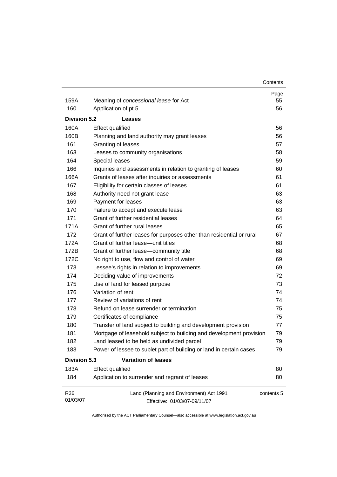| Contents |
|----------|
|----------|

| 159A                | Meaning of concessional lease for Act                                    | Page<br>55 |
|---------------------|--------------------------------------------------------------------------|------------|
| 160                 | Application of pt 5<br>56                                                |            |
|                     |                                                                          |            |
| <b>Division 5.2</b> | Leases                                                                   |            |
| 160A                | <b>Effect qualified</b>                                                  | 56         |
| 160B                | Planning and land authority may grant leases                             | 56         |
| 161                 | Granting of leases                                                       | 57         |
| 163                 | Leases to community organisations                                        | 58         |
| 164                 | Special leases                                                           | 59         |
| 166                 | Inquiries and assessments in relation to granting of leases              | 60         |
| 166A                | Grants of leases after inquiries or assessments                          | 61         |
| 167                 | 61<br>Eligibility for certain classes of leases                          |            |
| 168                 | Authority need not grant lease<br>63                                     |            |
| 169                 | Payment for leases<br>63                                                 |            |
| 170                 | Failure to accept and execute lease                                      |            |
| 171                 | Grant of further residential leases                                      |            |
| 171A                | Grant of further rural leases                                            |            |
| 172                 | Grant of further leases for purposes other than residential or rural     | 67<br>68   |
| 172A                | Grant of further lease—unit titles                                       |            |
| 172B                | Grant of further lease-community title                                   | 68         |
| 172C                | No right to use, flow and control of water                               | 69         |
| 173                 | Lessee's rights in relation to improvements                              | 69         |
| 174                 | Deciding value of improvements                                           | 72         |
| 175                 | Use of land for leased purpose                                           | 73         |
| 176                 | Variation of rent                                                        | 74         |
| 177                 | Review of variations of rent                                             | 74         |
| 178                 | Refund on lease surrender or termination                                 | 75         |
| 179                 | Certificates of compliance                                               | 75         |
| 180                 | Transfer of land subject to building and development provision           | 77         |
| 181                 | Mortgage of leasehold subject to building and development provision      | 79         |
| 182                 | Land leased to be held as undivided parcel                               | 79         |
| 183                 | Power of lessee to sublet part of building or land in certain cases      | 79         |
| <b>Division 5.3</b> | <b>Variation of leases</b>                                               |            |
| 183A                | <b>Effect qualified</b>                                                  | 80         |
| 184                 | Application to surrender and regrant of leases                           | 80         |
| R36<br>01/03/07     | Land (Planning and Environment) Act 1991<br>Effective: 01/03/07-09/11/07 | contents 5 |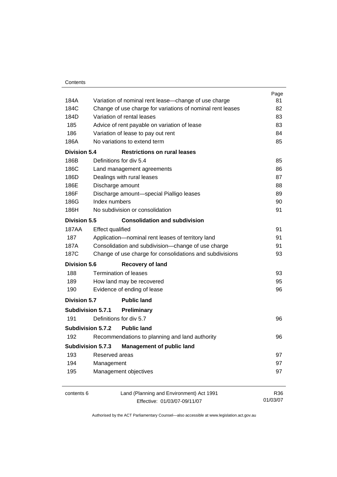|                     |                                                            | Page     |
|---------------------|------------------------------------------------------------|----------|
| 184A                | Variation of nominal rent lease-change of use charge       | 81       |
| 184C                | Change of use charge for variations of nominal rent leases | 82       |
| 184D                | Variation of rental leases                                 | 83       |
| 185                 | Advice of rent payable on variation of lease               | 83       |
| 186                 | Variation of lease to pay out rent                         | 84       |
| 186A                | No variations to extend term                               | 85       |
| Division 5.4        | <b>Restrictions on rural leases</b>                        |          |
| 186B                | Definitions for div 5.4                                    | 85       |
| 186C                | Land management agreements                                 | 86       |
| 186D                | Dealings with rural leases                                 | 87       |
| 186E                | Discharge amount                                           | 88       |
| 186F                | Discharge amount-special Pialligo leases                   | 89       |
| 186G                | Index numbers                                              | 90       |
| 186H                | No subdivision or consolidation                            | 91       |
| <b>Division 5.5</b> | <b>Consolidation and subdivision</b>                       |          |
| 187AA               | <b>Effect qualified</b>                                    | 91       |
| 187                 | Application-nominal rent leases of territory land          | 91       |
| 187A                | Consolidation and subdivision-change of use charge         | 91       |
| 187C                | Change of use charge for consolidations and subdivisions   | 93       |
| <b>Division 5.6</b> | Recovery of land                                           |          |
| 188                 | <b>Termination of leases</b>                               | 93       |
| 189                 | How land may be recovered                                  | 95       |
| 190                 | Evidence of ending of lease                                | 96       |
| <b>Division 5.7</b> | <b>Public land</b>                                         |          |
|                     | <b>Subdivision 5.7.1</b><br><b>Preliminary</b>             |          |
| 191                 | Definitions for div 5.7                                    | 96       |
|                     | <b>Subdivision 5.7.2</b><br><b>Public land</b>             |          |
| 192                 | Recommendations to planning and land authority             | 96       |
|                     | Subdivision 5.7.3<br><b>Management of public land</b>      |          |
| 193                 | Reserved areas                                             | 97       |
| 194                 | Management                                                 | 97       |
| 195                 | Management objectives                                      | 97       |
|                     |                                                            |          |
| contents 6          | Land (Planning and Environment) Act 1991                   | R36      |
|                     | Effective: 01/03/07-09/11/07                               | 01/03/07 |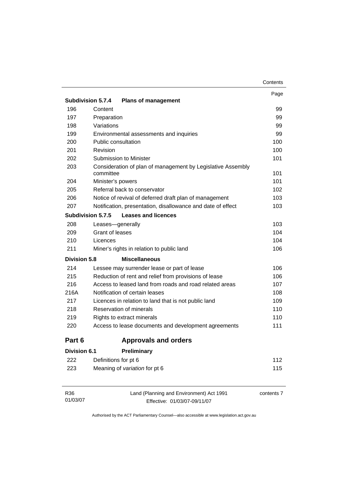| Contents |
|----------|
|----------|

|                          |                                                                          | Page |
|--------------------------|--------------------------------------------------------------------------|------|
| <b>Subdivision 5.7.4</b> | <b>Plans of management</b>                                               |      |
| 196                      | Content                                                                  | 99   |
| 197                      | Preparation                                                              | 99   |
| 198                      | Variations                                                               | 99   |
| 199                      | Environmental assessments and inquiries                                  | 99   |
| 200                      | Public consultation                                                      | 100  |
| 201                      | Revision                                                                 | 100  |
| 202                      | <b>Submission to Minister</b>                                            | 101  |
| 203                      | Consideration of plan of management by Legislative Assembly<br>committee | 101  |
| 204                      | Minister's powers                                                        | 101  |
| 205                      | Referral back to conservator                                             | 102  |
| 206                      | Notice of revival of deferred draft plan of management                   | 103  |
| 207                      | Notification, presentation, disallowance and date of effect              | 103  |
| <b>Subdivision 5.7.5</b> | <b>Leases and licences</b>                                               |      |
| 208                      | Leases-generally                                                         | 103  |
| 209                      | Grant of leases                                                          | 104  |
| 210                      | Licences                                                                 | 104  |
| 211                      | Miner's rights in relation to public land                                | 106  |
| <b>Division 5.8</b>      | <b>Miscellaneous</b>                                                     |      |
| 214                      | Lessee may surrender lease or part of lease                              | 106  |
| 215                      | Reduction of rent and relief from provisions of lease                    | 106  |
| 216                      | Access to leased land from roads and road related areas                  | 107  |
| 216A                     | Notification of certain leases                                           | 108  |
| 217                      | Licences in relation to land that is not public land                     | 109  |
| 218                      | Reservation of minerals                                                  | 110  |
| 219                      | Rights to extract minerals                                               | 110  |
| 220                      | Access to lease documents and development agreements                     | 111  |
| Part 6                   | <b>Approvals and orders</b>                                              |      |
| <b>Division 6.1</b>      | <b>Preliminary</b>                                                       |      |
| 222                      | Definitions for pt 6                                                     | 112  |
| 223                      | Meaning of variation for pt 6                                            | 115  |
|                          |                                                                          |      |
|                          |                                                                          |      |

| R36      | Land (Planning and Environment) Act 1991 | contents 7 |
|----------|------------------------------------------|------------|
| 01/03/07 | Effective: 01/03/07-09/11/07             |            |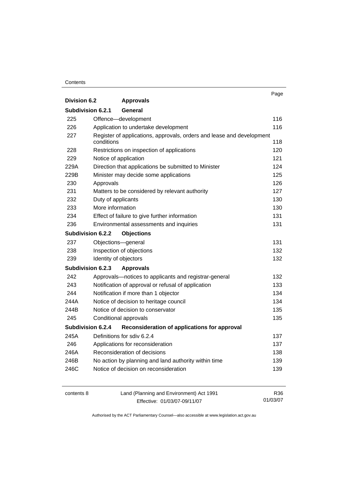#### **Contents**

|                          |                                                                       | Page |
|--------------------------|-----------------------------------------------------------------------|------|
| <b>Division 6.2</b>      | <b>Approvals</b>                                                      |      |
| <b>Subdivision 6.2.1</b> | General                                                               |      |
| 225                      | Offence-development                                                   | 116  |
| 226                      | Application to undertake development                                  | 116  |
| 227                      | Register of applications, approvals, orders and lease and development |      |
|                          | conditions                                                            | 118  |
| 228                      | Restrictions on inspection of applications                            | 120  |
| 229                      | Notice of application                                                 | 121  |
| 229A                     | Direction that applications be submitted to Minister                  | 124  |
| 229B                     | Minister may decide some applications                                 | 125  |
| 230                      | Approvals                                                             | 126  |
| 231                      | Matters to be considered by relevant authority                        | 127  |
| 232                      | Duty of applicants                                                    | 130  |
| 233                      | More information                                                      | 130  |
| 234                      | Effect of failure to give further information                         | 131  |
| 236                      | Environmental assessments and inquiries                               | 131  |
| <b>Subdivision 6.2.2</b> | <b>Objections</b>                                                     |      |
| 237                      | Objections-general                                                    | 131  |
| 238                      | Inspection of objections                                              | 132  |
| 239                      | Identity of objectors                                                 | 132  |
| Subdivision 6.2.3        | <b>Approvals</b>                                                      |      |
| 242                      | Approvals-notices to applicants and registrar-general                 | 132  |
| 243                      | Notification of approval or refusal of application                    | 133  |
| 244                      | Notification if more than 1 objector                                  | 134  |
| 244A                     | Notice of decision to heritage council                                | 134  |
| 244B                     | Notice of decision to conservator                                     | 135  |
| 245                      | Conditional approvals                                                 | 135  |
| Subdivision 6.2.4        | Reconsideration of applications for approval                          |      |
| 245A                     | Definitions for sdiv 6.2.4                                            | 137  |
| 246                      | Applications for reconsideration                                      | 137  |
| 246A                     | Reconsideration of decisions                                          | 138  |
| 246B                     | No action by planning and land authority within time                  | 139  |
| 246C                     | Notice of decision on reconsideration                                 | 139  |
|                          |                                                                       |      |

| contents 8 | Land (Planning and Environment) Act 1991 | R36      |
|------------|------------------------------------------|----------|
|            | Effective: 01/03/07-09/11/07             | 01/03/07 |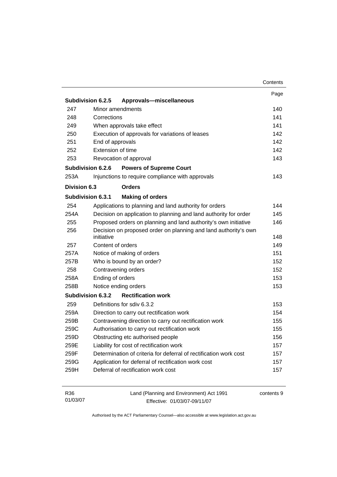| 247<br>248<br>249<br>250<br>251<br>252<br>253 | Subdivision 6.2.5<br>Minor amendments<br>Corrections | Approvals-miscellaneous                                           | Page       |
|-----------------------------------------------|------------------------------------------------------|-------------------------------------------------------------------|------------|
|                                               |                                                      |                                                                   |            |
|                                               |                                                      |                                                                   |            |
|                                               |                                                      |                                                                   | 140        |
|                                               |                                                      |                                                                   | 141        |
|                                               |                                                      | When approvals take effect                                        | 141        |
|                                               |                                                      | Execution of approvals for variations of leases                   | 142        |
|                                               | End of approvals                                     |                                                                   | 142        |
|                                               | Extension of time                                    |                                                                   | 142        |
|                                               |                                                      | Revocation of approval                                            | 143        |
|                                               | Subdivision 6.2.6                                    | <b>Powers of Supreme Court</b>                                    |            |
| 253A                                          |                                                      | Injunctions to require compliance with approvals                  | 143        |
| Division 6.3                                  |                                                      | <b>Orders</b>                                                     |            |
|                                               | Subdivision 6.3.1                                    | <b>Making of orders</b>                                           |            |
| 254                                           |                                                      | Applications to planning and land authority for orders            | 144        |
| 254A                                          |                                                      | Decision on application to planning and land authority for order  | 145        |
| 255                                           |                                                      | Proposed orders on planning and land authority's own initiative   | 146        |
| 256                                           |                                                      | Decision on proposed order on planning and land authority's own   |            |
|                                               | initiative                                           |                                                                   | 148        |
| 257                                           | Content of orders                                    |                                                                   | 149        |
| 257A                                          |                                                      | Notice of making of orders                                        | 151        |
| 257B                                          |                                                      | Who is bound by an order?                                         | 152        |
| 258                                           |                                                      | Contravening orders                                               | 152        |
| 258A                                          | Ending of orders                                     |                                                                   | 153        |
| 258B                                          |                                                      | Notice ending orders                                              | 153        |
|                                               | Subdivision 6.3.2                                    | <b>Rectification work</b>                                         |            |
| 259                                           |                                                      | Definitions for sdiv 6.3.2                                        | 153        |
| 259A                                          |                                                      | Direction to carry out rectification work                         | 154        |
| 259B                                          |                                                      | Contravening direction to carry out rectification work            | 155        |
| 259C                                          |                                                      | Authorisation to carry out rectification work                     | 155        |
| 259D                                          |                                                      | Obstructing etc authorised people                                 | 156        |
| 259E                                          |                                                      | Liability for cost of rectification work                          | 157        |
| 259F                                          |                                                      | Determination of criteria for deferral of rectification work cost | 157        |
| 259G                                          |                                                      | Application for deferral of rectification work cost               | 157        |
| 259H                                          |                                                      | Deferral of rectification work cost                               | 157        |
| R36                                           |                                                      | Land (Planning and Environment) Act 1991                          | contents 9 |

| R36      | Land (Planning and Environment) Act 1991 | contents |
|----------|------------------------------------------|----------|
| 01/03/07 | Effective: 01/03/07-09/11/07             |          |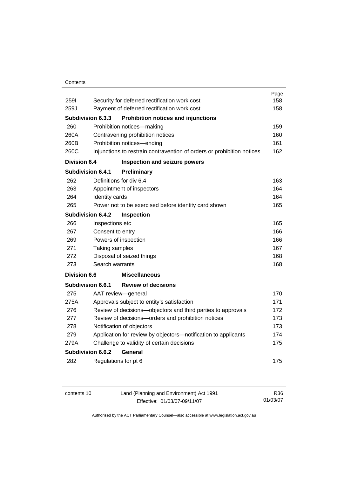#### **Contents**

|                     |                          |                                                                        | Page |
|---------------------|--------------------------|------------------------------------------------------------------------|------|
| 2591                |                          | Security for deferred rectification work cost                          | 158  |
| 259J                |                          | Payment of deferred rectification work cost                            | 158  |
|                     | <b>Subdivision 6.3.3</b> | <b>Prohibition notices and injunctions</b>                             |      |
| 260                 |                          | Prohibition notices-making                                             | 159  |
| 260A                |                          | Contravening prohibition notices                                       | 160  |
| 260B                |                          | Prohibition notices-ending                                             | 161  |
| 260C                |                          | Injunctions to restrain contravention of orders or prohibition notices | 162  |
| <b>Division 6.4</b> |                          | Inspection and seizure powers                                          |      |
|                     | Subdivision 6.4.1        | Preliminary                                                            |      |
| 262                 |                          | Definitions for div 6.4                                                | 163  |
| 263                 |                          | Appointment of inspectors                                              | 164  |
| 264                 | Identity cards           |                                                                        | 164  |
| 265                 |                          | Power not to be exercised before identity card shown                   | 165  |
|                     | <b>Subdivision 6.4.2</b> | Inspection                                                             |      |
| 266                 | Inspections etc          |                                                                        | 165  |
| 267                 | Consent to entry         |                                                                        | 166  |
| 269                 | Powers of inspection     |                                                                        | 166  |
| 271                 | Taking samples           |                                                                        | 167  |
| 272                 |                          | Disposal of seized things                                              | 168  |
| 273                 | Search warrants          |                                                                        | 168  |
| <b>Division 6.6</b> |                          | <b>Miscellaneous</b>                                                   |      |
|                     | Subdivision 6.6.1        | <b>Review of decisions</b>                                             |      |
| 275                 |                          | AAT review-general                                                     | 170  |
| 275A                |                          | Approvals subject to entity's satisfaction                             | 171  |
| 276                 |                          | Review of decisions-objectors and third parties to approvals           | 172  |
| 277                 |                          | Review of decisions-orders and prohibition notices                     | 173  |
| 278                 |                          | Notification of objectors                                              | 173  |
| 279                 |                          | Application for review by objectors-notification to applicants         | 174  |
| 279A                |                          | Challenge to validity of certain decisions                             | 175  |
|                     | <b>Subdivision 6.6.2</b> | General                                                                |      |
| 282                 |                          | Regulations for pt 6                                                   | 175  |
|                     |                          |                                                                        |      |

| contents 10 | Land (Planning and Environment) Act 1991 | R36      |
|-------------|------------------------------------------|----------|
|             | Effective: 01/03/07-09/11/07             | 01/03/07 |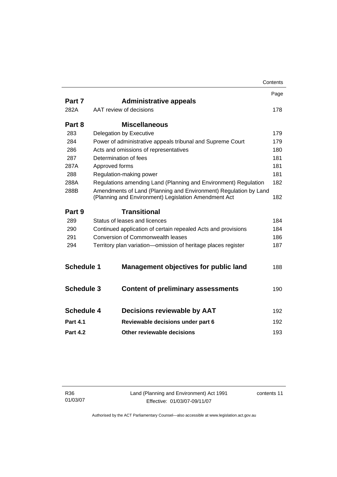|                   |                |                                                                                                                          | Contents |
|-------------------|----------------|--------------------------------------------------------------------------------------------------------------------------|----------|
|                   |                |                                                                                                                          | Page     |
| Part 7            |                | <b>Administrative appeals</b>                                                                                            |          |
| 282A              |                | AAT review of decisions                                                                                                  | 178      |
| Part 8            |                | <b>Miscellaneous</b>                                                                                                     |          |
| 283               |                | Delegation by Executive                                                                                                  | 179      |
| 284               |                | Power of administrative appeals tribunal and Supreme Court                                                               | 179      |
| 286               |                | Acts and omissions of representatives                                                                                    | 180      |
| 287               |                | Determination of fees                                                                                                    | 181      |
| 287A              | Approved forms |                                                                                                                          | 181      |
| 288               |                | Regulation-making power                                                                                                  | 181      |
| 288A              |                | Regulations amending Land (Planning and Environment) Regulation                                                          | 182      |
| 288B              |                | Amendments of Land (Planning and Environment) Regulation by Land<br>(Planning and Environment) Legislation Amendment Act | 182      |
| Part 9            |                | <b>Transitional</b>                                                                                                      |          |
| 289               |                | Status of leases and licences                                                                                            | 184      |
| 290               |                | Continued application of certain repealed Acts and provisions                                                            | 184      |
| 291               |                | Conversion of Commonwealth leases                                                                                        | 186      |
| 294               |                | Territory plan variation-omission of heritage places register                                                            | 187      |
|                   |                |                                                                                                                          |          |
| <b>Schedule 1</b> |                | <b>Management objectives for public land</b>                                                                             | 188      |
| <b>Schedule 3</b> |                |                                                                                                                          |          |
|                   |                | <b>Content of preliminary assessments</b>                                                                                | 190      |
| <b>Schedule 4</b> |                | Decisions reviewable by AAT                                                                                              | 192      |
| <b>Part 4.1</b>   |                | Reviewable decisions under part 6                                                                                        | 192      |
|                   |                |                                                                                                                          |          |
| <b>Part 4.2</b>   |                | Other reviewable decisions                                                                                               | 193      |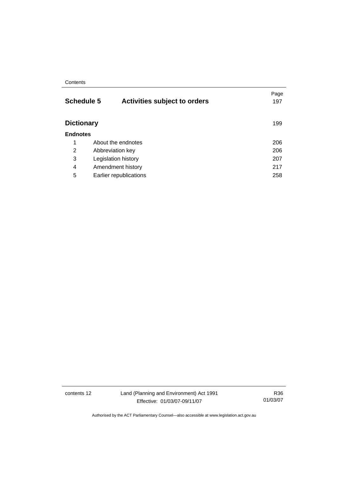#### **Contents**

| <b>Schedule 5</b> | <b>Activities subject to orders</b> | Page<br>197 |
|-------------------|-------------------------------------|-------------|
| <b>Dictionary</b> |                                     | 199         |
| <b>Endnotes</b>   |                                     |             |
| 1                 | About the endnotes                  | 206         |
| 2                 | Abbreviation key                    | 206         |
| 3                 | Legislation history                 | 207         |
| 4                 | Amendment history                   | 217         |
| 5                 | Earlier republications              | 258         |

contents 12 Land (Planning and Environment) Act 1991 Effective: 01/03/07-09/11/07

R36 01/03/07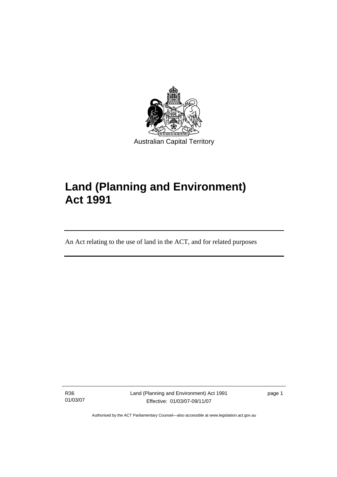

# **Land (Planning and Environment) Act 1991**

An Act relating to the use of land in the ACT, and for related purposes

R36 01/03/07

I

Land (Planning and Environment) Act 1991 Effective: 01/03/07-09/11/07

page 1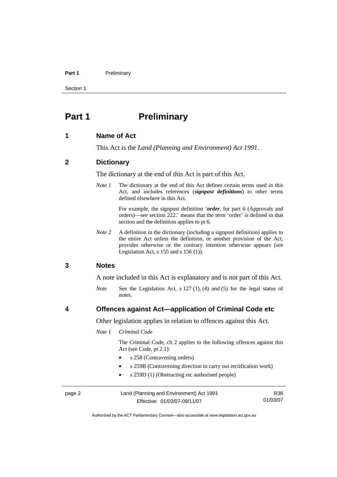#### Part 1 **Preliminary**

Section 1

# **Part 1** Preliminary

#### **1 Name of Act**

This Act is the *Land (Planning and Environment) Act 1991*.

#### **2 Dictionary**

The dictionary at the end of this Act is part of this Act.

*Note 1* The dictionary at the end of this Act defines certain terms used in this Act, and includes references (*signpost definitions*) to other terms defined elsewhere in this Act.

> For example, the signpost definition '*order*, for part 6 (Approvals and orders)—see section 222.' means that the term 'order' is defined in that section and the definition applies to pt 6.

*Note 2* A definition in the dictionary (including a signpost definition) applies to the entire Act unless the definition, or another provision of the Act, provides otherwise or the contrary intention otherwise appears (see Legislation Act, s 155 and s 156 (1)).

#### **3 Notes**

A note included in this Act is explanatory and is not part of this Act.

*Note* See the Legislation Act, s 127 (1), (4) and (5) for the legal status of notes.

#### **4 Offences against Act—application of Criminal Code etc**

Other legislation applies in relation to offences against this Act.

#### *Note 1 Criminal Code*

 The Criminal Code, ch 2 applies to the following offences against this Act (see Code, pt 2.1):

- s 258 (Contravening orders)
- s 259B (Contravening direction to carry out rectification work)
- s 259D (1) (Obstructing etc authorised people)

| page 2 | Land (Planning and Environment) Act 1991 | R36.     |
|--------|------------------------------------------|----------|
|        | Effective: 01/03/07-09/11/07             | 01/03/07 |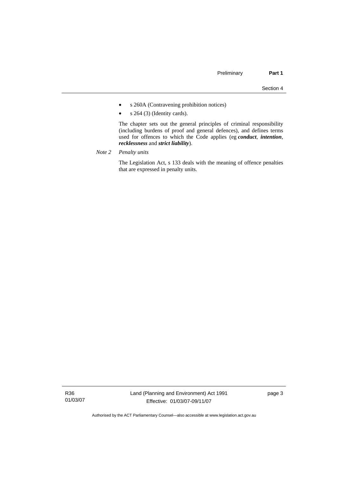- s 260A (Contravening prohibition notices)
- s 264 (3) (Identity cards).

 The chapter sets out the general principles of criminal responsibility (including burdens of proof and general defences), and defines terms used for offences to which the Code applies (eg *conduct*, *intention*, *recklessness* and *strict liability*).

*Note 2 Penalty units*

 The Legislation Act, s 133 deals with the meaning of offence penalties that are expressed in penalty units.

R36 01/03/07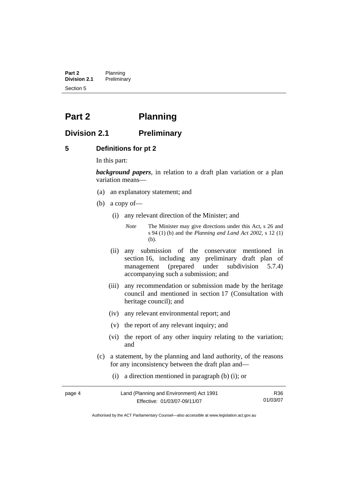**Part 2** Planning<br>**Division 2.1** Prelimina **Division 2.1** Preliminary Section 5

# **Part 2 Planning**

## **Division 2.1 Preliminary**

#### **5 Definitions for pt 2**

In this part:

*background papers*, in relation to a draft plan variation or a plan variation means—

- (a) an explanatory statement; and
- (b) a copy of—
	- (i) any relevant direction of the Minister; and

*Note* The Minister may give directions under this Act, s 26 and s 94 (1) (b) and the *Planning and Land Act 2002*, s 12 (1) (b).

- (ii) any submission of the conservator mentioned in section 16, including any preliminary draft plan of management (prepared under subdivision 5.7.4) accompanying such a submission; and
- (iii) any recommendation or submission made by the heritage council and mentioned in section 17 (Consultation with heritage council); and
- (iv) any relevant environmental report; and
- (v) the report of any relevant inquiry; and
- (vi) the report of any other inquiry relating to the variation; and
- (c) a statement, by the planning and land authority, of the reasons for any inconsistency between the draft plan and—
	- (i) a direction mentioned in paragraph (b) (i); or

| page 4 | Land (Planning and Environment) Act 1991 | R36      |
|--------|------------------------------------------|----------|
|        | Effective: 01/03/07-09/11/07             | 01/03/07 |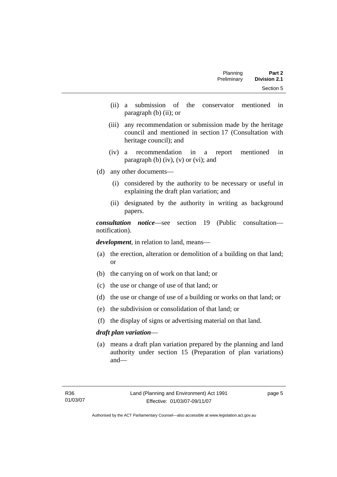| Part 2              | Planning    |
|---------------------|-------------|
| <b>Division 2.1</b> | Preliminary |
| Section 5           |             |

- (ii) a submission of the conservator mentioned in paragraph (b) (ii); or
- (iii) any recommendation or submission made by the heritage council and mentioned in section 17 (Consultation with heritage council); and
- (iv) a recommendation in a report mentioned in paragraph (b)  $(iv)$ ,  $(v)$  or  $(vi)$ ; and
- (d) any other documents—
	- (i) considered by the authority to be necessary or useful in explaining the draft plan variation; and
	- (ii) designated by the authority in writing as background papers.

*consultation notice*—see section 19 (Public consultation notification).

*development*, in relation to land, means—

- (a) the erection, alteration or demolition of a building on that land; or
- (b) the carrying on of work on that land; or
- (c) the use or change of use of that land; or
- (d) the use or change of use of a building or works on that land; or
- (e) the subdivision or consolidation of that land; or
- (f) the display of signs or advertising material on that land.

#### *draft plan variation*—

 (a) means a draft plan variation prepared by the planning and land authority under section 15 (Preparation of plan variations) and—

page 5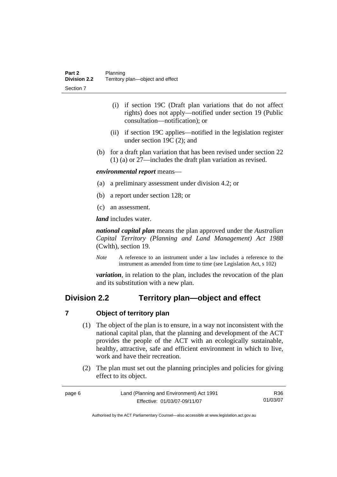- (i) if section 19C (Draft plan variations that do not affect rights) does not apply—notified under section 19 (Public consultation—notification); or
- (ii) if section 19C applies—notified in the legislation register under section 19C (2); and
- (b) for a draft plan variation that has been revised under section 22 (1) (a) or 27—includes the draft plan variation as revised.

#### *environmental report* means—

- (a) a preliminary assessment under division 4.2; or
- (b) a report under section 128; or
- (c) an assessment.

*land* includes water.

*national capital plan* means the plan approved under the *Australian Capital Territory (Planning and Land Management) Act 1988* (Cwlth), section 19.

*Note* A reference to an instrument under a law includes a reference to the instrument as amended from time to time (see Legislation Act, s 102)

*variation*, in relation to the plan, includes the revocation of the plan and its substitution with a new plan.

## **Division 2.2 Territory plan—object and effect**

#### **7 Object of territory plan**

- (1) The object of the plan is to ensure, in a way not inconsistent with the national capital plan, that the planning and development of the ACT provides the people of the ACT with an ecologically sustainable, healthy, attractive, safe and efficient environment in which to live, work and have their recreation.
- (2) The plan must set out the planning principles and policies for giving effect to its object.

| page 6 | Land (Planning and Environment) Act 1991 | R36      |
|--------|------------------------------------------|----------|
|        | Effective: 01/03/07-09/11/07             | 01/03/07 |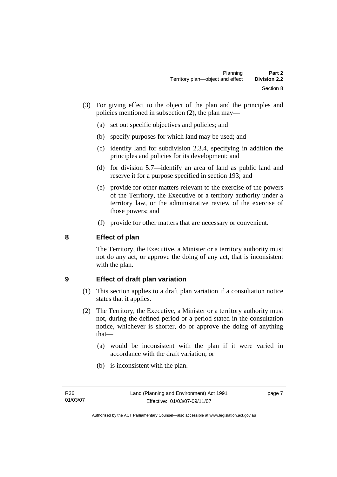- (3) For giving effect to the object of the plan and the principles and policies mentioned in subsection (2), the plan may—
	- (a) set out specific objectives and policies; and
	- (b) specify purposes for which land may be used; and
	- (c) identify land for subdivision 2.3.4, specifying in addition the principles and policies for its development; and
	- (d) for division 5.7—identify an area of land as public land and reserve it for a purpose specified in section 193; and
	- (e) provide for other matters relevant to the exercise of the powers of the Territory, the Executive or a territory authority under a territory law, or the administrative review of the exercise of those powers; and
	- (f) provide for other matters that are necessary or convenient.

## **8 Effect of plan**

The Territory, the Executive, a Minister or a territory authority must not do any act, or approve the doing of any act, that is inconsistent with the plan.

## **9 Effect of draft plan variation**

- (1) This section applies to a draft plan variation if a consultation notice states that it applies.
- (2) The Territory, the Executive, a Minister or a territory authority must not, during the defined period or a period stated in the consultation notice, whichever is shorter, do or approve the doing of anything that—
	- (a) would be inconsistent with the plan if it were varied in accordance with the draft variation; or
	- (b) is inconsistent with the plan.

page 7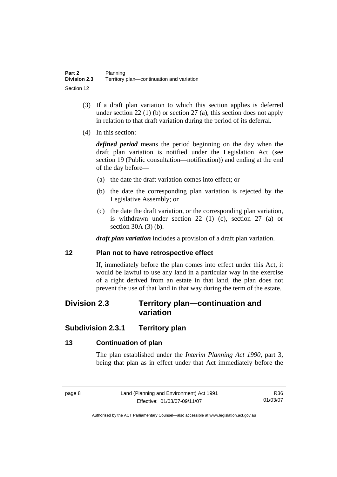- (3) If a draft plan variation to which this section applies is deferred under section 22 (1) (b) or section 27 (a), this section does not apply in relation to that draft variation during the period of its deferral.
- (4) In this section:

*defined period* means the period beginning on the day when the draft plan variation is notified under the Legislation Act (see section 19 (Public consultation—notification)) and ending at the end of the day before—

- (a) the date the draft variation comes into effect; or
- (b) the date the corresponding plan variation is rejected by the Legislative Assembly; or
- (c) the date the draft variation, or the corresponding plan variation, is withdrawn under section 22 (1) (c), section 27 (a) or section 30A (3) (b).

*draft plan variation* includes a provision of a draft plan variation.

#### **12 Plan not to have retrospective effect**

If, immediately before the plan comes into effect under this Act, it would be lawful to use any land in a particular way in the exercise of a right derived from an estate in that land, the plan does not prevent the use of that land in that way during the term of the estate.

# **Division 2.3 Territory plan—continuation and variation**

# **Subdivision 2.3.1 Territory plan**

## **13 Continuation of plan**

The plan established under the *Interim Planning Act 1990*, part 3, being that plan as in effect under that Act immediately before the

R36 01/03/07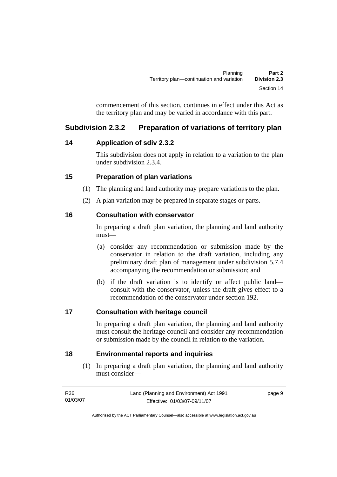commencement of this section, continues in effect under this Act as the territory plan and may be varied in accordance with this part.

# **Subdivision 2.3.2 Preparation of variations of territory plan**

## **14 Application of sdiv 2.3.2**

This subdivision does not apply in relation to a variation to the plan under subdivision 2.3.4.

# **15 Preparation of plan variations**

- (1) The planning and land authority may prepare variations to the plan.
- (2) A plan variation may be prepared in separate stages or parts.

## **16 Consultation with conservator**

In preparing a draft plan variation, the planning and land authority must—

- (a) consider any recommendation or submission made by the conservator in relation to the draft variation, including any preliminary draft plan of management under subdivision 5.7.4 accompanying the recommendation or submission; and
- (b) if the draft variation is to identify or affect public land consult with the conservator, unless the draft gives effect to a recommendation of the conservator under section 192.

## **17 Consultation with heritage council**

In preparing a draft plan variation, the planning and land authority must consult the heritage council and consider any recommendation or submission made by the council in relation to the variation.

## **18 Environmental reports and inquiries**

 (1) In preparing a draft plan variation, the planning and land authority must consider—

| R36      | Land (Planning and Environment) Act 1991 | page 9 |
|----------|------------------------------------------|--------|
| 01/03/07 | Effective: 01/03/07-09/11/07             |        |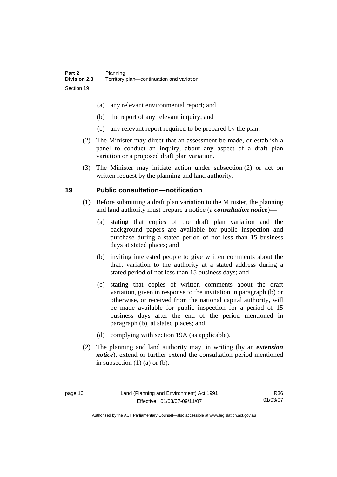- (a) any relevant environmental report; and
- (b) the report of any relevant inquiry; and
- (c) any relevant report required to be prepared by the plan.
- (2) The Minister may direct that an assessment be made, or establish a panel to conduct an inquiry, about any aspect of a draft plan variation or a proposed draft plan variation.
- (3) The Minister may initiate action under subsection (2) or act on written request by the planning and land authority.

#### **19 Public consultation—notification**

- (1) Before submitting a draft plan variation to the Minister, the planning and land authority must prepare a notice (a *consultation notice*)—
	- (a) stating that copies of the draft plan variation and the background papers are available for public inspection and purchase during a stated period of not less than 15 business days at stated places; and
	- (b) inviting interested people to give written comments about the draft variation to the authority at a stated address during a stated period of not less than 15 business days; and
	- (c) stating that copies of written comments about the draft variation, given in response to the invitation in paragraph (b) or otherwise, or received from the national capital authority, will be made available for public inspection for a period of 15 business days after the end of the period mentioned in paragraph (b), at stated places; and
	- (d) complying with section 19A (as applicable).
- (2) The planning and land authority may, in writing (by an *extension notice*), extend or further extend the consultation period mentioned in subsection  $(1)$   $(a)$  or  $(b)$ .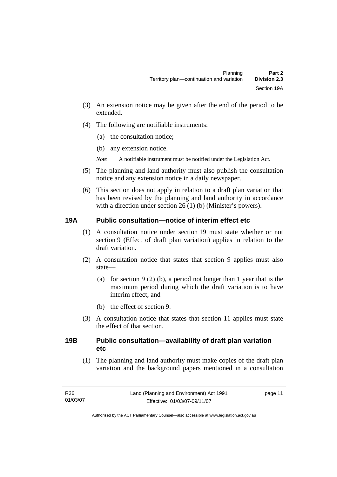- (3) An extension notice may be given after the end of the period to be extended.
- (4) The following are notifiable instruments:
	- (a) the consultation notice;
	- (b) any extension notice.
	- *Note* A notifiable instrument must be notified under the Legislation Act.
- (5) The planning and land authority must also publish the consultation notice and any extension notice in a daily newspaper.
- (6) This section does not apply in relation to a draft plan variation that has been revised by the planning and land authority in accordance with a direction under section 26 (1) (b) (Minister's powers).

## **19A Public consultation—notice of interim effect etc**

- (1) A consultation notice under section 19 must state whether or not section 9 (Effect of draft plan variation) applies in relation to the draft variation.
- (2) A consultation notice that states that section 9 applies must also state—
	- (a) for section 9 (2) (b), a period not longer than 1 year that is the maximum period during which the draft variation is to have interim effect; and
	- (b) the effect of section 9.
- (3) A consultation notice that states that section 11 applies must state the effect of that section.

#### **19B Public consultation—availability of draft plan variation etc**

(1) The planning and land authority must make copies of the draft plan variation and the background papers mentioned in a consultation

page 11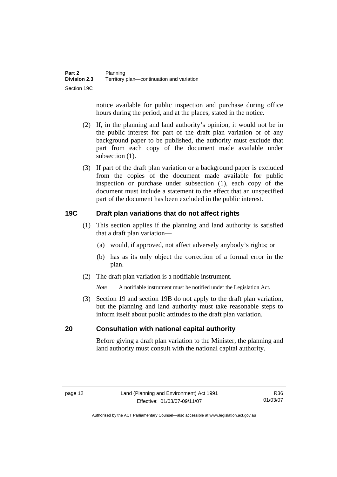notice available for public inspection and purchase during office hours during the period, and at the places, stated in the notice.

- (2) If, in the planning and land authority's opinion, it would not be in the public interest for part of the draft plan variation or of any background paper to be published, the authority must exclude that part from each copy of the document made available under subsection  $(1)$ .
- (3) If part of the draft plan variation or a background paper is excluded from the copies of the document made available for public inspection or purchase under subsection (1), each copy of the document must include a statement to the effect that an unspecified part of the document has been excluded in the public interest.

## **19C Draft plan variations that do not affect rights**

- (1) This section applies if the planning and land authority is satisfied that a draft plan variation—
	- (a) would, if approved, not affect adversely anybody's rights; or
	- (b) has as its only object the correction of a formal error in the plan.
- (2) The draft plan variation is a notifiable instrument.

*Note* A notifiable instrument must be notified under the Legislation Act.

 (3) Section 19 and section 19B do not apply to the draft plan variation, but the planning and land authority must take reasonable steps to inform itself about public attitudes to the draft plan variation.

#### **20 Consultation with national capital authority**

Before giving a draft plan variation to the Minister, the planning and land authority must consult with the national capital authority.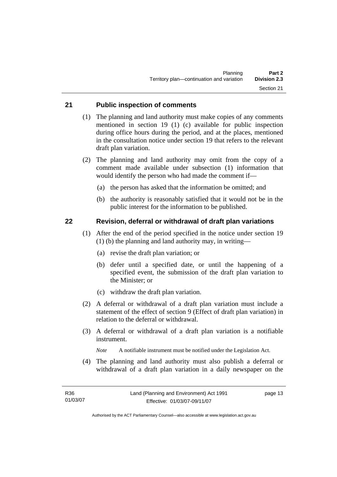#### **21 Public inspection of comments**

- (1) The planning and land authority must make copies of any comments mentioned in section 19 (1) (c) available for public inspection during office hours during the period, and at the places, mentioned in the consultation notice under section 19 that refers to the relevant draft plan variation.
- (2) The planning and land authority may omit from the copy of a comment made available under subsection (1) information that would identify the person who had made the comment if—
	- (a) the person has asked that the information be omitted; and
	- (b) the authority is reasonably satisfied that it would not be in the public interest for the information to be published.

#### **22 Revision, deferral or withdrawal of draft plan variations**

- (1) After the end of the period specified in the notice under section 19 (1) (b) the planning and land authority may, in writing—
	- (a) revise the draft plan variation; or
	- (b) defer until a specified date, or until the happening of a specified event, the submission of the draft plan variation to the Minister; or
	- (c) withdraw the draft plan variation.
- (2) A deferral or withdrawal of a draft plan variation must include a statement of the effect of section 9 (Effect of draft plan variation) in relation to the deferral or withdrawal.
- (3) A deferral or withdrawal of a draft plan variation is a notifiable instrument.

*Note* A notifiable instrument must be notified under the Legislation Act.

(4) The planning and land authority must also publish a deferral or withdrawal of a draft plan variation in a daily newspaper on the

page 13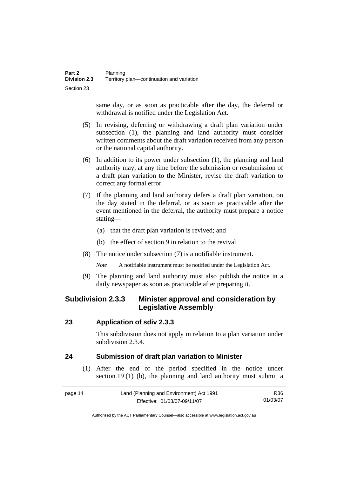same day, or as soon as practicable after the day, the deferral or withdrawal is notified under the Legislation Act.

- (5) In revising, deferring or withdrawing a draft plan variation under subsection (1), the planning and land authority must consider written comments about the draft variation received from any person or the national capital authority.
- (6) In addition to its power under subsection (1), the planning and land authority may, at any time before the submission or resubmission of a draft plan variation to the Minister, revise the draft variation to correct any formal error.
- (7) If the planning and land authority defers a draft plan variation, on the day stated in the deferral, or as soon as practicable after the event mentioned in the deferral, the authority must prepare a notice stating—
	- (a) that the draft plan variation is revived; and
	- (b) the effect of section 9 in relation to the revival.
- (8) The notice under subsection (7) is a notifiable instrument.

*Note* A notifiable instrument must be notified under the Legislation Act.

(9) The planning and land authority must also publish the notice in a daily newspaper as soon as practicable after preparing it.

# **Subdivision 2.3.3 Minister approval and consideration by Legislative Assembly**

#### **23 Application of sdiv 2.3.3**

This subdivision does not apply in relation to a plan variation under subdivision 2.3.4.

## **24 Submission of draft plan variation to Minister**

 (1) After the end of the period specified in the notice under section 19 (1) (b), the planning and land authority must submit a

| page 14 | Land (Planning and Environment) Act 1991 | R36.     |
|---------|------------------------------------------|----------|
|         | Effective: 01/03/07-09/11/07             | 01/03/07 |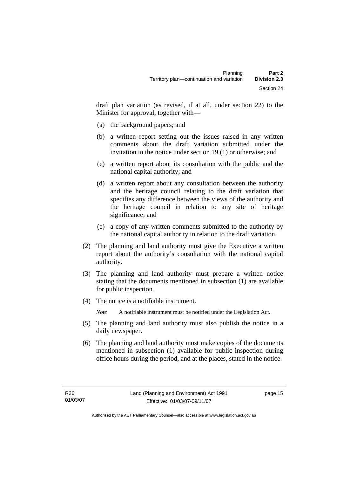draft plan variation (as revised, if at all, under section 22) to the Minister for approval, together with—

- (a) the background papers; and
- (b) a written report setting out the issues raised in any written comments about the draft variation submitted under the invitation in the notice under section 19 (1) or otherwise; and
- (c) a written report about its consultation with the public and the national capital authority; and
- (d) a written report about any consultation between the authority and the heritage council relating to the draft variation that specifies any difference between the views of the authority and the heritage council in relation to any site of heritage significance; and
- (e) a copy of any written comments submitted to the authority by the national capital authority in relation to the draft variation.
- (2) The planning and land authority must give the Executive a written report about the authority's consultation with the national capital authority.
- (3) The planning and land authority must prepare a written notice stating that the documents mentioned in subsection (1) are available for public inspection.
- (4) The notice is a notifiable instrument.

*Note* A notifiable instrument must be notified under the Legislation Act.

- (5) The planning and land authority must also publish the notice in a daily newspaper.
- (6) The planning and land authority must make copies of the documents mentioned in subsection (1) available for public inspection during office hours during the period, and at the places, stated in the notice.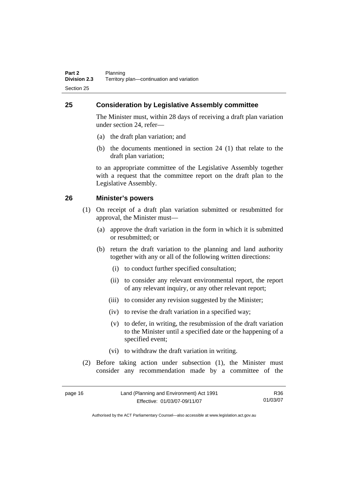## **25 Consideration by Legislative Assembly committee**

The Minister must, within 28 days of receiving a draft plan variation under section 24, refer—

- (a) the draft plan variation; and
- (b) the documents mentioned in section 24 (1) that relate to the draft plan variation;

to an appropriate committee of the Legislative Assembly together with a request that the committee report on the draft plan to the Legislative Assembly.

#### **26 Minister's powers**

- (1) On receipt of a draft plan variation submitted or resubmitted for approval, the Minister must—
	- (a) approve the draft variation in the form in which it is submitted or resubmitted; or
	- (b) return the draft variation to the planning and land authority together with any or all of the following written directions:
		- (i) to conduct further specified consultation;
		- (ii) to consider any relevant environmental report, the report of any relevant inquiry, or any other relevant report;
		- (iii) to consider any revision suggested by the Minister;
		- (iv) to revise the draft variation in a specified way;
		- (v) to defer, in writing, the resubmission of the draft variation to the Minister until a specified date or the happening of a specified event;
		- (vi) to withdraw the draft variation in writing.
- (2) Before taking action under subsection (1), the Minister must consider any recommendation made by a committee of the

| page 16 | Land (Planning and Environment) Act 1991 | R36      |
|---------|------------------------------------------|----------|
|         | Effective: 01/03/07-09/11/07             | 01/03/07 |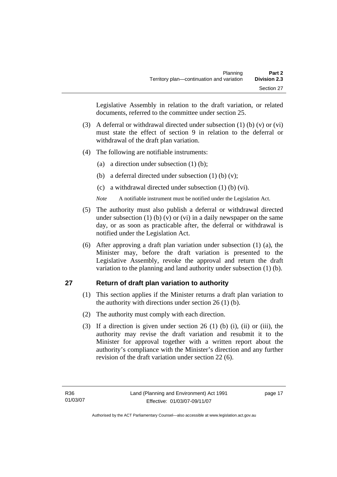Legislative Assembly in relation to the draft variation, or related documents, referred to the committee under section 25.

- (3) A deferral or withdrawal directed under subsection (1) (b) (v) or (vi) must state the effect of section 9 in relation to the deferral or withdrawal of the draft plan variation.
- (4) The following are notifiable instruments:
	- (a) a direction under subsection (1) (b);
	- (b) a deferral directed under subsection  $(1)$  (b)  $(v)$ ;
	- (c) a withdrawal directed under subsection (1) (b) (vi).
	- *Note* A notifiable instrument must be notified under the Legislation Act.
- (5) The authority must also publish a deferral or withdrawal directed under subsection  $(1)$  (b)  $(v)$  or  $(vi)$  in a daily newspaper on the same day, or as soon as practicable after, the deferral or withdrawal is notified under the Legislation Act.
- (6) After approving a draft plan variation under subsection (1) (a), the Minister may, before the draft variation is presented to the Legislative Assembly, revoke the approval and return the draft variation to the planning and land authority under subsection (1) (b).

## **27 Return of draft plan variation to authority**

- (1) This section applies if the Minister returns a draft plan variation to the authority with directions under section  $26(1)(b)$ .
- (2) The authority must comply with each direction.
- (3) If a direction is given under section 26 (1) (b) (i), (ii) or (iii), the authority may revise the draft variation and resubmit it to the Minister for approval together with a written report about the authority's compliance with the Minister's direction and any further revision of the draft variation under section 22 (6).

page 17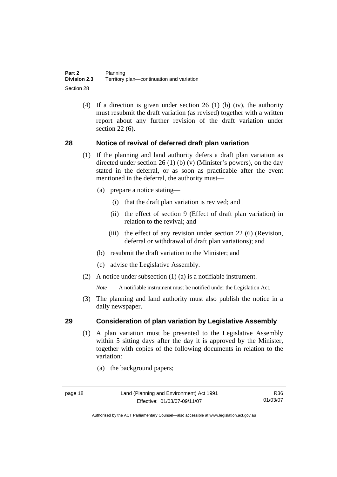(4) If a direction is given under section 26 (1) (b) (iv), the authority must resubmit the draft variation (as revised) together with a written report about any further revision of the draft variation under section 22 (6).

#### **28 Notice of revival of deferred draft plan variation**

- (1) If the planning and land authority defers a draft plan variation as directed under section 26 (1) (b) (v) (Minister's powers), on the day stated in the deferral, or as soon as practicable after the event mentioned in the deferral, the authority must—
	- (a) prepare a notice stating—
		- (i) that the draft plan variation is revived; and
		- (ii) the effect of section 9 (Effect of draft plan variation) in relation to the revival; and
		- (iii) the effect of any revision under section 22 (6) (Revision, deferral or withdrawal of draft plan variations); and
	- (b) resubmit the draft variation to the Minister; and
	- (c) advise the Legislative Assembly.
- (2) A notice under subsection (1) (a) is a notifiable instrument.

*Note* A notifiable instrument must be notified under the Legislation Act.

(3) The planning and land authority must also publish the notice in a daily newspaper.

#### **29 Consideration of plan variation by Legislative Assembly**

- (1) A plan variation must be presented to the Legislative Assembly within 5 sitting days after the day it is approved by the Minister, together with copies of the following documents in relation to the variation:
	- (a) the background papers;

R36 01/03/07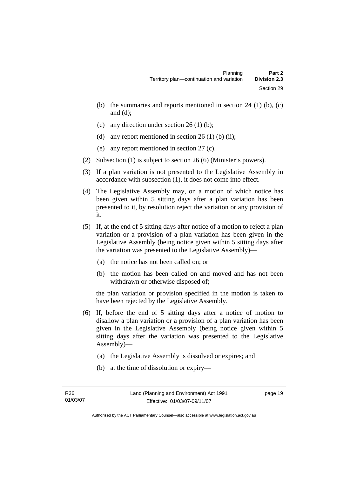- (b) the summaries and reports mentioned in section  $24$  (1) (b), (c) and (d);
- (c) any direction under section  $26 \text{ (1) (b)}$ ;
- (d) any report mentioned in section  $26(1)$  (b) (ii);
- (e) any report mentioned in section 27 (c).
- (2) Subsection (1) is subject to section 26 (6) (Minister's powers).
- (3) If a plan variation is not presented to the Legislative Assembly in accordance with subsection (1), it does not come into effect.
- (4) The Legislative Assembly may, on a motion of which notice has been given within 5 sitting days after a plan variation has been presented to it, by resolution reject the variation or any provision of it.
- (5) If, at the end of 5 sitting days after notice of a motion to reject a plan variation or a provision of a plan variation has been given in the Legislative Assembly (being notice given within 5 sitting days after the variation was presented to the Legislative Assembly)—
	- (a) the notice has not been called on; or
	- (b) the motion has been called on and moved and has not been withdrawn or otherwise disposed of;

the plan variation or provision specified in the motion is taken to have been rejected by the Legislative Assembly.

- (6) If, before the end of 5 sitting days after a notice of motion to disallow a plan variation or a provision of a plan variation has been given in the Legislative Assembly (being notice given within 5 sitting days after the variation was presented to the Legislative Assembly)—
	- (a) the Legislative Assembly is dissolved or expires; and
	- (b) at the time of dissolution or expiry—

page 19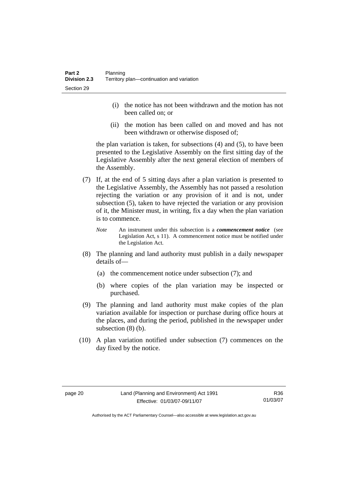- (i) the notice has not been withdrawn and the motion has not been called on; or
- (ii) the motion has been called on and moved and has not been withdrawn or otherwise disposed of;

the plan variation is taken, for subsections (4) and (5), to have been presented to the Legislative Assembly on the first sitting day of the Legislative Assembly after the next general election of members of the Assembly.

- (7) If, at the end of 5 sitting days after a plan variation is presented to the Legislative Assembly, the Assembly has not passed a resolution rejecting the variation or any provision of it and is not, under subsection (5), taken to have rejected the variation or any provision of it, the Minister must, in writing, fix a day when the plan variation is to commence.
	- *Note* An instrument under this subsection is a *commencement notice* (see Legislation Act, s 11). A commencement notice must be notified under the Legislation Act.
- (8) The planning and land authority must publish in a daily newspaper details of—
	- (a) the commencement notice under subsection (7); and
	- (b) where copies of the plan variation may be inspected or purchased.
- (9) The planning and land authority must make copies of the plan variation available for inspection or purchase during office hours at the places, and during the period, published in the newspaper under subsection (8) (b).
- (10) A plan variation notified under subsection (7) commences on the day fixed by the notice.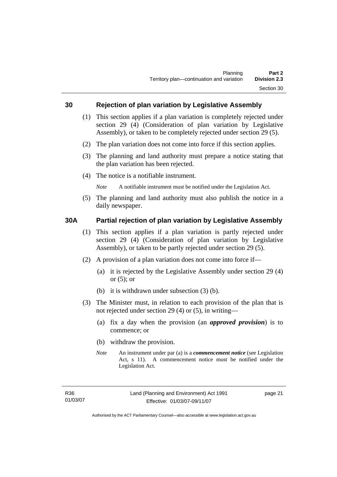#### **30 Rejection of plan variation by Legislative Assembly**

- (1) This section applies if a plan variation is completely rejected under section 29 (4) (Consideration of plan variation by Legislative Assembly), or taken to be completely rejected under section 29 (5).
- (2) The plan variation does not come into force if this section applies.
- (3) The planning and land authority must prepare a notice stating that the plan variation has been rejected.
- (4) The notice is a notifiable instrument.

*Note* A notifiable instrument must be notified under the Legislation Act.

(5) The planning and land authority must also publish the notice in a daily newspaper.

#### **30A Partial rejection of plan variation by Legislative Assembly**

- (1) This section applies if a plan variation is partly rejected under section 29 (4) (Consideration of plan variation by Legislative Assembly), or taken to be partly rejected under section 29 (5).
- (2) A provision of a plan variation does not come into force if—
	- (a) it is rejected by the Legislative Assembly under section 29 (4) or (5); or
	- (b) it is withdrawn under subsection (3) (b).
- (3) The Minister must, in relation to each provision of the plan that is not rejected under section 29 (4) or (5), in writing—
	- (a) fix a day when the provision (an *approved provision*) is to commence; or
	- (b) withdraw the provision.
	- *Note* An instrument under par (a) is a *commencement notice* (see Legislation Act, s 11). A commencement notice must be notified under the Legislation Act.

page 21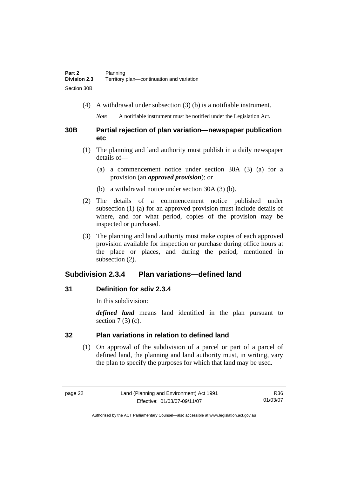(4) A withdrawal under subsection (3) (b) is a notifiable instrument.

*Note* A notifiable instrument must be notified under the Legislation Act.

#### **30B Partial rejection of plan variation—newspaper publication etc**

- (1) The planning and land authority must publish in a daily newspaper details of—
	- (a) a commencement notice under section 30A (3) (a) for a provision (an *approved provision*); or
	- (b) a withdrawal notice under section 30A (3) (b).
- (2) The details of a commencement notice published under subsection (1) (a) for an approved provision must include details of where, and for what period, copies of the provision may be inspected or purchased.
- (3) The planning and land authority must make copies of each approved provision available for inspection or purchase during office hours at the place or places, and during the period, mentioned in subsection (2).

# **Subdivision 2.3.4 Plan variations—defined land**

## **31 Definition for sdiv 2.3.4**

In this subdivision:

*defined land* means land identified in the plan pursuant to section  $7(3)(c)$ .

# **32 Plan variations in relation to defined land**

 (1) On approval of the subdivision of a parcel or part of a parcel of defined land, the planning and land authority must, in writing, vary the plan to specify the purposes for which that land may be used.

R36 01/03/07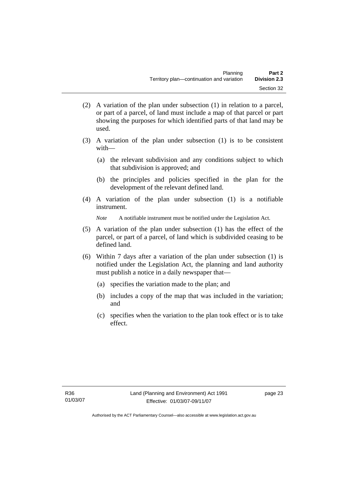- (2) A variation of the plan under subsection (1) in relation to a parcel, or part of a parcel, of land must include a map of that parcel or part showing the purposes for which identified parts of that land may be used.
- (3) A variation of the plan under subsection (1) is to be consistent with—
	- (a) the relevant subdivision and any conditions subject to which that subdivision is approved; and
	- (b) the principles and policies specified in the plan for the development of the relevant defined land.
- (4) A variation of the plan under subsection (1) is a notifiable instrument.

*Note* A notifiable instrument must be notified under the Legislation Act.

- (5) A variation of the plan under subsection (1) has the effect of the parcel, or part of a parcel, of land which is subdivided ceasing to be defined land.
- (6) Within 7 days after a variation of the plan under subsection (1) is notified under the Legislation Act, the planning and land authority must publish a notice in a daily newspaper that—
	- (a) specifies the variation made to the plan; and
	- (b) includes a copy of the map that was included in the variation; and
	- (c) specifies when the variation to the plan took effect or is to take effect.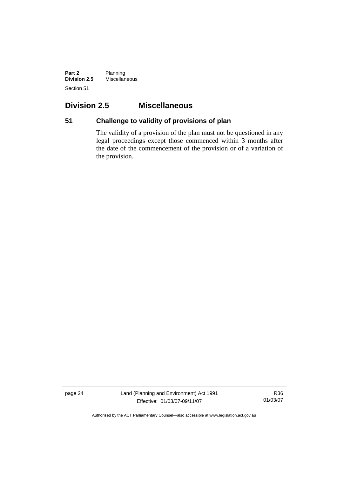**Part 2** Planning **Division 2.5** Miscellaneous Section 51

# **Division 2.5 Miscellaneous**

# **51 Challenge to validity of provisions of plan**

The validity of a provision of the plan must not be questioned in any legal proceedings except those commenced within 3 months after the date of the commencement of the provision or of a variation of the provision.

page 24 Land (Planning and Environment) Act 1991 Effective: 01/03/07-09/11/07

R36 01/03/07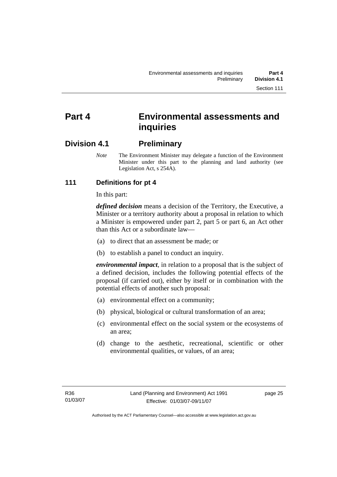# **Part 4 Environmental assessments and inquiries**

# **Division 4.1 Preliminary**

*Note* The Environment Minister may delegate a function of the Environment Minister under this part to the planning and land authority (see Legislation Act, s 254A).

# **111 Definitions for pt 4**

In this part:

*defined decision* means a decision of the Territory, the Executive, a Minister or a territory authority about a proposal in relation to which a Minister is empowered under part 2, part 5 or part 6, an Act other than this Act or a subordinate law—

- (a) to direct that an assessment be made; or
- (b) to establish a panel to conduct an inquiry.

*environmental impact*, in relation to a proposal that is the subject of a defined decision, includes the following potential effects of the proposal (if carried out), either by itself or in combination with the potential effects of another such proposal:

- (a) environmental effect on a community;
- (b) physical, biological or cultural transformation of an area;
- (c) environmental effect on the social system or the ecosystems of an area;
- (d) change to the aesthetic, recreational, scientific or other environmental qualities, or values, of an area;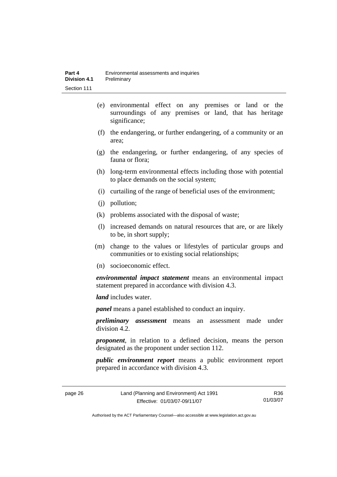- (e) environmental effect on any premises or land or the surroundings of any premises or land, that has heritage significance;
- (f) the endangering, or further endangering, of a community or an area;
- (g) the endangering, or further endangering, of any species of fauna or flora;
- (h) long-term environmental effects including those with potential to place demands on the social system;
- (i) curtailing of the range of beneficial uses of the environment;
- (j) pollution;
- (k) problems associated with the disposal of waste;
- (l) increased demands on natural resources that are, or are likely to be, in short supply;
- (m) change to the values or lifestyles of particular groups and communities or to existing social relationships;
- (n) socioeconomic effect.

*environmental impact statement* means an environmental impact statement prepared in accordance with division 4.3.

*land* includes water.

*panel* means a panel established to conduct an inquiry.

*preliminary assessment* means an assessment made under division 4.2.

*proponent*, in relation to a defined decision, means the person designated as the proponent under section 112.

*public environment report* means a public environment report prepared in accordance with division 4.3.

page 26 Land (Planning and Environment) Act 1991 Effective: 01/03/07-09/11/07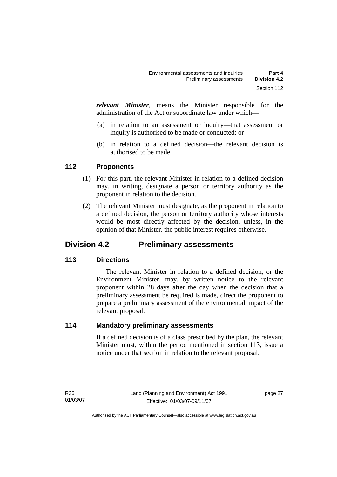*relevant Minister*, means the Minister responsible for the administration of the Act or subordinate law under which—

- (a) in relation to an assessment or inquiry—that assessment or inquiry is authorised to be made or conducted; or
- (b) in relation to a defined decision—the relevant decision is authorised to be made.

#### **112 Proponents**

- (1) For this part, the relevant Minister in relation to a defined decision may, in writing, designate a person or territory authority as the proponent in relation to the decision.
- (2) The relevant Minister must designate, as the proponent in relation to a defined decision, the person or territory authority whose interests would be most directly affected by the decision, unless, in the opinion of that Minister, the public interest requires otherwise.

# **Division 4.2 Preliminary assessments**

# **113 Directions**

 The relevant Minister in relation to a defined decision, or the Environment Minister, may, by written notice to the relevant proponent within 28 days after the day when the decision that a preliminary assessment be required is made, direct the proponent to prepare a preliminary assessment of the environmental impact of the relevant proposal.

#### **114 Mandatory preliminary assessments**

If a defined decision is of a class prescribed by the plan, the relevant Minister must, within the period mentioned in section 113, issue a notice under that section in relation to the relevant proposal.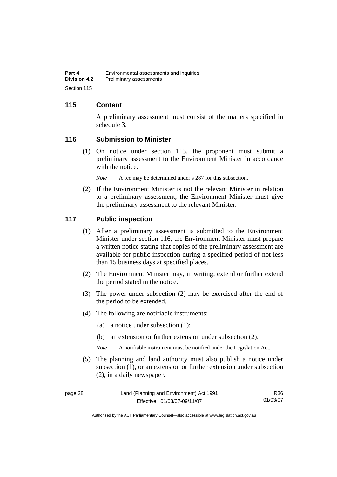#### **115 Content**

A preliminary assessment must consist of the matters specified in schedule 3.

#### **116 Submission to Minister**

 (1) On notice under section 113, the proponent must submit a preliminary assessment to the Environment Minister in accordance with the notice.

*Note* A fee may be determined under s 287 for this subsection.

 (2) If the Environment Minister is not the relevant Minister in relation to a preliminary assessment, the Environment Minister must give the preliminary assessment to the relevant Minister.

#### **117 Public inspection**

- (1) After a preliminary assessment is submitted to the Environment Minister under section 116, the Environment Minister must prepare a written notice stating that copies of the preliminary assessment are available for public inspection during a specified period of not less than 15 business days at specified places.
- (2) The Environment Minister may, in writing, extend or further extend the period stated in the notice.
- (3) The power under subsection (2) may be exercised after the end of the period to be extended.
- (4) The following are notifiable instruments:
	- (a) a notice under subsection (1);
	- (b) an extension or further extension under subsection (2).
	- *Note* A notifiable instrument must be notified under the Legislation Act.
- (5) The planning and land authority must also publish a notice under subsection (1), or an extension or further extension under subsection (2), in a daily newspaper.

| page 28 | Land (Planning and Environment) Act 1991 | R36      |
|---------|------------------------------------------|----------|
|         | Effective: 01/03/07-09/11/07             | 01/03/07 |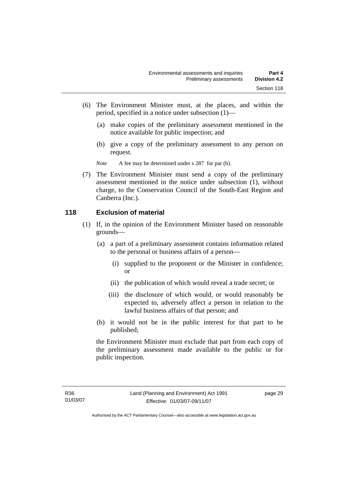- (6) The Environment Minister must, at the places, and within the period, specified in a notice under subsection (1)—
	- (a) make copies of the preliminary assessment mentioned in the notice available for public inspection; and
	- (b) give a copy of the preliminary assessment to any person on request.

*Note* A fee may be determined under s 287 for par (b).

 (7) The Environment Minister must send a copy of the preliminary assessment mentioned in the notice under subsection (1), without charge, to the Conservation Council of the South-East Region and Canberra (Inc.).

#### **118 Exclusion of material**

- (1) If, in the opinion of the Environment Minister based on reasonable grounds—
	- (a) a part of a preliminary assessment contains information related to the personal or business affairs of a person—
		- (i) supplied to the proponent or the Minister in confidence; or
		- (ii) the publication of which would reveal a trade secret; or
		- (iii) the disclosure of which would, or would reasonably be expected to, adversely affect a person in relation to the lawful business affairs of that person; and
	- (b) it would not be in the public interest for that part to be published;

the Environment Minister must exclude that part from each copy of the preliminary assessment made available to the public or for public inspection.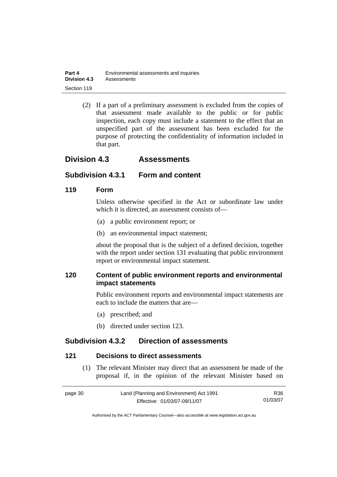| Part 4              | Environmental assessments and inquiries |
|---------------------|-----------------------------------------|
| <b>Division 4.3</b> | Assessments                             |
| Section 119         |                                         |

 (2) If a part of a preliminary assessment is excluded from the copies of that assessment made available to the public or for public inspection, each copy must include a statement to the effect that an unspecified part of the assessment has been excluded for the purpose of protecting the confidentiality of information included in that part.

# **Division 4.3 Assessments**

#### **Subdivision 4.3.1 Form and content**

#### **119 Form**

Unless otherwise specified in the Act or subordinate law under which it is directed, an assessment consists of—

- (a) a public environment report; or
- (b) an environmental impact statement;

about the proposal that is the subject of a defined decision, together with the report under section 131 evaluating that public environment report or environmental impact statement.

# **120 Content of public environment reports and environmental impact statements**

Public environment reports and environmental impact statements are each to include the matters that are—

- (a) prescribed; and
- (b) directed under section 123.

# **Subdivision 4.3.2 Direction of assessments**

#### **121 Decisions to direct assessments**

 (1) The relevant Minister may direct that an assessment be made of the proposal if, in the opinion of the relevant Minister based on

| page 30 | Land (Planning and Environment) Act 1991 | R36      |
|---------|------------------------------------------|----------|
|         | Effective: 01/03/07-09/11/07             | 01/03/07 |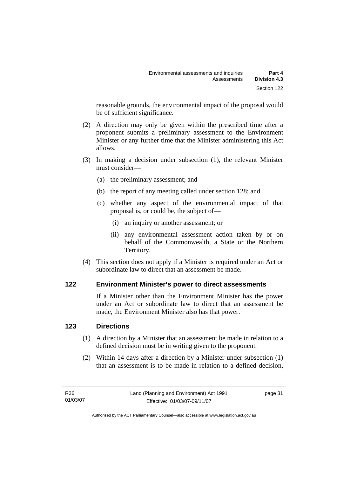reasonable grounds, the environmental impact of the proposal would be of sufficient significance.

- (2) A direction may only be given within the prescribed time after a proponent submits a preliminary assessment to the Environment Minister or any further time that the Minister administering this Act allows.
- (3) In making a decision under subsection (1), the relevant Minister must consider—
	- (a) the preliminary assessment; and
	- (b) the report of any meeting called under section 128; and
	- (c) whether any aspect of the environmental impact of that proposal is, or could be, the subject of—
		- (i) an inquiry or another assessment; or
		- (ii) any environmental assessment action taken by or on behalf of the Commonwealth, a State or the Northern Territory.
- (4) This section does not apply if a Minister is required under an Act or subordinate law to direct that an assessment be made.

# **122 Environment Minister's power to direct assessments**

If a Minister other than the Environment Minister has the power under an Act or subordinate law to direct that an assessment be made, the Environment Minister also has that power.

# **123 Directions**

- (1) A direction by a Minister that an assessment be made in relation to a defined decision must be in writing given to the proponent.
- (2) Within 14 days after a direction by a Minister under subsection (1) that an assessment is to be made in relation to a defined decision,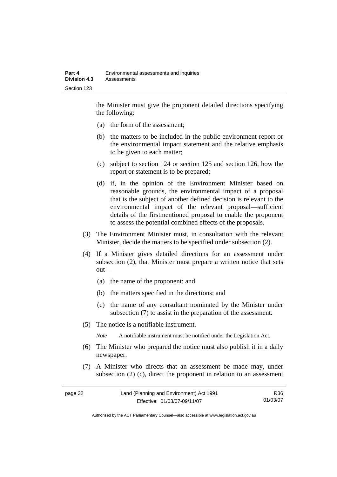the Minister must give the proponent detailed directions specifying the following:

- (a) the form of the assessment;
- (b) the matters to be included in the public environment report or the environmental impact statement and the relative emphasis to be given to each matter;
- (c) subject to section 124 or section 125 and section 126, how the report or statement is to be prepared;
- (d) if, in the opinion of the Environment Minister based on reasonable grounds, the environmental impact of a proposal that is the subject of another defined decision is relevant to the environmental impact of the relevant proposal—sufficient details of the firstmentioned proposal to enable the proponent to assess the potential combined effects of the proposals.
- (3) The Environment Minister must, in consultation with the relevant Minister, decide the matters to be specified under subsection (2).
- (4) If a Minister gives detailed directions for an assessment under subsection (2), that Minister must prepare a written notice that sets out—
	- (a) the name of the proponent; and
	- (b) the matters specified in the directions; and
	- (c) the name of any consultant nominated by the Minister under subsection (7) to assist in the preparation of the assessment.
- (5) The notice is a notifiable instrument.

*Note* A notifiable instrument must be notified under the Legislation Act.

- (6) The Minister who prepared the notice must also publish it in a daily newspaper.
- (7) A Minister who directs that an assessment be made may, under subsection (2) (c), direct the proponent in relation to an assessment

| page 32 | Land (Planning and Environment) Act 1991 | R36      |
|---------|------------------------------------------|----------|
|         | Effective: 01/03/07-09/11/07             | 01/03/07 |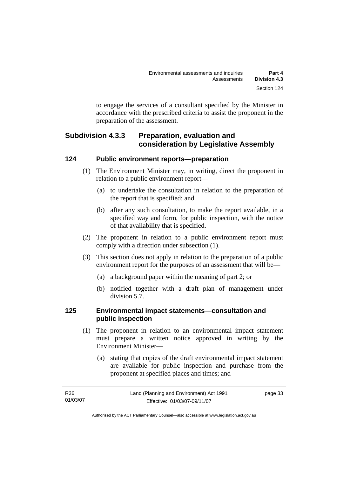to engage the services of a consultant specified by the Minister in accordance with the prescribed criteria to assist the proponent in the preparation of the assessment.

# **Subdivision 4.3.3 Preparation, evaluation and consideration by Legislative Assembly**

#### **124 Public environment reports—preparation**

- (1) The Environment Minister may, in writing, direct the proponent in relation to a public environment report—
	- (a) to undertake the consultation in relation to the preparation of the report that is specified; and
	- (b) after any such consultation, to make the report available, in a specified way and form, for public inspection, with the notice of that availability that is specified.
- (2) The proponent in relation to a public environment report must comply with a direction under subsection (1).
- (3) This section does not apply in relation to the preparation of a public environment report for the purposes of an assessment that will be—
	- (a) a background paper within the meaning of part 2; or
	- (b) notified together with a draft plan of management under division 5.7.

#### **125 Environmental impact statements—consultation and public inspection**

- (1) The proponent in relation to an environmental impact statement must prepare a written notice approved in writing by the Environment Minister—
	- (a) stating that copies of the draft environmental impact statement are available for public inspection and purchase from the proponent at specified places and times; and

| R36      | Land (Planning and Environment) Act 1991 | page 33 |
|----------|------------------------------------------|---------|
| 01/03/07 | Effective: 01/03/07-09/11/07             |         |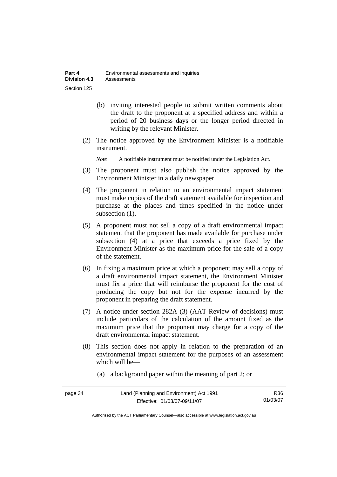- (b) inviting interested people to submit written comments about the draft to the proponent at a specified address and within a period of 20 business days or the longer period directed in writing by the relevant Minister.
- (2) The notice approved by the Environment Minister is a notifiable instrument.

*Note* A notifiable instrument must be notified under the Legislation Act.

- (3) The proponent must also publish the notice approved by the Environment Minister in a daily newspaper.
- (4) The proponent in relation to an environmental impact statement must make copies of the draft statement available for inspection and purchase at the places and times specified in the notice under subsection (1).
- (5) A proponent must not sell a copy of a draft environmental impact statement that the proponent has made available for purchase under subsection (4) at a price that exceeds a price fixed by the Environment Minister as the maximum price for the sale of a copy of the statement.
- (6) In fixing a maximum price at which a proponent may sell a copy of a draft environmental impact statement, the Environment Minister must fix a price that will reimburse the proponent for the cost of producing the copy but not for the expense incurred by the proponent in preparing the draft statement.
- (7) A notice under section 282A (3) (AAT Review of decisions) must include particulars of the calculation of the amount fixed as the maximum price that the proponent may charge for a copy of the draft environmental impact statement.
- (8) This section does not apply in relation to the preparation of an environmental impact statement for the purposes of an assessment which will be—
	- (a) a background paper within the meaning of part 2; or

| page 34 | Land (Planning and Environment) Act 1991 | R36      |
|---------|------------------------------------------|----------|
|         | Effective: 01/03/07-09/11/07             | 01/03/07 |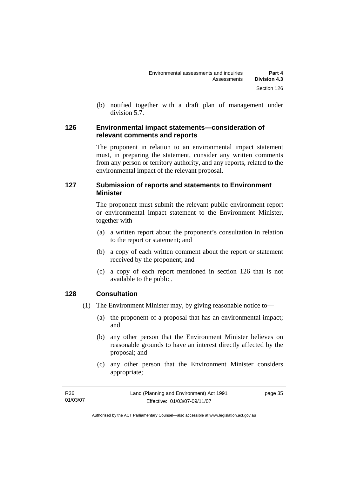(b) notified together with a draft plan of management under division 5.7.

#### **126 Environmental impact statements—consideration of relevant comments and reports**

The proponent in relation to an environmental impact statement must, in preparing the statement, consider any written comments from any person or territory authority, and any reports, related to the environmental impact of the relevant proposal.

# **127 Submission of reports and statements to Environment Minister**

The proponent must submit the relevant public environment report or environmental impact statement to the Environment Minister, together with—

- (a) a written report about the proponent's consultation in relation to the report or statement; and
- (b) a copy of each written comment about the report or statement received by the proponent; and
- (c) a copy of each report mentioned in section 126 that is not available to the public.

# **128 Consultation**

- (1) The Environment Minister may, by giving reasonable notice to—
	- (a) the proponent of a proposal that has an environmental impact; and
	- (b) any other person that the Environment Minister believes on reasonable grounds to have an interest directly affected by the proposal; and
	- (c) any other person that the Environment Minister considers appropriate;

| R36      | Land (Planning and Environment) Act 1991 | page 35 |
|----------|------------------------------------------|---------|
| 01/03/07 | Effective: 01/03/07-09/11/07             |         |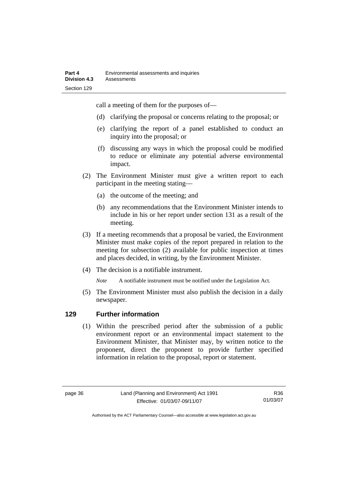call a meeting of them for the purposes of—

- (d) clarifying the proposal or concerns relating to the proposal; or
- (e) clarifying the report of a panel established to conduct an inquiry into the proposal; or
- (f) discussing any ways in which the proposal could be modified to reduce or eliminate any potential adverse environmental impact.
- (2) The Environment Minister must give a written report to each participant in the meeting stating—
	- (a) the outcome of the meeting; and
	- (b) any recommendations that the Environment Minister intends to include in his or her report under section 131 as a result of the meeting.
- (3) If a meeting recommends that a proposal be varied, the Environment Minister must make copies of the report prepared in relation to the meeting for subsection (2) available for public inspection at times and places decided, in writing, by the Environment Minister.
- (4) The decision is a notifiable instrument.

*Note* A notifiable instrument must be notified under the Legislation Act.

(5) The Environment Minister must also publish the decision in a daily newspaper.

# **129 Further information**

 (1) Within the prescribed period after the submission of a public environment report or an environmental impact statement to the Environment Minister, that Minister may, by written notice to the proponent, direct the proponent to provide further specified information in relation to the proposal, report or statement.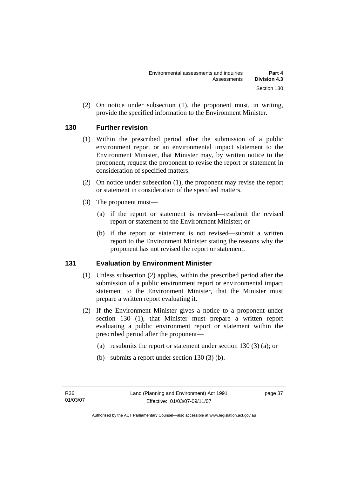(2) On notice under subsection (1), the proponent must, in writing, provide the specified information to the Environment Minister.

#### **130 Further revision**

- (1) Within the prescribed period after the submission of a public environment report or an environmental impact statement to the Environment Minister, that Minister may, by written notice to the proponent, request the proponent to revise the report or statement in consideration of specified matters.
- (2) On notice under subsection (1), the proponent may revise the report or statement in consideration of the specified matters.
- (3) The proponent must—
	- (a) if the report or statement is revised—resubmit the revised report or statement to the Environment Minister; or
	- (b) if the report or statement is not revised—submit a written report to the Environment Minister stating the reasons why the proponent has not revised the report or statement.

# **131 Evaluation by Environment Minister**

- (1) Unless subsection (2) applies, within the prescribed period after the submission of a public environment report or environmental impact statement to the Environment Minister, that the Minister must prepare a written report evaluating it.
- (2) If the Environment Minister gives a notice to a proponent under section 130 (1), that Minister must prepare a written report evaluating a public environment report or statement within the prescribed period after the proponent—
	- (a) resubmits the report or statement under section 130 (3) (a); or
	- (b) submits a report under section 130 (3) (b).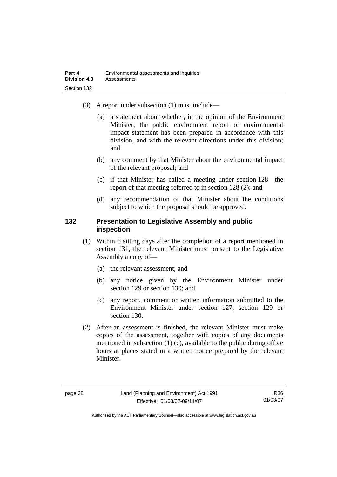- (3) A report under subsection (1) must include—
	- (a) a statement about whether, in the opinion of the Environment Minister, the public environment report or environmental impact statement has been prepared in accordance with this division, and with the relevant directions under this division; and
	- (b) any comment by that Minister about the environmental impact of the relevant proposal; and
	- (c) if that Minister has called a meeting under section 128—the report of that meeting referred to in section 128 (2); and
	- (d) any recommendation of that Minister about the conditions subject to which the proposal should be approved.

#### **132 Presentation to Legislative Assembly and public inspection**

- (1) Within 6 sitting days after the completion of a report mentioned in section 131, the relevant Minister must present to the Legislative Assembly a copy of—
	- (a) the relevant assessment; and
	- (b) any notice given by the Environment Minister under section 129 or section 130; and
	- (c) any report, comment or written information submitted to the Environment Minister under section 127, section 129 or section 130.
- (2) After an assessment is finished, the relevant Minister must make copies of the assessment, together with copies of any documents mentioned in subsection (1) (c), available to the public during office hours at places stated in a written notice prepared by the relevant Minister.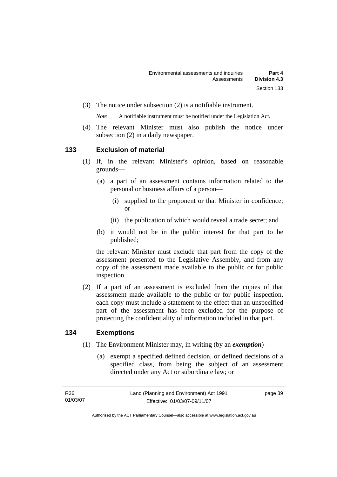(3) The notice under subsection (2) is a notifiable instrument.

*Note* A notifiable instrument must be notified under the Legislation Act.

(4) The relevant Minister must also publish the notice under subsection (2) in a daily newspaper.

#### **133 Exclusion of material**

- (1) If, in the relevant Minister's opinion, based on reasonable grounds—
	- (a) a part of an assessment contains information related to the personal or business affairs of a person—
		- (i) supplied to the proponent or that Minister in confidence; or
		- (ii) the publication of which would reveal a trade secret; and
	- (b) it would not be in the public interest for that part to be published;

the relevant Minister must exclude that part from the copy of the assessment presented to the Legislative Assembly, and from any copy of the assessment made available to the public or for public inspection.

 (2) If a part of an assessment is excluded from the copies of that assessment made available to the public or for public inspection, each copy must include a statement to the effect that an unspecified part of the assessment has been excluded for the purpose of protecting the confidentiality of information included in that part.

#### **134 Exemptions**

- (1) The Environment Minister may, in writing (by an *exemption*)—
	- (a) exempt a specified defined decision, or defined decisions of a specified class, from being the subject of an assessment directed under any Act or subordinate law; or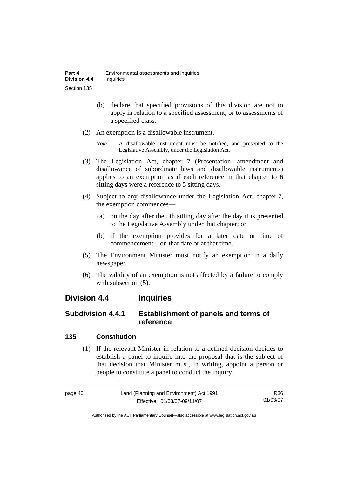- (b) declare that specified provisions of this division are not to apply in relation to a specified assessment, or to assessments of a specified class.
- (2) An exemption is a disallowable instrument.
	- *Note* A disallowable instrument must be notified, and presented to the Legislative Assembly, under the Legislation Act.
- (3) The Legislation Act, chapter 7 (Presentation, amendment and disallowance of subordinate laws and disallowable instruments) applies to an exemption as if each reference in that chapter to 6 sitting days were a reference to 5 sitting days.
- (4) Subject to any disallowance under the Legislation Act, chapter 7, the exemption commences—
	- (a) on the day after the 5th sitting day after the day it is presented to the Legislative Assembly under that chapter; or
	- (b) if the exemption provides for a later date or time of commencement—on that date or at that time.
- (5) The Environment Minister must notify an exemption in a daily newspaper.
- (6) The validity of an exemption is not affected by a failure to comply with subsection  $(5)$ .

# **Division 4.4 Inquiries**

# **Subdivision 4.4.1 Establishment of panels and terms of reference**

# **135 Constitution**

 (1) If the relevant Minister in relation to a defined decision decides to establish a panel to inquire into the proposal that is the subject of that decision that Minister must, in writing, appoint a person or people to constitute a panel to conduct the inquiry.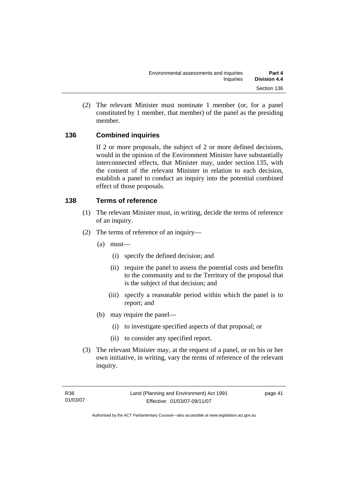(2) The relevant Minister must nominate 1 member (or, for a panel constituted by 1 member, that member) of the panel as the presiding member.

# **136 Combined inquiries**

If 2 or more proposals, the subject of 2 or more defined decisions, would in the opinion of the Environment Minister have substantially interconnected effects, that Minister may, under section 135, with the consent of the relevant Minister in relation to each decision, establish a panel to conduct an inquiry into the potential combined effect of those proposals.

#### **138 Terms of reference**

- (1) The relevant Minister must, in writing, decide the terms of reference of an inquiry.
- (2) The terms of reference of an inquiry—
	- (a) must—
		- (i) specify the defined decision; and
		- (ii) require the panel to assess the potential costs and benefits to the community and to the Territory of the proposal that is the subject of that decision; and
		- (iii) specify a reasonable period within which the panel is to report; and
	- (b) may require the panel—
		- (i) to investigate specified aspects of that proposal; or
		- (ii) to consider any specified report.
- (3) The relevant Minister may, at the request of a panel, or on his or her own initiative, in writing, vary the terms of reference of the relevant inquiry.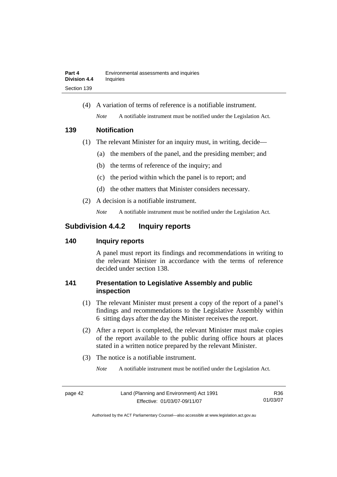(4) A variation of terms of reference is a notifiable instrument. *Note* A notifiable instrument must be notified under the Legislation Act.

#### **139 Notification**

- (1) The relevant Minister for an inquiry must, in writing, decide—
	- (a) the members of the panel, and the presiding member; and
	- (b) the terms of reference of the inquiry; and
	- (c) the period within which the panel is to report; and
	- (d) the other matters that Minister considers necessary.
- (2) A decision is a notifiable instrument.

*Note* A notifiable instrument must be notified under the Legislation Act.

# **Subdivision 4.4.2 Inquiry reports**

# **140 Inquiry reports**

A panel must report its findings and recommendations in writing to the relevant Minister in accordance with the terms of reference decided under section 138.

# **141 Presentation to Legislative Assembly and public inspection**

- (1) The relevant Minister must present a copy of the report of a panel's findings and recommendations to the Legislative Assembly within 6 sitting days after the day the Minister receives the report.
- (2) After a report is completed, the relevant Minister must make copies of the report available to the public during office hours at places stated in a written notice prepared by the relevant Minister.
- (3) The notice is a notifiable instrument.

*Note* A notifiable instrument must be notified under the Legislation Act.

R36 01/03/07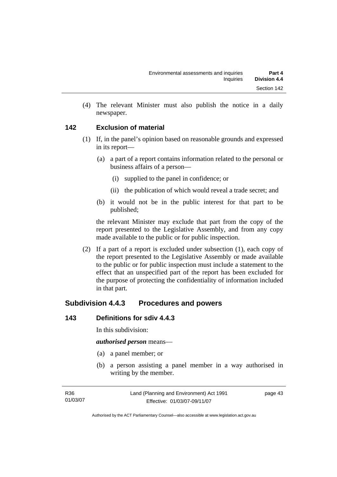(4) The relevant Minister must also publish the notice in a daily newspaper.

#### **142 Exclusion of material**

- (1) If, in the panel's opinion based on reasonable grounds and expressed in its report—
	- (a) a part of a report contains information related to the personal or business affairs of a person—
		- (i) supplied to the panel in confidence; or
		- (ii) the publication of which would reveal a trade secret; and
	- (b) it would not be in the public interest for that part to be published;

the relevant Minister may exclude that part from the copy of the report presented to the Legislative Assembly, and from any copy made available to the public or for public inspection.

 (2) If a part of a report is excluded under subsection (1), each copy of the report presented to the Legislative Assembly or made available to the public or for public inspection must include a statement to the effect that an unspecified part of the report has been excluded for the purpose of protecting the confidentiality of information included in that part.

# **Subdivision 4.4.3 Procedures and powers**

#### **143 Definitions for sdiv 4.4.3**

In this subdivision:

*authorised person* means—

- (a) a panel member; or
- (b) a person assisting a panel member in a way authorised in writing by the member.

page 43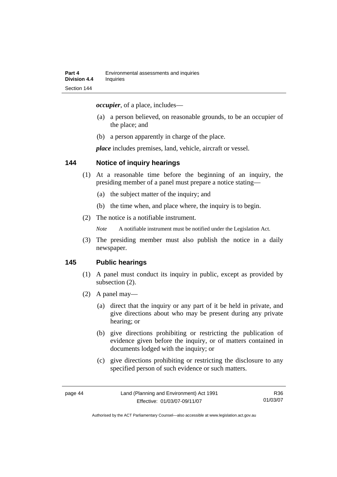*occupier*, of a place, includes—

- (a) a person believed, on reasonable grounds, to be an occupier of the place; and
- (b) a person apparently in charge of the place.

*place* includes premises, land, vehicle, aircraft or vessel.

#### **144 Notice of inquiry hearings**

- (1) At a reasonable time before the beginning of an inquiry, the presiding member of a panel must prepare a notice stating—
	- (a) the subject matter of the inquiry; and
	- (b) the time when, and place where, the inquiry is to begin.
- (2) The notice is a notifiable instrument.

*Note* A notifiable instrument must be notified under the Legislation Act.

(3) The presiding member must also publish the notice in a daily newspaper.

#### **145 Public hearings**

- (1) A panel must conduct its inquiry in public, except as provided by subsection (2).
- (2) A panel may—
	- (a) direct that the inquiry or any part of it be held in private, and give directions about who may be present during any private hearing; or
	- (b) give directions prohibiting or restricting the publication of evidence given before the inquiry, or of matters contained in documents lodged with the inquiry; or
	- (c) give directions prohibiting or restricting the disclosure to any specified person of such evidence or such matters.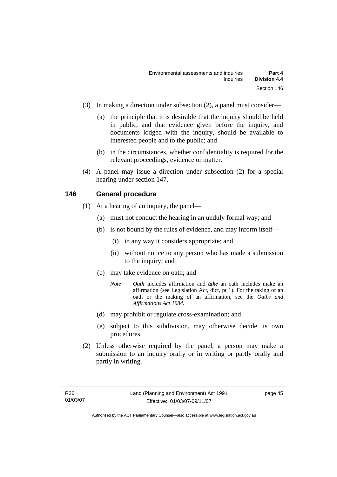- (3) In making a direction under subsection (2), a panel must consider—
	- (a) the principle that it is desirable that the inquiry should be held in public, and that evidence given before the inquiry, and documents lodged with the inquiry, should be available to interested people and to the public; and
	- (b) in the circumstances, whether confidentiality is required for the relevant proceedings, evidence or matter.
- (4) A panel may issue a direction under subsection (2) for a special hearing under section 147.

#### **146 General procedure**

- (1) At a hearing of an inquiry, the panel—
	- (a) must not conduct the hearing in an unduly formal way; and
	- (b) is not bound by the rules of evidence, and may inform itself—
		- (i) in any way it considers appropriate; and
		- (ii) without notice to any person who has made a submission to the inquiry; and
	- (c) may take evidence on oath; and
		- *Note Oath* includes affirmation and *take* an oath includes make an affirmation (see Legislation Act, dict, pt 1). For the taking of an oath or the making of an affirmation, see the *Oaths and Affirmations Act 1984.*
	- (d) may prohibit or regulate cross-examination; and
	- (e) subject to this subdivision, may otherwise decide its own procedures.
- (2) Unless otherwise required by the panel, a person may make a submission to an inquiry orally or in writing or partly orally and partly in writing.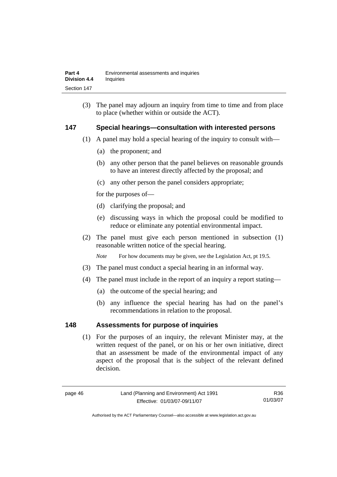(3) The panel may adjourn an inquiry from time to time and from place to place (whether within or outside the ACT).

#### **147 Special hearings—consultation with interested persons**

- (1) A panel may hold a special hearing of the inquiry to consult with—
	- (a) the proponent; and
	- (b) any other person that the panel believes on reasonable grounds to have an interest directly affected by the proposal; and
	- (c) any other person the panel considers appropriate;

for the purposes of—

- (d) clarifying the proposal; and
- (e) discussing ways in which the proposal could be modified to reduce or eliminate any potential environmental impact.
- (2) The panel must give each person mentioned in subsection (1) reasonable written notice of the special hearing.

*Note* For how documents may be given, see the Legislation Act, pt 19.5.

- (3) The panel must conduct a special hearing in an informal way.
- (4) The panel must include in the report of an inquiry a report stating—
	- (a) the outcome of the special hearing; and
	- (b) any influence the special hearing has had on the panel's recommendations in relation to the proposal.

#### **148 Assessments for purpose of inquiries**

 (1) For the purposes of an inquiry, the relevant Minister may, at the written request of the panel, or on his or her own initiative, direct that an assessment be made of the environmental impact of any aspect of the proposal that is the subject of the relevant defined decision.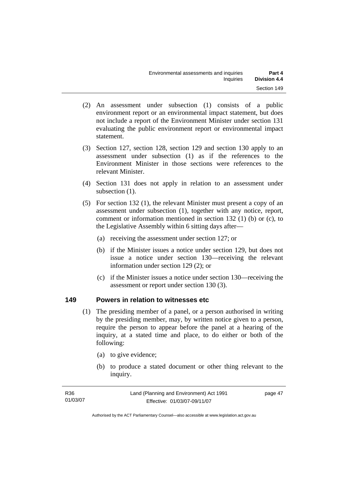- (2) An assessment under subsection (1) consists of a public environment report or an environmental impact statement, but does not include a report of the Environment Minister under section 131 evaluating the public environment report or environmental impact statement.
- (3) Section 127, section 128, section 129 and section 130 apply to an assessment under subsection (1) as if the references to the Environment Minister in those sections were references to the relevant Minister.
- (4) Section 131 does not apply in relation to an assessment under subsection  $(1)$ .
- (5) For section 132 (1), the relevant Minister must present a copy of an assessment under subsection (1), together with any notice, report, comment or information mentioned in section 132 (1) (b) or (c), to the Legislative Assembly within 6 sitting days after—
	- (a) receiving the assessment under section 127; or
	- (b) if the Minister issues a notice under section 129, but does not issue a notice under section 130—receiving the relevant information under section 129 (2); or
	- (c) if the Minister issues a notice under section 130—receiving the assessment or report under section 130 (3).

#### **149 Powers in relation to witnesses etc**

- (1) The presiding member of a panel, or a person authorised in writing by the presiding member, may, by written notice given to a person, require the person to appear before the panel at a hearing of the inquiry, at a stated time and place, to do either or both of the following:
	- (a) to give evidence;
	- (b) to produce a stated document or other thing relevant to the inquiry.

| R36      | Land (Planning and Environment) Act 1991 | page 47 |
|----------|------------------------------------------|---------|
| 01/03/07 | Effective: 01/03/07-09/11/07             |         |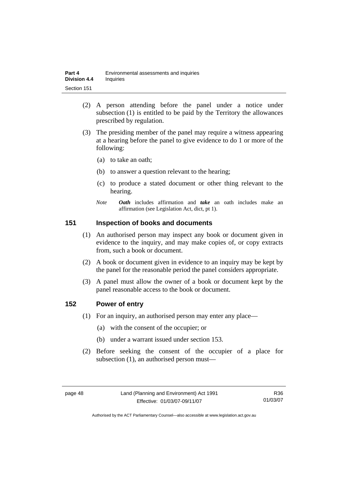| Part 4              | Environmental assessments and inquiries |
|---------------------|-----------------------------------------|
| <b>Division 4.4</b> | <b>Inquiries</b>                        |
| Section 151         |                                         |

- (2) A person attending before the panel under a notice under subsection (1) is entitled to be paid by the Territory the allowances prescribed by regulation.
- (3) The presiding member of the panel may require a witness appearing at a hearing before the panel to give evidence to do 1 or more of the following:
	- (a) to take an oath;
	- (b) to answer a question relevant to the hearing;
	- (c) to produce a stated document or other thing relevant to the hearing.
	- *Note Oath* includes affirmation and *take* an oath includes make an affirmation (see Legislation Act, dict, pt 1).

#### **151 Inspection of books and documents**

- (1) An authorised person may inspect any book or document given in evidence to the inquiry, and may make copies of, or copy extracts from, such a book or document.
- (2) A book or document given in evidence to an inquiry may be kept by the panel for the reasonable period the panel considers appropriate.
- (3) A panel must allow the owner of a book or document kept by the panel reasonable access to the book or document.

#### **152 Power of entry**

- (1) For an inquiry, an authorised person may enter any place—
	- (a) with the consent of the occupier; or
	- (b) under a warrant issued under section 153.
- (2) Before seeking the consent of the occupier of a place for subsection (1), an authorised person must—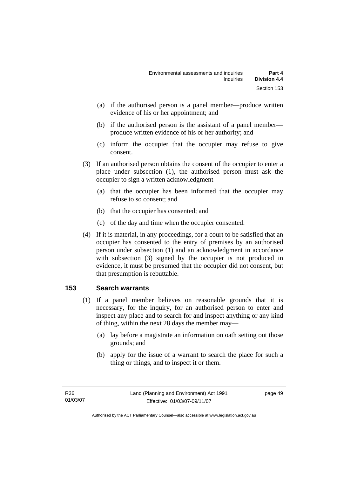- (a) if the authorised person is a panel member—produce written evidence of his or her appointment; and
- (b) if the authorised person is the assistant of a panel member produce written evidence of his or her authority; and
- (c) inform the occupier that the occupier may refuse to give consent.
- (3) If an authorised person obtains the consent of the occupier to enter a place under subsection (1), the authorised person must ask the occupier to sign a written acknowledgment—
	- (a) that the occupier has been informed that the occupier may refuse to so consent; and
	- (b) that the occupier has consented; and
	- (c) of the day and time when the occupier consented.
- (4) If it is material, in any proceedings, for a court to be satisfied that an occupier has consented to the entry of premises by an authorised person under subsection (1) and an acknowledgment in accordance with subsection (3) signed by the occupier is not produced in evidence, it must be presumed that the occupier did not consent, but that presumption is rebuttable.

# **153 Search warrants**

- (1) If a panel member believes on reasonable grounds that it is necessary, for the inquiry, for an authorised person to enter and inspect any place and to search for and inspect anything or any kind of thing, within the next 28 days the member may—
	- (a) lay before a magistrate an information on oath setting out those grounds; and
	- (b) apply for the issue of a warrant to search the place for such a thing or things, and to inspect it or them.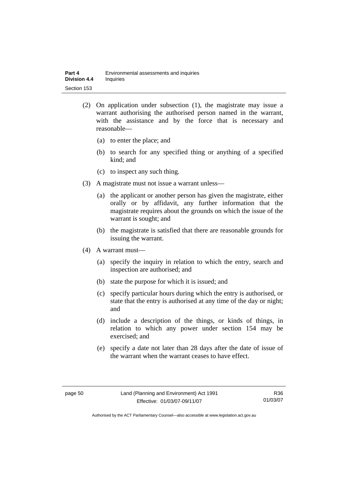- (2) On application under subsection (1), the magistrate may issue a warrant authorising the authorised person named in the warrant, with the assistance and by the force that is necessary and reasonable—
	- (a) to enter the place; and
	- (b) to search for any specified thing or anything of a specified kind; and
	- (c) to inspect any such thing.
- (3) A magistrate must not issue a warrant unless—
	- (a) the applicant or another person has given the magistrate, either orally or by affidavit, any further information that the magistrate requires about the grounds on which the issue of the warrant is sought; and
	- (b) the magistrate is satisfied that there are reasonable grounds for issuing the warrant.
- (4) A warrant must—
	- (a) specify the inquiry in relation to which the entry, search and inspection are authorised; and
	- (b) state the purpose for which it is issued; and
	- (c) specify particular hours during which the entry is authorised, or state that the entry is authorised at any time of the day or night; and
	- (d) include a description of the things, or kinds of things, in relation to which any power under section 154 may be exercised; and
	- (e) specify a date not later than 28 days after the date of issue of the warrant when the warrant ceases to have effect.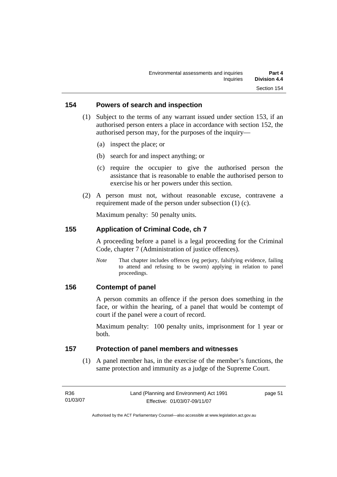#### **154 Powers of search and inspection**

- (1) Subject to the terms of any warrant issued under section 153, if an authorised person enters a place in accordance with section 152, the authorised person may, for the purposes of the inquiry—
	- (a) inspect the place; or
	- (b) search for and inspect anything; or
	- (c) require the occupier to give the authorised person the assistance that is reasonable to enable the authorised person to exercise his or her powers under this section.
- (2) A person must not, without reasonable excuse, contravene a requirement made of the person under subsection (1) (c).

Maximum penalty: 50 penalty units.

#### **155 Application of Criminal Code, ch 7**

A proceeding before a panel is a legal proceeding for the Criminal Code, chapter 7 (Administration of justice offences).

*Note* That chapter includes offences (eg perjury, falsifying evidence, failing to attend and refusing to be sworn) applying in relation to panel proceedings.

#### **156 Contempt of panel**

A person commits an offence if the person does something in the face, or within the hearing, of a panel that would be contempt of court if the panel were a court of record.

Maximum penalty: 100 penalty units, imprisonment for 1 year or both.

#### **157 Protection of panel members and witnesses**

 (1) A panel member has, in the exercise of the member's functions, the same protection and immunity as a judge of the Supreme Court.

| R36      | Land (Planning and Environment) Act 1991 | page 51 |
|----------|------------------------------------------|---------|
| 01/03/07 | Effective: 01/03/07-09/11/07             |         |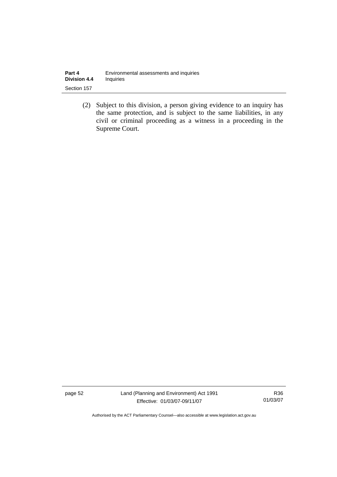| Part 4              | Environmental assessments and inquiries |
|---------------------|-----------------------------------------|
| <b>Division 4.4</b> | Inquiries                               |
| Section 157         |                                         |

 (2) Subject to this division, a person giving evidence to an inquiry has the same protection, and is subject to the same liabilities, in any civil or criminal proceeding as a witness in a proceeding in the Supreme Court.

page 52 Land (Planning and Environment) Act 1991 Effective: 01/03/07-09/11/07

R36 01/03/07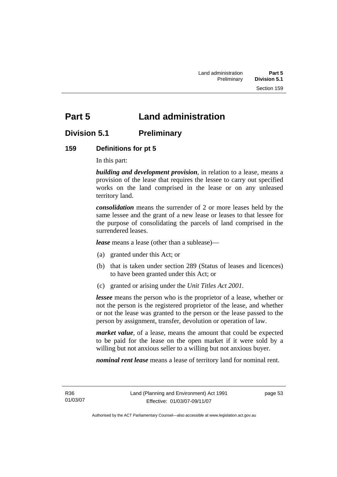# **Part 5 Land administration**

# **Division 5.1 Preliminary**

# **159 Definitions for pt 5**

In this part:

*building and development provision*, in relation to a lease, means a provision of the lease that requires the lessee to carry out specified works on the land comprised in the lease or on any unleased territory land.

*consolidation* means the surrender of 2 or more leases held by the same lessee and the grant of a new lease or leases to that lessee for the purpose of consolidating the parcels of land comprised in the surrendered leases.

*lease* means a lease (other than a sublease)—

- (a) granted under this Act; or
- (b) that is taken under section 289 (Status of leases and licences) to have been granted under this Act; or
- (c) granted or arising under the *Unit Titles Act 2001*.

*lessee* means the person who is the proprietor of a lease, whether or not the person is the registered proprietor of the lease, and whether or not the lease was granted to the person or the lease passed to the person by assignment, transfer, devolution or operation of law.

*market value*, of a lease, means the amount that could be expected to be paid for the lease on the open market if it were sold by a willing but not anxious seller to a willing but not anxious buyer.

*nominal rent lease* means a lease of territory land for nominal rent.

R36 01/03/07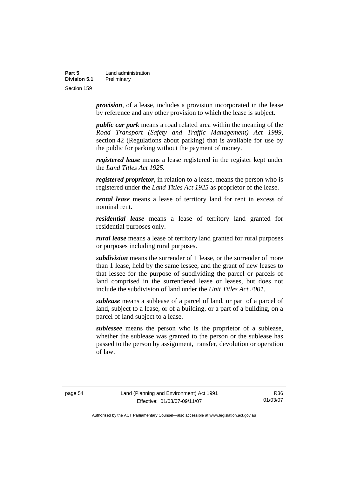| Part 5       | Land administration |
|--------------|---------------------|
| Division 5.1 | Preliminary         |
| Section 159  |                     |

*provision*, of a lease, includes a provision incorporated in the lease by reference and any other provision to which the lease is subject.

*public car park* means a road related area within the meaning of the *Road Transport (Safety and Traffic Management) Act 1999*, section 42 (Regulations about parking) that is available for use by the public for parking without the payment of money.

*registered lease* means a lease registered in the register kept under the *Land Titles Act 1925.*

*registered proprietor*, in relation to a lease, means the person who is registered under the *Land Titles Act 1925* as proprietor of the lease.

*rental lease* means a lease of territory land for rent in excess of nominal rent.

*residential lease* means a lease of territory land granted for residential purposes only.

*rural lease* means a lease of territory land granted for rural purposes or purposes including rural purposes.

*subdivision* means the surrender of 1 lease, or the surrender of more than 1 lease, held by the same lessee, and the grant of new leases to that lessee for the purpose of subdividing the parcel or parcels of land comprised in the surrendered lease or leases, but does not include the subdivision of land under the *Unit Titles Act 2001*.

*sublease* means a sublease of a parcel of land, or part of a parcel of land, subject to a lease, or of a building, or a part of a building, on a parcel of land subject to a lease.

*sublessee* means the person who is the proprietor of a sublease, whether the sublease was granted to the person or the sublease has passed to the person by assignment, transfer, devolution or operation of law.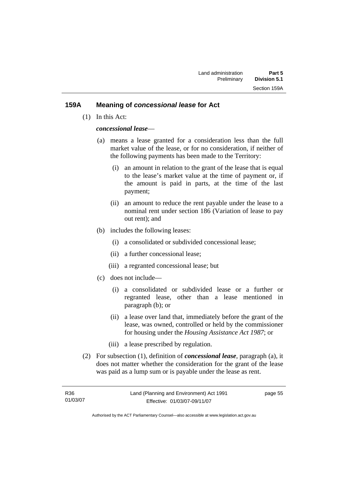#### **159A Meaning of** *concessional lease* **for Act**

(1) In this Act:

#### *concessional lease*—

- (a) means a lease granted for a consideration less than the full market value of the lease, or for no consideration, if neither of the following payments has been made to the Territory:
	- (i) an amount in relation to the grant of the lease that is equal to the lease's market value at the time of payment or, if the amount is paid in parts, at the time of the last payment;
	- (ii) an amount to reduce the rent payable under the lease to a nominal rent under section 186 (Variation of lease to pay out rent); and
- (b) includes the following leases:
	- (i) a consolidated or subdivided concessional lease;
	- (ii) a further concessional lease;
	- (iii) a regranted concessional lease; but
- (c) does not include—
	- (i) a consolidated or subdivided lease or a further or regranted lease, other than a lease mentioned in paragraph (b); or
	- (ii) a lease over land that, immediately before the grant of the lease, was owned, controlled or held by the commissioner for housing under the *Housing Assistance Act 1987*; or
	- (iii) a lease prescribed by regulation.
- (2) For subsection (1), definition of *concessional lease*, paragraph (a), it does not matter whether the consideration for the grant of the lease was paid as a lump sum or is payable under the lease as rent.

| R36      | Land (Planning and Environment) Act 1991 | page 55 |
|----------|------------------------------------------|---------|
| 01/03/07 | Effective: 01/03/07-09/11/07             |         |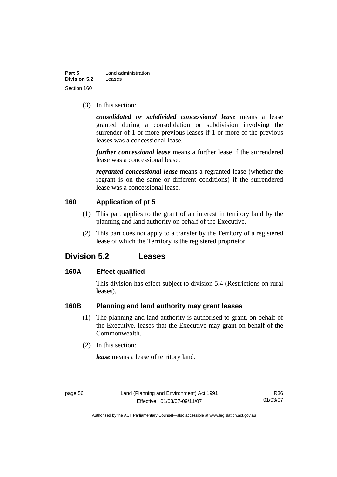| Part 5       | Land administration |
|--------------|---------------------|
| Division 5.2 | Leases              |
| Section 160  |                     |

(3) In this section:

*consolidated or subdivided concessional lease* means a lease granted during a consolidation or subdivision involving the surrender of 1 or more previous leases if 1 or more of the previous leases was a concessional lease.

*further concessional lease* means a further lease if the surrendered lease was a concessional lease.

*regranted concessional lease* means a regranted lease (whether the regrant is on the same or different conditions) if the surrendered lease was a concessional lease.

#### **160 Application of pt 5**

- (1) This part applies to the grant of an interest in territory land by the planning and land authority on behalf of the Executive.
- (2) This part does not apply to a transfer by the Territory of a registered lease of which the Territory is the registered proprietor.

# **Division 5.2 Leases**

#### **160A Effect qualified**

This division has effect subject to division 5.4 (Restrictions on rural leases).

#### **160B Planning and land authority may grant leases**

- (1) The planning and land authority is authorised to grant, on behalf of the Executive, leases that the Executive may grant on behalf of the Commonwealth.
- (2) In this section:

*lease* means a lease of territory land.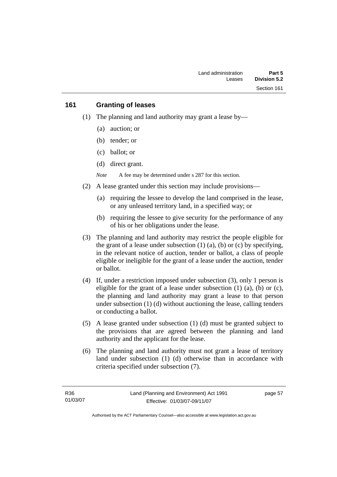#### **161 Granting of leases**

- (1) The planning and land authority may grant a lease by—
	- (a) auction; or
	- (b) tender; or
	- (c) ballot; or
	- (d) direct grant.

*Note* A fee may be determined under s 287 for this section.

- (2) A lease granted under this section may include provisions—
	- (a) requiring the lessee to develop the land comprised in the lease, or any unleased territory land, in a specified way; or
	- (b) requiring the lessee to give security for the performance of any of his or her obligations under the lease.
- (3) The planning and land authority may restrict the people eligible for the grant of a lease under subsection  $(1)$   $(a)$ ,  $(b)$  or  $(c)$  by specifying, in the relevant notice of auction, tender or ballot, a class of people eligible or ineligible for the grant of a lease under the auction, tender or ballot.
- (4) If, under a restriction imposed under subsection (3), only 1 person is eligible for the grant of a lease under subsection  $(1)$   $(a)$ ,  $(b)$  or  $(c)$ , the planning and land authority may grant a lease to that person under subsection (1) (d) without auctioning the lease, calling tenders or conducting a ballot.
- (5) A lease granted under subsection (1) (d) must be granted subject to the provisions that are agreed between the planning and land authority and the applicant for the lease.
- (6) The planning and land authority must not grant a lease of territory land under subsection (1) (d) otherwise than in accordance with criteria specified under subsection (7).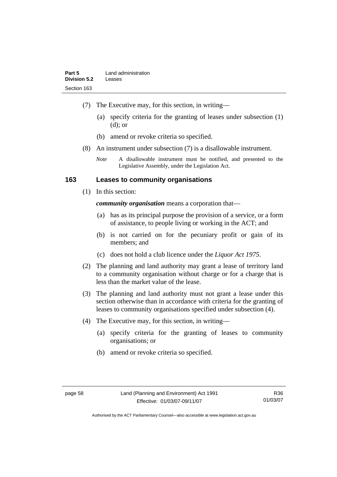- (7) The Executive may, for this section, in writing—
	- (a) specify criteria for the granting of leases under subsection (1) (d); or
	- (b) amend or revoke criteria so specified.
- (8) An instrument under subsection (7) is a disallowable instrument.
	- *Note* A disallowable instrument must be notified, and presented to the Legislative Assembly, under the Legislation Act.

#### **163 Leases to community organisations**

(1) In this section:

*community organisation* means a corporation that—

- (a) has as its principal purpose the provision of a service, or a form of assistance, to people living or working in the ACT; and
- (b) is not carried on for the pecuniary profit or gain of its members; and
- (c) does not hold a club licence under the *Liquor Act 1975*.
- (2) The planning and land authority may grant a lease of territory land to a community organisation without charge or for a charge that is less than the market value of the lease.
- (3) The planning and land authority must not grant a lease under this section otherwise than in accordance with criteria for the granting of leases to community organisations specified under subsection (4).
- (4) The Executive may, for this section, in writing—
	- (a) specify criteria for the granting of leases to community organisations; or
	- (b) amend or revoke criteria so specified.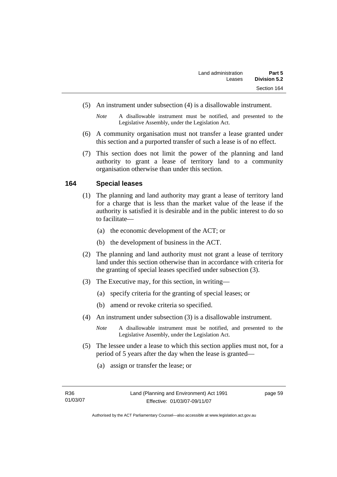- (5) An instrument under subsection (4) is a disallowable instrument.
	- *Note* A disallowable instrument must be notified, and presented to the Legislative Assembly, under the Legislation Act.
- (6) A community organisation must not transfer a lease granted under this section and a purported transfer of such a lease is of no effect.
- (7) This section does not limit the power of the planning and land authority to grant a lease of territory land to a community organisation otherwise than under this section.

#### **164 Special leases**

- (1) The planning and land authority may grant a lease of territory land for a charge that is less than the market value of the lease if the authority is satisfied it is desirable and in the public interest to do so to facilitate—
	- (a) the economic development of the ACT; or
	- (b) the development of business in the ACT.
- (2) The planning and land authority must not grant a lease of territory land under this section otherwise than in accordance with criteria for the granting of special leases specified under subsection (3).
- (3) The Executive may, for this section, in writing—
	- (a) specify criteria for the granting of special leases; or
	- (b) amend or revoke criteria so specified.
- (4) An instrument under subsection (3) is a disallowable instrument.
	- *Note* A disallowable instrument must be notified, and presented to the Legislative Assembly, under the Legislation Act.
- (5) The lessee under a lease to which this section applies must not, for a period of 5 years after the day when the lease is granted—
	- (a) assign or transfer the lease; or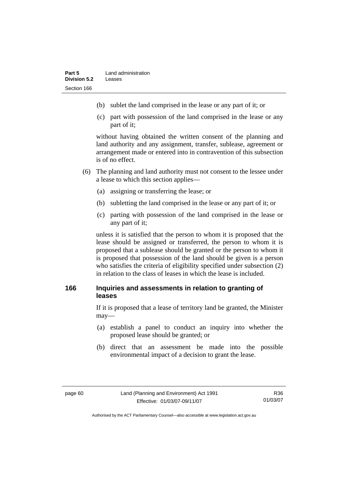- (b) sublet the land comprised in the lease or any part of it; or
- (c) part with possession of the land comprised in the lease or any part of it;

without having obtained the written consent of the planning and land authority and any assignment, transfer, sublease, agreement or arrangement made or entered into in contravention of this subsection is of no effect.

- (6) The planning and land authority must not consent to the lessee under a lease to which this section applies—
	- (a) assigning or transferring the lease; or
	- (b) subletting the land comprised in the lease or any part of it; or
	- (c) parting with possession of the land comprised in the lease or any part of it;

unless it is satisfied that the person to whom it is proposed that the lease should be assigned or transferred, the person to whom it is proposed that a sublease should be granted or the person to whom it is proposed that possession of the land should be given is a person who satisfies the criteria of eligibility specified under subsection (2) in relation to the class of leases in which the lease is included.

### **166 Inquiries and assessments in relation to granting of leases**

If it is proposed that a lease of territory land be granted, the Minister may—

- (a) establish a panel to conduct an inquiry into whether the proposed lease should be granted; or
- (b) direct that an assessment be made into the possible environmental impact of a decision to grant the lease.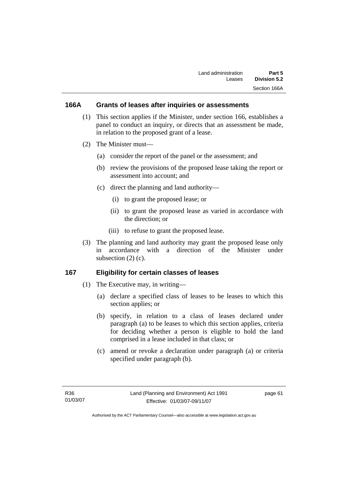#### **166A Grants of leases after inquiries or assessments**

- (1) This section applies if the Minister, under section 166, establishes a panel to conduct an inquiry, or directs that an assessment be made, in relation to the proposed grant of a lease.
- (2) The Minister must—
	- (a) consider the report of the panel or the assessment; and
	- (b) review the provisions of the proposed lease taking the report or assessment into account; and
	- (c) direct the planning and land authority—
		- (i) to grant the proposed lease; or
		- (ii) to grant the proposed lease as varied in accordance with the direction; or
		- (iii) to refuse to grant the proposed lease.
- (3) The planning and land authority may grant the proposed lease only in accordance with a direction of the Minister under subsection (2) (c).

### **167 Eligibility for certain classes of leases**

- (1) The Executive may, in writing—
	- (a) declare a specified class of leases to be leases to which this section applies; or
	- (b) specify, in relation to a class of leases declared under paragraph (a) to be leases to which this section applies, criteria for deciding whether a person is eligible to hold the land comprised in a lease included in that class; or
	- (c) amend or revoke a declaration under paragraph (a) or criteria specified under paragraph (b).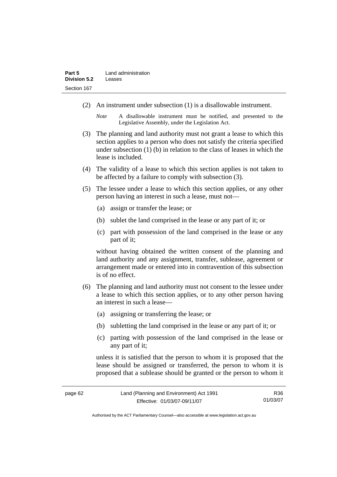- (2) An instrument under subsection (1) is a disallowable instrument.
	- *Note* A disallowable instrument must be notified, and presented to the Legislative Assembly, under the Legislation Act.
- (3) The planning and land authority must not grant a lease to which this section applies to a person who does not satisfy the criteria specified under subsection (1) (b) in relation to the class of leases in which the lease is included.
- (4) The validity of a lease to which this section applies is not taken to be affected by a failure to comply with subsection (3).
- (5) The lessee under a lease to which this section applies, or any other person having an interest in such a lease, must not—
	- (a) assign or transfer the lease; or
	- (b) sublet the land comprised in the lease or any part of it; or
	- (c) part with possession of the land comprised in the lease or any part of it;

without having obtained the written consent of the planning and land authority and any assignment, transfer, sublease, agreement or arrangement made or entered into in contravention of this subsection is of no effect.

- (6) The planning and land authority must not consent to the lessee under a lease to which this section applies, or to any other person having an interest in such a lease—
	- (a) assigning or transferring the lease; or
	- (b) subletting the land comprised in the lease or any part of it; or
	- (c) parting with possession of the land comprised in the lease or any part of it;

unless it is satisfied that the person to whom it is proposed that the lease should be assigned or transferred, the person to whom it is proposed that a sublease should be granted or the person to whom it

R36 01/03/07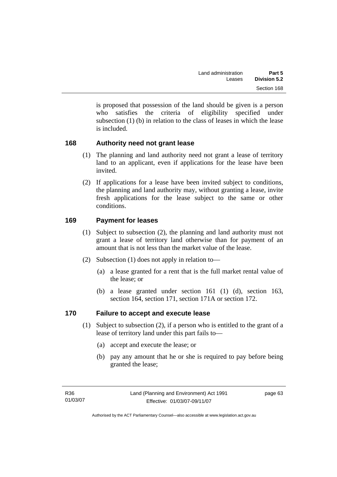is proposed that possession of the land should be given is a person who satisfies the criteria of eligibility specified under subsection (1) (b) in relation to the class of leases in which the lease is included.

# **168 Authority need not grant lease**

- (1) The planning and land authority need not grant a lease of territory land to an applicant, even if applications for the lease have been invited.
- (2) If applications for a lease have been invited subject to conditions, the planning and land authority may, without granting a lease, invite fresh applications for the lease subject to the same or other conditions.

# **169 Payment for leases**

- (1) Subject to subsection (2), the planning and land authority must not grant a lease of territory land otherwise than for payment of an amount that is not less than the market value of the lease.
- (2) Subsection (1) does not apply in relation to—
	- (a) a lease granted for a rent that is the full market rental value of the lease; or
	- (b) a lease granted under section 161 (1) (d), section 163, section 164, section 171, section 171A or section 172.

# **170 Failure to accept and execute lease**

- (1) Subject to subsection (2), if a person who is entitled to the grant of a lease of territory land under this part fails to—
	- (a) accept and execute the lease; or
	- (b) pay any amount that he or she is required to pay before being granted the lease;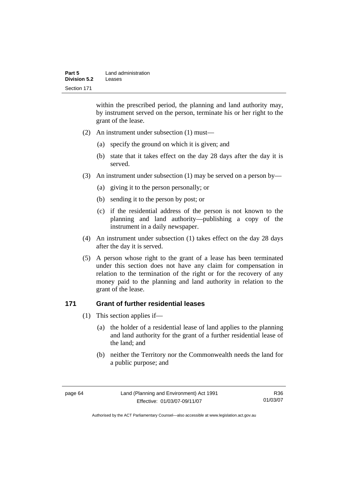| Part 5       | Land administration |
|--------------|---------------------|
| Division 5.2 | Leases              |
| Section 171  |                     |

within the prescribed period, the planning and land authority may, by instrument served on the person, terminate his or her right to the grant of the lease.

- (2) An instrument under subsection (1) must—
	- (a) specify the ground on which it is given; and
	- (b) state that it takes effect on the day 28 days after the day it is served.
- (3) An instrument under subsection (1) may be served on a person by—
	- (a) giving it to the person personally; or
	- (b) sending it to the person by post; or
	- (c) if the residential address of the person is not known to the planning and land authority—publishing a copy of the instrument in a daily newspaper.
- (4) An instrument under subsection (1) takes effect on the day 28 days after the day it is served.
- (5) A person whose right to the grant of a lease has been terminated under this section does not have any claim for compensation in relation to the termination of the right or for the recovery of any money paid to the planning and land authority in relation to the grant of the lease.

#### **171 Grant of further residential leases**

- (1) This section applies if—
	- (a) the holder of a residential lease of land applies to the planning and land authority for the grant of a further residential lease of the land; and
	- (b) neither the Territory nor the Commonwealth needs the land for a public purpose; and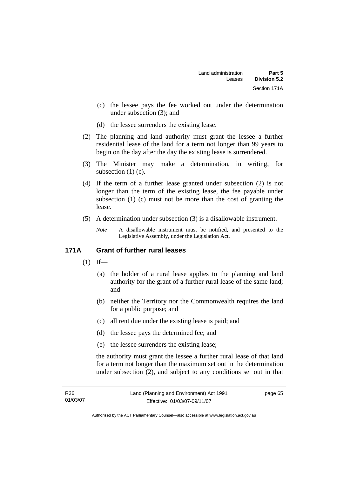- (c) the lessee pays the fee worked out under the determination under subsection (3); and
- (d) the lessee surrenders the existing lease.
- (2) The planning and land authority must grant the lessee a further residential lease of the land for a term not longer than 99 years to begin on the day after the day the existing lease is surrendered.
- (3) The Minister may make a determination, in writing, for subsection (1) (c).
- (4) If the term of a further lease granted under subsection (2) is not longer than the term of the existing lease, the fee payable under subsection (1) (c) must not be more than the cost of granting the lease.
- (5) A determination under subsection (3) is a disallowable instrument.

*Note* A disallowable instrument must be notified, and presented to the Legislative Assembly, under the Legislation Act.

# **171A Grant of further rural leases**

- $(1)$  If—
	- (a) the holder of a rural lease applies to the planning and land authority for the grant of a further rural lease of the same land; and
	- (b) neither the Territory nor the Commonwealth requires the land for a public purpose; and
	- (c) all rent due under the existing lease is paid; and
	- (d) the lessee pays the determined fee; and
	- (e) the lessee surrenders the existing lease;

the authority must grant the lessee a further rural lease of that land for a term not longer than the maximum set out in the determination under subsection (2), and subject to any conditions set out in that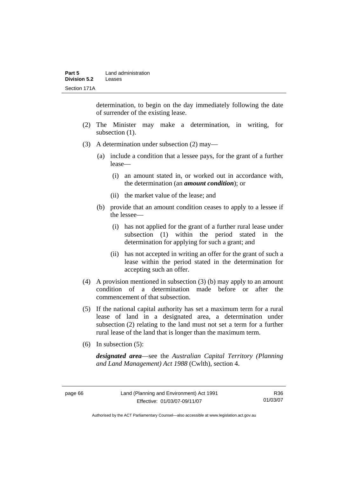| Part 5       | Land administration |
|--------------|---------------------|
| Division 5.2 | Leases              |
| Section 171A |                     |

determination, to begin on the day immediately following the date of surrender of the existing lease.

- (2) The Minister may make a determination, in writing, for subsection  $(1)$ .
- (3) A determination under subsection (2) may—
	- (a) include a condition that a lessee pays, for the grant of a further lease—
		- (i) an amount stated in, or worked out in accordance with, the determination (an *amount condition*); or
		- (ii) the market value of the lease; and
	- (b) provide that an amount condition ceases to apply to a lessee if the lessee—
		- (i) has not applied for the grant of a further rural lease under subsection (1) within the period stated in the determination for applying for such a grant; and
		- (ii) has not accepted in writing an offer for the grant of such a lease within the period stated in the determination for accepting such an offer.
- (4) A provision mentioned in subsection (3) (b) may apply to an amount condition of a determination made before or after the commencement of that subsection.
- (5) If the national capital authority has set a maximum term for a rural lease of land in a designated area, a determination under subsection (2) relating to the land must not set a term for a further rural lease of the land that is longer than the maximum term.
- (6) In subsection (5):

*designated area*—see the *Australian Capital Territory (Planning and Land Management) Act 1988* (Cwlth), section 4.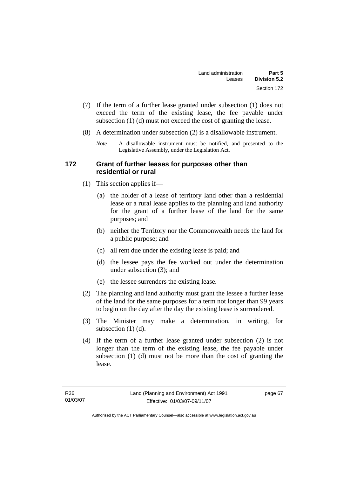- (7) If the term of a further lease granted under subsection (1) does not exceed the term of the existing lease, the fee payable under subsection (1) (d) must not exceed the cost of granting the lease.
- (8) A determination under subsection (2) is a disallowable instrument.
	- *Note* A disallowable instrument must be notified, and presented to the Legislative Assembly, under the Legislation Act.

#### **172 Grant of further leases for purposes other than residential or rural**

- (1) This section applies if—
	- (a) the holder of a lease of territory land other than a residential lease or a rural lease applies to the planning and land authority for the grant of a further lease of the land for the same purposes; and
	- (b) neither the Territory nor the Commonwealth needs the land for a public purpose; and
	- (c) all rent due under the existing lease is paid; and
	- (d) the lessee pays the fee worked out under the determination under subsection (3); and
	- (e) the lessee surrenders the existing lease.
- (2) The planning and land authority must grant the lessee a further lease of the land for the same purposes for a term not longer than 99 years to begin on the day after the day the existing lease is surrendered.
- (3) The Minister may make a determination, in writing, for subsection  $(1)$   $(d)$ .
- (4) If the term of a further lease granted under subsection (2) is not longer than the term of the existing lease, the fee payable under subsection (1) (d) must not be more than the cost of granting the lease.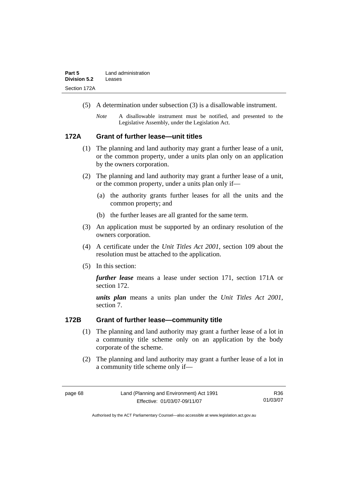- (5) A determination under subsection (3) is a disallowable instrument.
	- *Note* A disallowable instrument must be notified, and presented to the Legislative Assembly, under the Legislation Act.

#### **172A Grant of further lease—unit titles**

- (1) The planning and land authority may grant a further lease of a unit, or the common property, under a units plan only on an application by the owners corporation.
- (2) The planning and land authority may grant a further lease of a unit, or the common property, under a units plan only if—
	- (a) the authority grants further leases for all the units and the common property; and
	- (b) the further leases are all granted for the same term.
- (3) An application must be supported by an ordinary resolution of the owners corporation.
- (4) A certificate under the *Unit Titles Act 2001*, section 109 about the resolution must be attached to the application.
- (5) In this section:

*further lease* means a lease under section 171, section 171A or section 172.

*units plan* means a units plan under the *Unit Titles Act 2001*, section 7.

#### **172B Grant of further lease—community title**

- (1) The planning and land authority may grant a further lease of a lot in a community title scheme only on an application by the body corporate of the scheme.
- (2) The planning and land authority may grant a further lease of a lot in a community title scheme only if—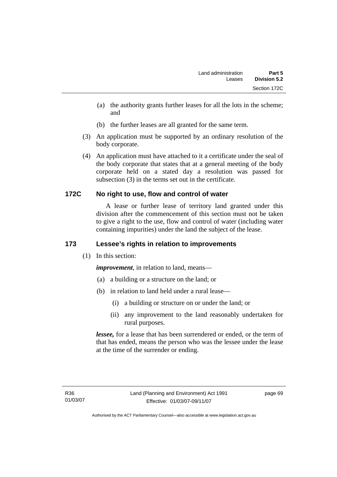- (a) the authority grants further leases for all the lots in the scheme; and
- (b) the further leases are all granted for the same term.
- (3) An application must be supported by an ordinary resolution of the body corporate.
- (4) An application must have attached to it a certificate under the seal of the body corporate that states that at a general meeting of the body corporate held on a stated day a resolution was passed for subsection (3) in the terms set out in the certificate.

# **172C No right to use, flow and control of water**

 A lease or further lease of territory land granted under this division after the commencement of this section must not be taken to give a right to the use, flow and control of water (including water containing impurities) under the land the subject of the lease.

# **173 Lessee's rights in relation to improvements**

(1) In this section:

*improvement*, in relation to land, means—

- (a) a building or a structure on the land; or
- (b) in relation to land held under a rural lease—
	- (i) a building or structure on or under the land; or
	- (ii) any improvement to the land reasonably undertaken for rural purposes.

*lessee,* for a lease that has been surrendered or ended, or the term of that has ended, means the person who was the lessee under the lease at the time of the surrender or ending.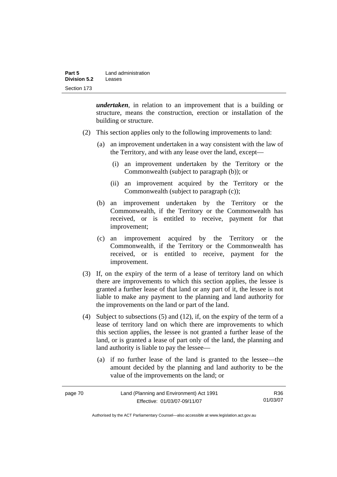| Part 5              | Land administration |
|---------------------|---------------------|
| <b>Division 5.2</b> | Leases              |
| Section 173         |                     |

*undertaken*, in relation to an improvement that is a building or structure, means the construction, erection or installation of the building or structure.

- (2) This section applies only to the following improvements to land:
	- (a) an improvement undertaken in a way consistent with the law of the Territory, and with any lease over the land, except—
		- (i) an improvement undertaken by the Territory or the Commonwealth (subject to paragraph (b)); or
		- (ii) an improvement acquired by the Territory or the Commonwealth (subject to paragraph (c));
	- (b) an improvement undertaken by the Territory or the Commonwealth, if the Territory or the Commonwealth has received, or is entitled to receive, payment for that improvement;
	- (c) an improvement acquired by the Territory or the Commonwealth, if the Territory or the Commonwealth has received, or is entitled to receive, payment for the improvement.
- (3) If, on the expiry of the term of a lease of territory land on which there are improvements to which this section applies, the lessee is granted a further lease of that land or any part of it, the lessee is not liable to make any payment to the planning and land authority for the improvements on the land or part of the land.
- (4) Subject to subsections (5) and (12), if, on the expiry of the term of a lease of territory land on which there are improvements to which this section applies, the lessee is not granted a further lease of the land, or is granted a lease of part only of the land, the planning and land authority is liable to pay the lessee—
	- (a) if no further lease of the land is granted to the lessee—the amount decided by the planning and land authority to be the value of the improvements on the land; or

| page 70 | Land (Planning and Environment) Act 1991 | R36      |
|---------|------------------------------------------|----------|
|         | Effective: 01/03/07-09/11/07             | 01/03/07 |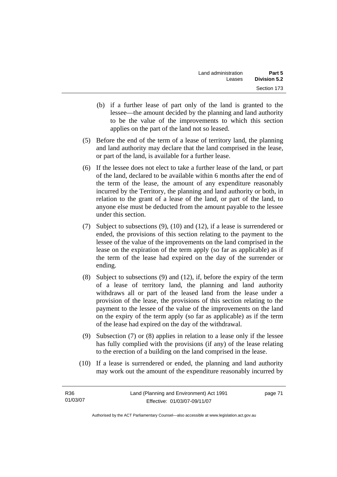- (b) if a further lease of part only of the land is granted to the lessee—the amount decided by the planning and land authority to be the value of the improvements to which this section applies on the part of the land not so leased.
- (5) Before the end of the term of a lease of territory land, the planning and land authority may declare that the land comprised in the lease, or part of the land, is available for a further lease.
- (6) If the lessee does not elect to take a further lease of the land, or part of the land, declared to be available within 6 months after the end of the term of the lease, the amount of any expenditure reasonably incurred by the Territory, the planning and land authority or both, in relation to the grant of a lease of the land, or part of the land, to anyone else must be deducted from the amount payable to the lessee under this section.
- (7) Subject to subsections (9), (10) and (12), if a lease is surrendered or ended, the provisions of this section relating to the payment to the lessee of the value of the improvements on the land comprised in the lease on the expiration of the term apply (so far as applicable) as if the term of the lease had expired on the day of the surrender or ending.
- (8) Subject to subsections (9) and (12), if, before the expiry of the term of a lease of territory land, the planning and land authority withdraws all or part of the leased land from the lease under a provision of the lease, the provisions of this section relating to the payment to the lessee of the value of the improvements on the land on the expiry of the term apply (so far as applicable) as if the term of the lease had expired on the day of the withdrawal.
- (9) Subsection (7) or (8) applies in relation to a lease only if the lessee has fully complied with the provisions (if any) of the lease relating to the erection of a building on the land comprised in the lease.
- (10) If a lease is surrendered or ended, the planning and land authority may work out the amount of the expenditure reasonably incurred by

| R36      | Land (Planning and Environment) Act 1991 | page 71 |
|----------|------------------------------------------|---------|
| 01/03/07 | Effective: 01/03/07-09/11/07             |         |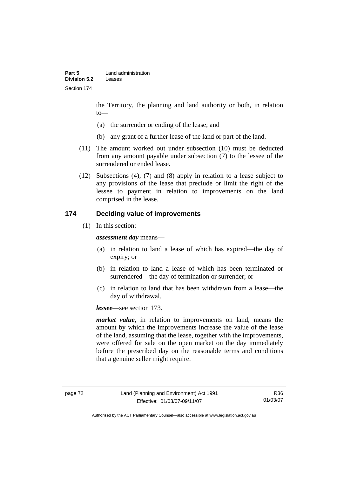the Territory, the planning and land authority or both, in relation to—

- (a) the surrender or ending of the lease; and
- (b) any grant of a further lease of the land or part of the land.
- (11) The amount worked out under subsection (10) must be deducted from any amount payable under subsection (7) to the lessee of the surrendered or ended lease.
- (12) Subsections (4), (7) and (8) apply in relation to a lease subject to any provisions of the lease that preclude or limit the right of the lessee to payment in relation to improvements on the land comprised in the lease.

## **174 Deciding value of improvements**

(1) In this section:

*assessment day* means—

- (a) in relation to land a lease of which has expired—the day of expiry; or
- (b) in relation to land a lease of which has been terminated or surrendered—the day of termination or surrender; or
- (c) in relation to land that has been withdrawn from a lease—the day of withdrawal.

*lessee*—see section 173.

*market value*, in relation to improvements on land, means the amount by which the improvements increase the value of the lease of the land, assuming that the lease, together with the improvements, were offered for sale on the open market on the day immediately before the prescribed day on the reasonable terms and conditions that a genuine seller might require.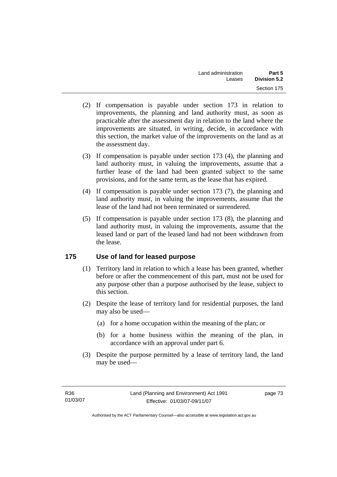- (2) If compensation is payable under section 173 in relation to improvements, the planning and land authority must, as soon as practicable after the assessment day in relation to the land where the improvements are situated, in writing, decide, in accordance with this section, the market value of the improvements on the land as at the assessment day.
- (3) If compensation is payable under section 173 (4), the planning and land authority must, in valuing the improvements, assume that a further lease of the land had been granted subject to the same provisions, and for the same term, as the lease that has expired.
- (4) If compensation is payable under section 173 (7), the planning and land authority must, in valuing the improvements, assume that the lease of the land had not been terminated or surrendered.
- (5) If compensation is payable under section 173 (8), the planning and land authority must, in valuing the improvements, assume that the leased land or part of the leased land had not been withdrawn from the lease.

# **175 Use of land for leased purpose**

- (1) Territory land in relation to which a lease has been granted, whether before or after the commencement of this part, must not be used for any purpose other than a purpose authorised by the lease, subject to this section.
- (2) Despite the lease of territory land for residential purposes, the land may also be used—
	- (a) for a home occupation within the meaning of the plan; or
	- (b) for a home business within the meaning of the plan, in accordance with an approval under part 6.
- (3) Despite the purpose permitted by a lease of territory land, the land may be used—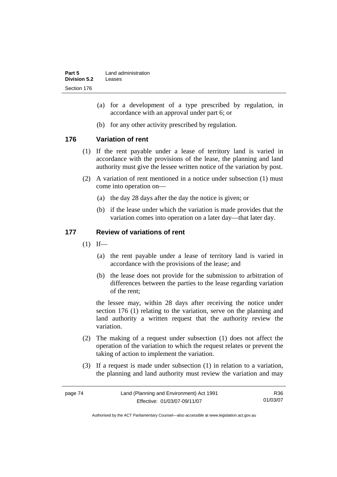| Part 5       | Land administration |
|--------------|---------------------|
| Division 5.2 | Leases              |
| Section 176  |                     |

- (a) for a development of a type prescribed by regulation, in accordance with an approval under part 6; or
- (b) for any other activity prescribed by regulation.

## **176 Variation of rent**

- (1) If the rent payable under a lease of territory land is varied in accordance with the provisions of the lease, the planning and land authority must give the lessee written notice of the variation by post.
- (2) A variation of rent mentioned in a notice under subsection (1) must come into operation on—
	- (a) the day 28 days after the day the notice is given; or
	- (b) if the lease under which the variation is made provides that the variation comes into operation on a later day—that later day.

### **177 Review of variations of rent**

- $(1)$  If—
	- (a) the rent payable under a lease of territory land is varied in accordance with the provisions of the lease; and
	- (b) the lease does not provide for the submission to arbitration of differences between the parties to the lease regarding variation of the rent;

the lessee may, within 28 days after receiving the notice under section 176 (1) relating to the variation, serve on the planning and land authority a written request that the authority review the variation.

- (2) The making of a request under subsection (1) does not affect the operation of the variation to which the request relates or prevent the taking of action to implement the variation.
- (3) If a request is made under subsection (1) in relation to a variation, the planning and land authority must review the variation and may

| page 74 | Land (Planning and Environment) Act 1991 | R36      |
|---------|------------------------------------------|----------|
|         | Effective: 01/03/07-09/11/07             | 01/03/07 |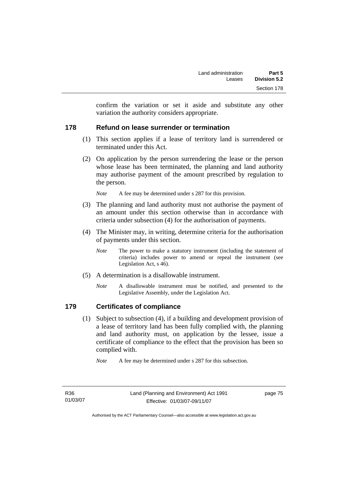confirm the variation or set it aside and substitute any other variation the authority considers appropriate.

## **178 Refund on lease surrender or termination**

- (1) This section applies if a lease of territory land is surrendered or terminated under this Act.
- (2) On application by the person surrendering the lease or the person whose lease has been terminated, the planning and land authority may authorise payment of the amount prescribed by regulation to the person.

*Note* A fee may be determined under s 287 for this provision.

- (3) The planning and land authority must not authorise the payment of an amount under this section otherwise than in accordance with criteria under subsection (4) for the authorisation of payments.
- (4) The Minister may, in writing, determine criteria for the authorisation of payments under this section.
	- *Note* The power to make a statutory instrument (including the statement of criteria) includes power to amend or repeal the instrument (see Legislation Act, s 46).
- (5) A determination is a disallowable instrument.
	- *Note* A disallowable instrument must be notified, and presented to the Legislative Assembly, under the Legislation Act.

# **179 Certificates of compliance**

 (1) Subject to subsection (4), if a building and development provision of a lease of territory land has been fully complied with, the planning and land authority must, on application by the lessee, issue a certificate of compliance to the effect that the provision has been so complied with.

*Note* A fee may be determined under s 287 for this subsection.

R36 01/03/07 page 75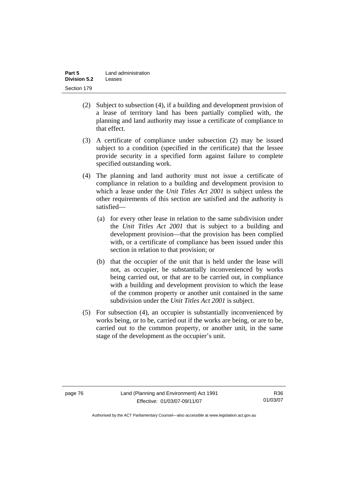| Part 5              | Land administration |
|---------------------|---------------------|
| <b>Division 5.2</b> | Leases              |
| Section 179         |                     |

- (2) Subject to subsection (4), if a building and development provision of a lease of territory land has been partially complied with, the planning and land authority may issue a certificate of compliance to that effect.
- (3) A certificate of compliance under subsection (2) may be issued subject to a condition (specified in the certificate) that the lessee provide security in a specified form against failure to complete specified outstanding work.
- (4) The planning and land authority must not issue a certificate of compliance in relation to a building and development provision to which a lease under the *Unit Titles Act 2001* is subject unless the other requirements of this section are satisfied and the authority is satisfied—
	- (a) for every other lease in relation to the same subdivision under the *Unit Titles Act 2001* that is subject to a building and development provision—that the provision has been complied with, or a certificate of compliance has been issued under this section in relation to that provision; or
	- (b) that the occupier of the unit that is held under the lease will not, as occupier, be substantially inconvenienced by works being carried out, or that are to be carried out, in compliance with a building and development provision to which the lease of the common property or another unit contained in the same subdivision under the *Unit Titles Act 2001* is subject.
- (5) For subsection (4), an occupier is substantially inconvenienced by works being, or to be, carried out if the works are being, or are to be, carried out to the common property, or another unit, in the same stage of the development as the occupier's unit.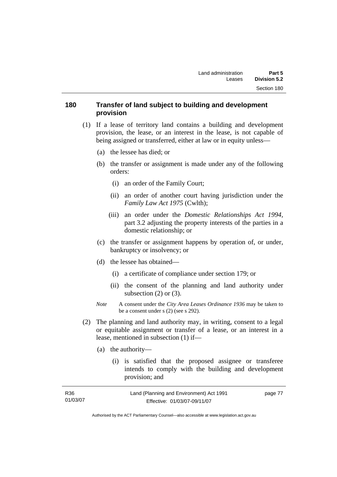### **180 Transfer of land subject to building and development provision**

- (1) If a lease of territory land contains a building and development provision, the lease, or an interest in the lease, is not capable of being assigned or transferred, either at law or in equity unless—
	- (a) the lessee has died; or
	- (b) the transfer or assignment is made under any of the following orders:
		- (i) an order of the Family Court;
		- (ii) an order of another court having jurisdiction under the *Family Law Act 1975* (Cwlth);
		- (iii) an order under the *Domestic Relationships Act 1994,*  part 3.2 adjusting the property interests of the parties in a domestic relationship; or
	- (c) the transfer or assignment happens by operation of, or under, bankruptcy or insolvency; or
	- (d) the lessee has obtained—
		- (i) a certificate of compliance under section 179; or
		- (ii) the consent of the planning and land authority under subsection  $(2)$  or  $(3)$ .
	- *Note* A consent under the *City Area Leases Ordinance 1936* may be taken to be a consent under s (2) (see s 292).
- (2) The planning and land authority may, in writing, consent to a legal or equitable assignment or transfer of a lease, or an interest in a lease, mentioned in subsection (1) if—
	- (a) the authority—
		- (i) is satisfied that the proposed assignee or transferee intends to comply with the building and development provision; and

| R36      | Land (Planning and Environment) Act 1991 | page 77 |
|----------|------------------------------------------|---------|
| 01/03/07 | Effective: 01/03/07-09/11/07             |         |
|          |                                          |         |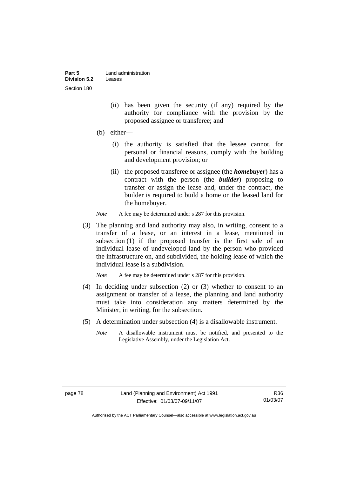| Part 5       | Land administration |
|--------------|---------------------|
| Division 5.2 | Leases              |
| Section 180  |                     |

- (ii) has been given the security (if any) required by the authority for compliance with the provision by the proposed assignee or transferee; and
- (b) either—
	- (i) the authority is satisfied that the lessee cannot, for personal or financial reasons, comply with the building and development provision; or
	- (ii) the proposed transferee or assignee (the *homebuyer*) has a contract with the person (the *builder*) proposing to transfer or assign the lease and, under the contract, the builder is required to build a home on the leased land for the homebuyer.
- *Note* A fee may be determined under s 287 for this provision.
- (3) The planning and land authority may also, in writing, consent to a transfer of a lease, or an interest in a lease, mentioned in subsection (1) if the proposed transfer is the first sale of an individual lease of undeveloped land by the person who provided the infrastructure on, and subdivided, the holding lease of which the individual lease is a subdivision.

*Note* A fee may be determined under s 287 for this provision.

- (4) In deciding under subsection (2) or (3) whether to consent to an assignment or transfer of a lease, the planning and land authority must take into consideration any matters determined by the Minister, in writing, for the subsection.
- (5) A determination under subsection (4) is a disallowable instrument.
	- *Note* A disallowable instrument must be notified, and presented to the Legislative Assembly, under the Legislation Act.

Authorised by the ACT Parliamentary Counsel—also accessible at www.legislation.act.gov.au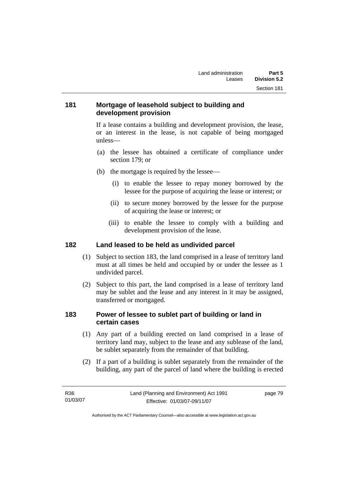## **181 Mortgage of leasehold subject to building and development provision**

If a lease contains a building and development provision, the lease, or an interest in the lease, is not capable of being mortgaged unless—

- (a) the lessee has obtained a certificate of compliance under section 179; or
- (b) the mortgage is required by the lessee—
	- (i) to enable the lessee to repay money borrowed by the lessee for the purpose of acquiring the lease or interest; or
	- (ii) to secure money borrowed by the lessee for the purpose of acquiring the lease or interest; or
	- (iii) to enable the lessee to comply with a building and development provision of the lease.

#### **182 Land leased to be held as undivided parcel**

- (1) Subject to section 183, the land comprised in a lease of territory land must at all times be held and occupied by or under the lessee as 1 undivided parcel.
- (2) Subject to this part, the land comprised in a lease of territory land may be sublet and the lease and any interest in it may be assigned, transferred or mortgaged.

### **183 Power of lessee to sublet part of building or land in certain cases**

- (1) Any part of a building erected on land comprised in a lease of territory land may, subject to the lease and any sublease of the land, be sublet separately from the remainder of that building.
- (2) If a part of a building is sublet separately from the remainder of the building, any part of the parcel of land where the building is erected

| R36      | Land (Planning and Environment) Act 1991 | page 79 |
|----------|------------------------------------------|---------|
| 01/03/07 | Effective: 01/03/07-09/11/07             |         |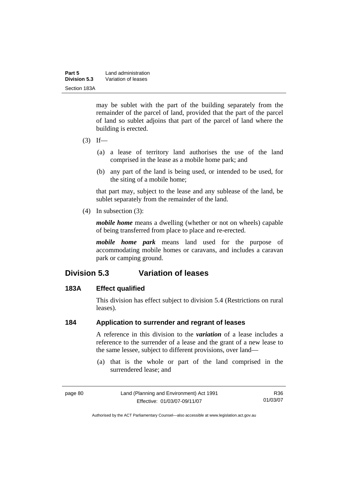| Part 5       | Land administration |
|--------------|---------------------|
| Division 5.3 | Variation of leases |
| Section 183A |                     |

may be sublet with the part of the building separately from the remainder of the parcel of land, provided that the part of the parcel of land so sublet adjoins that part of the parcel of land where the building is erected.

- $(3)$  If—
	- (a) a lease of territory land authorises the use of the land comprised in the lease as a mobile home park; and
	- (b) any part of the land is being used, or intended to be used, for the siting of a mobile home;

that part may, subject to the lease and any sublease of the land, be sublet separately from the remainder of the land.

(4) In subsection (3):

*mobile home* means a dwelling (whether or not on wheels) capable of being transferred from place to place and re-erected.

*mobile home park* means land used for the purpose of accommodating mobile homes or caravans, and includes a caravan park or camping ground.

# **Division 5.3 Variation of leases**

#### **183A Effect qualified**

This division has effect subject to division 5.4 (Restrictions on rural leases).

### **184 Application to surrender and regrant of leases**

A reference in this division to the *variation* of a lease includes a reference to the surrender of a lease and the grant of a new lease to the same lessee, subject to different provisions, over land—

 (a) that is the whole or part of the land comprised in the surrendered lease; and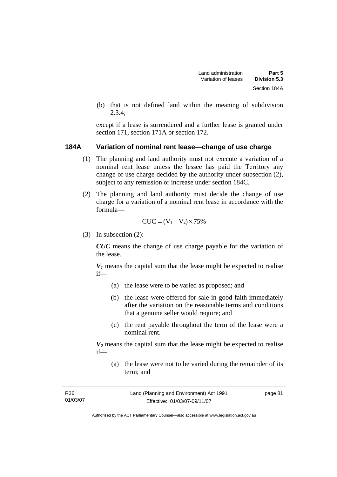(b) that is not defined land within the meaning of subdivision 2.3.4;

except if a lease is surrendered and a further lease is granted under section 171, section 171A or section 172.

#### **184A Variation of nominal rent lease—change of use charge**

- (1) The planning and land authority must not execute a variation of a nominal rent lease unless the lessee has paid the Territory any change of use charge decided by the authority under subsection (2), subject to any remission or increase under section 184C.
- (2) The planning and land authority must decide the change of use charge for a variation of a nominal rent lease in accordance with the formula—

$$
CUC = (V_1 - V_2) \times 75\%
$$

(3) In subsection (2):

*CUC* means the change of use charge payable for the variation of the lease.

 $V_1$  means the capital sum that the lease might be expected to realise if—

- (a) the lease were to be varied as proposed; and
- (b) the lease were offered for sale in good faith immediately after the variation on the reasonable terms and conditions that a genuine seller would require; and
- (c) the rent payable throughout the term of the lease were a nominal rent.

 $V_2$  means the capital sum that the lease might be expected to realise if—

 (a) the lease were not to be varied during the remainder of its term; and

| R <sub>36</sub> | Land (Planning and Environment) Act 1991 | page 81 |
|-----------------|------------------------------------------|---------|
| 01/03/07        | Effective: 01/03/07-09/11/07             |         |
|                 |                                          |         |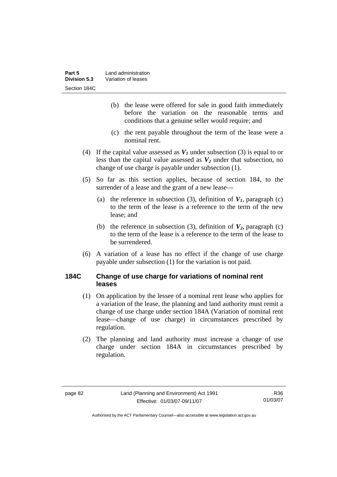| Part 5       | Land administration |
|--------------|---------------------|
| Division 5.3 | Variation of leases |
| Section 184C |                     |

- (b) the lease were offered for sale in good faith immediately before the variation on the reasonable terms and conditions that a genuine seller would require; and
- (c) the rent payable throughout the term of the lease were a nominal rent.
- (4) If the capital value assessed as  $V_I$  under subsection (3) is equal to or less than the capital value assessed as  $V_2$  under that subsection, no change of use charge is payable under subsection (1).
- (5) So far as this section applies, because of section 184, to the surrender of a lease and the grant of a new lease—
	- (a) the reference in subsection (3), definition of  $V_I$ , paragraph (c) to the term of the lease is a reference to the term of the new lease; and
	- (b) the reference in subsection (3), definition of  $V_2$ , paragraph (c) to the term of the lease is a reference to the term of the lease to be surrendered.
- (6) A variation of a lease has no effect if the change of use charge payable under subsection (1) for the variation is not paid.

## **184C Change of use charge for variations of nominal rent leases**

- (1) On application by the lessee of a nominal rent lease who applies for a variation of the lease, the planning and land authority must remit a change of use charge under section 184A (Variation of nominal rent lease—change of use charge) in circumstances prescribed by regulation.
- (2) The planning and land authority must increase a change of use charge under section 184A in circumstances prescribed by regulation.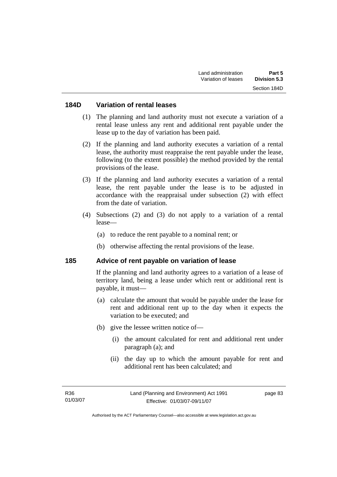#### **184D Variation of rental leases**

- (1) The planning and land authority must not execute a variation of a rental lease unless any rent and additional rent payable under the lease up to the day of variation has been paid.
- (2) If the planning and land authority executes a variation of a rental lease, the authority must reappraise the rent payable under the lease, following (to the extent possible) the method provided by the rental provisions of the lease.
- (3) If the planning and land authority executes a variation of a rental lease, the rent payable under the lease is to be adjusted in accordance with the reappraisal under subsection (2) with effect from the date of variation.
- (4) Subsections (2) and (3) do not apply to a variation of a rental lease—
	- (a) to reduce the rent payable to a nominal rent; or
	- (b) otherwise affecting the rental provisions of the lease.

#### **185 Advice of rent payable on variation of lease**

If the planning and land authority agrees to a variation of a lease of territory land, being a lease under which rent or additional rent is payable, it must—

- (a) calculate the amount that would be payable under the lease for rent and additional rent up to the day when it expects the variation to be executed; and
- (b) give the lessee written notice of—
	- (i) the amount calculated for rent and additional rent under paragraph (a); and
	- (ii) the day up to which the amount payable for rent and additional rent has been calculated; and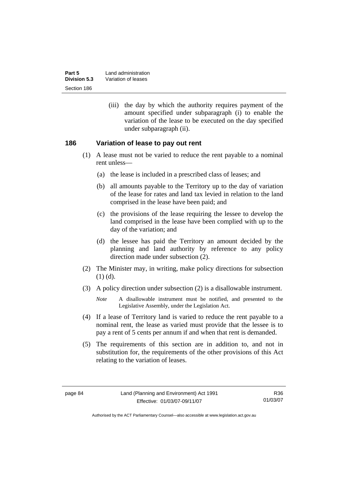| Part 5       | Land administration |
|--------------|---------------------|
| Division 5.3 | Variation of leases |
| Section 186  |                     |

 (iii) the day by which the authority requires payment of the amount specified under subparagraph (i) to enable the variation of the lease to be executed on the day specified under subparagraph (ii).

#### **186 Variation of lease to pay out rent**

- (1) A lease must not be varied to reduce the rent payable to a nominal rent unless—
	- (a) the lease is included in a prescribed class of leases; and
	- (b) all amounts payable to the Territory up to the day of variation of the lease for rates and land tax levied in relation to the land comprised in the lease have been paid; and
	- (c) the provisions of the lease requiring the lessee to develop the land comprised in the lease have been complied with up to the day of the variation; and
	- (d) the lessee has paid the Territory an amount decided by the planning and land authority by reference to any policy direction made under subsection (2).
- (2) The Minister may, in writing, make policy directions for subsection (1) (d).
- (3) A policy direction under subsection (2) is a disallowable instrument.

- (4) If a lease of Territory land is varied to reduce the rent payable to a nominal rent, the lease as varied must provide that the lessee is to pay a rent of 5 cents per annum if and when that rent is demanded.
- (5) The requirements of this section are in addition to, and not in substitution for, the requirements of the other provisions of this Act relating to the variation of leases.

*Note* A disallowable instrument must be notified, and presented to the Legislative Assembly, under the Legislation Act.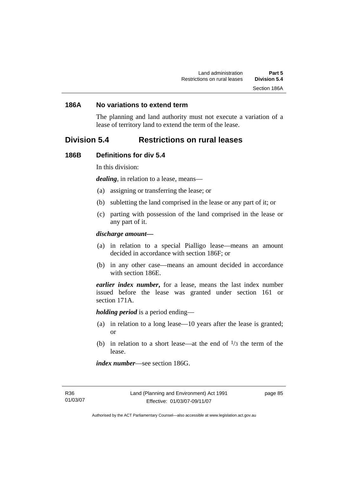#### **186A No variations to extend term**

The planning and land authority must not execute a variation of a lease of territory land to extend the term of the lease.

# **Division 5.4 Restrictions on rural leases**

#### **186B Definitions for div 5.4**

In this division:

*dealing*, in relation to a lease, means—

- (a) assigning or transferring the lease; or
- (b) subletting the land comprised in the lease or any part of it; or
- (c) parting with possession of the land comprised in the lease or any part of it.

#### *discharge amount—*

- (a) in relation to a special Pialligo lease—means an amount decided in accordance with section 186F; or
- (b) in any other case—means an amount decided in accordance with section 186E.

*earlier index number***,** for a lease, means the last index number issued before the lease was granted under section 161 or section 171A.

*holding period* is a period ending—

- (a) in relation to a long lease—10 years after the lease is granted; or
- (b) in relation to a short lease—at the end of  $\frac{1}{3}$  the term of the lease.

*index number*—see section 186G.

R36 01/03/07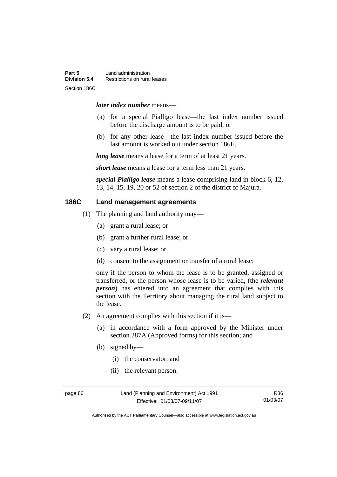#### *later index number* means—

- (a) for a special Pialligo lease—the last index number issued before the discharge amount is to be paid; or
- (b) for any other lease—the last index number issued before the last amount is worked out under section 186E.

*long lease* means a lease for a term of at least 21 years.

*short lease* means a lease for a term less than 21 years.

*special Pialligo lease* means a lease comprising land in block 6, 12, 13, 14, 15, 19, 20 or 52 of section 2 of the district of Majura.

## **186C Land management agreements**

- (1) The planning and land authority may—
	- (a) grant a rural lease; or
	- (b) grant a further rural lease; or
	- (c) vary a rural lease; or
	- (d) consent to the assignment or transfer of a rural lease;

only if the person to whom the lease is to be granted, assigned or transferred, or the person whose lease is to be varied, (the *relevant person*) has entered into an agreement that complies with this section with the Territory about managing the rural land subject to the lease.

- (2) An agreement complies with this section if it is—
	- (a) in accordance with a form approved by the Minister under section 287A (Approved forms) for this section; and
	- (b) signed by—
		- (i) the conservator; and
		- (ii) the relevant person.

page 86 Land (Planning and Environment) Act 1991 Effective: 01/03/07-09/11/07

R36 01/03/07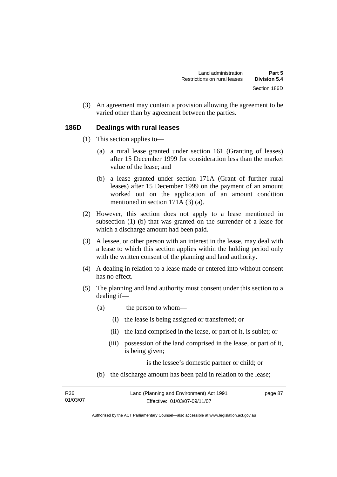(3) An agreement may contain a provision allowing the agreement to be varied other than by agreement between the parties.

#### **186D Dealings with rural leases**

- (1) This section applies to—
	- (a) a rural lease granted under section 161 (Granting of leases) after 15 December 1999 for consideration less than the market value of the lease; and
	- (b) a lease granted under section 171A (Grant of further rural leases) after 15 December 1999 on the payment of an amount worked out on the application of an amount condition mentioned in section 171A (3) (a).
- (2) However, this section does not apply to a lease mentioned in subsection (1) (b) that was granted on the surrender of a lease for which a discharge amount had been paid.
- (3) A lessee, or other person with an interest in the lease, may deal with a lease to which this section applies within the holding period only with the written consent of the planning and land authority.
- (4) A dealing in relation to a lease made or entered into without consent has no effect.
- (5) The planning and land authority must consent under this section to a dealing if—
	- (a) the person to whom—
		- (i) the lease is being assigned or transferred; or
		- (ii) the land comprised in the lease, or part of it, is sublet; or
		- (iii) possession of the land comprised in the lease, or part of it, is being given;

is the lessee's domestic partner or child; or

(b) the discharge amount has been paid in relation to the lease;

| R36      | Land (Planning and Environment) Act 1991 | page 87 |
|----------|------------------------------------------|---------|
| 01/03/07 | Effective: 01/03/07-09/11/07             |         |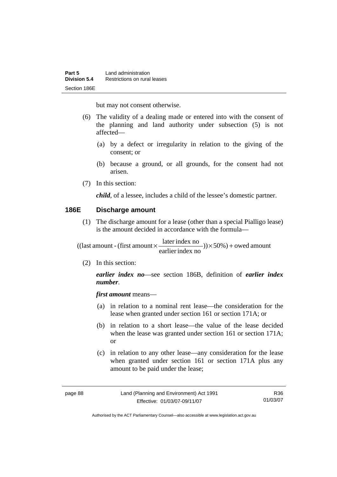but may not consent otherwise.

- (6) The validity of a dealing made or entered into with the consent of the planning and land authority under subsection (5) is not affected—
	- (a) by a defect or irregularity in relation to the giving of the consent; or
	- (b) because a ground, or all grounds, for the consent had not arisen.
- (7) In this section:

*child*, of a lessee, includes a child of the lessee's domestic partner.

#### **186E Discharge amount**

 (1) The discharge amount for a lease (other than a special Pialligo lease) is the amount decided in accordance with the formula—

 $)) \times 50\%$ ) + owed amount earlier index no  $((\text{last amount - (first amount} \times \frac{\text{later index no}}{\dots \dots \dots})) \times 50\%) +$ 

(2) In this section:

*earlier index no*—see section 186B, definition of *earlier index number*.

*first amount* means—

- (a) in relation to a nominal rent lease—the consideration for the lease when granted under section 161 or section 171A; or
- (b) in relation to a short lease—the value of the lease decided when the lease was granted under section 161 or section 171A; or
- (c) in relation to any other lease—any consideration for the lease when granted under section 161 or section 171A plus any amount to be paid under the lease;

R36 01/03/07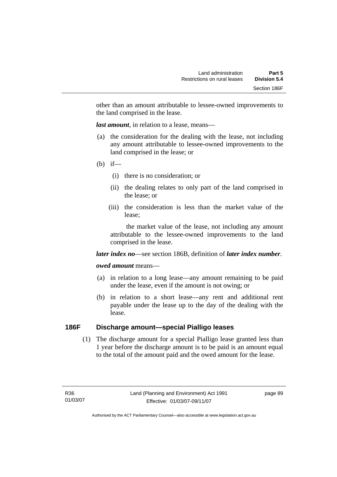other than an amount attributable to lessee-owned improvements to the land comprised in the lease.

*last amount*, in relation to a lease, means—

- (a) the consideration for the dealing with the lease, not including any amount attributable to lessee-owned improvements to the land comprised in the lease; or
- (b) if—
	- (i) there is no consideration; or
	- (ii) the dealing relates to only part of the land comprised in the lease; or
	- (iii) the consideration is less than the market value of the lease;

 the market value of the lease, not including any amount attributable to the lessee-owned improvements to the land comprised in the lease.

#### *later index no*—see section 186B, definition of *later index number*.

#### *owed amount* means—

- (a) in relation to a long lease—any amount remaining to be paid under the lease, even if the amount is not owing; or
- (b) in relation to a short lease—any rent and additional rent payable under the lease up to the day of the dealing with the lease.

### **186F Discharge amount—special Pialligo leases**

 (1) The discharge amount for a special Pialligo lease granted less than 1 year before the discharge amount is to be paid is an amount equal to the total of the amount paid and the owed amount for the lease.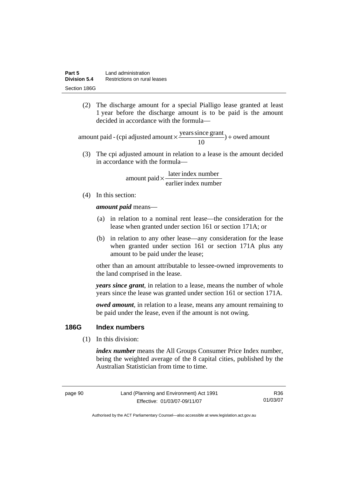(2) The discharge amount for a special Pialligo lease granted at least 1 year before the discharge amount is to be paid is the amount decided in accordance with the formula—

 $) +$  owed amount 10 amount paid - (cpi adjusted amount  $\times \frac{\text{years since grant}}{10}$ ) +

 (3) The cpi adjusted amount in relation to a lease is the amount decided in accordance with the formula—

> earlier index number  $amount$  paid  $\times \frac{later$  index number

(4) In this section:

*amount paid* means—

- (a) in relation to a nominal rent lease—the consideration for the lease when granted under section 161 or section 171A; or
- (b) in relation to any other lease—any consideration for the lease when granted under section 161 or section 171A plus any amount to be paid under the lease;

other than an amount attributable to lessee-owned improvements to the land comprised in the lease.

*years since grant*, in relation to a lease, means the number of whole years since the lease was granted under section 161 or section 171A.

*owed amount*, in relation to a lease, means any amount remaining to be paid under the lease, even if the amount is not owing.

### **186G Index numbers**

(1) In this division:

*index number* means the All Groups Consumer Price Index number, being the weighted average of the 8 capital cities, published by the Australian Statistician from time to time.

page 90 Land (Planning and Environment) Act 1991 Effective: 01/03/07-09/11/07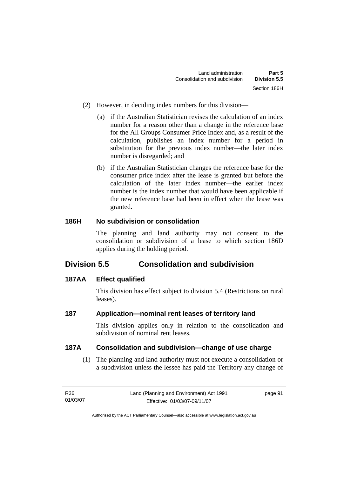- (2) However, in deciding index numbers for this division—
	- (a) if the Australian Statistician revises the calculation of an index number for a reason other than a change in the reference base for the All Groups Consumer Price Index and, as a result of the calculation, publishes an index number for a period in substitution for the previous index number—the later index number is disregarded; and
	- (b) if the Australian Statistician changes the reference base for the consumer price index after the lease is granted but before the calculation of the later index number—the earlier index number is the index number that would have been applicable if the new reference base had been in effect when the lease was granted.

# **186H No subdivision or consolidation**

The planning and land authority may not consent to the consolidation or subdivision of a lease to which section 186D applies during the holding period.

# **Division 5.5 Consolidation and subdivision**

# **187AA Effect qualified**

This division has effect subject to division 5.4 (Restrictions on rural leases).

# **187 Application—nominal rent leases of territory land**

This division applies only in relation to the consolidation and subdivision of nominal rent leases.

# **187A Consolidation and subdivision—change of use charge**

 (1) The planning and land authority must not execute a consolidation or a subdivision unless the lessee has paid the Territory any change of

| R36      | Land (Planning and Environment) Act 1991 | page 91 |
|----------|------------------------------------------|---------|
| 01/03/07 | Effective: 01/03/07-09/11/07             |         |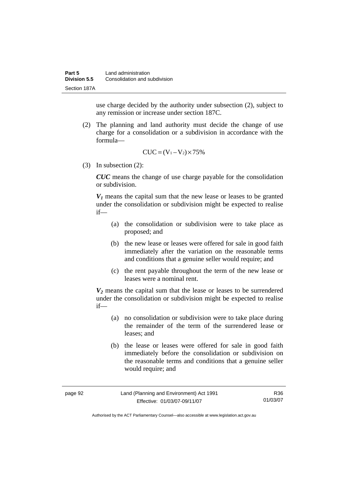use charge decided by the authority under subsection (2), subject to any remission or increase under section 187C.

 (2) The planning and land authority must decide the change of use charge for a consolidation or a subdivision in accordance with the formula—

$$
CUC = (V_1 - V_2) \times 75\%
$$

(3) In subsection (2):

*CUC* means the change of use charge payable for the consolidation or subdivision.

 $V_1$  means the capital sum that the new lease or leases to be granted under the consolidation or subdivision might be expected to realise if—

- (a) the consolidation or subdivision were to take place as proposed; and
- (b) the new lease or leases were offered for sale in good faith immediately after the variation on the reasonable terms and conditions that a genuine seller would require; and
- (c) the rent payable throughout the term of the new lease or leases were a nominal rent.

*V2* means the capital sum that the lease or leases to be surrendered under the consolidation or subdivision might be expected to realise if—

- (a) no consolidation or subdivision were to take place during the remainder of the term of the surrendered lease or leases; and
- (b) the lease or leases were offered for sale in good faith immediately before the consolidation or subdivision on the reasonable terms and conditions that a genuine seller would require; and

| page 92 | Land (Planning and Environment) Act 1991 | R36      |
|---------|------------------------------------------|----------|
|         | Effective: 01/03/07-09/11/07             | 01/03/07 |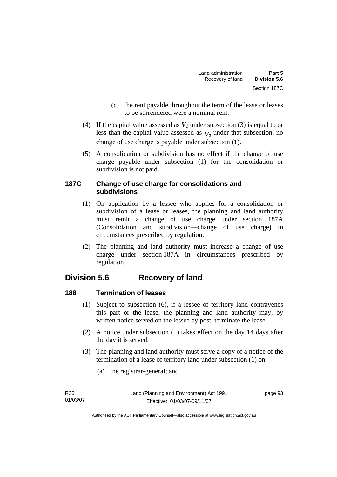- (c) the rent payable throughout the term of the lease or leases to be surrendered were a nominal rent.
- (4) If the capital value assessed as  $V_I$  under subsection (3) is equal to or less than the capital value assessed as  $V_2$  under that subsection, no change of use charge is payable under subsection (1).
- (5) A consolidation or subdivision has no effect if the change of use charge payable under subsection (1) for the consolidation or subdivision is not paid.

## **187C Change of use charge for consolidations and subdivisions**

- (1) On application by a lessee who applies for a consolidation or subdivision of a lease or leases, the planning and land authority must remit a change of use charge under section 187A (Consolidation and subdivision—change of use charge) in circumstances prescribed by regulation.
- (2) The planning and land authority must increase a change of use charge under section 187A in circumstances prescribed by regulation.

# **Division 5.6 Recovery of land**

# **188 Termination of leases**

- (1) Subject to subsection (6), if a lessee of territory land contravenes this part or the lease, the planning and land authority may, by written notice served on the lessee by post, terminate the lease.
- (2) A notice under subsection (1) takes effect on the day 14 days after the day it is served.
- (3) The planning and land authority must serve a copy of a notice of the termination of a lease of territory land under subsection (1) on—
	- (a) the registrar-general; and

| R36      |  |
|----------|--|
| 01/03/07 |  |

page 93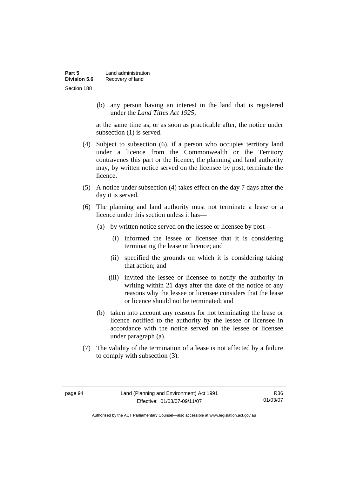| Part 5       | Land administration |
|--------------|---------------------|
| Division 5.6 | Recovery of land    |
| Section 188  |                     |

 (b) any person having an interest in the land that is registered under the *Land Titles Act 1925*;

at the same time as, or as soon as practicable after, the notice under subsection (1) is served.

- (4) Subject to subsection (6), if a person who occupies territory land under a licence from the Commonwealth or the Territory contravenes this part or the licence, the planning and land authority may, by written notice served on the licensee by post, terminate the licence.
- (5) A notice under subsection (4) takes effect on the day 7 days after the day it is served.
- (6) The planning and land authority must not terminate a lease or a licence under this section unless it has—
	- (a) by written notice served on the lessee or licensee by post—
		- (i) informed the lessee or licensee that it is considering terminating the lease or licence; and
		- (ii) specified the grounds on which it is considering taking that action; and
		- (iii) invited the lessee or licensee to notify the authority in writing within 21 days after the date of the notice of any reasons why the lessee or licensee considers that the lease or licence should not be terminated; and
	- (b) taken into account any reasons for not terminating the lease or licence notified to the authority by the lessee or licensee in accordance with the notice served on the lessee or licensee under paragraph (a).
- (7) The validity of the termination of a lease is not affected by a failure to comply with subsection (3).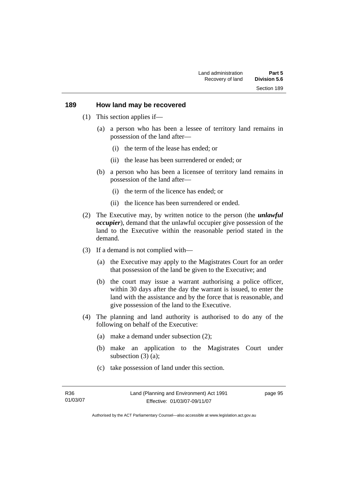#### **189 How land may be recovered**

- (1) This section applies if—
	- (a) a person who has been a lessee of territory land remains in possession of the land after—
		- (i) the term of the lease has ended; or
		- (ii) the lease has been surrendered or ended; or
	- (b) a person who has been a licensee of territory land remains in possession of the land after—
		- (i) the term of the licence has ended; or
		- (ii) the licence has been surrendered or ended.
- (2) The Executive may, by written notice to the person (the *unlawful occupier*), demand that the unlawful occupier give possession of the land to the Executive within the reasonable period stated in the demand.
- (3) If a demand is not complied with—
	- (a) the Executive may apply to the Magistrates Court for an order that possession of the land be given to the Executive; and
	- (b) the court may issue a warrant authorising a police officer, within 30 days after the day the warrant is issued, to enter the land with the assistance and by the force that is reasonable, and give possession of the land to the Executive.
- (4) The planning and land authority is authorised to do any of the following on behalf of the Executive:
	- (a) make a demand under subsection (2);
	- (b) make an application to the Magistrates Court under subsection (3) (a):
	- (c) take possession of land under this section.

page 95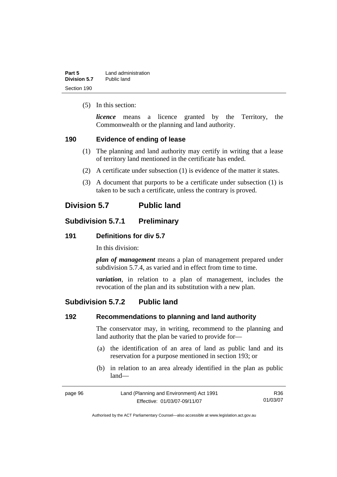| Part 5       | Land administration |
|--------------|---------------------|
| Division 5.7 | Public land         |
| Section 190  |                     |

(5) In this section:

*licence* means a licence granted by the Territory, the Commonwealth or the planning and land authority.

#### **190 Evidence of ending of lease**

- (1) The planning and land authority may certify in writing that a lease of territory land mentioned in the certificate has ended.
- (2) A certificate under subsection (1) is evidence of the matter it states.
- (3) A document that purports to be a certificate under subsection (1) is taken to be such a certificate, unless the contrary is proved.

# **Division 5.7 Public land**

## **Subdivision 5.7.1 Preliminary**

#### **191 Definitions for div 5.7**

In this division:

*plan of management* means a plan of management prepared under subdivision 5.7.4, as varied and in effect from time to time.

*variation*, in relation to a plan of management, includes the revocation of the plan and its substitution with a new plan.

## **Subdivision 5.7.2 Public land**

#### **192 Recommendations to planning and land authority**

The conservator may, in writing, recommend to the planning and land authority that the plan be varied to provide for—

- (a) the identification of an area of land as public land and its reservation for a purpose mentioned in section 193; or
- (b) in relation to an area already identified in the plan as public land—

| page 96 | Land (Planning and Environment) Act 1991 | R36      |
|---------|------------------------------------------|----------|
|         | Effective: 01/03/07-09/11/07             | 01/03/07 |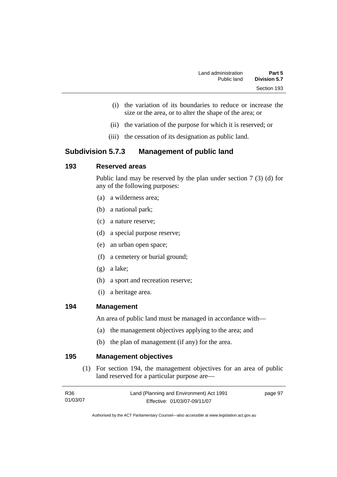- (i) the variation of its boundaries to reduce or increase the size or the area, or to alter the shape of the area; or
- (ii) the variation of the purpose for which it is reserved; or
- (iii) the cessation of its designation as public land.

# **Subdivision 5.7.3 Management of public land**

## **193 Reserved areas**

Public land may be reserved by the plan under section 7 (3) (d) for any of the following purposes:

- (a) a wilderness area;
- (b) a national park;
- (c) a nature reserve;
- (d) a special purpose reserve;
- (e) an urban open space;
- (f) a cemetery or burial ground;
- (g) a lake;
- (h) a sport and recreation reserve;
- (i) a heritage area.

#### **194 Management**

An area of public land must be managed in accordance with—

- (a) the management objectives applying to the area; and
- (b) the plan of management (if any) for the area.

**195 Management objectives** 

 (1) For section 194, the management objectives for an area of public land reserved for a particular purpose are—

| R36      | Land (Planning and Environment) Act 1991 | page 97 |
|----------|------------------------------------------|---------|
| 01/03/07 | Effective: 01/03/07-09/11/07             |         |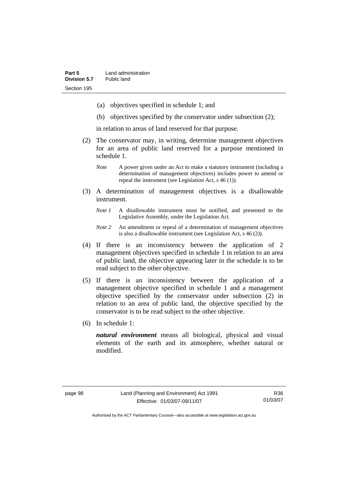- (a) objectives specified in schedule 1; and
- (b) objectives specified by the conservator under subsection (2);

in relation to areas of land reserved for that purpose.

- (2) The conservator may, in writing, determine management objectives for an area of public land reserved for a purpose mentioned in schedule 1.
	- *Note* A power given under an Act to make a statutory instrument (including a determination of management objectives) includes power to amend or repeal the instrument (see Legislation Act, s 46 (1)).
- (3) A determination of management objectives is a disallowable instrument.
	- *Note 1* A disallowable instrument must be notified, and presented to the Legislative Assembly, under the Legislation Act.
	- *Note 2* An amendment or repeal of a determination of management objectives is also a disallowable instrument (see Legislation Act, s 46 (2))*.*
- (4) If there is an inconsistency between the application of 2 management objectives specified in schedule 1 in relation to an area of public land, the objective appearing later in the schedule is to be read subject to the other objective.
- (5) If there is an inconsistency between the application of a management objective specified in schedule 1 and a management objective specified by the conservator under subsection (2) in relation to an area of public land, the objective specified by the conservator is to be read subject to the other objective.
- (6) In schedule 1:

*natural environment* means all biological, physical and visual elements of the earth and its atmosphere, whether natural or modified.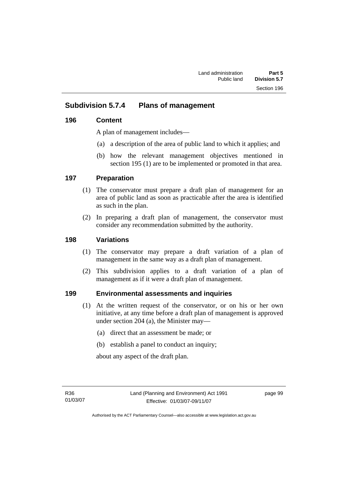# **Subdivision 5.7.4 Plans of management**

## **196 Content**

A plan of management includes—

- (a) a description of the area of public land to which it applies; and
- (b) how the relevant management objectives mentioned in section 195 (1) are to be implemented or promoted in that area.

## **197 Preparation**

- (1) The conservator must prepare a draft plan of management for an area of public land as soon as practicable after the area is identified as such in the plan.
- (2) In preparing a draft plan of management, the conservator must consider any recommendation submitted by the authority.

## **198 Variations**

- (1) The conservator may prepare a draft variation of a plan of management in the same way as a draft plan of management.
- (2) This subdivision applies to a draft variation of a plan of management as if it were a draft plan of management.

## **199 Environmental assessments and inquiries**

- (1) At the written request of the conservator, or on his or her own initiative, at any time before a draft plan of management is approved under section 204 (a), the Minister may—
	- (a) direct that an assessment be made; or
	- (b) establish a panel to conduct an inquiry;

about any aspect of the draft plan.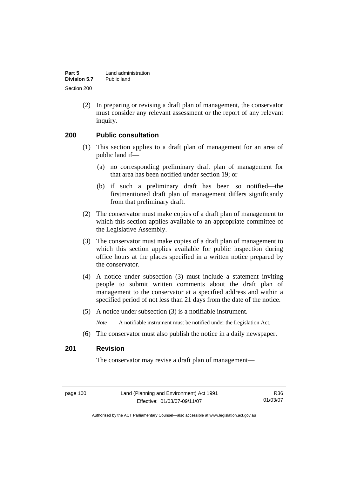| Part 5       | Land administration |
|--------------|---------------------|
| Division 5.7 | Public land         |
| Section 200  |                     |

 (2) In preparing or revising a draft plan of management, the conservator must consider any relevant assessment or the report of any relevant inquiry.

#### **200 Public consultation**

- (1) This section applies to a draft plan of management for an area of public land if—
	- (a) no corresponding preliminary draft plan of management for that area has been notified under section 19; or
	- (b) if such a preliminary draft has been so notified—the firstmentioned draft plan of management differs significantly from that preliminary draft.
- (2) The conservator must make copies of a draft plan of management to which this section applies available to an appropriate committee of the Legislative Assembly.
- (3) The conservator must make copies of a draft plan of management to which this section applies available for public inspection during office hours at the places specified in a written notice prepared by the conservator.
- (4) A notice under subsection (3) must include a statement inviting people to submit written comments about the draft plan of management to the conservator at a specified address and within a specified period of not less than 21 days from the date of the notice.
- (5) A notice under subsection (3) is a notifiable instrument.

*Note* A notifiable instrument must be notified under the Legislation Act.

(6) The conservator must also publish the notice in a daily newspaper.

#### **201 Revision**

The conservator may revise a draft plan of management—

page 100 Land (Planning and Environment) Act 1991 Effective: 01/03/07-09/11/07

R36 01/03/07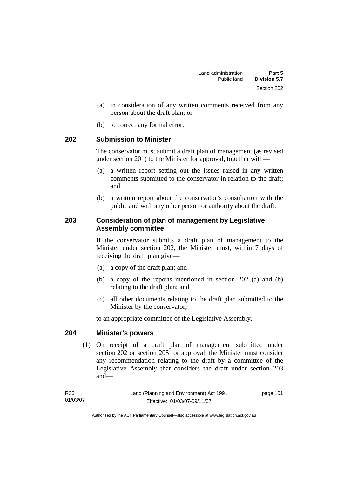- (a) in consideration of any written comments received from any person about the draft plan; or
- (b) to correct any formal error.

#### **202 Submission to Minister**

The conservator must submit a draft plan of management (as revised under section 201) to the Minister for approval, together with—

- (a) a written report setting out the issues raised in any written comments submitted to the conservator in relation to the draft; and
- (b) a written report about the conservator's consultation with the public and with any other person or authority about the draft.

#### **203 Consideration of plan of management by Legislative Assembly committee**

If the conservator submits a draft plan of management to the Minister under section 202, the Minister must, within 7 days of receiving the draft plan give—

- (a) a copy of the draft plan; and
- (b) a copy of the reports mentioned in section 202 (a) and (b) relating to the draft plan; and
- (c) all other documents relating to the draft plan submitted to the Minister by the conservator;

to an appropriate committee of the Legislative Assembly.

#### **204 Minister's powers**

 (1) On receipt of a draft plan of management submitted under section 202 or section 205 for approval, the Minister must consider any recommendation relating to the draft by a committee of the Legislative Assembly that considers the draft under section 203 and—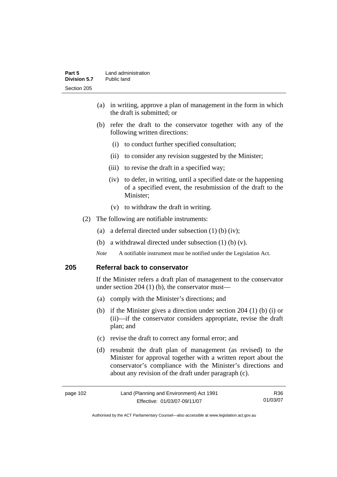- (a) in writing, approve a plan of management in the form in which the draft is submitted; or
- (b) refer the draft to the conservator together with any of the following written directions:
	- (i) to conduct further specified consultation;
	- (ii) to consider any revision suggested by the Minister;
	- (iii) to revise the draft in a specified way;
	- (iv) to defer, in writing, until a specified date or the happening of a specified event, the resubmission of the draft to the Minister;
	- (v) to withdraw the draft in writing.
- (2) The following are notifiable instruments:
	- (a) a deferral directed under subsection (1) (b) (iv);
	- (b) a withdrawal directed under subsection  $(1)$  (b)  $(v)$ .
	- *Note* A notifiable instrument must be notified under the Legislation Act.

#### **205 Referral back to conservator**

If the Minister refers a draft plan of management to the conservator under section 204 (1) (b), the conservator must—

- (a) comply with the Minister's directions; and
- (b) if the Minister gives a direction under section 204 (1) (b) (i) or (ii)—if the conservator considers appropriate, revise the draft plan; and
- (c) revise the draft to correct any formal error; and
- (d) resubmit the draft plan of management (as revised) to the Minister for approval together with a written report about the conservator's compliance with the Minister's directions and about any revision of the draft under paragraph (c).

| page 102 | Land (Planning and Environment) Act 1991 | R36.     |
|----------|------------------------------------------|----------|
|          | Effective: 01/03/07-09/11/07             | 01/03/07 |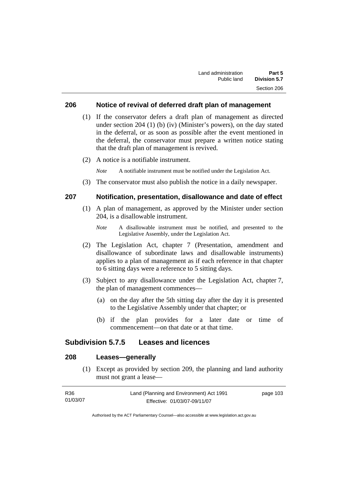#### **206 Notice of revival of deferred draft plan of management**

- (1) If the conservator defers a draft plan of management as directed under section 204 (1) (b) (iv) (Minister's powers), on the day stated in the deferral, or as soon as possible after the event mentioned in the deferral, the conservator must prepare a written notice stating that the draft plan of management is revived.
- (2) A notice is a notifiable instrument.

*Note* A notifiable instrument must be notified under the Legislation Act.

(3) The conservator must also publish the notice in a daily newspaper.

#### **207 Notification, presentation, disallowance and date of effect**

- (1) A plan of management, as approved by the Minister under section 204, is a disallowable instrument.
	- *Note* A disallowable instrument must be notified, and presented to the Legislative Assembly, under the Legislation Act.
- (2) The Legislation Act, chapter 7 (Presentation, amendment and disallowance of subordinate laws and disallowable instruments) applies to a plan of management as if each reference in that chapter to 6 sitting days were a reference to 5 sitting days.
- (3) Subject to any disallowance under the Legislation Act, chapter 7, the plan of management commences—
	- (a) on the day after the 5th sitting day after the day it is presented to the Legislative Assembly under that chapter; or
	- (b) if the plan provides for a later date or time of commencement—on that date or at that time.

#### **Subdivision 5.7.5 Leases and licences**

## **208 Leases—generally**

 (1) Except as provided by section 209, the planning and land authority must not grant a lease—

| R36      | Land (Planning and Environment) Act 1991 | page 103 |
|----------|------------------------------------------|----------|
| 01/03/07 | Effective: 01/03/07-09/11/07             |          |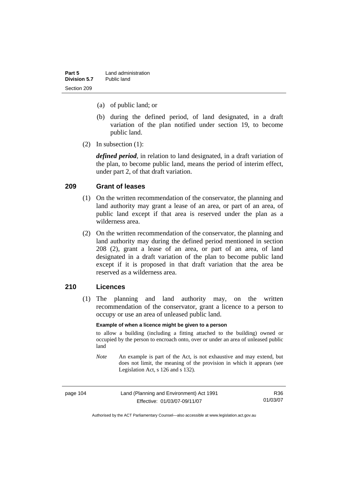| Part 5       | Land administration |
|--------------|---------------------|
| Division 5.7 | Public land         |
| Section 209  |                     |

- (a) of public land; or
- (b) during the defined period, of land designated, in a draft variation of the plan notified under section 19, to become public land.
- (2) In subsection (1):

*defined period*, in relation to land designated, in a draft variation of the plan, to become public land, means the period of interim effect, under part 2, of that draft variation.

#### **209 Grant of leases**

- (1) On the written recommendation of the conservator, the planning and land authority may grant a lease of an area, or part of an area, of public land except if that area is reserved under the plan as a wilderness area.
- (2) On the written recommendation of the conservator, the planning and land authority may during the defined period mentioned in section 208 (2), grant a lease of an area, or part of an area, of land designated in a draft variation of the plan to become public land except if it is proposed in that draft variation that the area be reserved as a wilderness area.

#### **210 Licences**

 (1) The planning and land authority may, on the written recommendation of the conservator, grant a licence to a person to occupy or use an area of unleased public land.

#### **Example of when a licence might be given to a person**

to allow a building (including a fitting attached to the building) owned or occupied by the person to encroach onto, over or under an area of unleased public land

*Note* An example is part of the Act, is not exhaustive and may extend, but does not limit, the meaning of the provision in which it appears (see Legislation Act, s 126 and s 132).

| page 104 | Land (Planning and Environment) Act 1991 | R36      |
|----------|------------------------------------------|----------|
|          | Effective: 01/03/07-09/11/07             | 01/03/07 |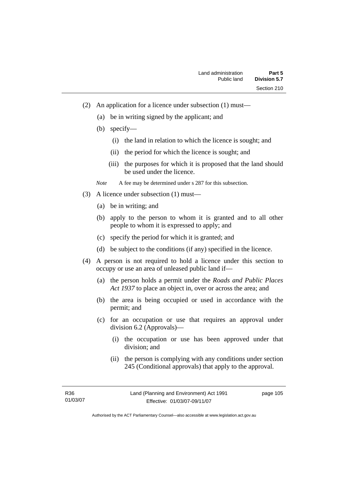- (2) An application for a licence under subsection (1) must—
	- (a) be in writing signed by the applicant; and
	- (b) specify—
		- (i) the land in relation to which the licence is sought; and
		- (ii) the period for which the licence is sought; and
		- (iii) the purposes for which it is proposed that the land should be used under the licence.

*Note* A fee may be determined under s 287 for this subsection.

- (3) A licence under subsection (1) must—
	- (a) be in writing; and
	- (b) apply to the person to whom it is granted and to all other people to whom it is expressed to apply; and
	- (c) specify the period for which it is granted; and
	- (d) be subject to the conditions (if any) specified in the licence.
- (4) A person is not required to hold a licence under this section to occupy or use an area of unleased public land if—
	- (a) the person holds a permit under the *Roads and Public Places Act 1937* to place an object in, over or across the area; and
	- (b) the area is being occupied or used in accordance with the permit; and
	- (c) for an occupation or use that requires an approval under division 6.2 (Approvals)—
		- (i) the occupation or use has been approved under that division; and
		- (ii) the person is complying with any conditions under section 245 (Conditional approvals) that apply to the approval.

R36 01/03/07

Authorised by the ACT Parliamentary Counsel—also accessible at www.legislation.act.gov.au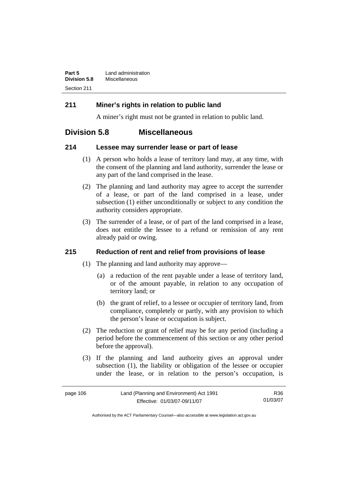| Part 5              | Land administration |
|---------------------|---------------------|
| <b>Division 5.8</b> | Miscellaneous       |
| Section 211         |                     |

## **211 Miner's rights in relation to public land**

A miner's right must not be granted in relation to public land.

# **Division 5.8 Miscellaneous**

#### **214 Lessee may surrender lease or part of lease**

- (1) A person who holds a lease of territory land may, at any time, with the consent of the planning and land authority, surrender the lease or any part of the land comprised in the lease.
- (2) The planning and land authority may agree to accept the surrender of a lease, or part of the land comprised in a lease, under subsection (1) either unconditionally or subject to any condition the authority considers appropriate.
- (3) The surrender of a lease, or of part of the land comprised in a lease, does not entitle the lessee to a refund or remission of any rent already paid or owing.

#### **215 Reduction of rent and relief from provisions of lease**

- (1) The planning and land authority may approve—
	- (a) a reduction of the rent payable under a lease of territory land, or of the amount payable, in relation to any occupation of territory land; or
	- (b) the grant of relief, to a lessee or occupier of territory land, from compliance, completely or partly, with any provision to which the person's lease or occupation is subject.
- (2) The reduction or grant of relief may be for any period (including a period before the commencement of this section or any other period before the approval).
- (3) If the planning and land authority gives an approval under subsection (1), the liability or obligation of the lessee or occupier under the lease, or in relation to the person's occupation, is

| page 106 |  |
|----------|--|
|----------|--|

R36 01/03/07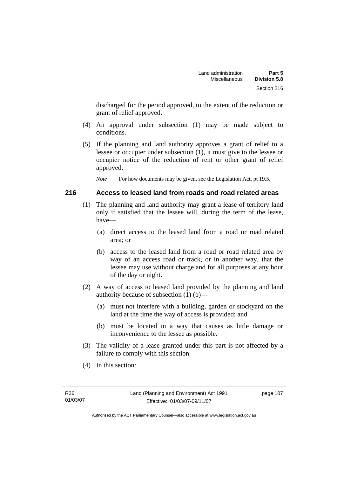discharged for the period approved, to the extent of the reduction or grant of relief approved.

- (4) An approval under subsection (1) may be made subject to conditions.
- (5) If the planning and land authority approves a grant of relief to a lessee or occupier under subsection (1), it must give to the lessee or occupier notice of the reduction of rent or other grant of relief approved.

*Note* For how documents may be given, see the Legislation Act, pt 19.5.

#### **216 Access to leased land from roads and road related areas**

- (1) The planning and land authority may grant a lease of territory land only if satisfied that the lessee will, during the term of the lease, have—
	- (a) direct access to the leased land from a road or road related area; or
	- (b) access to the leased land from a road or road related area by way of an access road or track, or in another way, that the lessee may use without charge and for all purposes at any hour of the day or night.
- (2) A way of access to leased land provided by the planning and land authority because of subsection (1) (b)—
	- (a) must not interfere with a building, garden or stockyard on the land at the time the way of access is provided; and
	- (b) must be located in a way that causes as little damage or inconvenience to the lessee as possible.
- (3) The validity of a lease granted under this part is not affected by a failure to comply with this section.
- (4) In this section: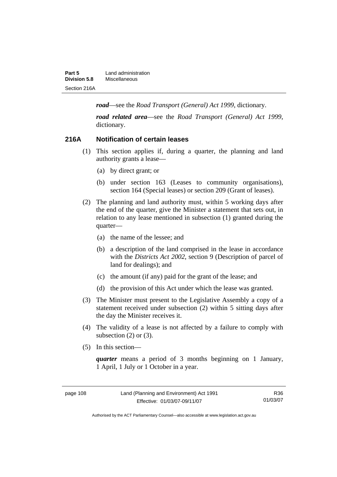| Part 5              | Land administration |
|---------------------|---------------------|
| <b>Division 5.8</b> | Miscellaneous       |
| Section 216A        |                     |

*road*—see the *Road Transport (General) Act 1999*, dictionary.

*road related area*—see the *Road Transport (General) Act 1999*, dictionary.

#### **216A Notification of certain leases**

- (1) This section applies if, during a quarter, the planning and land authority grants a lease—
	- (a) by direct grant; or
	- (b) under section 163 (Leases to community organisations), section 164 (Special leases) or section 209 (Grant of leases).
- (2) The planning and land authority must, within 5 working days after the end of the quarter, give the Minister a statement that sets out, in relation to any lease mentioned in subsection (1) granted during the quarter—
	- (a) the name of the lessee; and
	- (b) a description of the land comprised in the lease in accordance with the *Districts Act 2002*, section 9 (Description of parcel of land for dealings); and
	- (c) the amount (if any) paid for the grant of the lease; and
	- (d) the provision of this Act under which the lease was granted.
- (3) The Minister must present to the Legislative Assembly a copy of a statement received under subsection (2) within 5 sitting days after the day the Minister receives it.
- (4) The validity of a lease is not affected by a failure to comply with subsection  $(2)$  or  $(3)$ .
- (5) In this section—

*quarter* means a period of 3 months beginning on 1 January, 1 April, 1 July or 1 October in a year.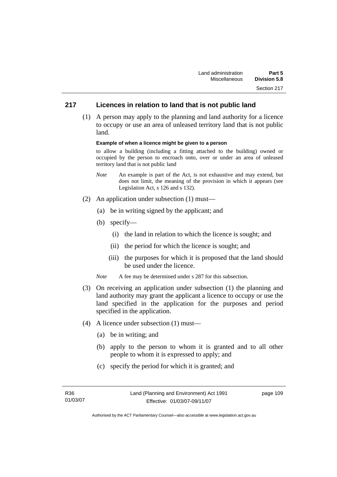## **217 Licences in relation to land that is not public land**

 (1) A person may apply to the planning and land authority for a licence to occupy or use an area of unleased territory land that is not public land.

#### **Example of when a licence might be given to a person**

to allow a building (including a fitting attached to the building) owned or occupied by the person to encroach onto, over or under an area of unleased territory land that is not public land

- *Note* An example is part of the Act, is not exhaustive and may extend, but does not limit, the meaning of the provision in which it appears (see Legislation Act, s 126 and s 132).
- (2) An application under subsection (1) must—
	- (a) be in writing signed by the applicant; and
	- (b) specify—
		- (i) the land in relation to which the licence is sought; and
		- (ii) the period for which the licence is sought; and
		- (iii) the purposes for which it is proposed that the land should be used under the licence.
	- *Note* A fee may be determined under s 287 for this subsection.
- (3) On receiving an application under subsection (1) the planning and land authority may grant the applicant a licence to occupy or use the land specified in the application for the purposes and period specified in the application.
- (4) A licence under subsection (1) must—
	- (a) be in writing; and
	- (b) apply to the person to whom it is granted and to all other people to whom it is expressed to apply; and
	- (c) specify the period for which it is granted; and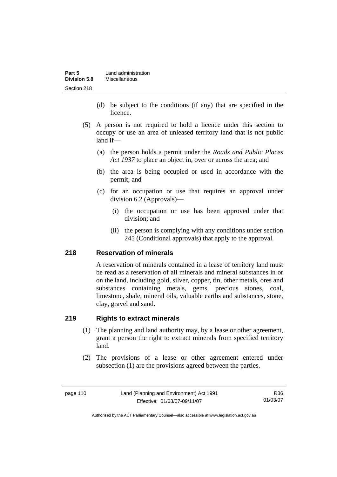| Part 5              | Land administration |
|---------------------|---------------------|
| <b>Division 5.8</b> | Miscellaneous       |
| Section 218         |                     |

- (d) be subject to the conditions (if any) that are specified in the licence.
- (5) A person is not required to hold a licence under this section to occupy or use an area of unleased territory land that is not public land if—
	- (a) the person holds a permit under the *Roads and Public Places Act 1937* to place an object in, over or across the area; and
	- (b) the area is being occupied or used in accordance with the permit; and
	- (c) for an occupation or use that requires an approval under division 6.2 (Approvals)—
		- (i) the occupation or use has been approved under that division; and
		- (ii) the person is complying with any conditions under section 245 (Conditional approvals) that apply to the approval.

#### **218 Reservation of minerals**

A reservation of minerals contained in a lease of territory land must be read as a reservation of all minerals and mineral substances in or on the land, including gold, silver, copper, tin, other metals, ores and substances containing metals, gems, precious stones, coal, limestone, shale, mineral oils, valuable earths and substances, stone, clay, gravel and sand.

#### **219 Rights to extract minerals**

- (1) The planning and land authority may, by a lease or other agreement, grant a person the right to extract minerals from specified territory land.
- (2) The provisions of a lease or other agreement entered under subsection (1) are the provisions agreed between the parties.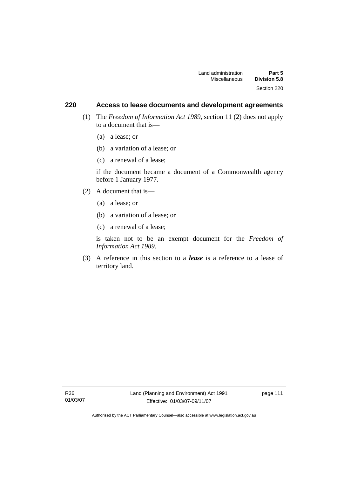#### **220 Access to lease documents and development agreements**

- (1) The *Freedom of Information Act 1989*, section 11 (2) does not apply to a document that is—
	- (a) a lease; or
	- (b) a variation of a lease; or
	- (c) a renewal of a lease;

if the document became a document of a Commonwealth agency before 1 January 1977.

- (2) A document that is—
	- (a) a lease; or
	- (b) a variation of a lease; or
	- (c) a renewal of a lease;

is taken not to be an exempt document for the *Freedom of Information Act 1989*.

 (3) A reference in this section to a *lease* is a reference to a lease of territory land.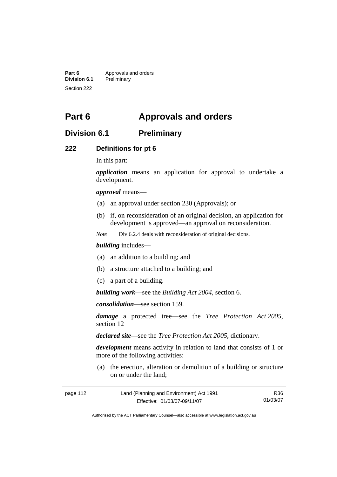**Part 6** Approvals and orders<br>**Division 6.1** Preliminary **Division 6.1** Preliminary Section 222

# **Part 6 Approvals and orders**

## **Division 6.1 Preliminary**

#### **222 Definitions for pt 6**

In this part:

*application* means an application for approval to undertake a development.

*approval* means—

- (a) an approval under section 230 (Approvals); or
- (b) if, on reconsideration of an original decision, an application for development is approved—an approval on reconsideration.

*Note* Div 6.2.4 deals with reconsideration of original decisions.

#### *building* includes—

- (a) an addition to a building; and
- (b) a structure attached to a building; and
- (c) a part of a building.

*building work*—see the *Building Act 2004*, section 6.

*consolidation*—see section 159.

*damage* a protected tree—see the *Tree Protection Act 2005*, section 12

*declared site*—see the *Tree Protection Act 2005*, dictionary.

*development* means activity in relation to land that consists of 1 or more of the following activities:

 (a) the erection, alteration or demolition of a building or structure on or under the land;

| page 112 | Land (Planning and Environment) Act 1991 | R36.     |
|----------|------------------------------------------|----------|
|          | Effective: 01/03/07-09/11/07             | 01/03/07 |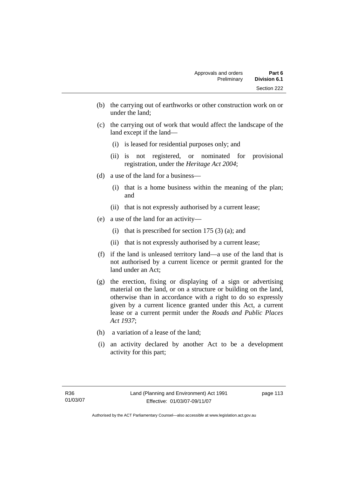- (b) the carrying out of earthworks or other construction work on or under the land;
- (c) the carrying out of work that would affect the landscape of the land except if the land—
	- (i) is leased for residential purposes only; and
	- (ii) is not registered, or nominated for provisional registration, under the *Heritage Act 2004*;
- (d) a use of the land for a business—
	- (i) that is a home business within the meaning of the plan; and
	- (ii) that is not expressly authorised by a current lease;
- (e) a use of the land for an activity—
	- (i) that is prescribed for section  $175(3)(a)$ ; and
	- (ii) that is not expressly authorised by a current lease;
- (f) if the land is unleased territory land—a use of the land that is not authorised by a current licence or permit granted for the land under an Act;
- (g) the erection, fixing or displaying of a sign or advertising material on the land, or on a structure or building on the land, otherwise than in accordance with a right to do so expressly given by a current licence granted under this Act, a current lease or a current permit under the *Roads and Public Places Act 1937*;
- (h) a variation of a lease of the land;
- (i) an activity declared by another Act to be a development activity for this part;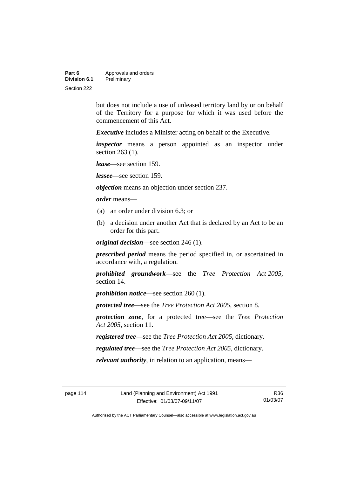| Part 6       | Approvals and orders |  |
|--------------|----------------------|--|
| Division 6.1 | Preliminary          |  |
| Section 222  |                      |  |

but does not include a use of unleased territory land by or on behalf of the Territory for a purpose for which it was used before the commencement of this Act.

*Executive* includes a Minister acting on behalf of the Executive.

*inspector* means a person appointed as an inspector under section 263 (1).

*lease*—see section 159.

*lessee*—see section 159.

*objection* means an objection under section 237.

*order* means—

- (a) an order under division 6.3; or
- (b) a decision under another Act that is declared by an Act to be an order for this part.

*original decision*—see section 246 (1).

*prescribed period* means the period specified in, or ascertained in accordance with, a regulation.

*prohibited groundwork*—see the *Tree Protection Act 2005*, section 14.

*prohibition notice*—see section 260 (1).

*protected tree*—see the *Tree Protection Act 2005*, section 8.

*protection zone*, for a protected tree—see the *Tree Protection Act 2005*, section 11.

*registered tree*—see the *Tree Protection Act 2005*, dictionary.

*regulated tree*—see the *Tree Protection Act 2005*, dictionary.

*relevant authority*, in relation to an application, means—

R36 01/03/07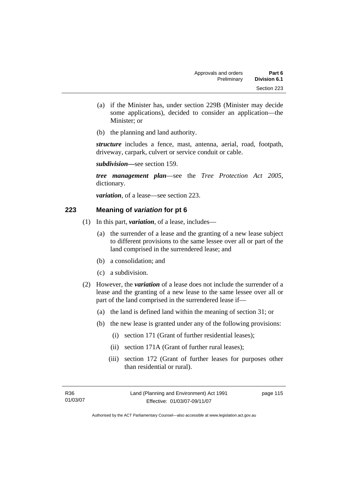- (a) if the Minister has, under section 229B (Minister may decide some applications), decided to consider an application—the Minister; or
- (b) the planning and land authority.

*structure* includes a fence, mast, antenna, aerial, road, footpath, driveway, carpark, culvert or service conduit or cable.

*subdivision—*see section 159.

*tree management plan*—see the *Tree Protection Act 2005*, dictionary.

*variation*, of a lease—see section 223.

#### **223 Meaning of** *variation* **for pt 6**

- (1) In this part, *variation*, of a lease, includes—
	- (a) the surrender of a lease and the granting of a new lease subject to different provisions to the same lessee over all or part of the land comprised in the surrendered lease; and
	- (b) a consolidation; and
	- (c) a subdivision.
- (2) However, the *variation* of a lease does not include the surrender of a lease and the granting of a new lease to the same lessee over all or part of the land comprised in the surrendered lease if—
	- (a) the land is defined land within the meaning of section 31; or
	- (b) the new lease is granted under any of the following provisions:
		- (i) section 171 (Grant of further residential leases);
		- (ii) section 171A (Grant of further rural leases);
		- (iii) section 172 (Grant of further leases for purposes other than residential or rural).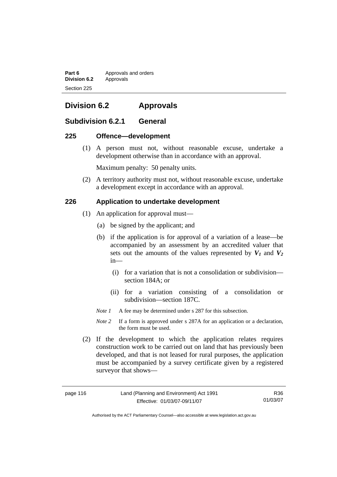**Part 6 Approvals and orders Division 6.2** Approvals Section 225

# **Division 6.2 Approvals**

## **Subdivision 6.2.1 General**

#### **225 Offence—development**

 (1) A person must not, without reasonable excuse, undertake a development otherwise than in accordance with an approval.

Maximum penalty: 50 penalty units.

 (2) A territory authority must not, without reasonable excuse, undertake a development except in accordance with an approval.

#### **226 Application to undertake development**

- (1) An application for approval must—
	- (a) be signed by the applicant; and
	- (b) if the application is for approval of a variation of a lease—be accompanied by an assessment by an accredited valuer that sets out the amounts of the values represented by  $V_1$  and  $V_2$ in—
		- (i) for a variation that is not a consolidation or subdivision section 184A; or
		- (ii) for a variation consisting of a consolidation or subdivision—section 187C.
	- *Note 1* A fee may be determined under s 287 for this subsection.
	- *Note 2* If a form is approved under s 287A for an application or a declaration, the form must be used.
- (2) If the development to which the application relates requires construction work to be carried out on land that has previously been developed, and that is not leased for rural purposes, the application must be accompanied by a survey certificate given by a registered surveyor that shows—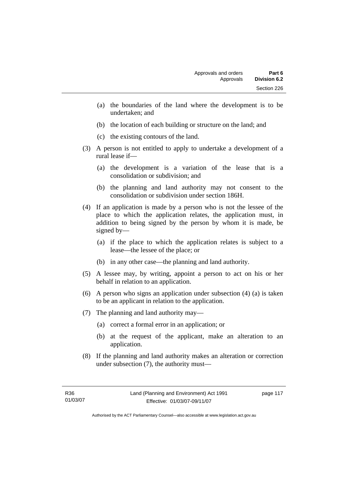- (a) the boundaries of the land where the development is to be undertaken; and
- (b) the location of each building or structure on the land; and
- (c) the existing contours of the land.
- (3) A person is not entitled to apply to undertake a development of a rural lease if—
	- (a) the development is a variation of the lease that is a consolidation or subdivision; and
	- (b) the planning and land authority may not consent to the consolidation or subdivision under section 186H.
- (4) If an application is made by a person who is not the lessee of the place to which the application relates, the application must, in addition to being signed by the person by whom it is made, be signed by—
	- (a) if the place to which the application relates is subject to a lease—the lessee of the place; or
	- (b) in any other case—the planning and land authority.
- (5) A lessee may, by writing, appoint a person to act on his or her behalf in relation to an application.
- (6) A person who signs an application under subsection (4) (a) is taken to be an applicant in relation to the application.
- (7) The planning and land authority may—
	- (a) correct a formal error in an application; or
	- (b) at the request of the applicant, make an alteration to an application.
- (8) If the planning and land authority makes an alteration or correction under subsection (7), the authority must—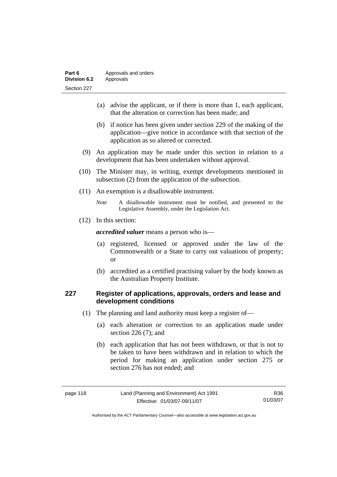| Part 6              | Approvals and orders |  |
|---------------------|----------------------|--|
| <b>Division 6.2</b> | Approvals            |  |
| Section 227         |                      |  |

- (a) advise the applicant, or if there is more than 1, each applicant, that the alteration or correction has been made; and
- (b) if notice has been given under section 229 of the making of the application—give notice in accordance with that section of the application as so altered or corrected.
- (9) An application may be made under this section in relation to a development that has been undertaken without approval.
- (10) The Minister may, in writing, exempt developments mentioned in subsection (2) from the application of the subsection.
- (11) An exemption is a disallowable instrument.
	- *Note* A disallowable instrument must be notified, and presented to the Legislative Assembly, under the Legislation Act.
- (12) In this section:

*accredited valuer* means a person who is—

- (a) registered, licensed or approved under the law of the Commonwealth or a State to carry out valuations of property; or
- (b) accredited as a certified practising valuer by the body known as the Australian Property Institute.

#### **227 Register of applications, approvals, orders and lease and development conditions**

- (1) The planning and land authority must keep a register of—
	- (a) each alteration or correction to an application made under section 226 (7); and
	- (b) each application that has not been withdrawn, or that is not to be taken to have been withdrawn and in relation to which the period for making an application under section 275 or section 276 has not ended; and

| page |  |  | 8 |
|------|--|--|---|
|------|--|--|---|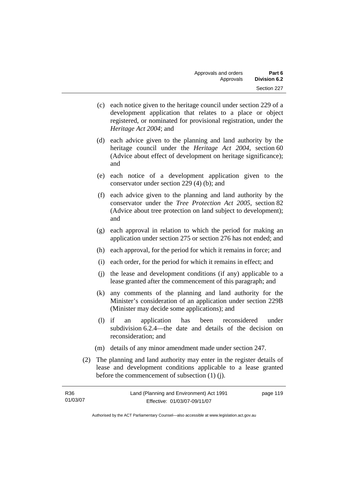- (c) each notice given to the heritage council under section 229 of a development application that relates to a place or object registered, or nominated for provisional registration, under the *Heritage Act 2004*; and
- (d) each advice given to the planning and land authority by the heritage council under the *Heritage Act 2004*, section 60 (Advice about effect of development on heritage significance); and
- (e) each notice of a development application given to the conservator under section 229 (4) (b); and
- (f) each advice given to the planning and land authority by the conservator under the *Tree Protection Act 2005*, section 82 (Advice about tree protection on land subject to development); and
- (g) each approval in relation to which the period for making an application under section 275 or section 276 has not ended; and
- (h) each approval, for the period for which it remains in force; and
- (i) each order, for the period for which it remains in effect; and
- (j) the lease and development conditions (if any) applicable to a lease granted after the commencement of this paragraph; and
- (k) any comments of the planning and land authority for the Minister's consideration of an application under section 229B (Minister may decide some applications); and
- (l) if an application has been reconsidered under subdivision 6.2.4—the date and details of the decision on reconsideration; and
- (m) details of any minor amendment made under section 247.
- (2) The planning and land authority may enter in the register details of lease and development conditions applicable to a lease granted before the commencement of subsection (1) (j).

| R36      | Land (Planning and Environment) Act 1991 | page 119 |
|----------|------------------------------------------|----------|
| 01/03/07 | Effective: 01/03/07-09/11/07             |          |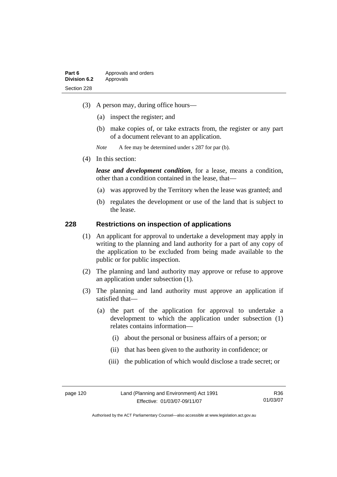- (3) A person may, during office hours—
	- (a) inspect the register; and
	- (b) make copies of, or take extracts from, the register or any part of a document relevant to an application.
	- *Note* A fee may be determined under s 287 for par (b).
- (4) In this section:

*lease and development condition*, for a lease, means a condition, other than a condition contained in the lease, that—

- (a) was approved by the Territory when the lease was granted; and
- (b) regulates the development or use of the land that is subject to the lease.

#### **228 Restrictions on inspection of applications**

- (1) An applicant for approval to undertake a development may apply in writing to the planning and land authority for a part of any copy of the application to be excluded from being made available to the public or for public inspection.
- (2) The planning and land authority may approve or refuse to approve an application under subsection (1).
- (3) The planning and land authority must approve an application if satisfied that—
	- (a) the part of the application for approval to undertake a development to which the application under subsection (1) relates contains information—
		- (i) about the personal or business affairs of a person; or
		- (ii) that has been given to the authority in confidence; or
		- (iii) the publication of which would disclose a trade secret; or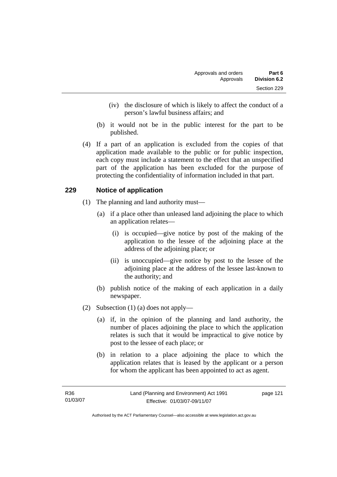- (iv) the disclosure of which is likely to affect the conduct of a person's lawful business affairs; and
- (b) it would not be in the public interest for the part to be published.
- (4) If a part of an application is excluded from the copies of that application made available to the public or for public inspection, each copy must include a statement to the effect that an unspecified part of the application has been excluded for the purpose of protecting the confidentiality of information included in that part.

## **229 Notice of application**

- (1) The planning and land authority must—
	- (a) if a place other than unleased land adjoining the place to which an application relates—
		- (i) is occupied—give notice by post of the making of the application to the lessee of the adjoining place at the address of the adjoining place; or
		- (ii) is unoccupied—give notice by post to the lessee of the adjoining place at the address of the lessee last-known to the authority; and
	- (b) publish notice of the making of each application in a daily newspaper.
- (2) Subsection (1) (a) does not apply—
	- (a) if, in the opinion of the planning and land authority, the number of places adjoining the place to which the application relates is such that it would be impractical to give notice by post to the lessee of each place; or
	- (b) in relation to a place adjoining the place to which the application relates that is leased by the applicant or a person for whom the applicant has been appointed to act as agent.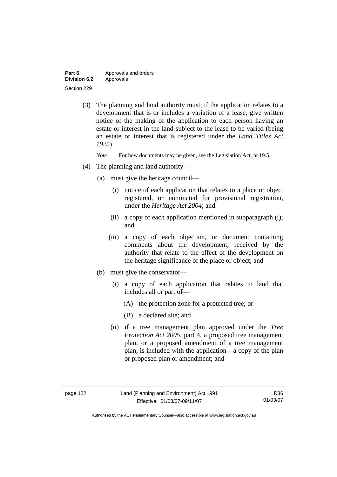| Part 6              | Approvals and orders |
|---------------------|----------------------|
| <b>Division 6.2</b> | Approvals            |
| Section 229         |                      |

 (3) The planning and land authority must, if the application relates to a development that is or includes a variation of a lease, give written notice of the making of the application to each person having an estate or interest in the land subject to the lease to be varied (being an estate or interest that is registered under the *Land Titles Act 1925*).

*Note* For how documents may be given, see the Legislation Act, pt 19.5.

- (4) The planning and land authority
	- (a) must give the heritage council—
		- (i) notice of each application that relates to a place or object registered, or nominated for provisional registration, under the *Heritage Act 2004*; and
		- (ii) a copy of each application mentioned in subparagraph (i); and
		- (iii) a copy of each objection, or document containing comments about the development, received by the authority that relate to the effect of the development on the heritage significance of the place or object; and
	- (b) must give the conservator—
		- (i) a copy of each application that relates to land that includes all or part of—
			- (A) the protection zone for a protected tree; or
			- (B) a declared site; and
		- (ii) if a tree management plan approved under the *Tree Protection Act 2005*, part 4, a proposed tree management plan, or a proposed amendment of a tree management plan, is included with the application—a copy of the plan or proposed plan or amendment; and

Authorised by the ACT Parliamentary Counsel—also accessible at www.legislation.act.gov.au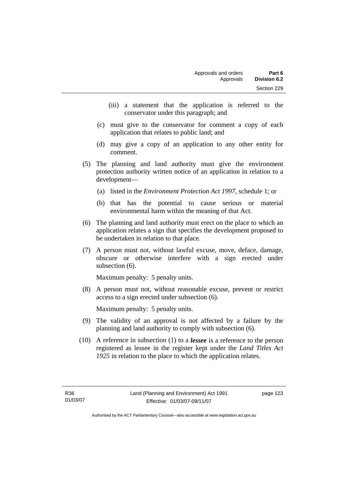- (iii) a statement that the application is referred to the conservator under this paragraph; and
- (c) must give to the conservator for comment a copy of each application that relates to public land; and
- (d) may give a copy of an application to any other entity for comment.
- (5) The planning and land authority must give the environment protection authority written notice of an application in relation to a development—
	- (a) listed in the *Environment Protection Act 1997*, schedule 1; or
	- (b) that has the potential to cause serious or material environmental harm within the meaning of that Act.
- (6) The planning and land authority must erect on the place to which an application relates a sign that specifies the development proposed to be undertaken in relation to that place.
- (7) A person must not, without lawful excuse, move, deface, damage, obscure or otherwise interfere with a sign erected under subsection  $(6)$ .

Maximum penalty: 5 penalty units.

 (8) A person must not, without reasonable excuse, prevent or restrict access to a sign erected under subsection (6).

Maximum penalty: 5 penalty units.

- (9) The validity of an approval is not affected by a failure by the planning and land authority to comply with subsection (6).
- (10) A reference in subsection (1) to a *lessee* is a reference to the person registered as lessee in the register kept under the *Land Titles Act 1925* in relation to the place to which the application relates.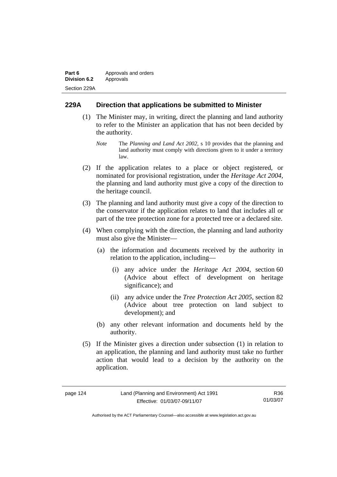| Part 6              | Approvals and orders |  |
|---------------------|----------------------|--|
| <b>Division 6.2</b> | Approvals            |  |
| Section 229A        |                      |  |

#### **229A Direction that applications be submitted to Minister**

- (1) The Minister may, in writing, direct the planning and land authority to refer to the Minister an application that has not been decided by the authority.
	- *Note* The *Planning and Land Act 2002*, s 10 provides that the planning and land authority must comply with directions given to it under a territory law.
- (2) If the application relates to a place or object registered, or nominated for provisional registration, under the *Heritage Act 2004*, the planning and land authority must give a copy of the direction to the heritage council.
- (3) The planning and land authority must give a copy of the direction to the conservator if the application relates to land that includes all or part of the tree protection zone for a protected tree or a declared site.
- (4) When complying with the direction, the planning and land authority must also give the Minister—
	- (a) the information and documents received by the authority in relation to the application, including—
		- (i) any advice under the *Heritage Act 2004*, section 60 (Advice about effect of development on heritage significance); and
		- (ii) any advice under the *Tree Protection Act 2005*, section 82 (Advice about tree protection on land subject to development); and
	- (b) any other relevant information and documents held by the authority.
- (5) If the Minister gives a direction under subsection (1) in relation to an application, the planning and land authority must take no further action that would lead to a decision by the authority on the application.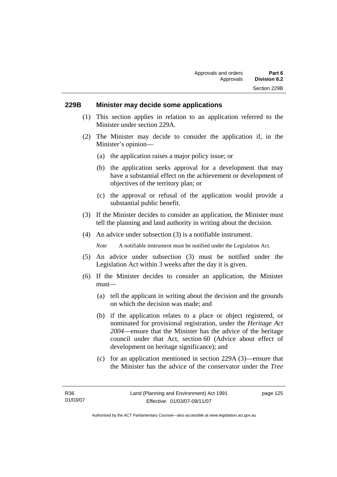#### **229B Minister may decide some applications**

- (1) This section applies in relation to an application referred to the Minister under section 229A.
- (2) The Minister may decide to consider the application if, in the Minister's opinion—
	- (a) the application raises a major policy issue; or
	- (b) the application seeks approval for a development that may have a substantial effect on the achievement or development of objectives of the territory plan; or
	- (c) the approval or refusal of the application would provide a substantial public benefit.
- (3) If the Minister decides to consider an application, the Minister must tell the planning and land authority in writing about the decision.
- (4) An advice under subsection (3) is a notifiable instrument.

*Note* A notifiable instrument must be notified under the Legislation Act.

- (5) An advice under subsection (3) must be notified under the Legislation Act within 3 weeks after the day it is given.
- (6) If the Minister decides to consider an application, the Minister must—
	- (a) tell the applicant in writing about the decision and the grounds on which the decision was made; and
	- (b) if the application relates to a place or object registered, or nominated for provisional registration, under the *Heritage Act 2004*—ensure that the Minister has the advice of the heritage council under that Act, section 60 (Advice about effect of development on heritage significance); and
	- (c) for an application mentioned in section 229A (3)—ensure that the Minister has the advice of the conservator under the *Tree*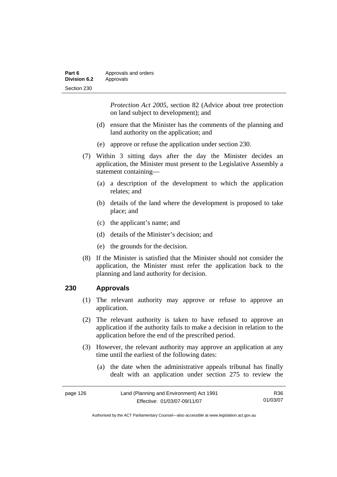| Part 6       | Approvals and orders |  |
|--------------|----------------------|--|
| Division 6.2 | Approvals            |  |
| Section 230  |                      |  |

*Protection Act 2005*, section 82 (Advice about tree protection on land subject to development); and

- (d) ensure that the Minister has the comments of the planning and land authority on the application; and
- (e) approve or refuse the application under section 230.
- (7) Within 3 sitting days after the day the Minister decides an application, the Minister must present to the Legislative Assembly a statement containing—
	- (a) a description of the development to which the application relates; and
	- (b) details of the land where the development is proposed to take place; and
	- (c) the applicant's name; and
	- (d) details of the Minister's decision; and
	- (e) the grounds for the decision.
- (8) If the Minister is satisfied that the Minister should not consider the application, the Minister must refer the application back to the planning and land authority for decision.

#### **230 Approvals**

- (1) The relevant authority may approve or refuse to approve an application.
- (2) The relevant authority is taken to have refused to approve an application if the authority fails to make a decision in relation to the application before the end of the prescribed period.
- (3) However, the relevant authority may approve an application at any time until the earliest of the following dates:
	- (a) the date when the administrative appeals tribunal has finally dealt with an application under section 275 to review the

| page 126 | Land (Planning and Environment) Act 1991 | R36.     |
|----------|------------------------------------------|----------|
|          | Effective: 01/03/07-09/11/07             | 01/03/07 |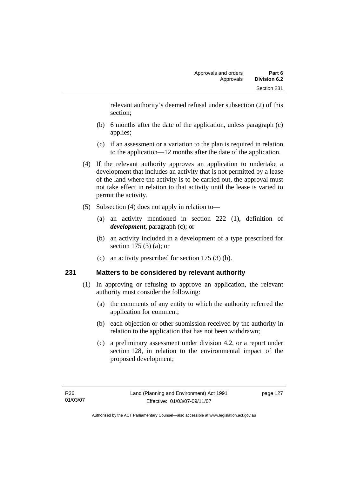relevant authority's deemed refusal under subsection (2) of this section;

- (b) 6 months after the date of the application, unless paragraph (c) applies;
- (c) if an assessment or a variation to the plan is required in relation to the application—12 months after the date of the application.
- (4) If the relevant authority approves an application to undertake a development that includes an activity that is not permitted by a lease of the land where the activity is to be carried out, the approval must not take effect in relation to that activity until the lease is varied to permit the activity.
- (5) Subsection (4) does not apply in relation to—
	- (a) an activity mentioned in section 222 (1), definition of *development*, paragraph (c); or
	- (b) an activity included in a development of a type prescribed for section 175 (3) (a); or
	- (c) an activity prescribed for section 175 (3) (b).

## **231 Matters to be considered by relevant authority**

- (1) In approving or refusing to approve an application, the relevant authority must consider the following:
	- (a) the comments of any entity to which the authority referred the application for comment;
	- (b) each objection or other submission received by the authority in relation to the application that has not been withdrawn;
	- (c) a preliminary assessment under division 4.2, or a report under section 128, in relation to the environmental impact of the proposed development;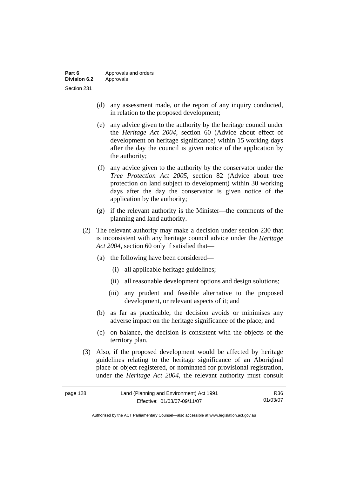- (d) any assessment made, or the report of any inquiry conducted, in relation to the proposed development;
- (e) any advice given to the authority by the heritage council under the *Heritage Act 2004*, section 60 (Advice about effect of development on heritage significance) within 15 working days after the day the council is given notice of the application by the authority;
- (f) any advice given to the authority by the conservator under the *Tree Protection Act 2005*, section 82 (Advice about tree protection on land subject to development) within 30 working days after the day the conservator is given notice of the application by the authority;
- (g) if the relevant authority is the Minister—the comments of the planning and land authority.
- (2) The relevant authority may make a decision under section 230 that is inconsistent with any heritage council advice under the *Heritage Act 2004*, section 60 only if satisfied that—
	- (a) the following have been considered—
		- (i) all applicable heritage guidelines;
		- (ii) all reasonable development options and design solutions;
		- (iii) any prudent and feasible alternative to the proposed development, or relevant aspects of it; and
	- (b) as far as practicable, the decision avoids or minimises any adverse impact on the heritage significance of the place; and
	- (c) on balance, the decision is consistent with the objects of the territory plan.
- (3) Also, if the proposed development would be affected by heritage guidelines relating to the heritage significance of an Aboriginal place or object registered, or nominated for provisional registration, under the *Heritage Act 2004*, the relevant authority must consult

| page 128 | Land (Planning and Environment) Act 1991 | R36      |
|----------|------------------------------------------|----------|
|          | Effective: 01/03/07-09/11/07             | 01/03/07 |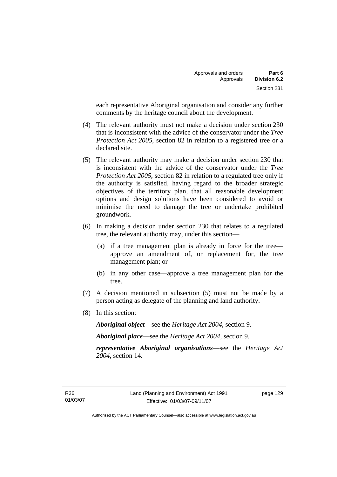each representative Aboriginal organisation and consider any further comments by the heritage council about the development.

- (4) The relevant authority must not make a decision under section 230 that is inconsistent with the advice of the conservator under the *Tree Protection Act 2005*, section 82 in relation to a registered tree or a declared site.
- (5) The relevant authority may make a decision under section 230 that is inconsistent with the advice of the conservator under the *Tree Protection Act 2005*, section 82 in relation to a regulated tree only if the authority is satisfied, having regard to the broader strategic objectives of the territory plan, that all reasonable development options and design solutions have been considered to avoid or minimise the need to damage the tree or undertake prohibited groundwork.
- (6) In making a decision under section 230 that relates to a regulated tree, the relevant authority may, under this section—
	- (a) if a tree management plan is already in force for the tree approve an amendment of, or replacement for, the tree management plan; or
	- (b) in any other case—approve a tree management plan for the tree.
- (7) A decision mentioned in subsection (5) must not be made by a person acting as delegate of the planning and land authority.
- (8) In this section:

*Aboriginal object*—see the *Heritage Act 2004*, section 9.

*Aboriginal place*—see the *Heritage Act 2004*, section 9.

*representative Aboriginal organisations*—see the *Heritage Act 2004*, section 14.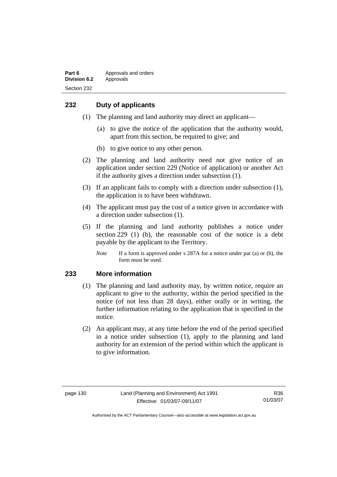## **232 Duty of applicants**

- (1) The planning and land authority may direct an applicant—
	- (a) to give the notice of the application that the authority would, apart from this section, be required to give; and
	- (b) to give notice to any other person.
- (2) The planning and land authority need not give notice of an application under section 229 (Notice of application) or another Act if the authority gives a direction under subsection (1).
- (3) If an applicant fails to comply with a direction under subsection (1), the application is to have been withdrawn.
- (4) The applicant must pay the cost of a notice given in accordance with a direction under subsection (1).
- (5) If the planning and land authority publishes a notice under section 229 (1) (b), the reasonable cost of the notice is a debt payable by the applicant to the Territory.
	- *Note* If a form is approved under s 287A for a notice under par (a) or (b), the form must be used.

#### **233 More information**

- (1) The planning and land authority may, by written notice, require an applicant to give to the authority, within the period specified in the notice (of not less than 28 days), either orally or in writing, the further information relating to the application that is specified in the notice.
- (2) An applicant may, at any time before the end of the period specified in a notice under subsection (1), apply to the planning and land authority for an extension of the period within which the applicant is to give information.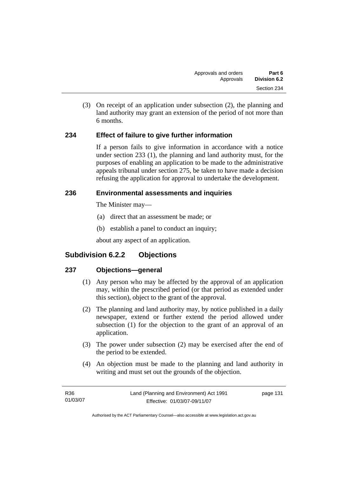(3) On receipt of an application under subsection (2), the planning and land authority may grant an extension of the period of not more than 6 months.

# **234 Effect of failure to give further information**

If a person fails to give information in accordance with a notice under section 233 (1), the planning and land authority must, for the purposes of enabling an application to be made to the administrative appeals tribunal under section 275, be taken to have made a decision refusing the application for approval to undertake the development.

# **236 Environmental assessments and inquiries**

The Minister may—

- (a) direct that an assessment be made; or
- (b) establish a panel to conduct an inquiry;

about any aspect of an application.

# **Subdivision 6.2.2 Objections**

# **237 Objections—general**

- (1) Any person who may be affected by the approval of an application may, within the prescribed period (or that period as extended under this section), object to the grant of the approval.
- (2) The planning and land authority may, by notice published in a daily newspaper, extend or further extend the period allowed under subsection (1) for the objection to the grant of an approval of an application.
- (3) The power under subsection (2) may be exercised after the end of the period to be extended.
- (4) An objection must be made to the planning and land authority in writing and must set out the grounds of the objection.

| R36      | Land (Planning and Environment) Act 1991 | page 131 |
|----------|------------------------------------------|----------|
| 01/03/07 | Effective: 01/03/07-09/11/07             |          |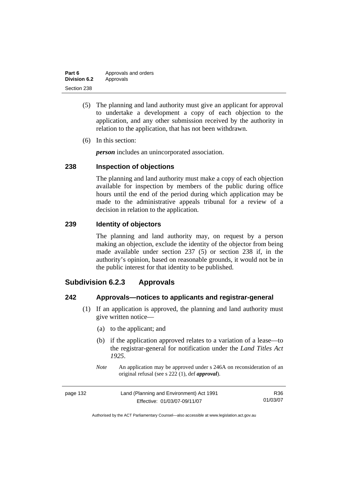| Part 6       | Approvals and orders |
|--------------|----------------------|
| Division 6.2 | Approvals            |
| Section 238  |                      |

- (5) The planning and land authority must give an applicant for approval to undertake a development a copy of each objection to the application, and any other submission received by the authority in relation to the application, that has not been withdrawn.
- (6) In this section:

*person* includes an unincorporated association.

### **238 Inspection of objections**

The planning and land authority must make a copy of each objection available for inspection by members of the public during office hours until the end of the period during which application may be made to the administrative appeals tribunal for a review of a decision in relation to the application.

### **239 Identity of objectors**

The planning and land authority may, on request by a person making an objection, exclude the identity of the objector from being made available under section 237 (5) or section 238 if, in the authority's opinion, based on reasonable grounds, it would not be in the public interest for that identity to be published.

# **Subdivision 6.2.3 Approvals**

### **242 Approvals—notices to applicants and registrar-general**

- (1) If an application is approved, the planning and land authority must give written notice—
	- (a) to the applicant; and
	- (b) if the application approved relates to a variation of a lease—to the registrar-general for notification under the *Land Titles Act 1925*.
	- *Note* An application may be approved under s 246A on reconsideration of an original refusal (see s 222 (1), def *approval*).

| page 132 | Land (Planning and Environment) Act 1991 | R36      |
|----------|------------------------------------------|----------|
|          | Effective: 01/03/07-09/11/07             | 01/03/07 |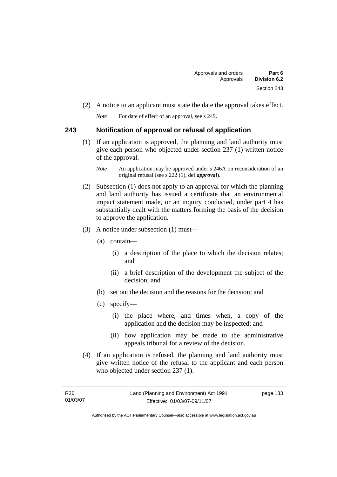(2) A notice to an applicant must state the date the approval takes effect.

*Note* For date of effect of an approval, see s 249.

# **243 Notification of approval or refusal of application**

 (1) If an application is approved, the planning and land authority must give each person who objected under section 237 (1) written notice of the approval.

- (2) Subsection (1) does not apply to an approval for which the planning and land authority has issued a certificate that an environmental impact statement made, or an inquiry conducted, under part 4 has substantially dealt with the matters forming the basis of the decision to approve the application.
- (3) A notice under subsection (1) must—
	- (a) contain—
		- (i) a description of the place to which the decision relates; and
		- (ii) a brief description of the development the subject of the decision; and
	- (b) set out the decision and the reasons for the decision; and
	- (c) specify—
		- (i) the place where, and times when, a copy of the application and the decision may be inspected; and
		- (ii) how application may be made to the administrative appeals tribunal for a review of the decision.
- (4) If an application is refused, the planning and land authority must give written notice of the refusal to the applicant and each person who objected under section 237 (1).

| R36      | Land (Planning and Environment) Act 1991 | page 133 |
|----------|------------------------------------------|----------|
| 01/03/07 | Effective: 01/03/07-09/11/07             |          |

*Note* An application may be approved under s 246A on reconsideration of an original refusal (see s 222 (1), def *approval*).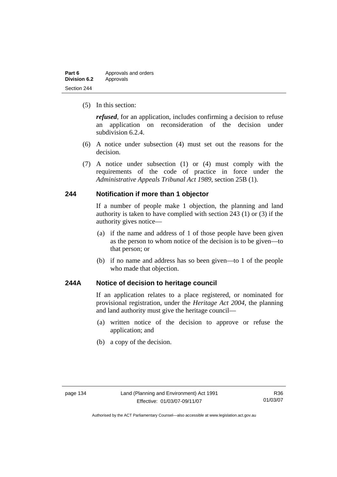| Part 6              | Approvals and orders |
|---------------------|----------------------|
| <b>Division 6.2</b> | Approvals            |
| Section 244         |                      |

(5) In this section:

*refused*, for an application, includes confirming a decision to refuse an application on reconsideration of the decision under subdivision 6.2.4.

- (6) A notice under subsection (4) must set out the reasons for the decision.
- (7) A notice under subsection (1) or (4) must comply with the requirements of the code of practice in force under the *Administrative Appeals Tribunal Act 1989*, section 25B (1).

#### **244 Notification if more than 1 objector**

If a number of people make 1 objection, the planning and land authority is taken to have complied with section 243 (1) or (3) if the authority gives notice—

- (a) if the name and address of 1 of those people have been given as the person to whom notice of the decision is to be given—to that person; or
- (b) if no name and address has so been given—to 1 of the people who made that objection.

# **244A Notice of decision to heritage council**

If an application relates to a place registered, or nominated for provisional registration, under the *Heritage Act 2004*, the planning and land authority must give the heritage council—

- (a) written notice of the decision to approve or refuse the application; and
- (b) a copy of the decision.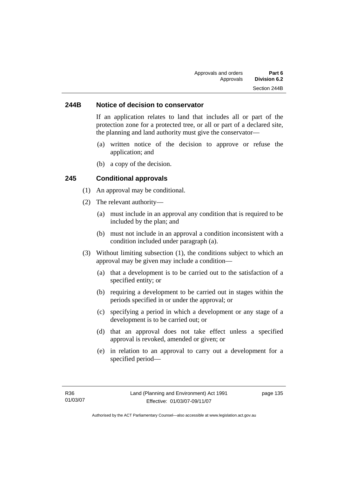#### **244B Notice of decision to conservator**

If an application relates to land that includes all or part of the protection zone for a protected tree, or all or part of a declared site, the planning and land authority must give the conservator—

- (a) written notice of the decision to approve or refuse the application; and
- (b) a copy of the decision.

### **245 Conditional approvals**

- (1) An approval may be conditional.
- (2) The relevant authority—
	- (a) must include in an approval any condition that is required to be included by the plan; and
	- (b) must not include in an approval a condition inconsistent with a condition included under paragraph (a).
- (3) Without limiting subsection (1), the conditions subject to which an approval may be given may include a condition—
	- (a) that a development is to be carried out to the satisfaction of a specified entity; or
	- (b) requiring a development to be carried out in stages within the periods specified in or under the approval; or
	- (c) specifying a period in which a development or any stage of a development is to be carried out; or
	- (d) that an approval does not take effect unless a specified approval is revoked, amended or given; or
	- (e) in relation to an approval to carry out a development for a specified period—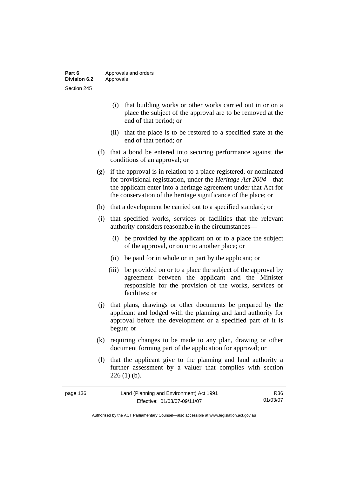| Part 6              | Approvals and orders |
|---------------------|----------------------|
| <b>Division 6.2</b> | Approvals            |
| Section 245         |                      |

- (i) that building works or other works carried out in or on a place the subject of the approval are to be removed at the end of that period; or
- (ii) that the place is to be restored to a specified state at the end of that period; or
- (f) that a bond be entered into securing performance against the conditions of an approval; or
- (g) if the approval is in relation to a place registered, or nominated for provisional registration, under the *Heritage Act 2004*—that the applicant enter into a heritage agreement under that Act for the conservation of the heritage significance of the place; or
- (h) that a development be carried out to a specified standard; or
- (i) that specified works, services or facilities that the relevant authority considers reasonable in the circumstances—
	- (i) be provided by the applicant on or to a place the subject of the approval, or on or to another place; or
	- (ii) be paid for in whole or in part by the applicant; or
	- (iii) be provided on or to a place the subject of the approval by agreement between the applicant and the Minister responsible for the provision of the works, services or facilities; or
- (j) that plans, drawings or other documents be prepared by the applicant and lodged with the planning and land authority for approval before the development or a specified part of it is begun; or
- (k) requiring changes to be made to any plan, drawing or other document forming part of the application for approval; or
- (l) that the applicant give to the planning and land authority a further assessment by a valuer that complies with section  $226(1)$  (b).

| page 136 | Land (Planning and Environment) Act 1991 | R36      |
|----------|------------------------------------------|----------|
|          | Effective: 01/03/07-09/11/07             | 01/03/07 |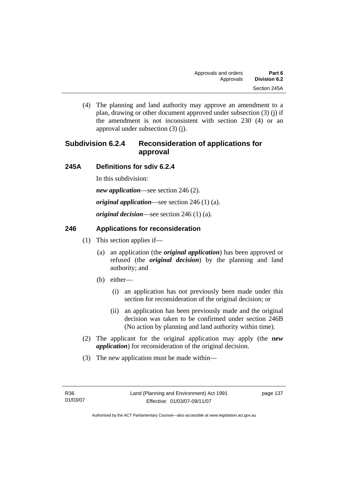(4) The planning and land authority may approve an amendment to a plan, drawing or other document approved under subsection (3) (j) if the amendment is not inconsistent with section 230 (4) or an approval under subsection (3) (j).

# **Subdivision 6.2.4 Reconsideration of applications for approval**

# **245A Definitions for sdiv 6.2.4**

In this subdivision:

*new application*—see section 246 (2).

*original application*—see section 246 (1) (a).

*original decision*—see section 246 (1) (a).

# **246 Applications for reconsideration**

- (1) This section applies if—
	- (a) an application (the *original application*) has been approved or refused (the *original decision*) by the planning and land authority; and
	- (b) either—
		- (i) an application has not previously been made under this section for reconsideration of the original decision; or
		- (ii) an application has been previously made and the original decision was taken to be confirmed under section 246B (No action by planning and land authority within time).
- (2) The applicant for the original application may apply (the *new application*) for reconsideration of the original decision.
- (3) The new application must be made within—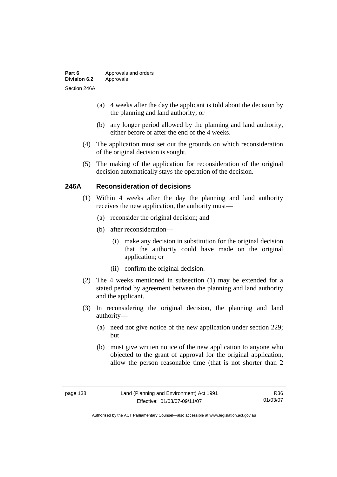| Part 6              | Approvals and orders |
|---------------------|----------------------|
| <b>Division 6.2</b> | Approvals            |
| Section 246A        |                      |

- (a) 4 weeks after the day the applicant is told about the decision by the planning and land authority; or
- (b) any longer period allowed by the planning and land authority, either before or after the end of the 4 weeks.
- (4) The application must set out the grounds on which reconsideration of the original decision is sought.
- (5) The making of the application for reconsideration of the original decision automatically stays the operation of the decision.

### **246A Reconsideration of decisions**

- (1) Within 4 weeks after the day the planning and land authority receives the new application, the authority must—
	- (a) reconsider the original decision; and
	- (b) after reconsideration—
		- (i) make any decision in substitution for the original decision that the authority could have made on the original application; or
		- (ii) confirm the original decision.
- (2) The 4 weeks mentioned in subsection (1) may be extended for a stated period by agreement between the planning and land authority and the applicant.
- (3) In reconsidering the original decision, the planning and land authority—
	- (a) need not give notice of the new application under section 229; but
	- (b) must give written notice of the new application to anyone who objected to the grant of approval for the original application, allow the person reasonable time (that is not shorter than 2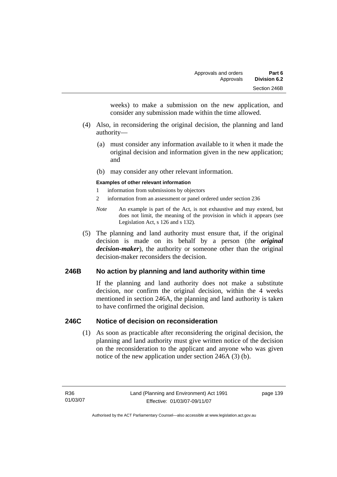weeks) to make a submission on the new application, and consider any submission made within the time allowed.

- (4) Also, in reconsidering the original decision, the planning and land authority—
	- (a) must consider any information available to it when it made the original decision and information given in the new application; and
	- (b) may consider any other relevant information.

#### **Examples of other relevant information**

- 1 information from submissions by objectors
- 2 information from an assessment or panel ordered under section 236
- *Note* An example is part of the Act, is not exhaustive and may extend, but does not limit, the meaning of the provision in which it appears (see Legislation Act, s 126 and s 132).
- (5) The planning and land authority must ensure that, if the original decision is made on its behalf by a person (the *original decision-maker*), the authority or someone other than the original decision-maker reconsiders the decision.

# **246B No action by planning and land authority within time**

If the planning and land authority does not make a substitute decision, nor confirm the original decision, within the 4 weeks mentioned in section 246A, the planning and land authority is taken to have confirmed the original decision.

### **246C Notice of decision on reconsideration**

 (1) As soon as practicable after reconsidering the original decision, the planning and land authority must give written notice of the decision on the reconsideration to the applicant and anyone who was given notice of the new application under section 246A (3) (b).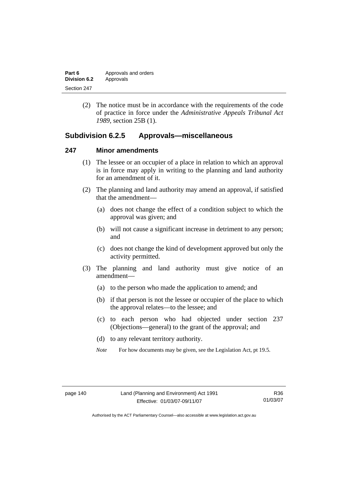| Part 6       | Approvals and orders |
|--------------|----------------------|
| Division 6.2 | Approvals            |
| Section 247  |                      |

 (2) The notice must be in accordance with the requirements of the code of practice in force under the *Administrative Appeals Tribunal Act 1989*, section 25B (1).

# **Subdivision 6.2.5 Approvals—miscellaneous**

#### **247 Minor amendments**

- (1) The lessee or an occupier of a place in relation to which an approval is in force may apply in writing to the planning and land authority for an amendment of it.
- (2) The planning and land authority may amend an approval, if satisfied that the amendment—
	- (a) does not change the effect of a condition subject to which the approval was given; and
	- (b) will not cause a significant increase in detriment to any person; and
	- (c) does not change the kind of development approved but only the activity permitted.
- (3) The planning and land authority must give notice of an amendment—
	- (a) to the person who made the application to amend; and
	- (b) if that person is not the lessee or occupier of the place to which the approval relates—to the lessee; and
	- (c) to each person who had objected under section 237 (Objections—general) to the grant of the approval; and
	- (d) to any relevant territory authority.
	- *Note* For how documents may be given, see the Legislation Act, pt 19.5.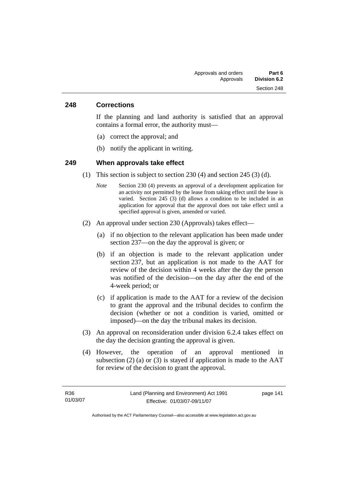#### **248 Corrections**

If the planning and land authority is satisfied that an approval contains a formal error, the authority must—

- (a) correct the approval; and
- (b) notify the applicant in writing.

#### **249 When approvals take effect**

- (1) This section is subject to section 230 (4) and section 245 (3) (d).
	- *Note* Section 230 (4) prevents an approval of a development application for an activity not permitted by the lease from taking effect until the lease is varied. Section 245 (3) (d) allows a condition to be included in an application for approval that the approval does not take effect until a specified approval is given, amended or varied.
- (2) An approval under section 230 (Approvals) takes effect—
	- (a) if no objection to the relevant application has been made under section 237—on the day the approval is given; or
	- (b) if an objection is made to the relevant application under section 237, but an application is not made to the AAT for review of the decision within 4 weeks after the day the person was notified of the decision—on the day after the end of the 4-week period; or
	- (c) if application is made to the AAT for a review of the decision to grant the approval and the tribunal decides to confirm the decision (whether or not a condition is varied, omitted or imposed)—on the day the tribunal makes its decision.
- (3) An approval on reconsideration under division 6.2.4 takes effect on the day the decision granting the approval is given.
- (4) However, the operation of an approval mentioned in subsection  $(2)$  (a) or  $(3)$  is stayed if application is made to the AAT for review of the decision to grant the approval.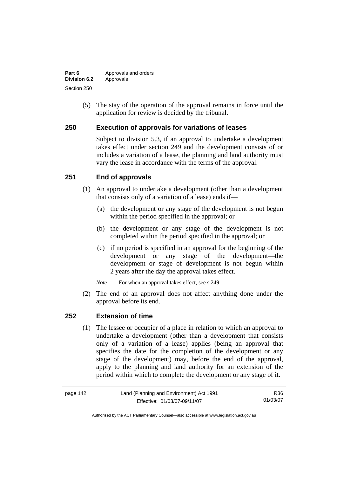| Part 6       | Approvals and orders |
|--------------|----------------------|
| Division 6.2 | Approvals            |
| Section 250  |                      |

 (5) The stay of the operation of the approval remains in force until the application for review is decided by the tribunal.

### **250 Execution of approvals for variations of leases**

Subject to division 5.3, if an approval to undertake a development takes effect under section 249 and the development consists of or includes a variation of a lease, the planning and land authority must vary the lease in accordance with the terms of the approval.

# **251 End of approvals**

- (1) An approval to undertake a development (other than a development that consists only of a variation of a lease) ends if—
	- (a) the development or any stage of the development is not begun within the period specified in the approval; or
	- (b) the development or any stage of the development is not completed within the period specified in the approval; or
	- (c) if no period is specified in an approval for the beginning of the development or any stage of the development—the development or stage of development is not begun within 2 years after the day the approval takes effect.

*Note* For when an approval takes effect, see s 249.

 (2) The end of an approval does not affect anything done under the approval before its end.

### **252 Extension of time**

 (1) The lessee or occupier of a place in relation to which an approval to undertake a development (other than a development that consists only of a variation of a lease) applies (being an approval that specifies the date for the completion of the development or any stage of the development) may, before the end of the approval, apply to the planning and land authority for an extension of the period within which to complete the development or any stage of it.

| page 142 | Land (Planning and Environment) Act 1991 | R36.     |
|----------|------------------------------------------|----------|
|          | Effective: 01/03/07-09/11/07             | 01/03/07 |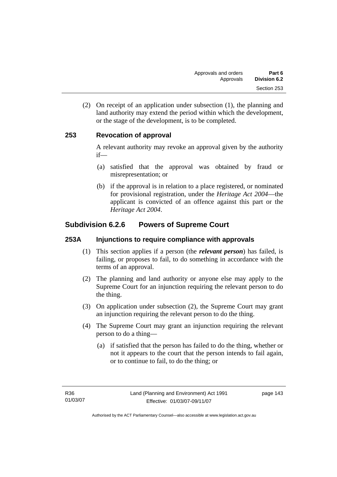(2) On receipt of an application under subsection (1), the planning and land authority may extend the period within which the development, or the stage of the development, is to be completed.

# **253 Revocation of approval**

A relevant authority may revoke an approval given by the authority if—

- (a) satisfied that the approval was obtained by fraud or misrepresentation; or
- (b) if the approval is in relation to a place registered, or nominated for provisional registration, under the *Heritage Act 2004*—the applicant is convicted of an offence against this part or the *Heritage Act 2004*.

# **Subdivision 6.2.6 Powers of Supreme Court**

## **253A Injunctions to require compliance with approvals**

- (1) This section applies if a person (the *relevant person*) has failed, is failing, or proposes to fail, to do something in accordance with the terms of an approval.
- (2) The planning and land authority or anyone else may apply to the Supreme Court for an injunction requiring the relevant person to do the thing.
- (3) On application under subsection (2), the Supreme Court may grant an injunction requiring the relevant person to do the thing.
- (4) The Supreme Court may grant an injunction requiring the relevant person to do a thing—
	- (a) if satisfied that the person has failed to do the thing, whether or not it appears to the court that the person intends to fail again, or to continue to fail, to do the thing; or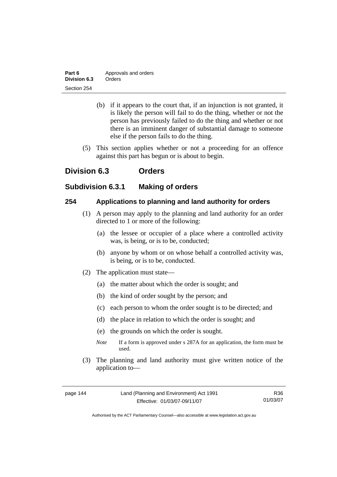| Part 6       | Approvals and orders |
|--------------|----------------------|
| Division 6.3 | Orders               |
| Section 254  |                      |

- (b) if it appears to the court that, if an injunction is not granted, it is likely the person will fail to do the thing, whether or not the person has previously failed to do the thing and whether or not there is an imminent danger of substantial damage to someone else if the person fails to do the thing.
- (5) This section applies whether or not a proceeding for an offence against this part has begun or is about to begin.

# **Division 6.3 Orders**

# **Subdivision 6.3.1 Making of orders**

# **254 Applications to planning and land authority for orders**

- (1) A person may apply to the planning and land authority for an order directed to 1 or more of the following:
	- (a) the lessee or occupier of a place where a controlled activity was, is being, or is to be, conducted;
	- (b) anyone by whom or on whose behalf a controlled activity was, is being, or is to be, conducted.
- (2) The application must state—
	- (a) the matter about which the order is sought; and
	- (b) the kind of order sought by the person; and
	- (c) each person to whom the order sought is to be directed; and
	- (d) the place in relation to which the order is sought; and
	- (e) the grounds on which the order is sought.
	- *Note* If a form is approved under s 287A for an application, the form must be used.
- (3) The planning and land authority must give written notice of the application to—

R36 01/03/07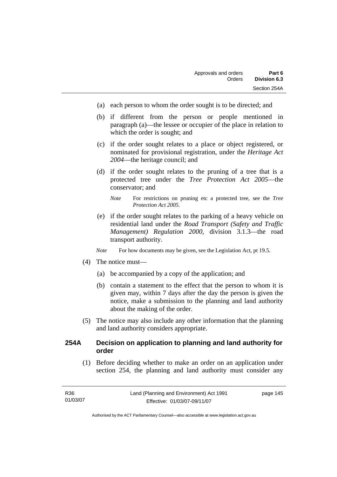- (a) each person to whom the order sought is to be directed; and
- (b) if different from the person or people mentioned in paragraph (a)—the lessee or occupier of the place in relation to which the order is sought; and
- (c) if the order sought relates to a place or object registered, or nominated for provisional registration, under the *Heritage Act 2004*—the heritage council; and
- (d) if the order sought relates to the pruning of a tree that is a protected tree under the *Tree Protection Act 2005*—the conservator; and
	- *Note* For restrictions on pruning etc a protected tree, see the *Tree Protection Act 2005*.
- (e) if the order sought relates to the parking of a heavy vehicle on residential land under the *Road Transport (Safety and Traffic Management) Regulation 2000*, division 3.1.3—the road transport authority.
- *Note* For how documents may be given, see the Legislation Act, pt 19.5.
- (4) The notice must—
	- (a) be accompanied by a copy of the application; and
	- (b) contain a statement to the effect that the person to whom it is given may, within 7 days after the day the person is given the notice, make a submission to the planning and land authority about the making of the order.
- (5) The notice may also include any other information that the planning and land authority considers appropriate.

## **254A Decision on application to planning and land authority for order**

 (1) Before deciding whether to make an order on an application under section 254, the planning and land authority must consider any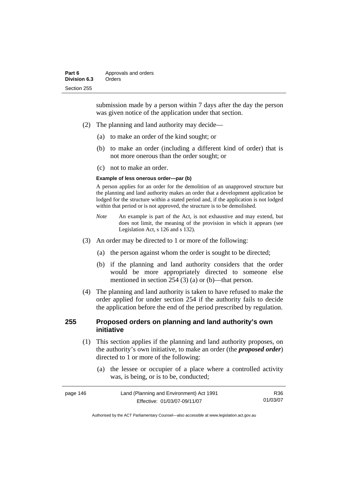submission made by a person within 7 days after the day the person was given notice of the application under that section.

- (2) The planning and land authority may decide—
	- (a) to make an order of the kind sought; or
	- (b) to make an order (including a different kind of order) that is not more onerous than the order sought; or
	- (c) not to make an order.

#### **Example of less onerous order—par (b)**

A person applies for an order for the demolition of an unapproved structure but the planning and land authority makes an order that a development application be lodged for the structure within a stated period and, if the application is not lodged within that period or is not approved, the structure is to be demolished.

- *Note* An example is part of the Act, is not exhaustive and may extend, but does not limit, the meaning of the provision in which it appears (see Legislation Act, s 126 and s 132).
- (3) An order may be directed to 1 or more of the following:
	- (a) the person against whom the order is sought to be directed;
	- (b) if the planning and land authority considers that the order would be more appropriately directed to someone else mentioned in section 254 (3) (a) or (b)—that person.
- (4) The planning and land authority is taken to have refused to make the order applied for under section 254 if the authority fails to decide the application before the end of the period prescribed by regulation.

## **255 Proposed orders on planning and land authority's own initiative**

- (1) This section applies if the planning and land authority proposes, on the authority's own initiative, to make an order (the *proposed order*) directed to 1 or more of the following:
	- (a) the lessee or occupier of a place where a controlled activity was, is being, or is to be, conducted;

| page 146 | Land (Planning and Environment) Act 1991 | R36      |
|----------|------------------------------------------|----------|
|          | Effective: 01/03/07-09/11/07             | 01/03/07 |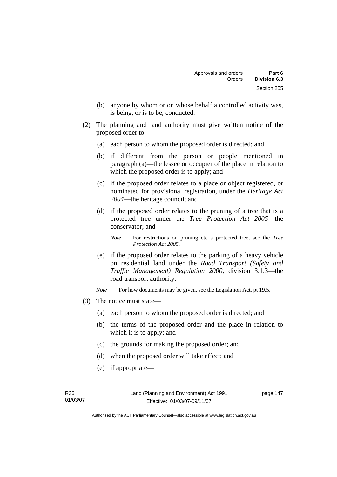- (b) anyone by whom or on whose behalf a controlled activity was, is being, or is to be, conducted.
- (2) The planning and land authority must give written notice of the proposed order to—
	- (a) each person to whom the proposed order is directed; and
	- (b) if different from the person or people mentioned in paragraph (a)—the lessee or occupier of the place in relation to which the proposed order is to apply; and
	- (c) if the proposed order relates to a place or object registered, or nominated for provisional registration, under the *Heritage Act 2004*—the heritage council; and
	- (d) if the proposed order relates to the pruning of a tree that is a protected tree under the *Tree Protection Act 2005*—the conservator; and
		- *Note* For restrictions on pruning etc a protected tree, see the *Tree Protection Act 2005*.
	- (e) if the proposed order relates to the parking of a heavy vehicle on residential land under the *Road Transport (Safety and Traffic Management) Regulation 2000*, division 3.1.3—the road transport authority.
	- *Note* For how documents may be given, see the Legislation Act, pt 19.5.
- (3) The notice must state—
	- (a) each person to whom the proposed order is directed; and
	- (b) the terms of the proposed order and the place in relation to which it is to apply; and
	- (c) the grounds for making the proposed order; and
	- (d) when the proposed order will take effect; and
	- (e) if appropriate—

Authorised by the ACT Parliamentary Counsel—also accessible at www.legislation.act.gov.au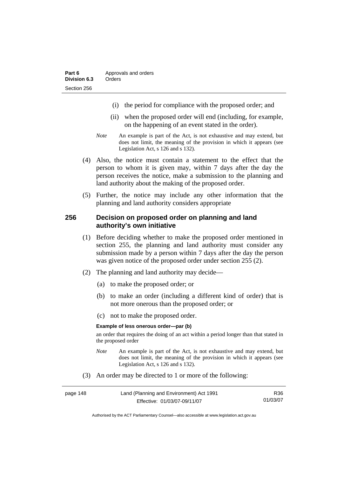- (i) the period for compliance with the proposed order; and
- (ii) when the proposed order will end (including, for example, on the happening of an event stated in the order).
- *Note* An example is part of the Act, is not exhaustive and may extend, but does not limit, the meaning of the provision in which it appears (see Legislation Act, s 126 and s 132).
- (4) Also, the notice must contain a statement to the effect that the person to whom it is given may, within 7 days after the day the person receives the notice, make a submission to the planning and land authority about the making of the proposed order.
- (5) Further, the notice may include any other information that the planning and land authority considers appropriate

#### **256 Decision on proposed order on planning and land authority's own initiative**

- (1) Before deciding whether to make the proposed order mentioned in section 255, the planning and land authority must consider any submission made by a person within 7 days after the day the person was given notice of the proposed order under section 255 (2).
- (2) The planning and land authority may decide—
	- (a) to make the proposed order; or
	- (b) to make an order (including a different kind of order) that is not more onerous than the proposed order; or
	- (c) not to make the proposed order.

#### **Example of less onerous order—par (b)**

an order that requires the doing of an act within a period longer than that stated in the proposed order

- *Note* An example is part of the Act, is not exhaustive and may extend, but does not limit, the meaning of the provision in which it appears (see Legislation Act, s 126 and s 132).
- (3) An order may be directed to 1 or more of the following:

| page 148 | Land (Planning and Environment) Act 1991 | R36      |
|----------|------------------------------------------|----------|
|          | Effective: 01/03/07-09/11/07             | 01/03/07 |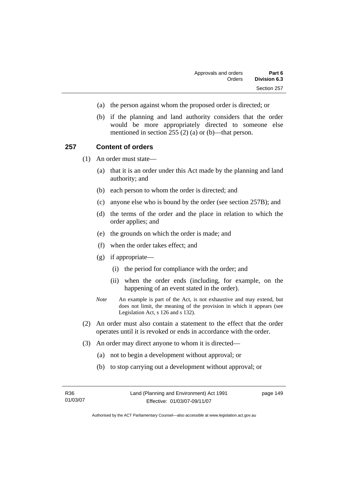- (a) the person against whom the proposed order is directed; or
- (b) if the planning and land authority considers that the order would be more appropriately directed to someone else mentioned in section 255 (2) (a) or (b)—that person.

#### **257 Content of orders**

(1) An order must state—

- (a) that it is an order under this Act made by the planning and land authority; and
- (b) each person to whom the order is directed; and
- (c) anyone else who is bound by the order (see section 257B); and
- (d) the terms of the order and the place in relation to which the order applies; and
- (e) the grounds on which the order is made; and
- (f) when the order takes effect; and
- (g) if appropriate—
	- (i) the period for compliance with the order; and
	- (ii) when the order ends (including, for example, on the happening of an event stated in the order).
- *Note* An example is part of the Act, is not exhaustive and may extend, but does not limit, the meaning of the provision in which it appears (see Legislation Act, s 126 and s 132).
- (2) An order must also contain a statement to the effect that the order operates until it is revoked or ends in accordance with the order.
- (3) An order may direct anyone to whom it is directed—
	- (a) not to begin a development without approval; or
	- (b) to stop carrying out a development without approval; or

| R36      |  |
|----------|--|
| 01/03/07 |  |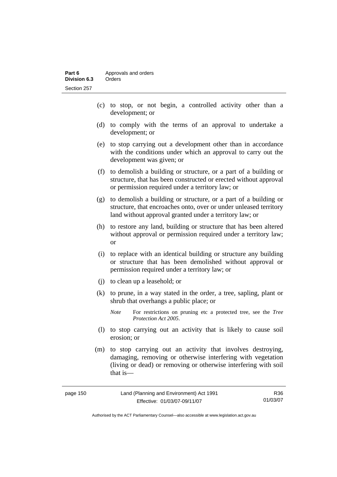- (c) to stop, or not begin, a controlled activity other than a development; or
- (d) to comply with the terms of an approval to undertake a development; or
- (e) to stop carrying out a development other than in accordance with the conditions under which an approval to carry out the development was given; or
- (f) to demolish a building or structure, or a part of a building or structure, that has been constructed or erected without approval or permission required under a territory law; or
- (g) to demolish a building or structure, or a part of a building or structure, that encroaches onto, over or under unleased territory land without approval granted under a territory law; or
- (h) to restore any land, building or structure that has been altered without approval or permission required under a territory law; or
- (i) to replace with an identical building or structure any building or structure that has been demolished without approval or permission required under a territory law; or
- (j) to clean up a leasehold; or
- (k) to prune, in a way stated in the order, a tree, sapling, plant or shrub that overhangs a public place; or
	- *Note* For restrictions on pruning etc a protected tree, see the *Tree Protection Act 2005*.
- (l) to stop carrying out an activity that is likely to cause soil erosion; or
- (m) to stop carrying out an activity that involves destroying, damaging, removing or otherwise interfering with vegetation (living or dead) or removing or otherwise interfering with soil that is—

| page 150 | Land (Planning and Environment) Act 1991 | R36      |
|----------|------------------------------------------|----------|
|          | Effective: 01/03/07-09/11/07             | 01/03/07 |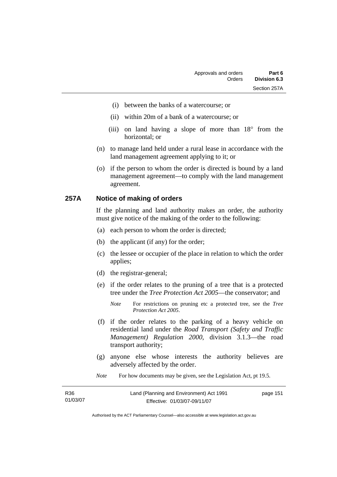- (i) between the banks of a watercourse; or
- (ii) within 20m of a bank of a watercourse; or
- (iii) on land having a slope of more than 18° from the horizontal; or
- (n) to manage land held under a rural lease in accordance with the land management agreement applying to it; or
- (o) if the person to whom the order is directed is bound by a land management agreement—to comply with the land management agreement.

#### **257A Notice of making of orders**

If the planning and land authority makes an order, the authority must give notice of the making of the order to the following:

- (a) each person to whom the order is directed;
- (b) the applicant (if any) for the order;
- (c) the lessee or occupier of the place in relation to which the order applies;
- (d) the registrar-general;
- (e) if the order relates to the pruning of a tree that is a protected tree under the *Tree Protection Act 2005*—the conservator; and
	- *Note* For restrictions on pruning etc a protected tree, see the *Tree Protection Act 2005*.
- (f) if the order relates to the parking of a heavy vehicle on residential land under the *Road Transport (Safety and Traffic Management) Regulation 2000*, division 3.1.3—the road transport authority;
- (g) anyone else whose interests the authority believes are adversely affected by the order.
- *Note* For how documents may be given, see the Legislation Act, pt 19.5.

| R36      | Land (Planning and Environment) Act 1991 | page 151 |
|----------|------------------------------------------|----------|
| 01/03/07 | Effective: 01/03/07-09/11/07             |          |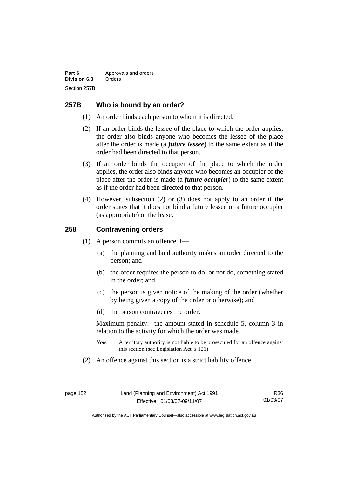## **257B Who is bound by an order?**

- (1) An order binds each person to whom it is directed.
- (2) If an order binds the lessee of the place to which the order applies, the order also binds anyone who becomes the lessee of the place after the order is made (a *future lessee*) to the same extent as if the order had been directed to that person.
- (3) If an order binds the occupier of the place to which the order applies, the order also binds anyone who becomes an occupier of the place after the order is made (a *future occupier*) to the same extent as if the order had been directed to that person.
- (4) However, subsection (2) or (3) does not apply to an order if the order states that it does not bind a future lessee or a future occupier (as appropriate) of the lease.

# **258 Contravening orders**

- (1) A person commits an offence if—
	- (a) the planning and land authority makes an order directed to the person; and
	- (b) the order requires the person to do, or not do, something stated in the order; and
	- (c) the person is given notice of the making of the order (whether by being given a copy of the order or otherwise); and
	- (d) the person contravenes the order.

Maximum penalty: the amount stated in schedule 5, column 3 in relation to the activity for which the order was made.

- *Note* A territory authority is not liable to be prosecuted for an offence against this section (see Legislation Act, s 121).
- (2) An offence against this section is a strict liability offence.

R36 01/03/07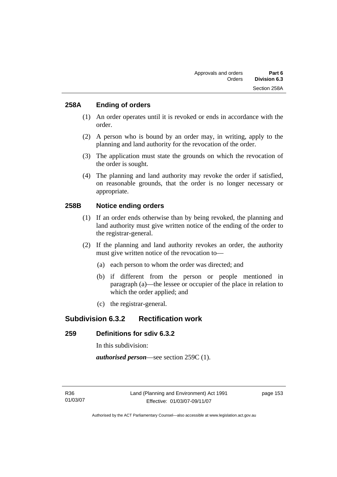## **258A Ending of orders**

- (1) An order operates until it is revoked or ends in accordance with the order.
- (2) A person who is bound by an order may, in writing, apply to the planning and land authority for the revocation of the order.
- (3) The application must state the grounds on which the revocation of the order is sought.
- (4) The planning and land authority may revoke the order if satisfied, on reasonable grounds, that the order is no longer necessary or appropriate.

# **258B Notice ending orders**

- (1) If an order ends otherwise than by being revoked, the planning and land authority must give written notice of the ending of the order to the registrar-general.
- (2) If the planning and land authority revokes an order, the authority must give written notice of the revocation to—
	- (a) each person to whom the order was directed; and
	- (b) if different from the person or people mentioned in paragraph (a)—the lessee or occupier of the place in relation to which the order applied; and
	- (c) the registrar-general.

# **Subdivision 6.3.2 Rectification work**

# **259 Definitions for sdiv 6.3.2**

In this subdivision:

*authorised person*—see section 259C (1).

R36 01/03/07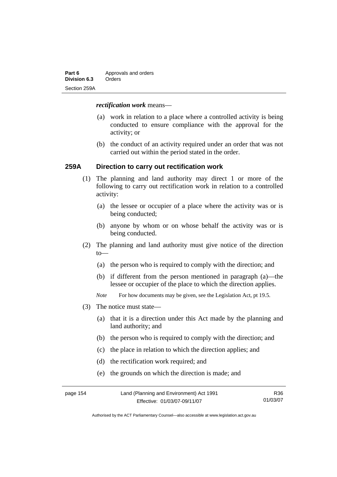| Part 6       | Approvals and orders |  |
|--------------|----------------------|--|
| Division 6.3 | Orders               |  |
| Section 259A |                      |  |

#### *rectification work* means—

- (a) work in relation to a place where a controlled activity is being conducted to ensure compliance with the approval for the activity; or
- (b) the conduct of an activity required under an order that was not carried out within the period stated in the order.

#### **259A Direction to carry out rectification work**

- (1) The planning and land authority may direct 1 or more of the following to carry out rectification work in relation to a controlled activity:
	- (a) the lessee or occupier of a place where the activity was or is being conducted;
	- (b) anyone by whom or on whose behalf the activity was or is being conducted.
- (2) The planning and land authority must give notice of the direction to—
	- (a) the person who is required to comply with the direction; and
	- (b) if different from the person mentioned in paragraph (a)—the lessee or occupier of the place to which the direction applies.
	- *Note* For how documents may be given, see the Legislation Act, pt 19.5.
- (3) The notice must state—
	- (a) that it is a direction under this Act made by the planning and land authority; and
	- (b) the person who is required to comply with the direction; and
	- (c) the place in relation to which the direction applies; and
	- (d) the rectification work required; and
	- (e) the grounds on which the direction is made; and

| page 154 | Land (Planning and Environment) Act 1991 | R36      |
|----------|------------------------------------------|----------|
|          | Effective: 01/03/07-09/11/07             | 01/03/07 |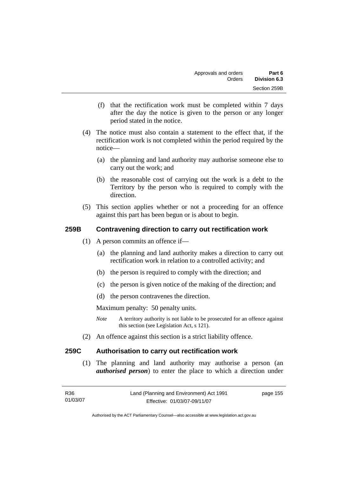- (f) that the rectification work must be completed within 7 days after the day the notice is given to the person or any longer period stated in the notice.
- (4) The notice must also contain a statement to the effect that, if the rectification work is not completed within the period required by the notice—
	- (a) the planning and land authority may authorise someone else to carry out the work; and
	- (b) the reasonable cost of carrying out the work is a debt to the Territory by the person who is required to comply with the direction.
- (5) This section applies whether or not a proceeding for an offence against this part has been begun or is about to begin.

# **259B Contravening direction to carry out rectification work**

- (1) A person commits an offence if—
	- (a) the planning and land authority makes a direction to carry out rectification work in relation to a controlled activity; and
	- (b) the person is required to comply with the direction; and
	- (c) the person is given notice of the making of the direction; and
	- (d) the person contravenes the direction.

Maximum penalty: 50 penalty units.

- *Note* A territory authority is not liable to be prosecuted for an offence against this section (see Legislation Act, s 121).
- (2) An offence against this section is a strict liability offence.

### **259C Authorisation to carry out rectification work**

 (1) The planning and land authority may authorise a person (an *authorised person*) to enter the place to which a direction under

| R36      | Land (Planning and Environment) Act 1991 | page 155 |
|----------|------------------------------------------|----------|
| 01/03/07 | Effective: 01/03/07-09/11/07             |          |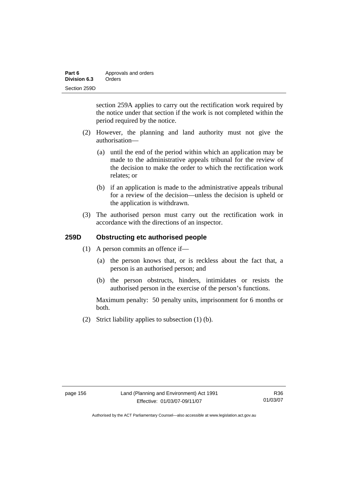| Part 6       | Approvals and orders |  |
|--------------|----------------------|--|
| Division 6.3 | Orders               |  |
| Section 259D |                      |  |

section 259A applies to carry out the rectification work required by the notice under that section if the work is not completed within the period required by the notice.

- (2) However, the planning and land authority must not give the authorisation—
	- (a) until the end of the period within which an application may be made to the administrative appeals tribunal for the review of the decision to make the order to which the rectification work relates; or
	- (b) if an application is made to the administrative appeals tribunal for a review of the decision—unless the decision is upheld or the application is withdrawn.
- (3) The authorised person must carry out the rectification work in accordance with the directions of an inspector.

## **259D Obstructing etc authorised people**

- (1) A person commits an offence if—
	- (a) the person knows that, or is reckless about the fact that, a person is an authorised person; and
	- (b) the person obstructs, hinders, intimidates or resists the authorised person in the exercise of the person's functions.

Maximum penalty: 50 penalty units, imprisonment for 6 months or both.

(2) Strict liability applies to subsection (1) (b).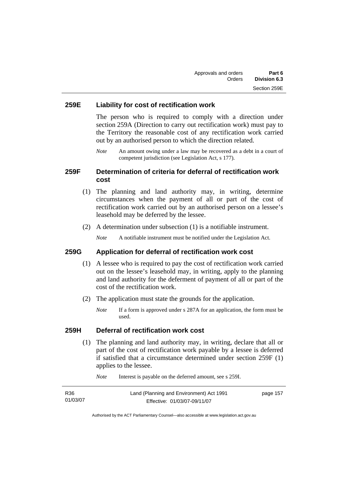# **259E Liability for cost of rectification work**

The person who is required to comply with a direction under section 259A (Direction to carry out rectification work) must pay to the Territory the reasonable cost of any rectification work carried out by an authorised person to which the direction related.

*Note* An amount owing under a law may be recovered as a debt in a court of competent jurisdiction (see Legislation Act, s 177).

# **259F Determination of criteria for deferral of rectification work cost**

- (1) The planning and land authority may, in writing, determine circumstances when the payment of all or part of the cost of rectification work carried out by an authorised person on a lessee's leasehold may be deferred by the lessee.
- (2) A determination under subsection (1) is a notifiable instrument.

*Note* A notifiable instrument must be notified under the Legislation Act.

#### **259G Application for deferral of rectification work cost**

- (1) A lessee who is required to pay the cost of rectification work carried out on the lessee's leasehold may, in writing, apply to the planning and land authority for the deferment of payment of all or part of the cost of the rectification work.
- (2) The application must state the grounds for the application.
	- *Note* If a form is approved under s 287A for an application, the form must be used.

#### **259H Deferral of rectification work cost**

 (1) The planning and land authority may, in writing, declare that all or part of the cost of rectification work payable by a lessee is deferred if satisfied that a circumstance determined under section 259F (1) applies to the lessee.

| R <sub>36</sub> | Land (Planning and Environment) Act 1991 | page 157 |
|-----------------|------------------------------------------|----------|
| 01/03/07        | Effective: 01/03/07-09/11/07             |          |

*Note* Interest is payable on the deferred amount, see s 259I.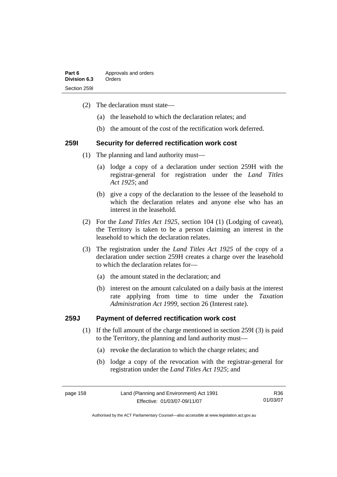| Part 6       | Approvals and orders |
|--------------|----------------------|
| Division 6.3 | Orders               |
| Section 2591 |                      |

- (2) The declaration must state—
	- (a) the leasehold to which the declaration relates; and
	- (b) the amount of the cost of the rectification work deferred.

#### **259I Security for deferred rectification work cost**

- (1) The planning and land authority must—
	- (a) lodge a copy of a declaration under section 259H with the registrar-general for registration under the *Land Titles Act 1925*; and
	- (b) give a copy of the declaration to the lessee of the leasehold to which the declaration relates and anyone else who has an interest in the leasehold.
- (2) For the *Land Titles Act 1925*, section 104 (1) (Lodging of caveat), the Territory is taken to be a person claiming an interest in the leasehold to which the declaration relates.
- (3) The registration under the *Land Titles Act 1925* of the copy of a declaration under section 259H creates a charge over the leasehold to which the declaration relates for—
	- (a) the amount stated in the declaration; and
	- (b) interest on the amount calculated on a daily basis at the interest rate applying from time to time under the *Taxation Administration Act 1999*, section 26 (Interest rate).

### **259J Payment of deferred rectification work cost**

- (1) If the full amount of the charge mentioned in section 259I (3) is paid to the Territory, the planning and land authority must—
	- (a) revoke the declaration to which the charge relates; and
	- (b) lodge a copy of the revocation with the registrar-general for registration under the *Land Titles Act 1925*; and

R36 01/03/07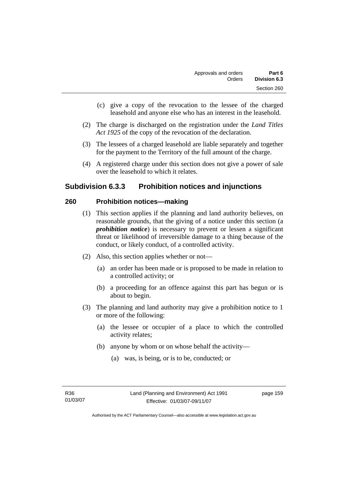- (c) give a copy of the revocation to the lessee of the charged leasehold and anyone else who has an interest in the leasehold.
- (2) The charge is discharged on the registration under the *Land Titles Act 1925* of the copy of the revocation of the declaration.
- (3) The lessees of a charged leasehold are liable separately and together for the payment to the Territory of the full amount of the charge.
- (4) A registered charge under this section does not give a power of sale over the leasehold to which it relates.

# **Subdivision 6.3.3 Prohibition notices and injunctions**

### **260 Prohibition notices—making**

- (1) This section applies if the planning and land authority believes, on reasonable grounds, that the giving of a notice under this section (a *prohibition notice*) is necessary to prevent or lessen a significant threat or likelihood of irreversible damage to a thing because of the conduct, or likely conduct, of a controlled activity.
- (2) Also, this section applies whether or not—
	- (a) an order has been made or is proposed to be made in relation to a controlled activity; or
	- (b) a proceeding for an offence against this part has begun or is about to begin.
- (3) The planning and land authority may give a prohibition notice to 1 or more of the following:
	- (a) the lessee or occupier of a place to which the controlled activity relates;
	- (b) anyone by whom or on whose behalf the activity—
		- (a) was, is being, or is to be, conducted; or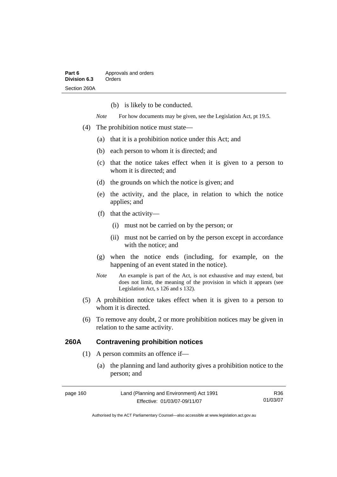(b) is likely to be conducted.

*Note* For how documents may be given, see the Legislation Act, pt 19.5.

- (4) The prohibition notice must state—
	- (a) that it is a prohibition notice under this Act; and
	- (b) each person to whom it is directed; and
	- (c) that the notice takes effect when it is given to a person to whom it is directed; and
	- (d) the grounds on which the notice is given; and
	- (e) the activity, and the place, in relation to which the notice applies; and
	- (f) that the activity—
		- (i) must not be carried on by the person; or
		- (ii) must not be carried on by the person except in accordance with the notice; and
	- (g) when the notice ends (including, for example, on the happening of an event stated in the notice).
	- *Note* An example is part of the Act, is not exhaustive and may extend, but does not limit, the meaning of the provision in which it appears (see Legislation Act, s 126 and s 132).
- (5) A prohibition notice takes effect when it is given to a person to whom it is directed.
- (6) To remove any doubt, 2 or more prohibition notices may be given in relation to the same activity.

## **260A Contravening prohibition notices**

- (1) A person commits an offence if—
	- (a) the planning and land authority gives a prohibition notice to the person; and

| page 160 | Land (Planning and Environment) Act 1991 | R36.     |
|----------|------------------------------------------|----------|
|          | Effective: 01/03/07-09/11/07             | 01/03/07 |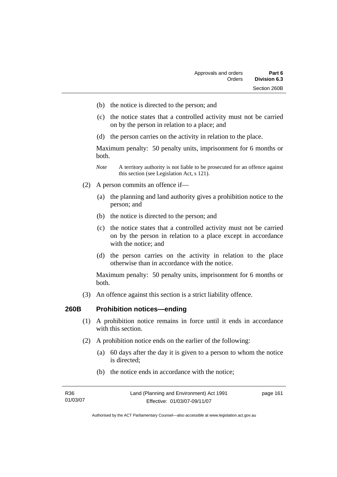- (b) the notice is directed to the person; and
- (c) the notice states that a controlled activity must not be carried on by the person in relation to a place; and
- (d) the person carries on the activity in relation to the place.

Maximum penalty: 50 penalty units, imprisonment for 6 months or both.

- *Note* A territory authority is not liable to be prosecuted for an offence against this section (see Legislation Act, s 121).
- (2) A person commits an offence if—
	- (a) the planning and land authority gives a prohibition notice to the person; and
	- (b) the notice is directed to the person; and
	- (c) the notice states that a controlled activity must not be carried on by the person in relation to a place except in accordance with the notice; and
	- (d) the person carries on the activity in relation to the place otherwise than in accordance with the notice.

Maximum penalty: 50 penalty units, imprisonment for 6 months or both.

(3) An offence against this section is a strict liability offence.

#### **260B Prohibition notices—ending**

- (1) A prohibition notice remains in force until it ends in accordance with this section.
- (2) A prohibition notice ends on the earlier of the following:
	- (a) 60 days after the day it is given to a person to whom the notice is directed;
	- (b) the notice ends in accordance with the notice;

| R36      | Land (Planning and Environment) Act 1991 | page 161 |
|----------|------------------------------------------|----------|
| 01/03/07 | Effective: 01/03/07-09/11/07             |          |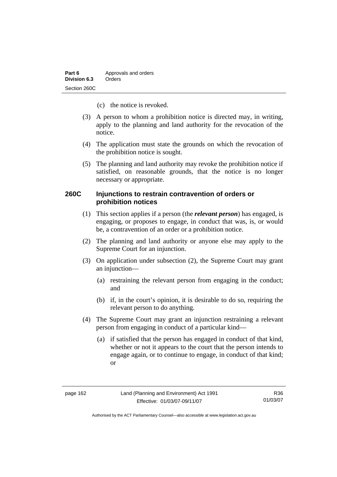| Part 6       | Approvals and orders |
|--------------|----------------------|
| Division 6.3 | Orders               |
| Section 260C |                      |

- (c) the notice is revoked.
- (3) A person to whom a prohibition notice is directed may, in writing, apply to the planning and land authority for the revocation of the notice.
- (4) The application must state the grounds on which the revocation of the prohibition notice is sought.
- (5) The planning and land authority may revoke the prohibition notice if satisfied, on reasonable grounds, that the notice is no longer necessary or appropriate.

## **260C Injunctions to restrain contravention of orders or prohibition notices**

- (1) This section applies if a person (the *relevant person*) has engaged, is engaging, or proposes to engage, in conduct that was, is, or would be, a contravention of an order or a prohibition notice.
- (2) The planning and land authority or anyone else may apply to the Supreme Court for an injunction.
- (3) On application under subsection (2), the Supreme Court may grant an injunction—
	- (a) restraining the relevant person from engaging in the conduct; and
	- (b) if, in the court's opinion, it is desirable to do so, requiring the relevant person to do anything.
- (4) The Supreme Court may grant an injunction restraining a relevant person from engaging in conduct of a particular kind—
	- (a) if satisfied that the person has engaged in conduct of that kind, whether or not it appears to the court that the person intends to engage again, or to continue to engage, in conduct of that kind; or

R36 01/03/07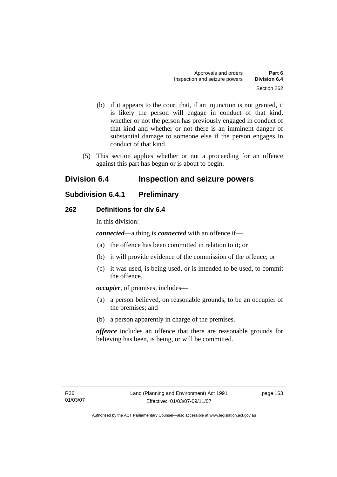- (b) if it appears to the court that, if an injunction is not granted, it is likely the person will engage in conduct of that kind, whether or not the person has previously engaged in conduct of that kind and whether or not there is an imminent danger of substantial damage to someone else if the person engages in conduct of that kind.
- (5) This section applies whether or not a proceeding for an offence against this part has begun or is about to begin.

# **Division 6.4 Inspection and seizure powers**

# **Subdivision 6.4.1 Preliminary**

# **262 Definitions for div 6.4**

In this division:

*connected*—a thing is *connected* with an offence if—

- (a) the offence has been committed in relation to it; or
- (b) it will provide evidence of the commission of the offence; or
- (c) it was used, is being used, or is intended to be used, to commit the offence.

*occupier*, of premises, includes—

- (a) a person believed, on reasonable grounds, to be an occupier of the premises; and
- (b) a person apparently in charge of the premises.

*offence* includes an offence that there are reasonable grounds for believing has been, is being, or will be committed.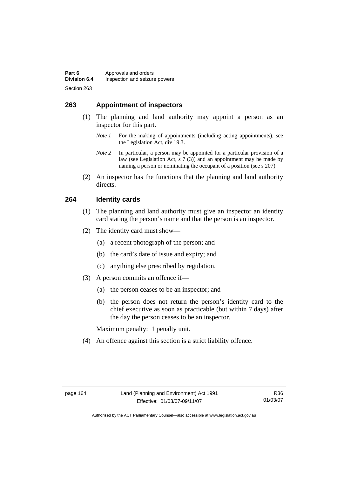# **263 Appointment of inspectors**

- (1) The planning and land authority may appoint a person as an inspector for this part.
	- *Note 1* For the making of appointments (including acting appointments), see the Legislation Act, div 19.3.
	- *Note 2* In particular, a person may be appointed for a particular provision of a law (see Legislation Act, s 7 (3)) and an appointment may be made by naming a person or nominating the occupant of a position (see s 207).
- (2) An inspector has the functions that the planning and land authority directs.

#### **264 Identity cards**

- (1) The planning and land authority must give an inspector an identity card stating the person's name and that the person is an inspector.
- (2) The identity card must show—
	- (a) a recent photograph of the person; and
	- (b) the card's date of issue and expiry; and
	- (c) anything else prescribed by regulation.
- (3) A person commits an offence if—
	- (a) the person ceases to be an inspector; and
	- (b) the person does not return the person's identity card to the chief executive as soon as practicable (but within 7 days) after the day the person ceases to be an inspector.

Maximum penalty: 1 penalty unit.

(4) An offence against this section is a strict liability offence.

R36 01/03/07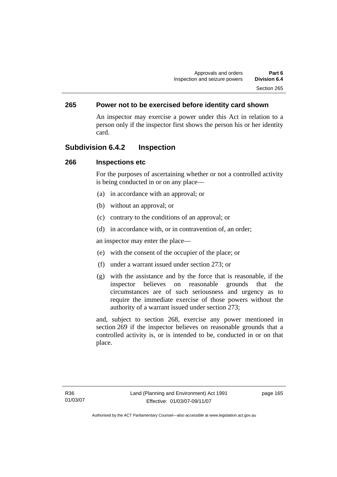# **265 Power not to be exercised before identity card shown**

An inspector may exercise a power under this Act in relation to a person only if the inspector first shows the person his or her identity card.

# **Subdivision 6.4.2 Inspection**

### **266 Inspections etc**

For the purposes of ascertaining whether or not a controlled activity is being conducted in or on any place—

- (a) in accordance with an approval; or
- (b) without an approval; or
- (c) contrary to the conditions of an approval; or
- (d) in accordance with, or in contravention of, an order;

an inspector may enter the place—

- (e) with the consent of the occupier of the place; or
- (f) under a warrant issued under section 273; or
- (g) with the assistance and by the force that is reasonable, if the inspector believes on reasonable grounds that the circumstances are of such seriousness and urgency as to require the immediate exercise of those powers without the authority of a warrant issued under section 273;

and, subject to section 268, exercise any power mentioned in section 269 if the inspector believes on reasonable grounds that a controlled activity is, or is intended to be, conducted in or on that place.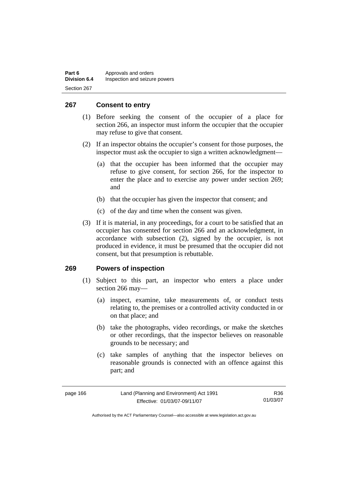| Part 6              | Approvals and orders          |
|---------------------|-------------------------------|
| <b>Division 6.4</b> | Inspection and seizure powers |
| Section 267         |                               |

# **267 Consent to entry**

- (1) Before seeking the consent of the occupier of a place for section 266, an inspector must inform the occupier that the occupier may refuse to give that consent.
- (2) If an inspector obtains the occupier's consent for those purposes, the inspector must ask the occupier to sign a written acknowledgment—
	- (a) that the occupier has been informed that the occupier may refuse to give consent, for section 266, for the inspector to enter the place and to exercise any power under section 269; and
	- (b) that the occupier has given the inspector that consent; and
	- (c) of the day and time when the consent was given.
- (3) If it is material, in any proceedings, for a court to be satisfied that an occupier has consented for section 266 and an acknowledgment, in accordance with subsection (2), signed by the occupier, is not produced in evidence, it must be presumed that the occupier did not consent, but that presumption is rebuttable.

### **269 Powers of inspection**

- (1) Subject to this part, an inspector who enters a place under section 266 may—
	- (a) inspect, examine, take measurements of, or conduct tests relating to, the premises or a controlled activity conducted in or on that place; and
	- (b) take the photographs, video recordings, or make the sketches or other recordings, that the inspector believes on reasonable grounds to be necessary; and
	- (c) take samples of anything that the inspector believes on reasonable grounds is connected with an offence against this part; and

| page 166 |  |
|----------|--|
|----------|--|

R36 01/03/07

Authorised by the ACT Parliamentary Counsel—also accessible at www.legislation.act.gov.au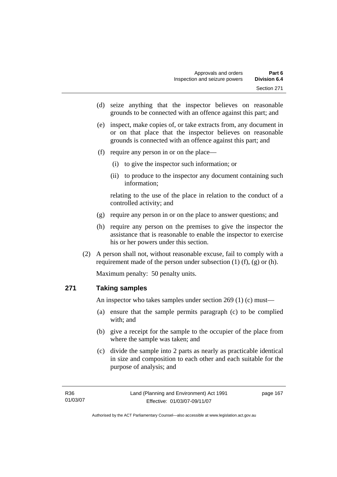- (d) seize anything that the inspector believes on reasonable grounds to be connected with an offence against this part; and
- (e) inspect, make copies of, or take extracts from, any document in or on that place that the inspector believes on reasonable grounds is connected with an offence against this part; and
- (f) require any person in or on the place—
	- (i) to give the inspector such information; or
	- (ii) to produce to the inspector any document containing such information;

relating to the use of the place in relation to the conduct of a controlled activity; and

- (g) require any person in or on the place to answer questions; and
- (h) require any person on the premises to give the inspector the assistance that is reasonable to enable the inspector to exercise his or her powers under this section.
- (2) A person shall not, without reasonable excuse, fail to comply with a requirement made of the person under subsection  $(1)$   $(f)$ ,  $(g)$  or  $(h)$ .

Maximum penalty: 50 penalty units.

### **271 Taking samples**

An inspector who takes samples under section 269 (1) (c) must—

- (a) ensure that the sample permits paragraph (c) to be complied with; and
- (b) give a receipt for the sample to the occupier of the place from where the sample was taken; and
- (c) divide the sample into 2 parts as nearly as practicable identical in size and composition to each other and each suitable for the purpose of analysis; and

page 167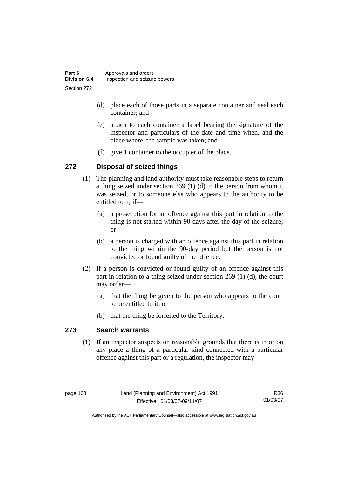| Part 6              | Approvals and orders          |
|---------------------|-------------------------------|
| <b>Division 6.4</b> | Inspection and seizure powers |
| Section 272         |                               |

- (d) place each of those parts in a separate container and seal each container; and
- (e) attach to each container a label bearing the signature of the inspector and particulars of the date and time when, and the place where, the sample was taken; and
- (f) give 1 container to the occupier of the place.

### **272 Disposal of seized things**

- (1) The planning and land authority must take reasonable steps to return a thing seized under section 269 (1) (d) to the person from whom it was seized, or to someone else who appears to the authority to be entitled to it, if—
	- (a) a prosecution for an offence against this part in relation to the thing is not started within 90 days after the day of the seizure; or
	- (b) a person is charged with an offence against this part in relation to the thing within the 90-day period but the person is not convicted or found guilty of the offence.
- (2) If a person is convicted or found guilty of an offence against this part in relation to a thing seized under section 269 (1) (d), the court may order—
	- (a) that the thing be given to the person who appears to the court to be entitled to it; or
	- (b) that the thing be forfeited to the Territory.

### **273 Search warrants**

 (1) If an inspector suspects on reasonable grounds that there is in or on any place a thing of a particular kind connected with a particular offence against this part or a regulation, the inspector may—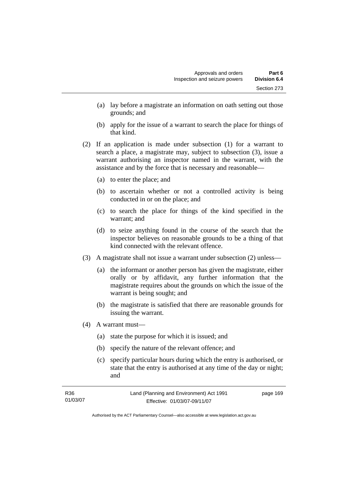- (a) lay before a magistrate an information on oath setting out those grounds; and
- (b) apply for the issue of a warrant to search the place for things of that kind.
- (2) If an application is made under subsection (1) for a warrant to search a place, a magistrate may, subject to subsection (3), issue a warrant authorising an inspector named in the warrant, with the assistance and by the force that is necessary and reasonable—
	- (a) to enter the place; and
	- (b) to ascertain whether or not a controlled activity is being conducted in or on the place; and
	- (c) to search the place for things of the kind specified in the warrant; and
	- (d) to seize anything found in the course of the search that the inspector believes on reasonable grounds to be a thing of that kind connected with the relevant offence.
- (3) A magistrate shall not issue a warrant under subsection (2) unless—
	- (a) the informant or another person has given the magistrate, either orally or by affidavit, any further information that the magistrate requires about the grounds on which the issue of the warrant is being sought; and
	- (b) the magistrate is satisfied that there are reasonable grounds for issuing the warrant.
- (4) A warrant must—
	- (a) state the purpose for which it is issued; and
	- (b) specify the nature of the relevant offence; and
	- (c) specify particular hours during which the entry is authorised, or state that the entry is authorised at any time of the day or night; and

| R36      | Land (Planning and Environment) Act 1991 | page 169 |
|----------|------------------------------------------|----------|
| 01/03/07 | Effective: 01/03/07-09/11/07             |          |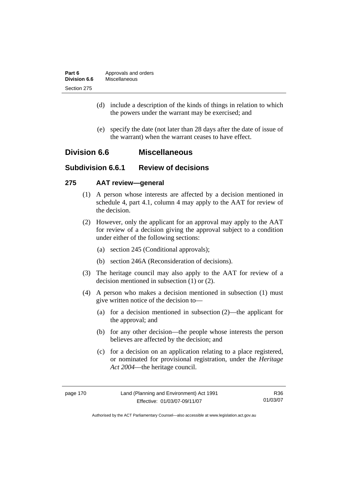| Part 6       | Approvals and orders |
|--------------|----------------------|
| Division 6.6 | Miscellaneous        |
| Section 275  |                      |

- (d) include a description of the kinds of things in relation to which the powers under the warrant may be exercised; and
- (e) specify the date (not later than 28 days after the date of issue of the warrant) when the warrant ceases to have effect.

## **Division 6.6 Miscellaneous**

## **Subdivision 6.6.1 Review of decisions**

### **275 AAT review—general**

- (1) A person whose interests are affected by a decision mentioned in schedule 4, part 4.1, column 4 may apply to the AAT for review of the decision.
- (2) However, only the applicant for an approval may apply to the AAT for review of a decision giving the approval subject to a condition under either of the following sections:
	- (a) section 245 (Conditional approvals);
	- (b) section 246A (Reconsideration of decisions).
- (3) The heritage council may also apply to the AAT for review of a decision mentioned in subsection (1) or (2).
- (4) A person who makes a decision mentioned in subsection (1) must give written notice of the decision to—
	- (a) for a decision mentioned in subsection (2)—the applicant for the approval; and
	- (b) for any other decision—the people whose interests the person believes are affected by the decision; and
	- (c) for a decision on an application relating to a place registered, or nominated for provisional registration, under the *Heritage Act 2004*—the heritage council.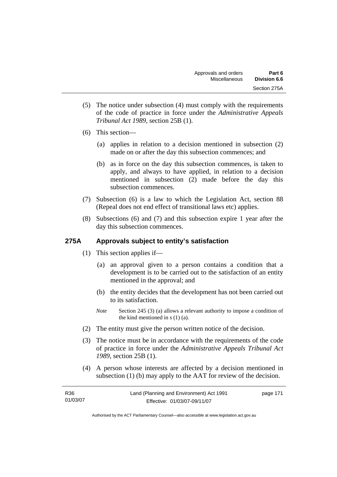- (5) The notice under subsection (4) must comply with the requirements of the code of practice in force under the *Administrative Appeals Tribunal Act 1989*, section 25B (1).
- (6) This section—
	- (a) applies in relation to a decision mentioned in subsection (2) made on or after the day this subsection commences; and
	- (b) as in force on the day this subsection commences, is taken to apply, and always to have applied, in relation to a decision mentioned in subsection (2) made before the day this subsection commences.
- (7) Subsection (6) is a law to which the Legislation Act, section 88 (Repeal does not end effect of transitional laws etc) applies.
- (8) Subsections (6) and (7) and this subsection expire 1 year after the day this subsection commences.

## **275A Approvals subject to entity's satisfaction**

- (1) This section applies if—
	- (a) an approval given to a person contains a condition that a development is to be carried out to the satisfaction of an entity mentioned in the approval; and
	- (b) the entity decides that the development has not been carried out to its satisfaction.
	- *Note* Section 245 (3) (a) allows a relevant authority to impose a condition of the kind mentioned in s (1) (a).
- (2) The entity must give the person written notice of the decision.
- (3) The notice must be in accordance with the requirements of the code of practice in force under the *Administrative Appeals Tribunal Act 1989*, section 25B (1).
- (4) A person whose interests are affected by a decision mentioned in subsection (1) (b) may apply to the AAT for review of the decision.

| R <sub>36</sub> | Land (Planning and Environment) Act 1991 | page 171 |
|-----------------|------------------------------------------|----------|
| 01/03/07        | Effective: 01/03/07-09/11/07             |          |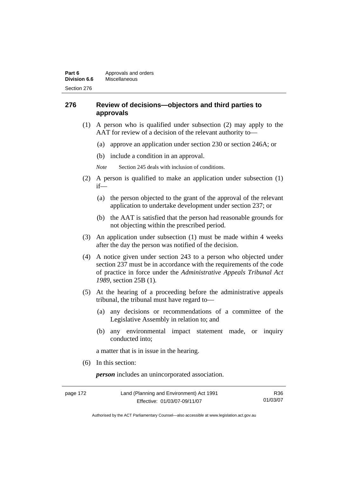### **276 Review of decisions—objectors and third parties to approvals**

- (1) A person who is qualified under subsection (2) may apply to the AAT for review of a decision of the relevant authority to—
	- (a) approve an application under section 230 or section 246A; or
	- (b) include a condition in an approval.
	- *Note* Section 245 deals with inclusion of conditions.
- (2) A person is qualified to make an application under subsection (1) if—
	- (a) the person objected to the grant of the approval of the relevant application to undertake development under section 237; or
	- (b) the AAT is satisfied that the person had reasonable grounds for not objecting within the prescribed period.
- (3) An application under subsection (1) must be made within 4 weeks after the day the person was notified of the decision.
- (4) A notice given under section 243 to a person who objected under section 237 must be in accordance with the requirements of the code of practice in force under the *Administrative Appeals Tribunal Act 1989*, section 25B (1)*.*
- (5) At the hearing of a proceeding before the administrative appeals tribunal, the tribunal must have regard to—
	- (a) any decisions or recommendations of a committee of the Legislative Assembly in relation to; and
	- (b) any environmental impact statement made, or inquiry conducted into;

a matter that is in issue in the hearing.

(6) In this section:

*person* includes an unincorporated association.

| page 172 | Land (Planning and Environment) Act 1991 | R36      |
|----------|------------------------------------------|----------|
|          | Effective: 01/03/07-09/11/07             | 01/03/07 |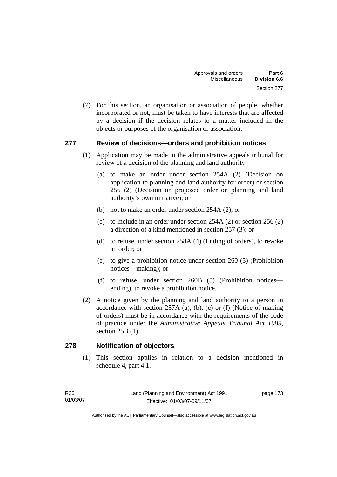(7) For this section, an organisation or association of people, whether incorporated or not, must be taken to have interests that are affected by a decision if the decision relates to a matter included in the objects or purposes of the organisation or association.

### **277 Review of decisions—orders and prohibition notices**

- (1) Application may be made to the administrative appeals tribunal for review of a decision of the planning and land authority—
	- (a) to make an order under section 254A (2) (Decision on application to planning and land authority for order) or section 256 (2) (Decision on proposed order on planning and land authority's own initiative); or
	- (b) not to make an order under section 254A (2); or
	- (c) to include in an order under section 254A (2) or section 256 (2) a direction of a kind mentioned in section 257 (3); or
	- (d) to refuse, under section 258A (4) (Ending of orders), to revoke an order; or
	- (e) to give a prohibition notice under section 260 (3) (Prohibition notices—making); or
	- (f) to refuse, under section 260B (5) (Prohibition notices ending), to revoke a prohibition notice.
- (2) A notice given by the planning and land authority to a person in accordance with section  $257A$  (a), (b), (c) or (f) (Notice of making of orders) must be in accordance with the requirements of the code of practice under the *Administrative Appeals Tribunal Act 1989*, section 25B (1).

### **278 Notification of objectors**

 (1) This section applies in relation to a decision mentioned in schedule 4, part 4.1.

page 173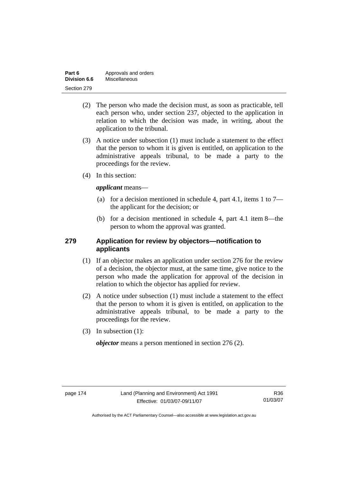| Part 6       | Approvals and orders |
|--------------|----------------------|
| Division 6.6 | Miscellaneous        |
| Section 279  |                      |

- (2) The person who made the decision must, as soon as practicable, tell each person who, under section 237, objected to the application in relation to which the decision was made, in writing, about the application to the tribunal.
- (3) A notice under subsection (1) must include a statement to the effect that the person to whom it is given is entitled, on application to the administrative appeals tribunal, to be made a party to the proceedings for the review.
- (4) In this section:

*applicant* means—

- (a) for a decision mentioned in schedule 4, part 4.1, items 1 to 7 the applicant for the decision; or
- (b) for a decision mentioned in schedule 4, part 4.1 item 8—the person to whom the approval was granted.

### **279 Application for review by objectors—notification to applicants**

- (1) If an objector makes an application under section 276 for the review of a decision, the objector must, at the same time, give notice to the person who made the application for approval of the decision in relation to which the objector has applied for review.
- (2) A notice under subsection (1) must include a statement to the effect that the person to whom it is given is entitled, on application to the administrative appeals tribunal, to be made a party to the proceedings for the review.
- (3) In subsection (1):

*objector* means a person mentioned in section 276 (2).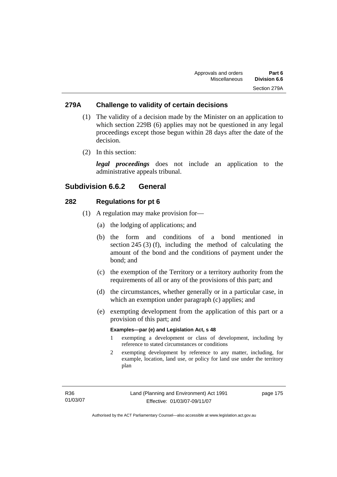### **279A Challenge to validity of certain decisions**

- (1) The validity of a decision made by the Minister on an application to which section 229B (6) applies may not be questioned in any legal proceedings except those begun within 28 days after the date of the decision.
- (2) In this section:

*legal proceedings* does not include an application to the administrative appeals tribunal.

### **Subdivision 6.6.2 General**

### **282 Regulations for pt 6**

- (1) A regulation may make provision for—
	- (a) the lodging of applications; and
	- (b) the form and conditions of a bond mentioned in section 245 (3) (f), including the method of calculating the amount of the bond and the conditions of payment under the bond; and
	- (c) the exemption of the Territory or a territory authority from the requirements of all or any of the provisions of this part; and
	- (d) the circumstances, whether generally or in a particular case, in which an exemption under paragraph (c) applies; and
	- (e) exempting development from the application of this part or a provision of this part; and

#### **Examples—par (e) and Legislation Act, s 48**

- 1 exempting a development or class of development, including by reference to stated circumstances or conditions
- 2 exempting development by reference to any matter, including, for example, location, land use, or policy for land use under the territory plan

page 175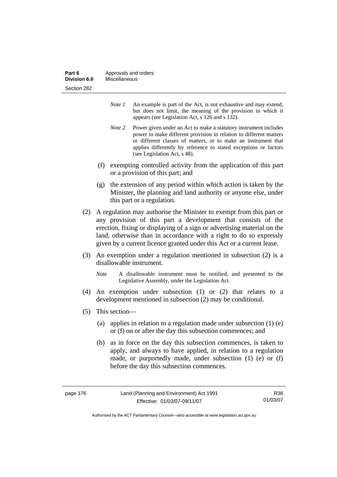| Part 6       | Approvals and orders |
|--------------|----------------------|
| Division 6.6 | Miscellaneous        |
| Section 282  |                      |

- *Note 1* An example is part of the Act, is not exhaustive and may extend, but does not limit, the meaning of the provision in which it appears (see Legislation Act, s 126 and s 132).
- *Note 2* Power given under an Act to make a statutory instrument includes power to make different provision in relation to different matters or different classes of matters, or to make an instrument that applies differently by reference to stated exceptions or factors (see Legislation Act, s 48).
- (f) exempting controlled activity from the application of this part or a provision of this part; and
- (g) the extension of any period within which action is taken by the Minister, the planning and land authority or anyone else, under this part or a regulation.
- (2) A regulation may authorise the Minister to exempt from this part or any provision of this part a development that consists of the erection, fixing or displaying of a sign or advertising material on the land, otherwise than in accordance with a right to do so expressly given by a current licence granted under this Act or a current lease.
- (3) An exemption under a regulation mentioned in subsection (2) is a disallowable instrument.
	- *Note* A disallowable instrument must be notified, and presented to the Legislative Assembly, under the Legislation Act.
- (4) An exemption under subsection (1) or (2) that relates to a development mentioned in subsection (2) may be conditional.
- (5) This section—
	- (a) applies in relation to a regulation made under subsection (1) (e) or (f) on or after the day this subsection commences; and
	- (b) as in force on the day this subsection commences, is taken to apply, and always to have applied, in relation to a regulation made, or purportedly made, under subsection (1) (e) or (f) before the day this subsection commences.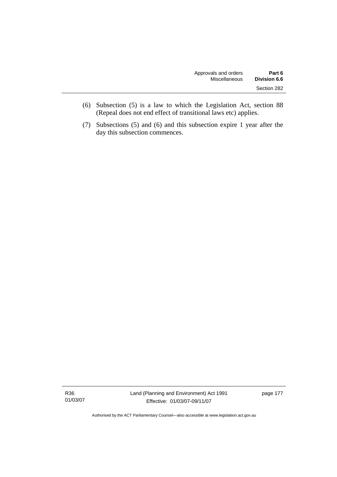| Approvals and orders | Part 6       |
|----------------------|--------------|
| Miscellaneous        | Division 6.6 |
|                      | Section 282  |

- (6) Subsection (5) is a law to which the Legislation Act, section 88 (Repeal does not end effect of transitional laws etc) applies.
- (7) Subsections (5) and (6) and this subsection expire 1 year after the day this subsection commences.

R36 01/03/07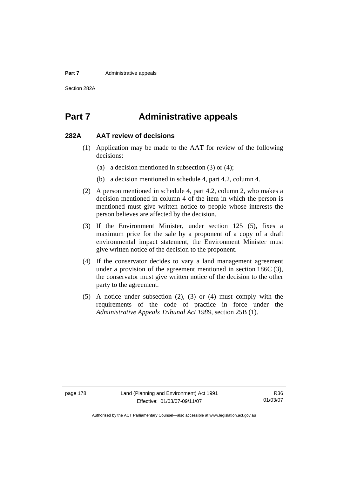#### **Part 7** Administrative appeals

Section 282A

## **Part 7 Administrative appeals**

### **282A AAT review of decisions**

- (1) Application may be made to the AAT for review of the following decisions:
	- (a) a decision mentioned in subsection (3) or (4);
	- (b) a decision mentioned in schedule 4, part 4.2, column 4.
- (2) A person mentioned in schedule 4, part 4.2, column 2, who makes a decision mentioned in column 4 of the item in which the person is mentioned must give written notice to people whose interests the person believes are affected by the decision.
- (3) If the Environment Minister, under section 125 (5), fixes a maximum price for the sale by a proponent of a copy of a draft environmental impact statement, the Environment Minister must give written notice of the decision to the proponent.
- (4) If the conservator decides to vary a land management agreement under a provision of the agreement mentioned in section 186C (3), the conservator must give written notice of the decision to the other party to the agreement.
- (5) A notice under subsection (2), (3) or (4) must comply with the requirements of the code of practice in force under the *Administrative Appeals Tribunal Act 1989*, section 25B (1).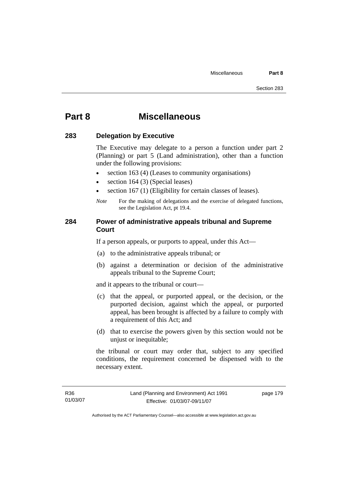## **Part 8 Miscellaneous**

### **283 Delegation by Executive**

The Executive may delegate to a person a function under part 2 (Planning) or part 5 (Land administration), other than a function under the following provisions:

- section 163 (4) (Leases to community organisations)
- section 164 (3) (Special leases)
- section 167 (1) (Eligibility for certain classes of leases).
- *Note* For the making of delegations and the exercise of delegated functions, see the Legislation Act, pt 19.4.

### **284 Power of administrative appeals tribunal and Supreme Court**

If a person appeals, or purports to appeal, under this Act—

- (a) to the administrative appeals tribunal; or
- (b) against a determination or decision of the administrative appeals tribunal to the Supreme Court;

and it appears to the tribunal or court—

- (c) that the appeal, or purported appeal, or the decision, or the purported decision, against which the appeal, or purported appeal, has been brought is affected by a failure to comply with a requirement of this Act; and
- (d) that to exercise the powers given by this section would not be unjust or inequitable;

the tribunal or court may order that, subject to any specified conditions, the requirement concerned be dispensed with to the necessary extent.

page 179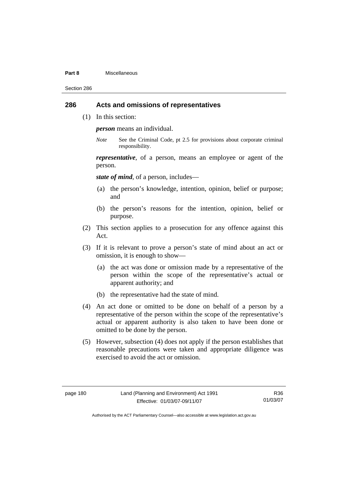#### **Part 8** Miscellaneous

Section 286

### **286 Acts and omissions of representatives**

(1) In this section:

*person* means an individual.

*Note* See the Criminal Code, pt 2.5 for provisions about corporate criminal responsibility.

*representative*, of a person, means an employee or agent of the person.

*state of mind*, of a person, includes—

- (a) the person's knowledge, intention, opinion, belief or purpose; and
- (b) the person's reasons for the intention, opinion, belief or purpose.
- (2) This section applies to a prosecution for any offence against this Act.
- (3) If it is relevant to prove a person's state of mind about an act or omission, it is enough to show—
	- (a) the act was done or omission made by a representative of the person within the scope of the representative's actual or apparent authority; and
	- (b) the representative had the state of mind.
- (4) An act done or omitted to be done on behalf of a person by a representative of the person within the scope of the representative's actual or apparent authority is also taken to have been done or omitted to be done by the person.
- (5) However, subsection (4) does not apply if the person establishes that reasonable precautions were taken and appropriate diligence was exercised to avoid the act or omission.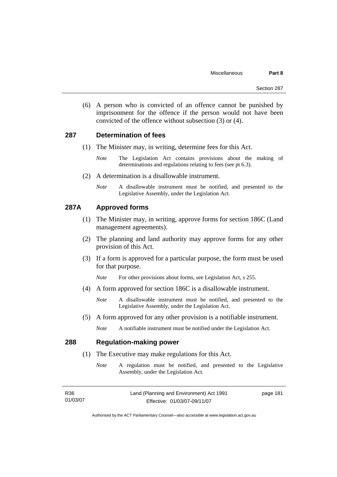(6) A person who is convicted of an offence cannot be punished by imprisonment for the offence if the person would not have been convicted of the offence without subsection (3) or (4).

### **287 Determination of fees**

- (1) The Minister may, in writing, determine fees for this Act.
	- *Note* The Legislation Act contains provisions about the making of determinations and regulations relating to fees (see pt 6.3).
- (2) A determination is a disallowable instrument.
	- *Note* A disallowable instrument must be notified, and presented to the Legislative Assembly, under the Legislation Act.

### **287A Approved forms**

- (1) The Minister may, in writing, approve forms for section 186C (Land management agreements).
- (2) The planning and land authority may approve forms for any other provision of this Act.
- (3) If a form is approved for a particular purpose, the form must be used for that purpose.
	- *Note* For other provisions about forms, see Legislation Act, s 255.
- (4) A form approved for section 186C is a disallowable instrument.
	- *Note* A disallowable instrument must be notified, and presented to the Legislative Assembly, under the Legislation Act.
- (5) A form approved for any other provision is a notifiable instrument.
	- *Note* A notifiable instrument must be notified under the Legislation Act.

### **288 Regulation-making power**

- (1) The Executive may make regulations for this Act.
	- *Note* A regulation must be notified, and presented to the Legislative Assembly, under the Legislation Act.

| R36      | Land (Planning and Environment) Act 1991 | page 181 |
|----------|------------------------------------------|----------|
| 01/03/07 | Effective: 01/03/07-09/11/07             |          |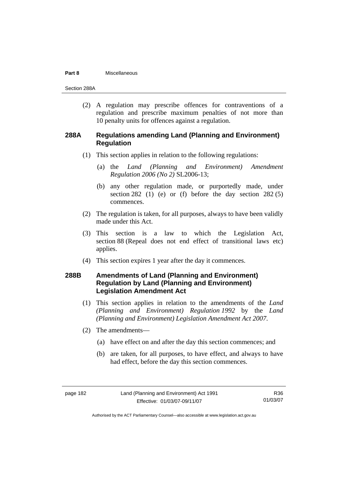#### **Part 8** Miscellaneous

Section 288A

(2) A regulation may prescribe offences for contraventions of a regulation and prescribe maximum penalties of not more than 10 penalty units for offences against a regulation.

### **288A Regulations amending Land (Planning and Environment) Regulation**

- (1) This section applies in relation to the following regulations:
	- (a) the *Land (Planning and Environment) Amendment Regulation 2006 (No 2)* SL2006-13;
	- (b) any other regulation made, or purportedly made, under section 282 (1) (e) or (f) before the day section  $282(5)$ commences.
- (2) The regulation is taken, for all purposes, always to have been validly made under this Act.
- (3) This section is a law to which the Legislation Act, section 88 (Repeal does not end effect of transitional laws etc) applies.
- (4) This section expires 1 year after the day it commences.

## **288B Amendments of Land (Planning and Environment) Regulation by Land (Planning and Environment) Legislation Amendment Act**

- (1) This section applies in relation to the amendments of the *Land (Planning and Environment) Regulation 1992* by the *Land (Planning and Environment) Legislation Amendment Act 2007*.
- (2) The amendments—
	- (a) have effect on and after the day this section commences; and
	- (b) are taken, for all purposes, to have effect, and always to have had effect, before the day this section commences.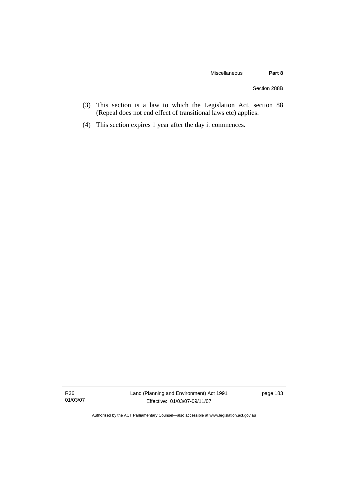- (3) This section is a law to which the Legislation Act, section 88 (Repeal does not end effect of transitional laws etc) applies.
- (4) This section expires 1 year after the day it commences.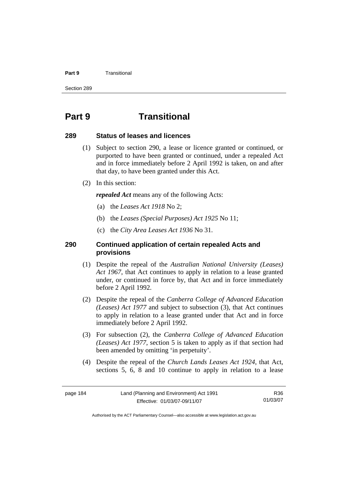#### **Part 9 Transitional**

Section 289

## **Part 9 Transitional**

### **289 Status of leases and licences**

- (1) Subject to section 290, a lease or licence granted or continued, or purported to have been granted or continued, under a repealed Act and in force immediately before 2 April 1992 is taken, on and after that day, to have been granted under this Act.
- (2) In this section:

*repealed Act* means any of the following Acts:

- (a) the *Leases Act 1918* No 2;
- (b) the *Leases (Special Purposes) Act 1925* No 11;
- (c) the *City Area Leases Act 1936* No 31.

### **290 Continued application of certain repealed Acts and provisions**

- (1) Despite the repeal of the *Australian National University (Leases) Act 1967*, that Act continues to apply in relation to a lease granted under, or continued in force by, that Act and in force immediately before 2 April 1992.
- (2) Despite the repeal of the *Canberra College of Advanced Education (Leases) Act 1977* and subject to subsection (3), that Act continues to apply in relation to a lease granted under that Act and in force immediately before 2 April 1992.
- (3) For subsection (2), the *Canberra College of Advanced Education (Leases) Act 1977*, section 5 is taken to apply as if that section had been amended by omitting 'in perpetuity'.
- (4) Despite the repeal of the *Church Lands Leases Act 1924*, that Act, sections 5, 6, 8 and 10 continue to apply in relation to a lease

R36 01/03/07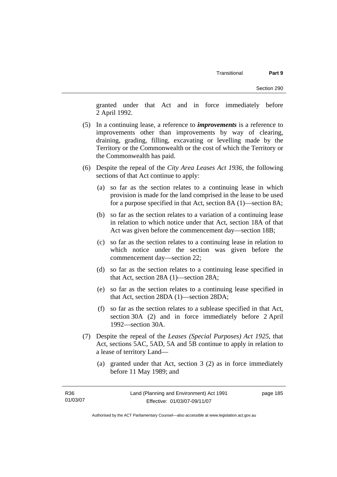granted under that Act and in force immediately before 2 April 1992.

- (5) In a continuing lease, a reference to *improvements* is a reference to improvements other than improvements by way of clearing, draining, grading, filling, excavating or levelling made by the Territory or the Commonwealth or the cost of which the Territory or the Commonwealth has paid.
- (6) Despite the repeal of the *City Area Leases Act 1936*, the following sections of that Act continue to apply:
	- (a) so far as the section relates to a continuing lease in which provision is made for the land comprised in the lease to be used for a purpose specified in that Act, section 8A (1)—section 8A;
	- (b) so far as the section relates to a variation of a continuing lease in relation to which notice under that Act, section 18A of that Act was given before the commencement day—section 18B;
	- (c) so far as the section relates to a continuing lease in relation to which notice under the section was given before the commencement day—section 22;
	- (d) so far as the section relates to a continuing lease specified in that Act, section 28A (1)—section 28A;
	- (e) so far as the section relates to a continuing lease specified in that Act, section 28DA (1)—section 28DA;
	- (f) so far as the section relates to a sublease specified in that Act, section 30A (2) and in force immediately before 2 April 1992—section 30A.
- (7) Despite the repeal of the *Leases (Special Purposes) Act 1925*, that Act, sections 5AC, 5AD, 5A and 5B continue to apply in relation to a lease of territory Land—
	- (a) granted under that Act, section 3 (2) as in force immediately before 11 May 1989; and

page 185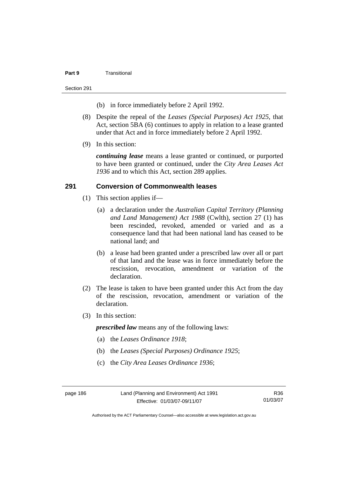#### **Part 9** Transitional

#### Section 291

- (b) in force immediately before 2 April 1992.
- (8) Despite the repeal of the *Leases (Special Purposes) Act 1925*, that Act, section 5BA (6) continues to apply in relation to a lease granted under that Act and in force immediately before 2 April 1992.
- (9) In this section:

*continuing lease* means a lease granted or continued, or purported to have been granted or continued, under the *City Area Leases Act 1936* and to which this Act, section 289 applies.

### **291 Conversion of Commonwealth leases**

- (1) This section applies if—
	- (a) a declaration under the *Australian Capital Territory (Planning and Land Management) Act 1988* (Cwlth), section 27 (1) has been rescinded, revoked, amended or varied and as a consequence land that had been national land has ceased to be national land; and
	- (b) a lease had been granted under a prescribed law over all or part of that land and the lease was in force immediately before the rescission, revocation, amendment or variation of the declaration.
- (2) The lease is taken to have been granted under this Act from the day of the rescission, revocation, amendment or variation of the declaration.
- (3) In this section:

*prescribed law* means any of the following laws:

- (a) the *Leases Ordinance 1918*;
- (b) the *Leases (Special Purposes) Ordinance 1925*;
- (c) the *City Area Leases Ordinance 1936*;

R36 01/03/07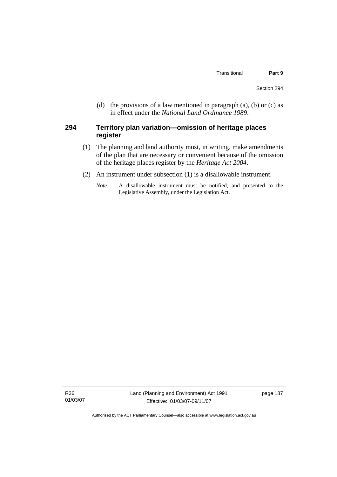(d) the provisions of a law mentioned in paragraph (a), (b) or (c) as in effect under the *National Land Ordinance 1989*.

### **294 Territory plan variation—omission of heritage places register**

- (1) The planning and land authority must, in writing, make amendments of the plan that are necessary or convenient because of the omission of the heritage places register by the *Heritage Act 2004*.
- (2) An instrument under subsection (1) is a disallowable instrument.
	- *Note* A disallowable instrument must be notified, and presented to the Legislative Assembly, under the Legislation Act.

R36 01/03/07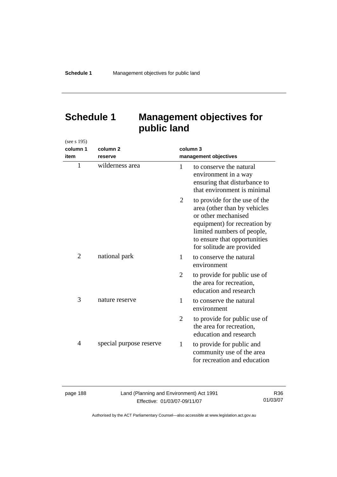## **Schedule 1 Management objectives for public land**

| (see s 195)    |                         |                |                                                                                                                                                                                                                 |
|----------------|-------------------------|----------------|-----------------------------------------------------------------------------------------------------------------------------------------------------------------------------------------------------------------|
| column 1       | column <sub>2</sub>     | column 3       |                                                                                                                                                                                                                 |
| item           | reserve                 |                | management objectives                                                                                                                                                                                           |
| $\mathbf{1}$   | wilderness area         | 1              | to conserve the natural<br>environment in a way<br>ensuring that disturbance to<br>that environment is minimal                                                                                                  |
|                |                         | $\overline{2}$ | to provide for the use of the<br>area (other than by vehicles<br>or other mechanised<br>equipment) for recreation by<br>limited numbers of people,<br>to ensure that opportunities<br>for solitude are provided |
| $\overline{2}$ | national park           | 1              | to conserve the natural<br>environment                                                                                                                                                                          |
|                |                         | 2              | to provide for public use of<br>the area for recreation,<br>education and research                                                                                                                              |
| 3              | nature reserve          | 1              | to conserve the natural<br>environment                                                                                                                                                                          |
|                |                         | $\overline{2}$ | to provide for public use of<br>the area for recreation,<br>education and research                                                                                                                              |
| 4              | special purpose reserve | 1              | to provide for public and<br>community use of the area<br>for recreation and education                                                                                                                          |

| page 188 |  |  |
|----------|--|--|
|----------|--|--|

Land (Planning and Environment) Act 1991 Effective: 01/03/07-09/11/07

R36 01/03/07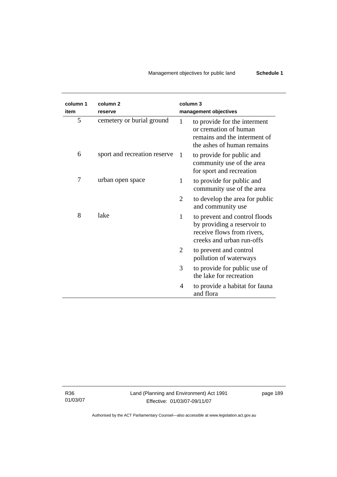## Management objectives for public land **Schedule 1**

| column 1<br>item | column <sub>2</sub><br>reserve |    | column 3<br>management objectives                                                                                       |
|------------------|--------------------------------|----|-------------------------------------------------------------------------------------------------------------------------|
| 5                | cemetery or burial ground      | 1  | to provide for the interment<br>or cremation of human<br>remains and the interment of<br>the ashes of human remains     |
| 6                | sport and recreation reserve   | -1 | to provide for public and<br>community use of the area<br>for sport and recreation                                      |
| 7                | urban open space               | 1  | to provide for public and<br>community use of the area                                                                  |
|                  |                                | 2  | to develop the area for public<br>and community use                                                                     |
| 8                | lake                           | 1  | to prevent and control floods<br>by providing a reservoir to<br>receive flows from rivers,<br>creeks and urban run-offs |
|                  |                                | 2  | to prevent and control<br>pollution of waterways                                                                        |
|                  |                                | 3  | to provide for public use of<br>the lake for recreation                                                                 |
|                  |                                | 4  | to provide a habitat for fauna<br>and flora                                                                             |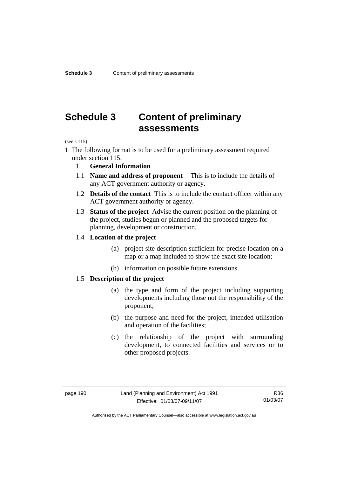## **Schedule 3 Content of preliminary assessments**

(see s 115)

- **1** The following format is to be used for a preliminary assessment required under section 115.
	- 1. **General Information**
	- 1.1 **Name and address of proponent** This is to include the details of any ACT government authority or agency.
	- 1.2 **Details of the contact** This is to include the contact officer within any ACT government authority or agency.
	- 1.3 **Status of the project** Advise the current position on the planning of the project, studies begun or planned and the proposed targets for planning, development or construction.

### 1.4 **Location of the project**

- (a) project site description sufficient for precise location on a map or a map included to show the exact site location;
- (b) information on possible future extensions.

### 1.5 **Description of the project**

- (a) the type and form of the project including supporting developments including those not the responsibility of the proponent;
- (b) the purpose and need for the project, intended utilisation and operation of the facilities;
- (c) the relationship of the project with surrounding development, to connected facilities and services or to other proposed projects.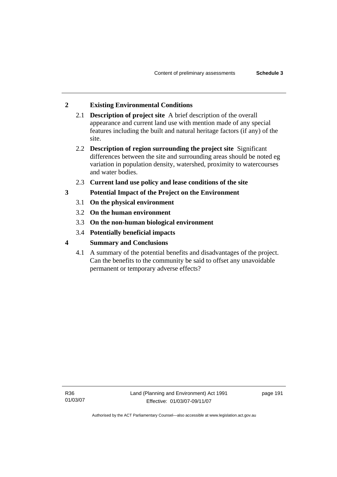### **2 Existing Environmental Conditions**

- 2.1 **Description of project site** A brief description of the overall appearance and current land use with mention made of any special features including the built and natural heritage factors (if any) of the site.
- 2.2 **Description of region surrounding the project site** Significant differences between the site and surrounding areas should be noted eg variation in population density, watershed, proximity to watercourses and water bodies.
- 2.3 **Current land use policy and lease conditions of the site**
- **3 Potential Impact of the Project on the Environment** 
	- 3.1 **On the physical environment**
	- 3.2 **On the human environment**
	- 3.3 **On the non-human biological environment**
	- 3.4 **Potentially beneficial impacts**
- **4 Summary and Conclusions** 
	- 4.1 A summary of the potential benefits and disadvantages of the project. Can the benefits to the community be said to offset any unavoidable permanent or temporary adverse effects?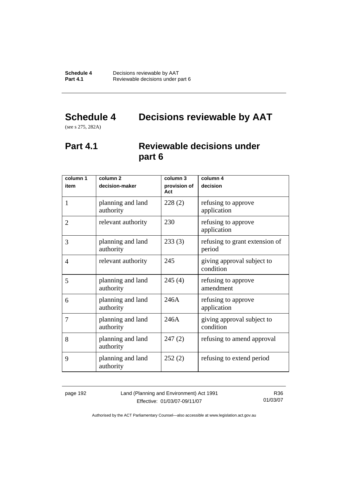# **Schedule 4 Decisions reviewable by AAT**

(see s 275, 282A)

## **Part 4.1 Reviewable decisions under part 6**

| column 1       | column <sub>2</sub>            | column 3            | column 4                                 |
|----------------|--------------------------------|---------------------|------------------------------------------|
| item           | decision-maker                 | provision of<br>Act | decision                                 |
| 1              | planning and land<br>authority | 228(2)              | refusing to approve<br>application       |
| $\overline{2}$ | relevant authority             | 230                 | refusing to approve<br>application       |
| 3              | planning and land<br>authority | 233(3)              | refusing to grant extension of<br>period |
| 4              | relevant authority             | 245                 | giving approval subject to<br>condition  |
| 5              | planning and land<br>authority | 245(4)              | refusing to approve<br>amendment         |
| 6              | planning and land<br>authority | 246A                | refusing to approve<br>application       |
| 7              | planning and land<br>authority | 246A                | giving approval subject to<br>condition  |
| 8              | planning and land<br>authority | 247(2)              | refusing to amend approval               |
| 9              | planning and land<br>authority | 252(2)              | refusing to extend period                |

page 192 Land (Planning and Environment) Act 1991 Effective: 01/03/07-09/11/07

R36 01/03/07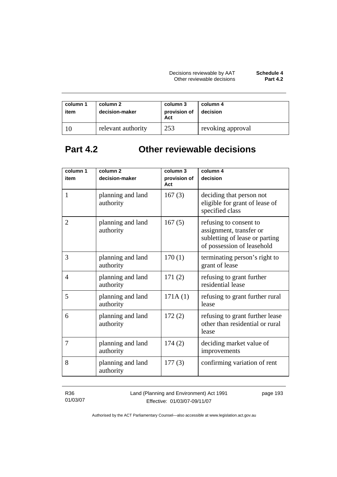| column 1<br>item | column 2<br>decision-maker | column 3<br>provision of<br>Act | column 4<br>decision |
|------------------|----------------------------|---------------------------------|----------------------|
|                  | relevant authority         | 253                             | revoking approval    |

## **Part 4.2 Other reviewable decisions**

| column 1       | column <sub>2</sub>            | column 3            | column 4                                                                                                          |
|----------------|--------------------------------|---------------------|-------------------------------------------------------------------------------------------------------------------|
| item           | decision-maker                 | provision of<br>Act | decision                                                                                                          |
| $\mathbf{1}$   | planning and land<br>authority | 167(3)              | deciding that person not<br>eligible for grant of lease of<br>specified class                                     |
| $\overline{2}$ | planning and land<br>authority | 167(5)              | refusing to consent to<br>assignment, transfer or<br>subletting of lease or parting<br>of possession of leasehold |
| 3              | planning and land<br>authority | 170(1)              | terminating person's right to<br>grant of lease                                                                   |
| 4              | planning and land<br>authority | 171(2)              | refusing to grant further<br>residential lease                                                                    |
| 5              | planning and land<br>authority | 171A(1)             | refusing to grant further rural<br>lease                                                                          |
| 6              | planning and land<br>authority | 172(2)              | refusing to grant further lease<br>other than residential or rural<br>lease                                       |
| 7              | planning and land<br>authority | 174(2)              | deciding market value of<br>improvements                                                                          |
| 8              | planning and land<br>authority | 177(3)              | confirming variation of rent                                                                                      |

R36 01/03/07 Land (Planning and Environment) Act 1991 Effective: 01/03/07-09/11/07

page 193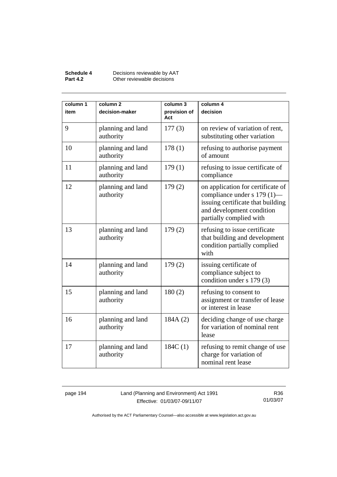### **Schedule 4** Decisions reviewable by AAT **Part 4.2 Other reviewable decisions**

| column 1<br>item | column <sub>2</sub><br>decision-maker | column 3<br>provision of<br>Act | column 4<br>decision                                                                                                                                          |
|------------------|---------------------------------------|---------------------------------|---------------------------------------------------------------------------------------------------------------------------------------------------------------|
| 9                | planning and land<br>authority        | 177(3)                          | on review of variation of rent,<br>substituting other variation                                                                                               |
| 10               | planning and land<br>authority        | 178(1)                          | refusing to authorise payment<br>of amount                                                                                                                    |
| 11               | planning and land<br>authority        | 179(1)                          | refusing to issue certificate of<br>compliance                                                                                                                |
| 12               | planning and land<br>authority        | 179(2)                          | on application for certificate of<br>compliance under s 179 (1)—<br>issuing certificate that building<br>and development condition<br>partially complied with |
| 13               | planning and land<br>authority        | 179(2)                          | refusing to issue certificate<br>that building and development<br>condition partially complied<br>with                                                        |
| 14               | planning and land<br>authority        | 179(2)                          | issuing certificate of<br>compliance subject to<br>condition under s 179 (3)                                                                                  |
| 15               | planning and land<br>authority        | 180(2)                          | refusing to consent to<br>assignment or transfer of lease<br>or interest in lease                                                                             |
| 16               | planning and land<br>authority        | 184A(2)                         | deciding change of use charge<br>for variation of nominal rent<br>lease                                                                                       |
| 17               | planning and land<br>authority        | 184C(1)                         | refusing to remit change of use<br>charge for variation of<br>nominal rent lease                                                                              |

page 194 Land (Planning and Environment) Act 1991 Effective: 01/03/07-09/11/07

R36 01/03/07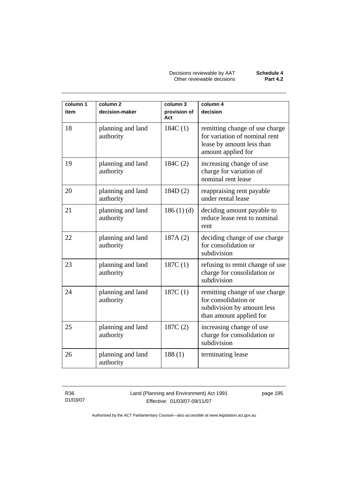Decisions reviewable by AAT **Schedule 4** Other reviewable decisions **Part 4.2** 

| column 1 | column <sub>2</sub>            | column 3            | column 4                                                                                                           |
|----------|--------------------------------|---------------------|--------------------------------------------------------------------------------------------------------------------|
| item     | decision-maker                 | provision of<br>Act | decision                                                                                                           |
| 18       | planning and land<br>authority | 184C(1)             | remitting change of use charge<br>for variation of nominal rent<br>lease by amount less than<br>amount applied for |
| 19       | planning and land<br>authority | 184C(2)             | increasing change of use<br>charge for variation of<br>nominal rent lease                                          |
| 20       | planning and land<br>authority | 184D(2)             | reappraising rent payable<br>under rental lease                                                                    |
| 21       | planning and land<br>authority | 186(1)(d)           | deciding amount payable to<br>reduce lease rent to nominal<br>rent                                                 |
| 22       | planning and land<br>authority | 187A (2)            | deciding change of use charge<br>for consolidation or<br>subdivision                                               |
| 23       | planning and land<br>authority | 187C(1)             | refusing to remit change of use<br>charge for consolidation or<br>subdivision                                      |
| 24       | planning and land<br>authority | 187C(1)             | remitting change of use charge<br>for consolidation or<br>subdivision by amount less<br>than amount applied for    |
| 25       | planning and land<br>authority | 187C(2)             | increasing change of use<br>charge for consolidation or<br>subdivision                                             |
| 26       | planning and land<br>authority | 188(1)              | terminating lease                                                                                                  |

R36 01/03/07 Land (Planning and Environment) Act 1991 Effective: 01/03/07-09/11/07

page 195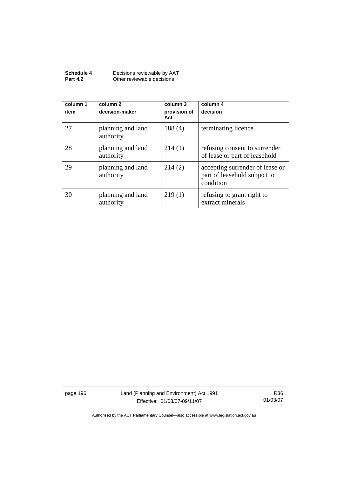| Schedule 4      | Decisions reviewable by AAT |
|-----------------|-----------------------------|
| <b>Part 4.2</b> | Other reviewable decisions  |

| column 1<br>item | column 2<br>decision-maker     | column 3<br>provision of<br>Act | column 4<br>decision                                                         |
|------------------|--------------------------------|---------------------------------|------------------------------------------------------------------------------|
| 27               | planning and land<br>authority | 188(4)                          | terminating licence                                                          |
| 28               | planning and land<br>authority | 214(1)                          | refusing consent to surrender<br>of lease or part of leasehold               |
| 29               | planning and land<br>authority | 214(2)                          | accepting surrender of lease or<br>part of leasehold subject to<br>condition |
| 30               | planning and land<br>authority | 219(1)                          | refusing to grant right to<br>extract minerals                               |

page 196 Land (Planning and Environment) Act 1991 Effective: 01/03/07-09/11/07

R36 01/03/07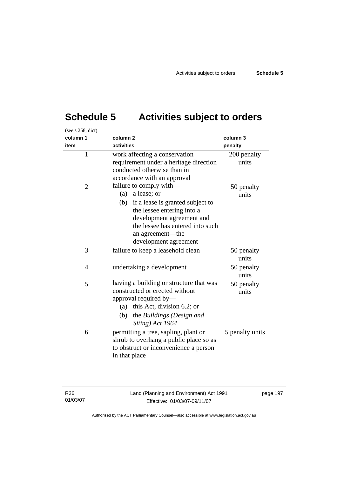# **Schedule 5 Activities subject to orders**

| (see s 258, dict) |                                                                                                                                                                                                                                      |                      |
|-------------------|--------------------------------------------------------------------------------------------------------------------------------------------------------------------------------------------------------------------------------------|----------------------|
| column 1          | column <sub>2</sub>                                                                                                                                                                                                                  | column 3             |
| item              | activities                                                                                                                                                                                                                           | penalty              |
| $\mathbf{1}$      | work affecting a conservation<br>requirement under a heritage direction<br>conducted otherwise than in<br>accordance with an approval                                                                                                | 200 penalty<br>units |
| $\overline{2}$    | failure to comply with—<br>a lease; or<br>(a)<br>(b)<br>if a lease is granted subject to<br>the lessee entering into a<br>development agreement and<br>the lessee has entered into such<br>an agreement—the<br>development agreement | 50 penalty<br>units  |
| 3                 | failure to keep a leasehold clean                                                                                                                                                                                                    | 50 penalty<br>units  |
| 4                 | undertaking a development                                                                                                                                                                                                            | 50 penalty<br>units  |
| 5                 | having a building or structure that was<br>constructed or erected without<br>approval required by-<br>(a) this Act, division 6.2; or<br>(b)<br>the Buildings (Design and<br>Siting) Act 1964                                         | 50 penalty<br>units  |
| 6                 | permitting a tree, sapling, plant or<br>shrub to overhang a public place so as<br>to obstruct or inconvenience a person<br>in that place                                                                                             | 5 penalty units      |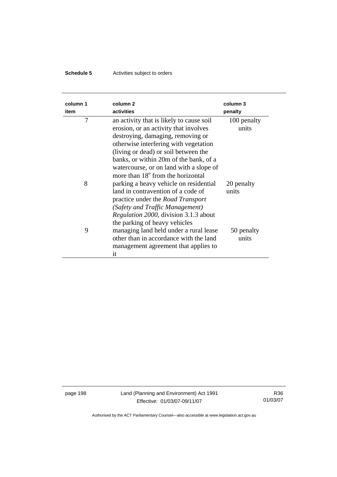## **Schedule 5** Activities subject to orders

| column 1<br>item | column <sub>2</sub><br>activities                                                                                                                                                                                                                                                                                                             | column 3<br>penalty  |
|------------------|-----------------------------------------------------------------------------------------------------------------------------------------------------------------------------------------------------------------------------------------------------------------------------------------------------------------------------------------------|----------------------|
| 7                | an activity that is likely to cause soil<br>erosion, or an activity that involves<br>destroying, damaging, removing or<br>otherwise interfering with vegetation<br>(living or dead) or soil between the<br>banks, or within 20m of the bank, of a<br>watercourse, or on land with a slope of<br>more than 18 <sup>°</sup> from the horizontal | 100 penalty<br>units |
| 8                | parking a heavy vehicle on residential<br>land in contravention of a code of<br>practice under the <i>Road Transport</i><br>(Safety and Traffic Management)<br><i>Regulation 2000</i> , division 3.1.3 about<br>the parking of heavy vehicles                                                                                                 | 20 penalty<br>units  |
| 9                | managing land held under a rural lease<br>other than in accordance with the land<br>management agreement that applies to<br>it                                                                                                                                                                                                                | 50 penalty<br>units  |

page 198 Land (Planning and Environment) Act 1991 Effective: 01/03/07-09/11/07

R36 01/03/07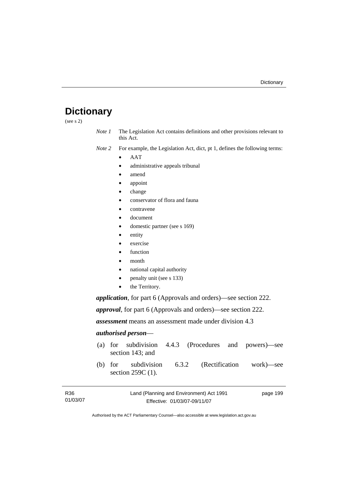## **Dictionary**

(see s 2)

*Note 1* The Legislation Act contains definitions and other provisions relevant to this Act.

*Note 2* For example, the Legislation Act, dict, pt 1, defines the following terms:

- AAT
	- administrative appeals tribunal
	- amend
- appoint
- change
- conservator of flora and fauna
- contravene
- document
- domestic partner (see s 169)
- entity
- exercise
- **function**
- month
- national capital authority
- penalty unit (see s 133)
- the Territory.

*application*, for part 6 (Approvals and orders)—see section 222.

*approval*, for part 6 (Approvals and orders)—see section 222.

*assessment* means an assessment made under division 4.3

### *authorised person*—

- (a) for subdivision 4.4.3 (Procedures and powers)—see section 143; and
- (b) for subdivision 6.3.2 (Rectification work)—see section 259C (1).

| R <sub>36</sub> | Land (Planning and Environment) Act 1991 | page 199 |
|-----------------|------------------------------------------|----------|
| 01/03/07        | Effective: 01/03/07-09/11/07             |          |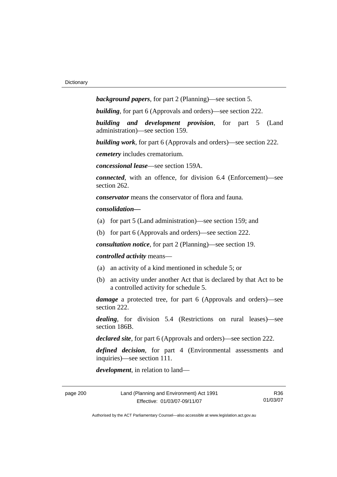*background papers*, for part 2 (Planning)—see section 5.

*building*, for part 6 (Approvals and orders)—see section 222.

*building and development provision*, for part 5 (Land administration)—see section 159.

*building work*, for part 6 (Approvals and orders)—see section 222.

*cemetery* includes crematorium.

*concessional lease*—see section 159A.

*connected*, with an offence, for division 6.4 (Enforcement)—see section 262.

*conservator* means the conservator of flora and fauna*.*

*consolidation—*

- (a) for part 5 (Land administration)—see section 159; and
- (b) for part 6 (Approvals and orders)—see section 222.

*consultation notice*, for part 2 (Planning)—see section 19.

### *controlled activity* means—

- (a) an activity of a kind mentioned in schedule 5; or
- (b) an activity under another Act that is declared by that Act to be a controlled activity for schedule 5.

*damage* a protected tree, for part 6 (Approvals and orders)—see section 222.

*dealing*, for division 5.4 (Restrictions on rural leases)—see section 186B.

*declared site*, for part 6 (Approvals and orders)—see section 222.

*defined decision*, for part 4 (Environmental assessments and inquiries)—see section 111.

*development*, in relation to land—

R36 01/03/07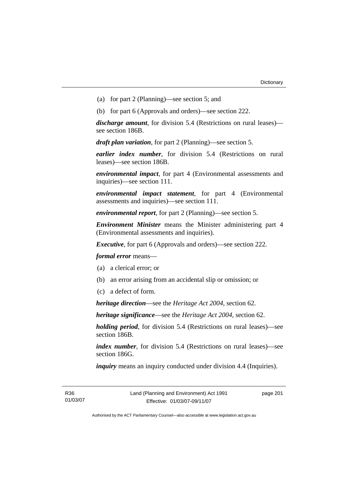- (a) for part 2 (Planning)—see section 5; and
- (b) for part 6 (Approvals and orders)—see section 222.

*discharge amount*, for division 5.4 (Restrictions on rural leases) see section 186B.

*draft plan variation*, for part 2 (Planning)—see section 5.

*earlier index number*, for division 5.4 (Restrictions on rural leases)—see section 186B.

*environmental impact*, for part 4 (Environmental assessments and inquiries)—see section 111.

*environmental impact statement*, for part 4 (Environmental assessments and inquiries)—see section 111.

*environmental report*, for part 2 (Planning)—see section 5.

*Environment Minister* means the Minister administering part 4 (Environmental assessments and inquiries).

*Executive*, for part 6 (Approvals and orders)—see section 222.

*formal error* means—

- (a) a clerical error; or
- (b) an error arising from an accidental slip or omission; or
- (c) a defect of form.

*heritage direction*—see the *Heritage Act 2004*, section 62.

*heritage significance*—see the *Heritage Act 2004*, section 62.

*holding period*, for division 5.4 (Restrictions on rural leases)—see section 186B.

*index number*, for division 5.4 (Restrictions on rural leases)—see section 186G.

*inquiry* means an inquiry conducted under division 4.4 (Inquiries).

R36 01/03/07 page 201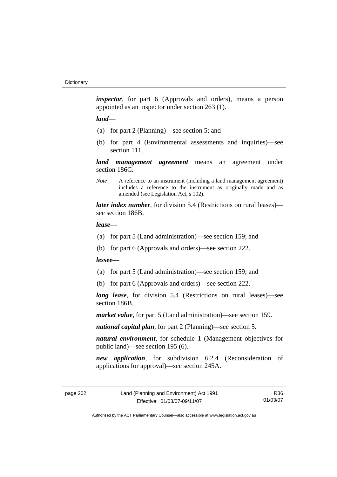*inspector*, for part 6 (Approvals and orders), means a person appointed as an inspector under section 263 (1).

### *land*—

- (a) for part 2 (Planning)—see section 5; and
- (b) for part 4 (Environmental assessments and inquiries)—see section 111.

*land management agreement* means an agreement under section 186C.

*Note* A reference to an instrument (including a land management agreement) includes a reference to the instrument as originally made and as amended (see Legislation Act, s 102).

*later index number*, for division 5.4 (Restrictions on rural leases) see section 186B.

### *lease—*

- (a) for part 5 (Land administration)—see section 159; and
- (b) for part 6 (Approvals and orders)—see section 222.

### *lessee—*

- (a) for part 5 (Land administration)—see section 159; and
- (b) for part 6 (Approvals and orders)—see section 222.

*long lease*, for division 5.4 (Restrictions on rural leases)—see section 186B.

*market value*, for part 5 (Land administration)—see section 159.

*national capital plan*, for part 2 (Planning)—see section 5.

*natural environment*, for schedule 1 (Management objectives for public land)—see section 195 (6).

*new application*, for subdivision 6.2.4 (Reconsideration of applications for approval)—see section 245A.

R36 01/03/07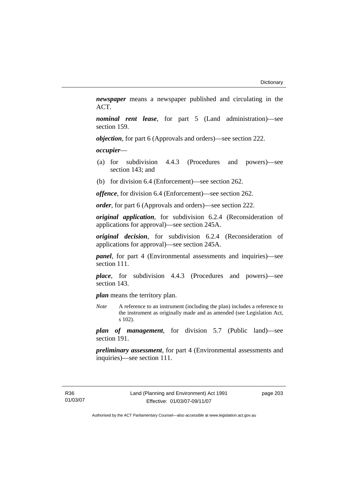*newspaper* means a newspaper published and circulating in the ACT.

*nominal rent lease*, for part 5 (Land administration)—see section 159.

*objection*, for part 6 (Approvals and orders)—see section 222.

*occupier*—

- (a) for subdivision 4.4.3 (Procedures and powers)—see section 143; and
- (b) for division 6.4 (Enforcement)—see section 262.

*offence*, for division 6.4 (Enforcement)—see section 262.

*order*, for part 6 (Approvals and orders)—see section 222.

*original application*, for subdivision 6.2.4 (Reconsideration of applications for approval)—see section 245A.

*original decision*, for subdivision 6.2.4 (Reconsideration of applications for approval)—see section 245A.

*panel*, for part 4 (Environmental assessments and inquiries)—see section 111.

*place*, for subdivision 4.4.3 (Procedures and powers)—see section 143.

*plan* means the territory plan.

*Note* A reference to an instrument (including the plan) includes a reference to the instrument as originally made and as amended (see Legislation Act, s 102).

*plan of management*, for division 5.7 (Public land)—see section 191.

*preliminary assessment*, for part 4 (Environmental assessments and inquiries)—see section 111.

page 203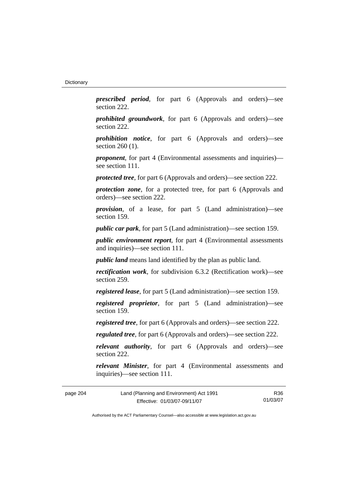*prescribed period*, for part 6 (Approvals and orders)—see section 222.

*prohibited groundwork*, for part 6 (Approvals and orders)—see section 222.

*prohibition notice*, for part 6 (Approvals and orders)—see section 260 (1).

*proponent*, for part 4 (Environmental assessments and inquiries) see section 111.

*protected tree*, for part 6 (Approvals and orders)—see section 222.

*protection zone*, for a protected tree, for part 6 (Approvals and orders)—see section 222.

*provision*, of a lease, for part 5 (Land administration)—see section 159.

*public car park*, for part 5 (Land administration)—see section 159.

*public environment report*, for part 4 (Environmental assessments and inquiries)—see section 111.

*public land* means land identified by the plan as public land.

*rectification work*, for subdivision 6.3.2 (Rectification work)—see section 259.

*registered lease*, for part 5 (Land administration)—see section 159.

*registered proprietor*, for part 5 (Land administration)—see section 159.

*registered tree*, for part 6 (Approvals and orders)—see section 222.

*regulated tree*, for part 6 (Approvals and orders)—see section 222.

*relevant authority*, for part 6 (Approvals and orders)—see section 222.

*relevant Minister*, for part 4 (Environmental assessments and inquiries)—see section 111.

| page 204 | Land (Planning and Environment) Act 1991 | R36      |
|----------|------------------------------------------|----------|
|          | Effective: 01/03/07-09/11/07             | 01/03/07 |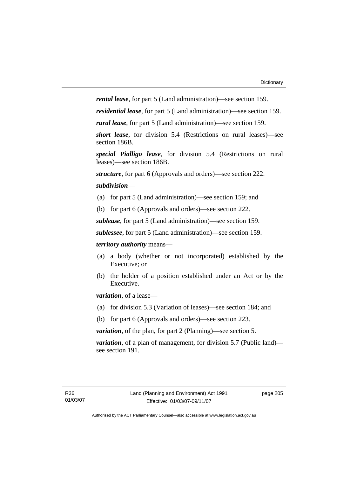*rental lease*, for part 5 (Land administration)—see section 159.

*residential lease*, for part 5 (Land administration)—see section 159.

*rural lease*, for part 5 (Land administration)—see section 159.

*short lease*, for division 5.4 (Restrictions on rural leases)—see section 186B.

*special Pialligo lease*, for division 5.4 (Restrictions on rural leases)—see section 186B.

*structure*, for part 6 (Approvals and orders)—see section 222.

#### *subdivision—*

- (a) for part 5 (Land administration)—see section 159; and
- (b) for part 6 (Approvals and orders)—see section 222.

*sublease*, for part 5 (Land administration)—see section 159.

*sublessee*, for part 5 (Land administration)—see section 159.

*territory authority* means—

- (a) a body (whether or not incorporated) established by the Executive; or
- (b) the holder of a position established under an Act or by the Executive.

*variation*, of a lease—

- (a) for division 5.3 (Variation of leases)—see section 184; and
- (b) for part 6 (Approvals and orders)—see section 223.

*variation*, of the plan, for part 2 (Planning)—see section 5.

*variation*, of a plan of management, for division 5.7 (Public land) see section 191.

page 205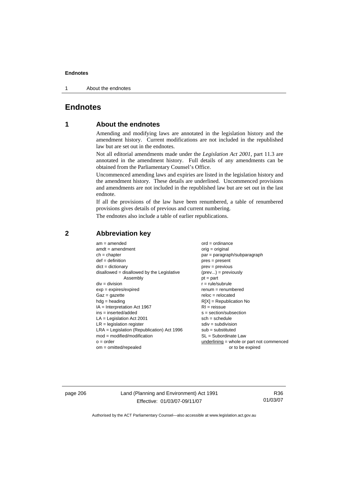1 About the endnotes

# **Endnotes**

# **1 About the endnotes**

Amending and modifying laws are annotated in the legislation history and the amendment history. Current modifications are not included in the republished law but are set out in the endnotes.

Not all editorial amendments made under the *Legislation Act 2001*, part 11.3 are annotated in the amendment history. Full details of any amendments can be obtained from the Parliamentary Counsel's Office.

Uncommenced amending laws and expiries are listed in the legislation history and the amendment history. These details are underlined. Uncommenced provisions and amendments are not included in the republished law but are set out in the last endnote.

If all the provisions of the law have been renumbered, a table of renumbered provisions gives details of previous and current numbering.

The endnotes also include a table of earlier republications.

| $am = amended$                               | $ord = ordinance$                           |
|----------------------------------------------|---------------------------------------------|
| $amdt = amendment$                           | $orig = original$                           |
| $ch = chapter$                               | par = paragraph/subparagraph                |
| $def = definition$                           | $pres = present$                            |
| $dict = dictionary$                          | $prev = previous$                           |
| $disallowed = disallowed by the Legislative$ | $(\text{prev}) = \text{previously}$         |
| Assembly                                     | $pt = part$                                 |
| $div = division$                             | $r = rule/subrule$                          |
| $exp = expires/expired$                      | $renum = renumbered$                        |
| $Gaz = gazette$                              | $reloc = relocated$                         |
| $hdg =$ heading                              | $R[X]$ = Republication No                   |
| $IA = Interpretation Act 1967$               | $RI = reissue$                              |
| $ins = inserted/added$                       | $s = section/subsection$                    |
| $LA =$ Legislation Act 2001                  | $sch = schedule$                            |
| $LR =$ legislation register                  | $sdiv = subdivision$                        |
| $LRA =$ Legislation (Republication) Act 1996 | $sub = substituted$                         |
| $mod = modified/modification$                | SL = Subordinate Law                        |
| $o = order$                                  | $underlining = whole or part not commenced$ |
| $om = omitted/repealed$                      | or to be expired                            |
|                                              |                                             |

# **2 Abbreviation key**

page 206 Land (Planning and Environment) Act 1991 Effective: 01/03/07-09/11/07

R36 01/03/07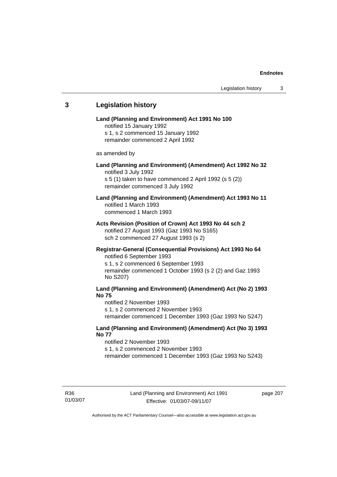# **3 Legislation history Land (Planning and Environment) Act 1991 No 100**  notified 15 January 1992 s 1, s 2 commenced 15 January 1992 remainder commenced 2 April 1992 as amended by **Land (Planning and Environment) (Amendment) Act 1992 No 32**  notified 3 July 1992 s 5 (1) taken to have commenced 2 April 1992 (s 5 (2)) remainder commenced 3 July 1992 **Land (Planning and Environment) (Amendment) Act 1993 No 11**  notified 1 March 1993 commenced 1 March 1993 **Acts Revision (Position of Crown) Act 1993 No 44 sch 2**  notified 27 August 1993 (Gaz 1993 No S165) sch 2 commenced 27 August 1993 (s 2) **Registrar-General (Consequential Provisions) Act 1993 No 64**  notified 6 September 1993 s 1, s 2 commenced 6 September 1993 remainder commenced 1 October 1993 (s 2 (2) and Gaz 1993 No S207) **Land (Planning and Environment) (Amendment) Act (No 2) 1993 No 75**  notified 2 November 1993 s 1, s 2 commenced 2 November 1993 remainder commenced 1 December 1993 (Gaz 1993 No S247) **Land (Planning and Environment) (Amendment) Act (No 3) 1993 No 77**  notified 2 November 1993 s 1, s 2 commenced 2 November 1993 remainder commenced 1 December 1993 (Gaz 1993 No S243)

page 207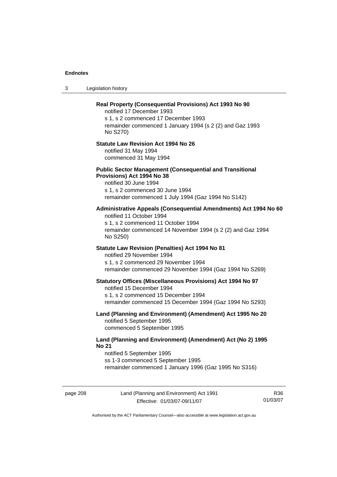3 Legislation history

# **Real Property (Consequential Provisions) Act 1993 No 90**  notified 17 December 1993 s 1, s 2 commenced 17 December 1993 remainder commenced 1 January 1994 (s 2 (2) and Gaz 1993 No S270) **Statute Law Revision Act 1994 No 26**  notified 31 May 1994 commenced 31 May 1994 **Public Sector Management (Consequential and Transitional Provisions) Act 1994 No 38**  notified 30 June 1994 s 1, s 2 commenced 30 June 1994 remainder commenced 1 July 1994 (Gaz 1994 No S142) **Administrative Appeals (Consequential Amendments) Act 1994 No 60**  notified 11 October 1994 s 1, s 2 commenced 11 October 1994 remainder commenced 14 November 1994 (s 2 (2) and Gaz 1994 No S250) **Statute Law Revision (Penalties) Act 1994 No 81**  notified 29 November 1994 s 1, s 2 commenced 29 November 1994 remainder commenced 29 November 1994 (Gaz 1994 No S269) **Statutory Offices (Miscellaneous Provisions) Act 1994 No 97**  notified 15 December 1994 s 1, s 2 commenced 15 December 1994 remainder commenced 15 December 1994 (Gaz 1994 No S293) **Land (Planning and Environment) (Amendment) Act 1995 No 20**  notified 5 September 1995 commenced 5 September 1995 **Land (Planning and Environment) (Amendment) Act (No 2) 1995 No 21**  notified 5 September 1995 ss 1-3 commenced 5 September 1995 remainder commenced 1 January 1996 (Gaz 1995 No S316)

page 208 Land (Planning and Environment) Act 1991 Effective: 01/03/07-09/11/07

R36 01/03/07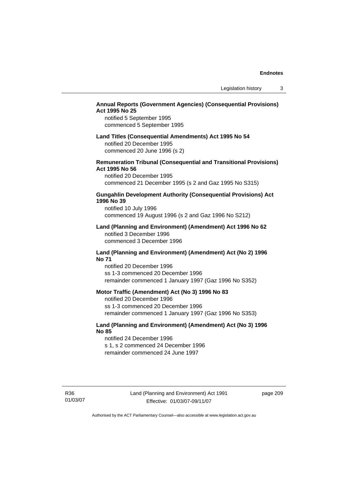# **Annual Reports (Government Agencies) (Consequential Provisions) Act 1995 No 25**

notified 5 September 1995 commenced 5 September 1995

#### **Land Titles (Consequential Amendments) Act 1995 No 54**

notified 20 December 1995 commenced 20 June 1996 (s 2)

## **Remuneration Tribunal (Consequential and Transitional Provisions) Act 1995 No 56**

notified 20 December 1995 commenced 21 December 1995 (s 2 and Gaz 1995 No S315)

# **Gungahlin Development Authority (Consequential Provisions) Act 1996 No 39**

notified 10 July 1996 commenced 19 August 1996 (s 2 and Gaz 1996 No S212)

#### **Land (Planning and Environment) (Amendment) Act 1996 No 62**  notified 3 December 1996 commenced 3 December 1996

#### **Land (Planning and Environment) (Amendment) Act (No 2) 1996 No 71**

notified 20 December 1996 ss 1-3 commenced 20 December 1996 remainder commenced 1 January 1997 (Gaz 1996 No S352)

#### **Motor Traffic (Amendment) Act (No 3) 1996 No 83**

notified 20 December 1996 ss 1-3 commenced 20 December 1996 remainder commenced 1 January 1997 (Gaz 1996 No S353)

# **Land (Planning and Environment) (Amendment) Act (No 3) 1996 No 85**

notified 24 December 1996 s 1, s 2 commenced 24 December 1996 remainder commenced 24 June 1997

R36 01/03/07 page 209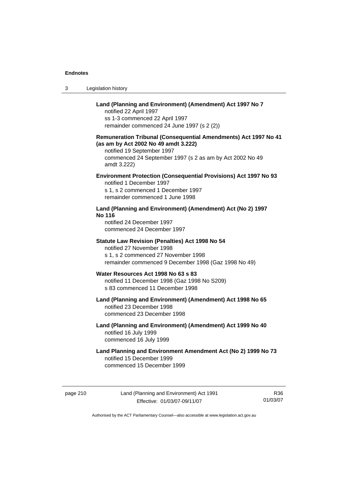| Land (Planning and Environment) (Amendment) Act 1997 No 7 |
|-----------------------------------------------------------|
| notified 22 April 1997                                    |
|                                                           |

3 Legislation history

1997 ss 1-3 commenced 22 April 1997 remainder commenced 24 June 1997 (s 2 (2))

# **Remuneration Tribunal (Consequential Amendments) Act 1997 No 41 (as am by Act 2002 No 49 amdt 3.222)**

notified 19 September 1997 commenced 24 September 1997 (s 2 as am by Act 2002 No 49 amdt 3.222)

# **Environment Protection (Consequential Provisions) Act 1997 No 93**

notified 1 December 1997 s 1, s 2 commenced 1 December 1997 remainder commenced 1 June 1998

# **Land (Planning and Environment) (Amendment) Act (No 2) 1997 No 116**

notified 24 December 1997 commenced 24 December 1997

## **Statute Law Revision (Penalties) Act 1998 No 54**

notified 27 November 1998 s 1, s 2 commenced 27 November 1998 remainder commenced 9 December 1998 (Gaz 1998 No 49)

#### **Water Resources Act 1998 No 63 s 83**  notified 11 December 1998 (Gaz 1998 No S209)

s 83 commenced 11 December 1998

# **Land (Planning and Environment) (Amendment) Act 1998 No 65**  notified 23 December 1998 commenced 23 December 1998

# **Land (Planning and Environment) (Amendment) Act 1999 No 40**  notified 16 July 1999 commenced 16 July 1999

# **Land Planning and Environment Amendment Act (No 2) 1999 No 73**  notified 15 December 1999 commenced 15 December 1999

page 210 Land (Planning and Environment) Act 1991 Effective: 01/03/07-09/11/07

R36 01/03/07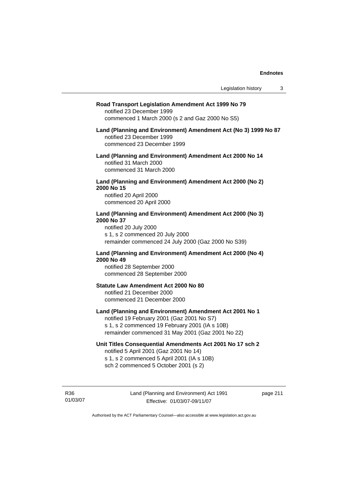#### **Road Transport Legislation Amendment Act 1999 No 79**

notified 23 December 1999 commenced 1 March 2000 (s 2 and Gaz 2000 No S5)

## **Land (Planning and Environment) Amendment Act (No 3) 1999 No 87**  notified 23 December 1999 commenced 23 December 1999

**Land (Planning and Environment) Amendment Act 2000 No 14**  notified 31 March 2000

commenced 31 March 2000

## **Land (Planning and Environment) Amendment Act 2000 (No 2) 2000 No 15**  notified 20 April 2000

commenced 20 April 2000

# **Land (Planning and Environment) Amendment Act 2000 (No 3) 2000 No 37**

notified 20 July 2000 s 1, s 2 commenced 20 July 2000 remainder commenced 24 July 2000 (Gaz 2000 No S39)

# **Land (Planning and Environment) Amendment Act 2000 (No 4) 2000 No 49**

notified 28 September 2000 commenced 28 September 2000

## **Statute Law Amendment Act 2000 No 80**

notified 21 December 2000 commenced 21 December 2000

# **Land (Planning and Environment) Amendment Act 2001 No 1**

notified 19 February 2001 (Gaz 2001 No S7) s 1, s 2 commenced 19 February 2001 (IA s 10B) remainder commenced 31 May 2001 (Gaz 2001 No 22)

## **Unit Titles Consequential Amendments Act 2001 No 17 sch 2**

notified 5 April 2001 (Gaz 2001 No 14) s 1, s 2 commenced 5 April 2001 (IA s 10B) sch 2 commenced 5 October 2001 (s 2)

R36 01/03/07 page 211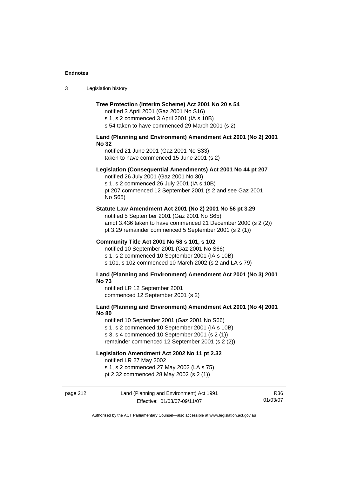| Legislation history<br>-3 |  |
|---------------------------|--|
|---------------------------|--|

#### **Tree Protection (Interim Scheme) Act 2001 No 20 s 54**

notified 3 April 2001 (Gaz 2001 No S16) s 1, s 2 commenced 3 April 2001 (IA s 10B)

s 54 taken to have commenced 29 March 2001 (s 2)

## **Land (Planning and Environment) Amendment Act 2001 (No 2) 2001 No 32**

notified 21 June 2001 (Gaz 2001 No S33) taken to have commenced 15 June 2001 (s 2)

#### **Legislation (Consequential Amendments) Act 2001 No 44 pt 207**

notified 26 July 2001 (Gaz 2001 No 30) s 1, s 2 commenced 26 July 2001 (IA s 10B) pt 207 commenced 12 September 2001 (s 2 and see Gaz 2001 No S65)

#### **Statute Law Amendment Act 2001 (No 2) 2001 No 56 pt 3.29**

notified 5 September 2001 (Gaz 2001 No S65) amdt 3.436 taken to have commenced 21 December 2000 (s 2 (2)) pt 3.29 remainder commenced 5 September 2001 (s 2 (1))

#### **Community Title Act 2001 No 58 s 101, s 102**

notified 10 September 2001 (Gaz 2001 No S66) s 1, s 2 commenced 10 September 2001 (IA s 10B) s 101, s 102 commenced 10 March 2002 (s 2 and LA s 79)

#### **Land (Planning and Environment) Amendment Act 2001 (No 3) 2001 No 73**

notified LR 12 September 2001 commenced 12 September 2001 (s 2)

## **Land (Planning and Environment) Amendment Act 2001 (No 4) 2001 No 80**

notified 10 September 2001 (Gaz 2001 No S66)

s 1, s 2 commenced 10 September 2001 (IA s 10B)

s 3, s 4 commenced 10 September 2001 (s 2 (1))

remainder commenced 12 September 2001 (s 2 (2))

# **Legislation Amendment Act 2002 No 11 pt 2.32**

notified LR 27 May 2002

s 1, s 2 commenced 27 May 2002 (LA s 75)

pt 2.32 commenced 28 May 2002 (s 2 (1))

## page 212 Land (Planning and Environment) Act 1991 Effective: 01/03/07-09/11/07

R36 01/03/07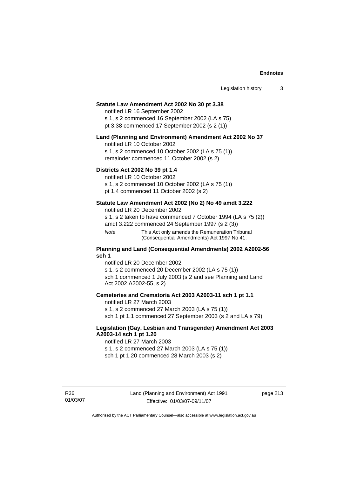#### **Statute Law Amendment Act 2002 No 30 pt 3.38**

notified LR 16 September 2002 s 1, s 2 commenced 16 September 2002 (LA s 75) pt 3.38 commenced 17 September 2002 (s 2 (1))

#### **Land (Planning and Environment) Amendment Act 2002 No 37**

notified LR 10 October 2002

s 1, s 2 commenced 10 October 2002 (LA s 75 (1)) remainder commenced 11 October 2002 (s 2)

#### **Districts Act 2002 No 39 pt 1.4**

notified LR 10 October 2002

s 1, s 2 commenced 10 October 2002 (LA s 75 (1))

pt 1.4 commenced 11 October 2002 (s 2)

## **Statute Law Amendment Act 2002 (No 2) No 49 amdt 3.222**

notified LR 20 December 2002

s 1, s 2 taken to have commenced 7 October 1994 (LA s 75 (2)) amdt 3.222 commenced 24 September 1997 (s 2 (3))

*Note* This Act only amends the Remuneration Tribunal (Consequential Amendments) Act 1997 No 41.

#### **Planning and Land (Consequential Amendments) 2002 A2002-56 sch 1**

notified LR 20 December 2002 s 1, s 2 commenced 20 December 2002 (LA s 75 (1)) sch 1 commenced 1 July 2003 (s 2 and see Planning and Land Act 2002 A2002-55, s 2)

## **Cemeteries and Crematoria Act 2003 A2003-11 sch 1 pt 1.1**

notified LR 27 March 2003 s 1, s 2 commenced 27 March 2003 (LA s 75 (1)) sch 1 pt 1.1 commenced 27 September 2003 (s 2 and LA s 79)

# **Legislation (Gay, Lesbian and Transgender) Amendment Act 2003 A2003-14 sch 1 pt 1.20**

notified LR 27 March 2003 s 1, s 2 commenced 27 March 2003 (LA s 75 (1)) sch 1 pt 1.20 commenced 28 March 2003 (s 2)

R36 01/03/07 page 213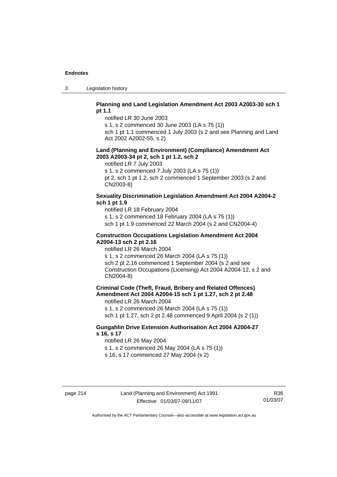3 Legislation history

## **Planning and Land Legislation Amendment Act 2003 A2003-30 sch 1 pt 1.1**

notified LR 30 June 2003

s 1, s 2 commenced 30 June 2003 (LA s 75 (1))

sch 1 pt 1.1 commenced 1 July 2003 (s 2 and see Planning and Land Act 2002 A2002-55, s 2)

#### **Land (Planning and Environment) (Compliance) Amendment Act 2003 A2003-34 pt 2, sch 1 pt 1.2, sch 2**

notified LR 7 July 2003

s 1, s 2 commenced 7 July 2003 (LA s 75 (1))

pt 2, sch 1 pt 1.2, sch 2 commenced 1 September 2003 (s 2 and CN2003-8)

# **Sexuality Discrimination Legislation Amendment Act 2004 A2004-2 sch 1 pt 1.9**

notified LR 18 February 2004

s 1, s 2 commenced 18 February 2004 (LA s 75 (1))

sch 1 pt 1.9 commenced 22 March 2004 (s 2 and CN2004-4)

#### **Construction Occupations Legislation Amendment Act 2004 A2004-13 sch 2 pt 2.16**

notified LR 26 March 2004

s 1, s 2 commenced 26 March 2004 (LA s 75 (1)) sch 2 pt 2.16 commenced 1 September 2004 (s 2 and see Construction Occupations (Licensing) Act 2004 A2004-12, s 2 and CN2004-8)

**Criminal Code (Theft, Fraud, Bribery and Related Offences) Amendment Act 2004 A2004-15 sch 1 pt 1.27, sch 2 pt 2.48** 

notified LR 26 March 2004

s 1, s 2 commenced 26 March 2004 (LA s 75 (1)) sch 1 pt 1.27, sch 2 pt 2.48 commenced 9 April 2004 (s 2 (1))

# **Gungahlin Drive Extension Authorisation Act 2004 A2004-27 s 16, s 17**

notified LR 26 May 2004

s 1, s 2 commenced 26 May 2004 (LA s 75 (1))

s 16, s 17 commenced 27 May 2004 (s 2)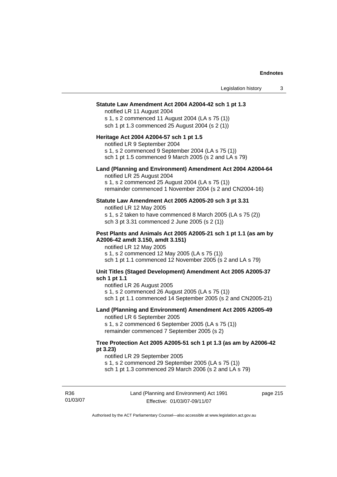| Legislation history                                                                                                                                                                                                                          | 3 |
|----------------------------------------------------------------------------------------------------------------------------------------------------------------------------------------------------------------------------------------------|---|
| Statute Law Amendment Act 2004 A2004-42 sch 1 pt 1.3<br>notified LR 11 August 2004<br>s 1, s 2 commenced 11 August 2004 (LA s 75 (1))<br>sch 1 pt 1.3 commenced 25 August 2004 (s 2 (1))                                                     |   |
| Heritage Act 2004 A2004-57 sch 1 pt 1.5<br>notified LR 9 September 2004<br>s 1, s 2 commenced 9 September 2004 (LA s 75 (1))<br>sch 1 pt 1.5 commenced 9 March 2005 (s 2 and LA s 79)                                                        |   |
| Land (Planning and Environment) Amendment Act 2004 A2004-64<br>notified LR 25 August 2004<br>s 1, s 2 commenced 25 August 2004 (LA s 75 (1))<br>remainder commenced 1 November 2004 (s 2 and CN2004-16)                                      |   |
| Statute Law Amendment Act 2005 A2005-20 sch 3 pt 3.31<br>notified LR 12 May 2005<br>s 1, s 2 taken to have commenced 8 March 2005 (LA s 75 (2))<br>sch 3 pt 3.31 commenced 2 June 2005 (s 2 (1))                                             |   |
| Pest Plants and Animals Act 2005 A2005-21 sch 1 pt 1.1 (as am by<br>A2006-42 amdt 3.150, amdt 3.151)<br>notified LR 12 May 2005<br>s 1, s 2 commenced 12 May 2005 (LA s 75 (1))<br>sch 1 pt 1.1 commenced 12 November 2005 (s 2 and LA s 79) |   |
| Unit Titles (Staged Development) Amendment Act 2005 A2005-37<br>sch 1 pt 1.1<br>notified LR 26 August 2005<br>s 1, s 2 commenced 26 August 2005 (LA s 75 (1))<br>sch 1 pt 1.1 commenced 14 September 2005 (s 2 and CN2005-21)                |   |
| Land (Planning and Environment) Amendment Act 2005 A2005-49<br>notified LR 6 September 2005<br>s 1, s 2 commenced 6 September 2005 (LA s 75 (1))<br>remainder commenced 7 September 2005 (s 2)                                               |   |
| Tree Protection Act 2005 A2005-51 sch 1 pt 1.3 (as am by A2006-42<br>pt 3.23)<br>notified LR 29 September 2005<br>s 1, s 2 commenced 29 September 2005 (LA s 75 (1))<br>sch 1 pt 1.3 commenced 29 March 2006 (s 2 and LA s 79)               |   |

R36 01/03/07 Land (Planning and Environment) Act 1991 Effective: 01/03/07-09/11/07

page 215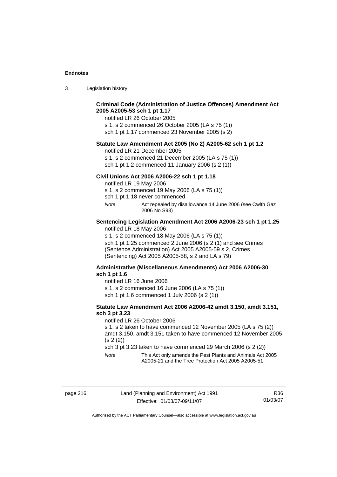3 Legislation history

|              | <b>Criminal Code (Administration of Justice Offences) Amendment Act</b><br>2005 A2005-53 sch 1 pt 1.17<br>notified LR 26 October 2005<br>s 1, s 2 commenced 26 October 2005 (LA s 75 (1))                                  |
|--------------|----------------------------------------------------------------------------------------------------------------------------------------------------------------------------------------------------------------------------|
|              | sch 1 pt 1.17 commenced 23 November 2005 (s 2)                                                                                                                                                                             |
|              | Statute Law Amendment Act 2005 (No 2) A2005-62 sch 1 pt 1.2<br>notified LR 21 December 2005                                                                                                                                |
|              | s 1, s 2 commenced 21 December 2005 (LA s 75 (1))<br>sch 1 pt 1.2 commenced 11 January 2006 (s 2 (1))                                                                                                                      |
|              | Civil Unions Act 2006 A2006-22 sch 1 pt 1.18<br>notified LR 19 May 2006<br>s 1, s 2 commenced 19 May 2006 (LA s 75 (1))<br>sch 1 pt 1.18 never commenced                                                                   |
| Note         | Act repealed by disallowance 14 June 2006 (see Cwlth Gaz<br>2006 No S93)                                                                                                                                                   |
|              | Sentencing Legislation Amendment Act 2006 A2006-23 sch 1 pt 1.25<br>notified LR 18 May 2006                                                                                                                                |
|              | s 1, s 2 commenced 18 May 2006 (LA s 75 (1))<br>sch 1 pt 1.25 commenced 2 June 2006 (s 2 (1) and see Crimes<br>(Sentence Administration) Act 2005 A2005-59 s 2, Crimes<br>(Sentencing) Act 2005 A2005-58, s 2 and LA s 79) |
|              | Administrative (Miscellaneous Amendments) Act 2006 A2006-30                                                                                                                                                                |
| sch 1 pt 1.6 |                                                                                                                                                                                                                            |
|              | notified LR 16 June 2006                                                                                                                                                                                                   |
|              | s 1, s 2 commenced 16 June 2006 (LA s 75 (1))                                                                                                                                                                              |

sch 1 pt 1.6 commenced 1 July 2006 (s 2 (1))

# **Statute Law Amendment Act 2006 A2006-42 amdt 3.150, amdt 3.151, sch 3 pt 3.23**

notified LR 26 October 2006

s 1, s 2 taken to have commenced 12 November 2005 (LA s 75 (2)) amdt 3.150, amdt 3.151 taken to have commenced 12 November 2005 (s 2 (2))

sch 3 pt 3.23 taken to have commenced 29 March 2006 (s 2 (2))

*Note* This Act only amends the Pest Plants and Animals Act 2005 A2005-21 and the Tree Protection Act 2005 A2005-51.

page 216 Land (Planning and Environment) Act 1991 Effective: 01/03/07-09/11/07

R36 01/03/07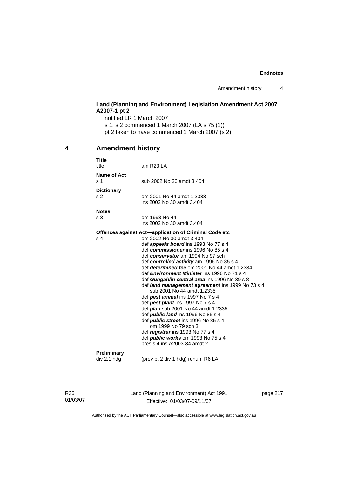Amendment history 4

# **Land (Planning and Environment) Legislation Amendment Act 2007 A2007-1 pt 2**

notified LR 1 March 2007 s 1, s 2 commenced 1 March 2007 (LA s 75 (1)) pt 2 taken to have commenced 1 March 2007 (s 2)

# **4 Amendment history**

| <b>Title</b><br>title | am $R$ 23 LA                                                                   |
|-----------------------|--------------------------------------------------------------------------------|
| Name of Act<br>s 1    | sub 2002 No 30 amdt 3.404                                                      |
| <b>Dictionary</b>     |                                                                                |
| s 2                   | om 2001 No 44 amdt 1.2333<br>ins 2002 No 30 amdt 3.404                         |
| <b>Notes</b>          |                                                                                |
| s <sub>3</sub>        | om 1993 No 44<br>ins 2002 No 30 amdt 3.404                                     |
|                       | Offences against Act—application of Criminal Code etc                          |
| s 4                   | om 2002 No 30 amdt 3.404                                                       |
|                       | def <b>appeals board</b> ins 1993 No 77 s 4                                    |
|                       | def commissioner ins 1996 No 85 s 4                                            |
|                       | def conservator am 1994 No 97 sch                                              |
|                       | def controlled activity am 1996 No 85 s 4                                      |
|                       | def <i>determined fee</i> om 2001 No 44 amdt 1.2334                            |
|                       | def <i>Environment Minister</i> ins 1996 No 71 s 4                             |
|                       | def Gungahlin central area ins 1996 No 39 s 8                                  |
|                       | def land management agreement ins 1999 No 73 s 4<br>sub 2001 No 44 amdt 1.2335 |
|                       | def <b>pest animal</b> ins 1997 No 7 s 4                                       |
|                       | def pest plant ins 1997 No 7 s 4                                               |
|                       | def <i>plan</i> sub 2001 No 44 amdt 1.2335                                     |
|                       | def <b>public land</b> ins 1996 No 85 s 4                                      |
|                       | def <i>public street</i> ins 1996 No 85 s 4                                    |
|                       | om 1999 No 79 sch 3                                                            |
|                       | def <i>registrar</i> ins 1993 No 77 s 4                                        |
|                       | def <i>public</i> works om 1993 No 75 s 4                                      |
|                       | pres s 4 ins A2003-34 amdt 2.1                                                 |
| <b>Preliminary</b>    |                                                                                |
| div 2.1 hdg           | (prev pt 2 div 1 hdg) renum R6 LA                                              |

R36 01/03/07 Land (Planning and Environment) Act 1991 Effective: 01/03/07-09/11/07

page 217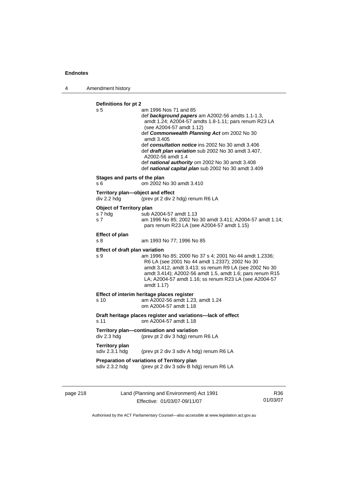4 Amendment history

**Definitions for pt 2**  s 5 am 1996 Nos 71 and 85 def *background papers* am A2002-56 amdts 1.1-1.3, amdt 1.24; A2004-57 amdts 1.8-1.11; pars renum R23 LA (see A2004-57 amdt 1.12) def *Commonwealth Planning Act* om 2002 No 30 amdt 3.405 def *consultation notice* ins 2002 No 30 amdt 3.406 def *draft plan variation* sub 2002 No 30 amdt 3.407, A2002-56 amdt 1.4 def *national authority* om 2002 No 30 amdt 3.408 def *national capital plan* sub 2002 No 30 amdt 3.409 **Stages and parts of the plan**  s 6 om 2002 No 30 amdt 3.410 **Territory plan—object and effect**  div 2.2 hdg (prev pt 2 div 2 hdg) renum R6 LA **Object of Territory plan**  s 7 hdg sub A2004-57 amdt 1.13<br>s 7 s 7 s 85: 2002 No s 7 am 1996 No 85; 2002 No 30 amdt 3.411; A2004-57 amdt 1.14; pars renum R23 LA (see A2004-57 amdt 1.15) **Effect of plan**  s 8 am 1993 No 77; 1996 No 85 **Effect of draft plan variation**  s 9 am 1996 No 85; 2000 No 37 s 4; 2001 No 44 amdt 1.2336; R6 LA (see 2001 No 44 amdt 1.2337); 2002 No 30 amdt 3.412, amdt 3.413; ss renum R9 LA (see 2002 No 30 amdt 3.414); A2002-56 amdt 1.5, amdt 1.6; pars renum R15 LA; A2004-57 amdt 1.16; ss renum R23 LA (see A2004-57 amdt 1.17) **Effect of interim heritage places register**  s 10 am A2002-56 amdt 1.23, amdt 1.24 om A2004-57 amdt 1.18 **Draft heritage places register and variations—lack of effect**  s 11 om A2004-57 amdt 1.18 **Territory plan—continuation and variation**  div 2.3 hdg (prev pt 2 div 3 hdg) renum R6 LA **Territory plan**<br>sdiv 2.3.1 hdg (prev pt 2 div 3 sdiv A hdg) renum R6 LA **Preparation of variations of Territory plan**  sdiv 2.3.2 hdg (prev pt 2 div 3 sdiv B hdg) renum R6 LA

page 218 Land (Planning and Environment) Act 1991 Effective: 01/03/07-09/11/07

R36 01/03/07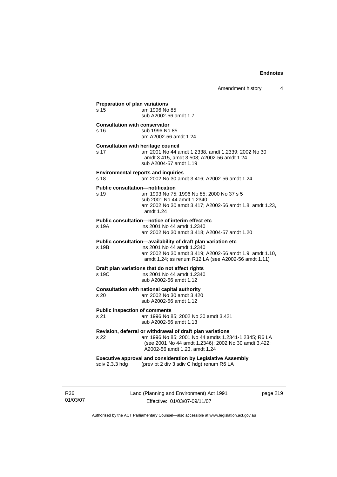| s 15           | am 1996 No 85<br>sub A2002-56 amdt 1.7                                                                                                                                                                       |
|----------------|--------------------------------------------------------------------------------------------------------------------------------------------------------------------------------------------------------------|
| s 16           | <b>Consultation with conservator</b><br>sub 1996 No 85<br>am A2002-56 amdt 1.24                                                                                                                              |
| s 17           | <b>Consultation with heritage council</b><br>am 2001 No 44 amdt 1.2338, amdt 1.2339; 2002 No 30<br>amdt 3.415, amdt 3.508; A2002-56 amdt 1.24<br>sub A2004-57 amdt 1.19                                      |
| s 18           | <b>Environmental reports and inquiries</b><br>am 2002 No 30 amdt 3.416; A2002-56 amdt 1.24                                                                                                                   |
| s 19           | <b>Public consultation-notification</b><br>am 1993 No 75; 1996 No 85; 2000 No 37 s 5<br>sub 2001 No 44 amdt 1.2340<br>am 2002 No 30 amdt 3.417; A2002-56 amdt 1.8, amdt 1.23,<br>amdt 1.24                   |
| s 19A          | Public consultation-notice of interim effect etc<br>ins 2001 No 44 amdt 1.2340<br>am 2002 No 30 amdt 3.418; A2004-57 amdt 1.20                                                                               |
| s 19B          | Public consultation-availability of draft plan variation etc<br>ins 2001 No 44 amdt 1.2340<br>am 2002 No 30 amdt 3.419; A2002-56 amdt 1.9, amdt 1.10,<br>amdt 1.24; ss renum R12 LA (see A2002-56 amdt 1.11) |
| s 19C          | Draft plan variations that do not affect rights<br>ins 2001 No 44 amdt 1.2340<br>sub A2002-56 amdt 1.12                                                                                                      |
| s 20           | <b>Consultation with national capital authority</b><br>am 2002 No 30 amdt 3.420<br>sub A2002-56 amdt 1.12                                                                                                    |
| s 21           | <b>Public inspection of comments</b><br>am 1996 No 85; 2002 No 30 amdt 3.421<br>sub A2002-56 amdt 1.13                                                                                                       |
| s 22           | Revision, deferral or withdrawal of draft plan variations<br>am 1996 No 85; 2001 No 44 amdts 1.2341-1.2345; R6 LA<br>(see 2001 No 44 amdt 1.2346); 2002 No 30 amdt 3.422;<br>A2002-56 amdt 1.23, amdt 1.24   |
| sdiv 2.3.3 hdg | <b>Executive approval and consideration by Legislative Assembly</b><br>(prev pt 2 div 3 sdiv C hdg) renum R6 LA                                                                                              |

R36 01/03/07 Land (Planning and Environment) Act 1991 Effective: 01/03/07-09/11/07

page 219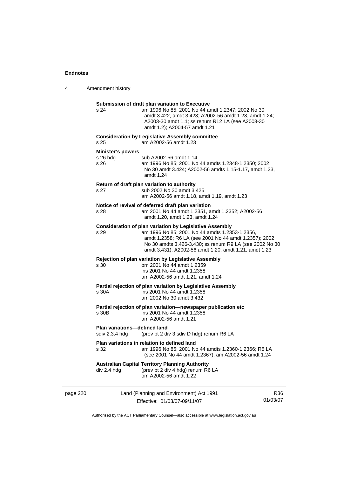| 4        | Amendment history                              |                                                                                                                                                                                                                                                                                               |                 |
|----------|------------------------------------------------|-----------------------------------------------------------------------------------------------------------------------------------------------------------------------------------------------------------------------------------------------------------------------------------------------|-----------------|
|          | s 24                                           | Submission of draft plan variation to Executive<br>am 1996 No 85; 2001 No 44 amdt 1.2347; 2002 No 30<br>amdt 3.422, amdt 3.423; A2002-56 amdt 1.23, amdt 1.24;<br>A2003-30 amdt 1.1; ss renum R12 LA (see A2003-30<br>amdt 1.2); A2004-57 amdt 1.21                                           |                 |
|          | s 25                                           | <b>Consideration by Legislative Assembly committee</b><br>am A2002-56 amdt 1.23                                                                                                                                                                                                               |                 |
|          | <b>Minister's powers</b><br>$s$ 26 hdg<br>s 26 | sub A2002-56 amdt 1.14<br>am 1996 No 85; 2001 No 44 amdts 1.2348-1.2350; 2002<br>No 30 amdt 3.424; A2002-56 amdts 1.15-1.17, amdt 1.23,<br>amdt 1.24                                                                                                                                          |                 |
|          | s 27                                           | Return of draft plan variation to authority<br>sub 2002 No 30 amdt 3.425<br>am A2002-56 amdt 1.18, amdt 1.19, amdt 1.23                                                                                                                                                                       |                 |
|          | s 28                                           | Notice of revival of deferred draft plan variation<br>am 2001 No 44 amdt 1.2351, amdt 1.2352; A2002-56<br>amdt 1.20, amdt 1.23, amdt 1.24                                                                                                                                                     |                 |
|          | s 29                                           | <b>Consideration of plan variation by Legislative Assembly</b><br>am 1996 No 85; 2001 No 44 amdts 1.2353-1.2356,<br>amdt 1.2358; R6 LA (see 2001 No 44 amdt 1.2357); 2002<br>No 30 amdts 3.426-3.430; ss renum R9 LA (see 2002 No 30<br>amdt 3.431); A2002-56 amdt 1.20, amdt 1.21, amdt 1.23 |                 |
|          | s 30                                           | <b>Rejection of plan variation by Legislative Assembly</b><br>om 2001 No 44 amdt 1.2359<br>ins 2001 No 44 amdt 1.2358<br>am A2002-56 amdt 1.21, amdt 1.24                                                                                                                                     |                 |
|          | s 30A                                          | Partial rejection of plan variation by Legislative Assembly<br>ins 2001 No 44 amdt 1.2358<br>am 2002 No 30 amdt 3.432                                                                                                                                                                         |                 |
|          | s 30B                                          | Partial rejection of plan variation-newspaper publication etc<br>ins 2001 No 44 amdt 1.2358<br>am A2002-56 amdt 1.21                                                                                                                                                                          |                 |
|          | <b>Plan variations-defined land</b>            | sdiv 2.3.4 hdg (prev pt 2 div 3 sdiv D hdg) renum R6 LA                                                                                                                                                                                                                                       |                 |
|          | s 32                                           | Plan variations in relation to defined land<br>am 1996 No 85; 2001 No 44 amdts 1.2360-1.2366; R6 LA<br>(see 2001 No 44 amdt 1.2367); am A2002-56 amdt 1.24                                                                                                                                    |                 |
|          | div 2.4 hdg                                    | <b>Australian Capital Territory Planning Authority</b><br>(prev pt 2 div 4 hdg) renum R6 LA<br>om A2002-56 amdt 1.22                                                                                                                                                                          |                 |
| page 220 |                                                | Land (Planning and Environment) Act 1991<br>Effective: 01/03/07-09/11/07                                                                                                                                                                                                                      | R36<br>01/03/07 |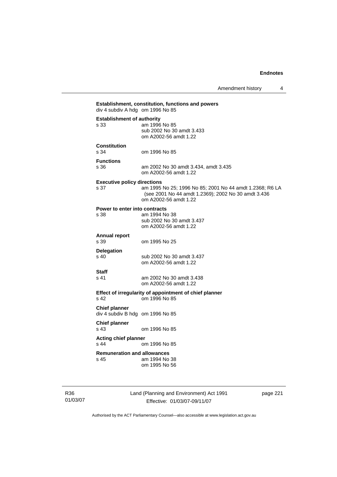Amendment history 4

# **Establishment, constitution, functions and powers**  div 4 subdiv A hdg om 1996 No 85 **Establishment of authority**  s 33 am 1996 No 85 sub 2002 No 30 amdt 3.433 om A2002-56 amdt 1.22 **Constitution**  s 34 om 1996 No 85 **Functions**  s 36 am 2002 No 30 amdt 3.434, amdt 3.435 om A2002-56 amdt 1.22 **Executive policy directions**  s 37 am 1995 No 25; 1996 No 85; 2001 No 44 amdt 1.2368; R6 LA (see 2001 No 44 amdt 1.2369); 2002 No 30 amdt 3.436 om A2002-56 amdt 1.22 **Power to enter into contracts**<br>s 38 am 1994 No am 1994 No 38 sub 2002 No 30 amdt 3.437 om A2002-56 amdt 1.22 **Annual report**  s 39 om 1995 No 25 **Delegation**  sub 2002 No 30 amdt 3.437 om A2002-56 amdt 1.22 s 41 am 2002 No 30 amdt 3.438 om A2002-56 amdt 1.22

#### **Effect of irregularity of appointment of chief planner**  s 42 om 1996 No 85

**Chief planner**  div 4 subdiv B hdg om 1996 No 85

**Staff** 

**Chief planner** 

s 43 om 1996 No 85

**Acting chief planner**  om 1996 No 85

**Remuneration and allowances**  s 45 am 1994 No 38 om 1995 No 56

R36 01/03/07 Land (Planning and Environment) Act 1991 Effective: 01/03/07-09/11/07

page 221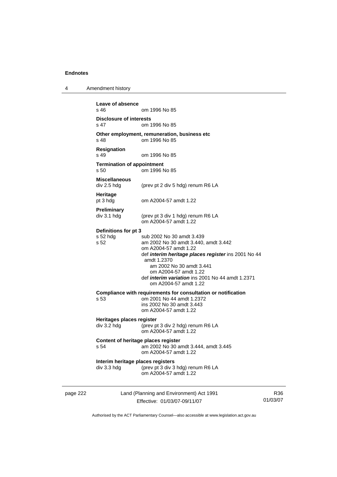4 Amendment history

page 222 Land (Planning and Environment) Act 1991 Effective: 01/03/07-09/11/07 01/03/07 **Leave of absence**  om 1996 No 85 **Disclosure of interests**<br>s 47 cm 1 om 1996 No 85 **Other employment, remuneration, business etc**  s 48 om 1996 No 85 **Resignation**  s 49 om 1996 No 85 **Termination of appointment**  s 50 om 1996 No 85 **Miscellaneous**  div 2.5 hdg (prev pt 2 div 5 hdg) renum R6 LA **Heritage**  pt 3 hdg om A2004-57 amdt 1.22 **Preliminary**  div 3.1 hdg (prev pt 3 div 1 hdg) renum R6 LA om A2004-57 amdt 1.22 **Definitions for pt 3**  s 52 hdg sub 2002 No 30 amdt 3.439 s 52 am 2002 No 30 amdt 3.440, amdt 3.442 om A2004-57 amdt 1.22 def *interim heritage places register* ins 2001 No 44 amdt 1.2370 am 2002 No 30 amdt 3.441 om A2004-57 amdt 1.22 def *interim variation* ins 2001 No 44 amdt 1.2371 om A2004-57 amdt 1.22 **Compliance with requirements for consultation or notification**  s 53 om 2001 No 44 amdt 1.2372 ins 2002 No 30 amdt 3.443 om A2004-57 amdt 1.22 **Heritages places register**  div 3.2 hdg (prev pt 3 div 2 hdg) renum R6 LA om A2004-57 amdt 1.22 **Content of heritage places register**  s 54 am 2002 No 30 amdt 3.444, amdt 3.445 om A2004-57 amdt 1.22 **Interim heritage places registers**  div 3.3 hdg (prev pt 3 div 3 hdg) renum R6 LA om A2004-57 amdt 1.22

Authorised by the ACT Parliamentary Counsel—also accessible at www.legislation.act.gov.au

R36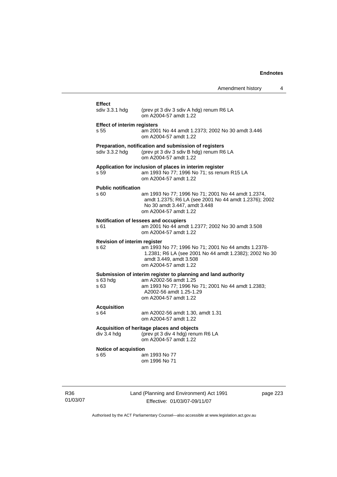| Amendment history |  |
|-------------------|--|
|-------------------|--|

# Land (Planning and Environment) Act 1991 Effect<br>sdiv 3.3.1 hdg (prev pt 3 div 3 sdiv A hdg) renum R6 LA om A2004-57 amdt 1.22 **Effect of interim registers**  s 55 am 2001 No 44 amdt 1.2373; 2002 No 30 amdt 3.446 om A2004-57 amdt 1.22 **Preparation, notification and submission of registers**  sdiv 3.3.2 hdg (prev pt 3 div 3 sdiv B hdg) renum R6 LA om A2004-57 amdt 1.22 **Application for inclusion of places in interim register**  s 59 am 1993 No 77; 1996 No 71; ss renum R15 LA om A2004-57 amdt 1.22 **Public notification**  s 60 am 1993 No 77; 1996 No 71; 2001 No 44 amdt 1.2374, amdt 1.2375; R6 LA (see 2001 No 44 amdt 1.2376); 2002 No 30 amdt 3.447, amdt 3.448 om A2004-57 amdt 1.22 **Notification of lessees and occupiers**  s 61 am 2001 No 44 amdt 1.2377; 2002 No 30 amdt 3.508 om A2004-57 amdt 1.22 **Revision of interim register**  s 62 am 1993 No 77; 1996 No 71; 2001 No 44 amdts 1.2378- 1.2381; R6 LA (see 2001 No 44 amdt 1.2382); 2002 No 30 amdt 3.449, amdt 3.508 om A2004-57 amdt 1.22 **Submission of interim register to planning and land authority**  s 63 hdg am A2002-56 amdt 1.25 s 63 am 1993 No 77; 1996 No 71; 2001 No 44 amdt 1.2383; A2002-56 amdt 1.25-1.29 om A2004-57 amdt 1.22 **Acquisition**  s 64 am A2002-56 amdt 1.30, amdt 1.31 om A2004-57 amdt 1.22 **Acquisition of heritage places and objects**  div 3.4 hdg (prev pt 3 div 4 hdg) renum R6 LA om A2004-57 amdt 1.22 **Notice of acquistion**  s 65 am 1993 No 77 om 1996 No 71

R36 01/03/07

Effective: 01/03/07-09/11/07

page 223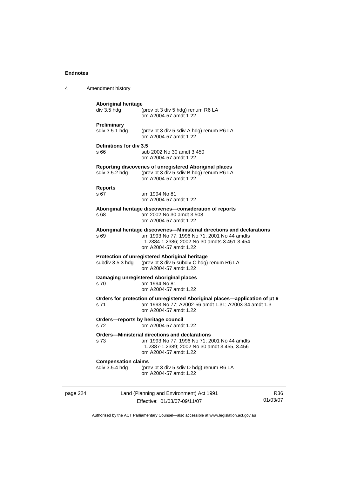|  | Amendment history |
|--|-------------------|
|--|-------------------|

| page 224 |                                              | Land (Planning and Environment) Act 1991                                                                                                                                                       | RЗ |
|----------|----------------------------------------------|------------------------------------------------------------------------------------------------------------------------------------------------------------------------------------------------|----|
|          | <b>Compensation claims</b><br>sdiv 3.5.4 hdg | (prev pt 3 div 5 sdiv D hdg) renum R6 LA<br>om A2004-57 amdt 1.22                                                                                                                              |    |
|          | s 73                                         | <b>Orders-Ministerial directions and declarations</b><br>am 1993 No 77; 1996 No 71; 2001 No 44 amdts<br>1.2387-1.2389; 2002 No 30 amdt 3.455, 3.456<br>om A2004-57 amdt 1.22                   |    |
|          | s 72                                         | Orders-reports by heritage council<br>om A2004-57 amdt 1.22                                                                                                                                    |    |
|          | s 71                                         | Orders for protection of unregistered Aboriginal places—application of pt 6<br>am 1993 No 77; A2002-56 amdt 1.31; A2003-34 amdt 1.3<br>om A2004-57 amdt 1.22                                   |    |
|          | s 70                                         | Damaging unregistered Aboriginal places<br>am 1994 No 81<br>om A2004-57 amdt 1.22                                                                                                              |    |
|          | subdiv 3.5.3 hdg                             | Protection of unregistered Aboriginal heritage<br>(prev pt 3 div 5 subdiv C hdg) renum R6 LA<br>om A2004-57 amdt 1.22                                                                          |    |
|          | s 69                                         | Aboriginal heritage discoveries—Ministerial directions and declarations<br>am 1993 No 77; 1996 No 71; 2001 No 44 amdts<br>1.2384-1.2386; 2002 No 30 amdts 3.451-3.454<br>om A2004-57 amdt 1.22 |    |
|          | s 68                                         | Aboriginal heritage discoveries-consideration of reports<br>am 2002 No 30 amdt 3.508<br>om A2004-57 amdt 1.22                                                                                  |    |
|          | <b>Reports</b><br>s 67                       | am 1994 No 81<br>om A2004-57 amdt 1.22                                                                                                                                                         |    |
|          | sdiv 3.5.2 hdg                               | Reporting discoveries of unregistered Aboriginal places<br>(prev pt 3 div 5 sdiv B hdg) renum R6 LA<br>om A2004-57 amdt 1.22                                                                   |    |
|          | Definitions for div 3.5<br>s 66              | sub 2002 No 30 amdt 3.450<br>om A2004-57 amdt 1.22                                                                                                                                             |    |
|          | <b>Preliminary</b><br>sdiv 3.5.1 hdg         | (prev pt 3 div 5 sdiv A hdg) renum R6 LA<br>om A2004-57 amdt 1.22                                                                                                                              |    |
|          | div 3.5 hdg                                  | (prev pt 3 div 5 hdg) renum R6 LA<br>om A2004-57 amdt 1.22                                                                                                                                     |    |
|          | <b>Aboriginal heritage</b>                   |                                                                                                                                                                                                |    |

Effective: 01/03/07-09/11/07

R36 01/03/07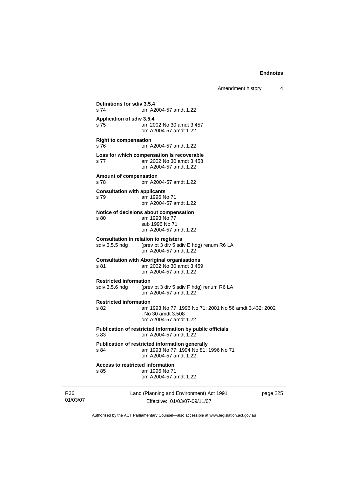Amendment history 4

Land (Planning and Environment) Act 1991 **Definitions for sdiv 3.5.4**  om A2004-57 amdt 1.22 **Application of sdiv 3.5.4**  s 75 am 2002 No 30 amdt 3.457 om A2004-57 amdt 1.22 **Right to compensation**  s 76 om A2004-57 amdt 1.22 **Loss for which compensation is recoverable**  s 77 am 2002 No 30 amdt 3.458 om A2004-57 amdt 1.22 **Amount of compensation**  s 78 om A2004-57 amdt 1.22 **Consultation with applicants**  s 79 am 1996 No 71 om A2004-57 amdt 1.22 **Notice of decisions about compensation**  s 80 am 1993 No 77 sub 1996 No 71 om A2004-57 amdt 1.22 **Consultation in relation to registers**<br>sdiv 3.5.5 hdg (prev pt 3 div 5 sdi (prev pt 3 div 5 sdiv E hdg) renum R6 LA om A2004-57 amdt 1.22 **Consultation with Aboriginal organisations**  s 81 am 2002 No 30 amdt 3.459 om A2004-57 amdt 1.22 **Restricted information**  sdiv 3.5.6 hdg (prev pt 3 div 5 sdiv F hdg) renum R6 LA om A2004-57 amdt 1.22 **Restricted information**  s 82 am 1993 No 77; 1996 No 71; 2001 No 56 amdt 3.432; 2002 No 30 amdt 3.508 om A2004-57 amdt 1.22 **Publication of restricted information by public officials**  s 83 om A2004-57 amdt 1.22 **Publication of restricted information generally**  s 84 am 1993 No 77; 1994 No 81; 1996 No 71 om A2004-57 amdt 1.22 **Access to restricted information**  s 85 am 1996 No 71 om A2004-57 amdt 1.22

page 225

Authorised by the ACT Parliamentary Counsel—also accessible at www.legislation.act.gov.au

Effective: 01/03/07-09/11/07

R36 01/03/07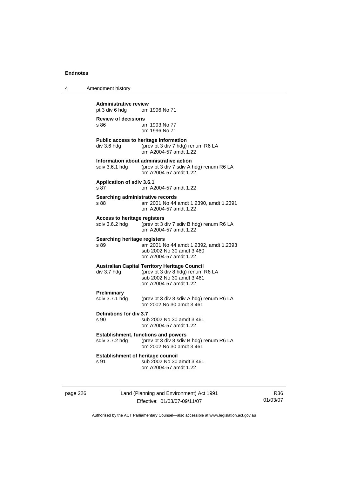4 Amendment history

| <b>Administrative review</b><br>pt 3 div 6 hdg        | om 1996 No 71                                                                                                                                   |
|-------------------------------------------------------|-------------------------------------------------------------------------------------------------------------------------------------------------|
| <b>Review of decisions</b><br>s 86                    | am 1993 No 77<br>om 1996 No 71                                                                                                                  |
| div 3.6 hdg                                           | Public access to heritage information<br>(prev pt 3 div 7 hdg) renum R6 LA<br>om A2004-57 amdt 1.22                                             |
|                                                       | Information about administrative action<br>sdiv 3.6.1 hdg (prev pt 3 div 7 sdiv A hdg) renum R6 LA<br>om A2004-57 amdt 1.22                     |
| <b>Application of sdiv 3.6.1</b><br>s 87              | om A2004-57 amdt 1.22                                                                                                                           |
| Searching administrative records<br>s 88              | am 2001 No 44 amdt 1.2390, amdt 1.2391<br>om A2004-57 amdt 1.22                                                                                 |
| <b>Access to heritage registers</b><br>sdiv 3.6.2 hdg | (prev pt 3 div 7 sdiv B hdg) renum R6 LA<br>om A2004-57 amdt 1.22                                                                               |
| <b>Searching heritage registers</b><br>s 89           | am 2001 No 44 amdt 1.2392, amdt 1.2393<br>sub 2002 No 30 amdt 3.460<br>om A2004-57 amdt 1.22                                                    |
| div 3.7 hdg                                           | <b>Australian Capital Territory Heritage Council</b><br>(prev pt 3 div 8 hdg) renum R6 LA<br>sub 2002 No 30 amdt 3.461<br>om A2004-57 amdt 1.22 |
| Preliminary<br>sdiv 3.7.1 hdg                         | (prev pt 3 div 8 sdiv A hdg) renum R6 LA<br>om 2002 No 30 amdt 3.461                                                                            |
| Definitions for div 3.7<br>s 90                       | sub 2002 No 30 amdt 3.461<br>om A2004-57 amdt 1.22                                                                                              |
| sdiv 3.7.2 hdg                                        | <b>Establishment, functions and powers</b><br>(prev pt 3 div 8 sdiv B hdg) renum R6 LA<br>om 2002 No 30 amdt 3.461                              |
| <b>Establishment of heritage council</b><br>s 91      | sub 2002 No 30 amdt 3.461<br>om A2004-57 amdt 1.22                                                                                              |

page 226 Land (Planning and Environment) Act 1991 Effective: 01/03/07-09/11/07

R36 01/03/07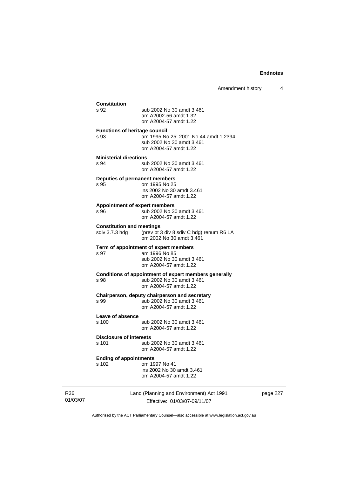# **Constitution**  sub 2002 No 30 amdt 3.461 am A2002-56 amdt 1.32 om A2004-57 amdt 1.22 **Functions of heritage council**  s 93 am 1995 No 25; 2001 No 44 amdt 1.2394 sub 2002 No 30 amdt 3.461 om A2004-57 amdt 1.22 **Ministerial directions**  s 94 sub 2002 No 30 amdt 3.461 om A2004-57 amdt 1.22 **Deputies of permanent members**  om 1995 No 25 ins 2002 No 30 amdt 3.461 om A2004-57 amdt 1.22 **Appointment of expert members**  s 96 sub 2002 No 30 amdt 3.461 om A2004-57 amdt 1.22 **Constitution and meetings**<br>sdiv 3.7.3 hdg (prev pt 3 (prev pt 3 div 8 sdiv C hdg) renum R6 LA om 2002 No 30 amdt 3.461 **Term of appointment of expert members**  s 97 am 1996 No 85 sub 2002 No 30 amdt 3.461 om A2004-57 amdt 1.22 **Conditions of appointment of expert members generally**  s 98 sub 2002 No 30 amdt 3.461 om A2004-57 amdt 1.22 **Chairperson, deputy chairperson and secretary**<br>s 99 sub 2002 No 30 amdt 3.461 sub 2002 No 30 amdt 3.461 om A2004-57 amdt 1.22 **Leave of absence**  s 100 sub 2002 No 30 amdt 3.461 om A2004-57 amdt 1.22 **Disclosure of interests**  s 101 sub 2002 No 30 amdt 3.461 om A2004-57 amdt 1.22 **Ending of appointments**  s 102 om 1997 No 41 ins 2002 No 30 amdt 3.461 om A2004-57 amdt 1.22

R36 01/03/07 Land (Planning and Environment) Act 1991 Effective: 01/03/07-09/11/07

page 227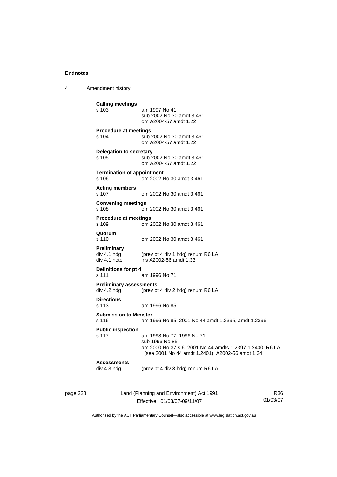4 Amendment history

```
Calling meetings 
                am 1997 No 41
                 sub 2002 No 30 amdt 3.461 
                 om A2004-57 amdt 1.22 
Procedure at meetings 
s 104 sub 2002 No 30 amdt 3.461 
                 om A2004-57 amdt 1.22 
Delegation to secretary 
s 105 sub 2002 No 30 amdt 3.461 
                 om A2004-57 amdt 1.22 
Termination of appointment 
s 106 om 2002 No 30 amdt 3.461 
Acting members 
s 107 om 2002 No 30 amdt 3.461 
Convening meetings 
s 108 om 2002 No 30 amdt 3.461 
Procedure at meetings 
s 109 om 2002 No 30 amdt 3.461 
Quorum 
                om 2002 No 30 amdt 3.461
Preliminary 
div 4.1 hdg (prev pt 4 div 1 hdg) renum R6 LA 
div 4.1 note ins A2002-56 amdt 1.33 
Definitions for pt 4 
s 111 am 1996 No 71 
Preliminary assessments 
div 4.2 hdg (prev pt 4 div 2 hdg) renum R6 LA 
Directions 
s 113 am 1996 No 85 
Submission to Minister 
s 116 am 1996 No 85; 2001 No 44 amdt 1.2395, amdt 1.2396 
Public inspection 
s 117 am 1993 No 77; 1996 No 71 
                 sub 1996 No 85 
                 am 2000 No 37 s 6; 2001 No 44 amdts 1.2397-1.2400; R6 LA 
                 (see 2001 No 44 amdt 1.2401); A2002-56 amdt 1.34 
Assessments 
div 4.3 hdg (prev pt 4 div 3 hdg) renum R6 LA
```
page 228 Land (Planning and Environment) Act 1991 Effective: 01/03/07-09/11/07

R36 01/03/07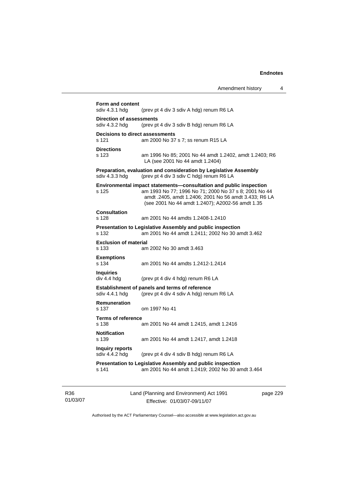| sdiv 4.3.1 hdg                                    | (prev pt 4 div 3 sdiv A hdg) renum R6 LA                                                                                                                                                                                                 |
|---------------------------------------------------|------------------------------------------------------------------------------------------------------------------------------------------------------------------------------------------------------------------------------------------|
| <b>Direction of assessments</b><br>sdiv 4.3.2 hda | (prev pt 4 div 3 sdiv B hdg) renum R6 LA                                                                                                                                                                                                 |
| Decisions to direct assessments<br>s 121          | am 2000 No 37 s 7; ss renum R15 LA                                                                                                                                                                                                       |
| <b>Directions</b><br>s 123                        | am 1996 No 85; 2001 No 44 amdt 1.2402, amdt 1.2403; R6<br>LA (see 2001 No 44 amdt 1.2404)                                                                                                                                                |
| sdiv 4.3.3 hdg                                    | Preparation, evaluation and consideration by Legislative Assembly<br>(prev pt 4 div 3 sdiv C hdg) renum R6 LA                                                                                                                            |
| s 125                                             | Environmental impact statements—consultation and public inspection<br>am 1993 No 77; 1996 No 71; 2000 No 37 s 8; 2001 No 44<br>amdt .2405, amdt 1.2406; 2001 No 56 amdt 3.433; R6 LA<br>(see 2001 No 44 amdt 1.2407); A2002-56 amdt 1.35 |
| <b>Consultation</b><br>s 128                      | am 2001 No 44 amdts 1.2408-1.2410                                                                                                                                                                                                        |
| s 132                                             | Presentation to Legislative Assembly and public inspection<br>am 2001 No 44 amdt 1.2411; 2002 No 30 amdt 3.462                                                                                                                           |
| <b>Exclusion of material</b><br>s 133             | am 2002 No 30 amdt 3.463                                                                                                                                                                                                                 |
| <b>Exemptions</b><br>s 134                        | am 2001 No 44 amdts 1.2412-1.2414                                                                                                                                                                                                        |
| <b>Inquiries</b><br>div 4.4 hdg                   | (prev pt 4 div 4 hdg) renum R6 LA                                                                                                                                                                                                        |
| sdiv 4.4.1 hdg                                    | <b>Establishment of panels and terms of reference</b><br>(prev pt 4 div 4 sdiv A hdg) renum R6 LA                                                                                                                                        |
| Remuneration<br>s 137                             | om 1997 No 41                                                                                                                                                                                                                            |
| <b>Terms of reference</b><br>s 138                | am 2001 No 44 amdt 1.2415, amdt 1.2416                                                                                                                                                                                                   |
| <b>Notification</b><br>s 139                      | am 2001 No 44 amdt 1.2417, amdt 1.2418                                                                                                                                                                                                   |
| Inguiry reports<br>sdiv 4.4.2 hdg                 | (prev pt 4 div 4 sdiv B hdg) renum R6 LA                                                                                                                                                                                                 |
| s 141                                             | <b>Presentation to Legislative Assembly and public inspection</b><br>am 2001 No 44 amdt 1.2419; 2002 No 30 amdt 3.464                                                                                                                    |

R36 01/03/07 Land (Planning and Environment) Act 1991 Effective: 01/03/07-09/11/07

page 229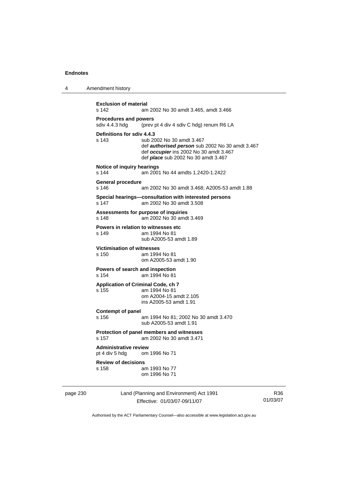| 4 | Amendment history |
|---|-------------------|
|---|-------------------|

| <b>Exclusion of material</b><br>s 142<br>am 2002 No 30 amdt 3.465, amdt 3.466 |                                                                                                                                                                      |  |
|-------------------------------------------------------------------------------|----------------------------------------------------------------------------------------------------------------------------------------------------------------------|--|
| <b>Procedures and powers</b><br>sdiv 4.4.3 hdq                                | (prev pt 4 div 4 sdiv C hdg) renum R6 LA                                                                                                                             |  |
| Definitions for sdiv 4.4.3<br>s 143                                           | sub 2002 No 30 amdt 3.467<br>def authorised person sub 2002 No 30 amdt 3.467<br>def occupier ins 2002 No 30 amdt 3.467<br>def <i>place</i> sub 2002 No 30 amdt 3.467 |  |
| Notice of inquiry hearings<br>s 144                                           | am 2001 No 44 amdts 1.2420-1.2422                                                                                                                                    |  |
| General procedure<br>s 146                                                    | am 2002 No 30 amdt 3.468; A2005-53 amdt 1.88                                                                                                                         |  |
| s 147                                                                         | Special hearings—consultation with interested persons<br>am 2002 No 30 amdt 3.508                                                                                    |  |
| Assessments for purpose of inquiries<br>s 148                                 | am 2002 No 30 amdt 3.469                                                                                                                                             |  |
| Powers in relation to witnesses etc<br>s 149                                  | am 1994 No 81<br>sub A2005-53 amdt 1.89                                                                                                                              |  |
| <b>Victimisation of witnesses</b><br>s 150                                    | am 1994 No 81<br>om A2005-53 amdt 1.90                                                                                                                               |  |
| Powers of search and inspection<br>s 154                                      | am 1994 No 81                                                                                                                                                        |  |
| <b>Application of Criminal Code, ch 7</b><br>s 155                            | am 1994 No 81<br>om A2004-15 amdt 2.105<br>ins A2005-53 amdt 1.91                                                                                                    |  |
| Contempt of panel<br>s 156                                                    | am 1994 No 81; 2002 No 30 amdt 3.470<br>sub A2005-53 amdt 1.91                                                                                                       |  |
| s 157                                                                         | Protection of panel members and witnesses<br>am 2002 No 30 amdt 3.471                                                                                                |  |
| <b>Administrative review</b><br>pt 4 div 5 hdg                                | om 1996 No 71                                                                                                                                                        |  |
| <b>Review of decisions</b><br>s 158                                           | am 1993 No 77<br>om 1996 No 71                                                                                                                                       |  |
|                                                                               |                                                                                                                                                                      |  |

page 230 Land (Planning and Environment) Act 1991 Effective: 01/03/07-09/11/07

R36 01/03/07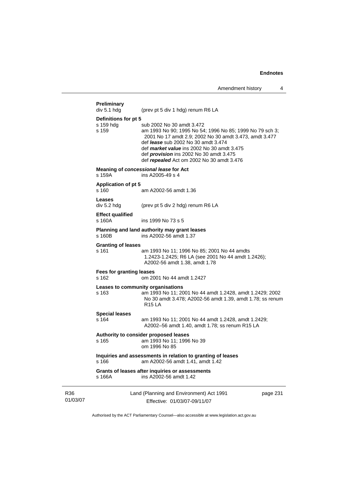|                 | Preliminary<br>div 5.1 hdg               | (prev pt 5 div 1 hdg) renum R6 LA                                                                                                                                                                                                                                                                                                          |          |  |
|-----------------|------------------------------------------|--------------------------------------------------------------------------------------------------------------------------------------------------------------------------------------------------------------------------------------------------------------------------------------------------------------------------------------------|----------|--|
|                 | Definitions for pt 5                     |                                                                                                                                                                                                                                                                                                                                            |          |  |
|                 | s 159 hdg<br>s 159                       | sub 2002 No 30 amdt 3.472<br>am 1993 No 90; 1995 No 54; 1996 No 85; 1999 No 79 sch 3;<br>2001 No 17 amdt 2.9; 2002 No 30 amdt 3.473, amdt 3.477<br>def <i>lease</i> sub 2002 No 30 amdt 3.474<br>def market value ins 2002 No 30 amdt 3.475<br>def <i>provision</i> ins 2002 No 30 amdt 3.475<br>def repealed Act om 2002 No 30 amdt 3.476 |          |  |
|                 | s 159A                                   | Meaning of concessional lease for Act<br>ins A2005-49 s 4                                                                                                                                                                                                                                                                                  |          |  |
|                 | <b>Application of pt 5</b><br>s 160      | am A2002-56 amdt 1.36                                                                                                                                                                                                                                                                                                                      |          |  |
|                 | Leases<br>div 5.2 hdg                    | (prev pt 5 div 2 hdg) renum R6 LA                                                                                                                                                                                                                                                                                                          |          |  |
|                 | <b>Effect qualified</b><br>s 160A        | ins 1999 No 73 s 5                                                                                                                                                                                                                                                                                                                         |          |  |
|                 | s 160B                                   | Planning and land authority may grant leases<br>ins A2002-56 amdt 1.37                                                                                                                                                                                                                                                                     |          |  |
|                 | <b>Granting of leases</b><br>s 161       | am 1993 No 11; 1996 No 85; 2001 No 44 amdts<br>1.2423-1.2425; R6 LA (see 2001 No 44 amdt 1.2426);<br>A2002-56 amdt 1.38, amdt 1.78                                                                                                                                                                                                         |          |  |
|                 | <b>Fees for granting leases</b><br>s 162 | om 2001 No 44 amdt 1.2427                                                                                                                                                                                                                                                                                                                  |          |  |
|                 | s 163                                    | Leases to community organisations<br>am 1993 No 11; 2001 No 44 amdt 1.2428, amdt 1.2429; 2002<br>No 30 amdt 3.478; A2002-56 amdt 1.39, amdt 1.78; ss renum<br>R15 LA                                                                                                                                                                       |          |  |
|                 | <b>Special leases</b><br>s 164           | am 1993 No 11; 2001 No 44 amdt 1.2428, amdt 1.2429;<br>A2002-56 amdt 1.40, amdt 1.78; ss renum R15 LA                                                                                                                                                                                                                                      |          |  |
|                 | s 165                                    | Authority to consider proposed leases<br>am 1993 No 11; 1996 No 39<br>om 1996 No 85                                                                                                                                                                                                                                                        |          |  |
|                 | s 166                                    | Inquiries and assessments in relation to granting of leases<br>am A2002-56 amdt 1.41, amdt 1.42                                                                                                                                                                                                                                            |          |  |
|                 | s 166A                                   | Grants of leases after inquiries or assessments<br>ins A2002-56 amdt 1.42                                                                                                                                                                                                                                                                  |          |  |
| R36<br>01/03/07 |                                          | Land (Planning and Environment) Act 1991<br>Effective: 01/03/07-09/11/07                                                                                                                                                                                                                                                                   | page 231 |  |

Authorised by the ACT Parliamentary Counsel—also accessible at www.legislation.act.gov.au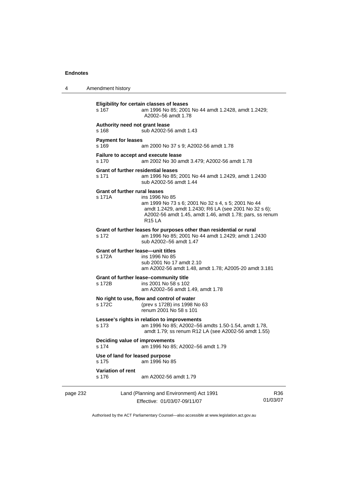4 Amendment history

page 232 Land (Planning and Environment) Act 1991 **Eligibility for certain classes of leases**  s 167 am 1996 No 85; 2001 No 44 amdt 1.2428, amdt 1.2429; A2002–56 amdt 1.78 **Authority need not grant lease**  s 168 sub A2002-56 amdt 1.43 **Payment for leases**  s 169 am 2000 No 37 s 9; A2002-56 amdt 1.78 **Failure to accept and execute lease**  s 170 am 2002 No 30 amdt 3.479; A2002-56 amdt 1.78 **Grant of further residential leases**  s 171 am 1996 No 85; 2001 No 44 amdt 1.2429, amdt 1.2430 sub A2002-56 amdt 1.44 **Grant of further rural leases**  s 171A ins 1996 No 85 am 1999 No 73 s 6; 2001 No 32 s 4, s 5; 2001 No 44 amdt 1.2429, amdt 1.2430; R6 LA (see 2001 No 32 s 6); A2002-56 amdt 1.45, amdt 1.46, amdt 1.78; pars, ss renum R15 LA **Grant of further leases for purposes other than residential or rural**  s 172 am 1996 No 85; 2001 No 44 amdt 1.2429; amdt 1.2430 sub A2002–56 amdt 1.47 **Grant of further lease—unit titles**  s 172A ins 1996 No 85 sub 2001 No 17 amdt 2.10 am A2002-56 amdt 1.48, amdt 1.78; A2005-20 amdt 3.181 **Grant of further lease–community title**  ins 2001 No 58 s 102 am A2002–56 amdt 1.49, amdt 1.78 **No right to use, flow and control of water**  s 172C (prev s 172B) ins 1998 No 63 renum 2001 No 58 s 101 **Lessee's rights in relation to improvements**  s 173 am 1996 No 85; A2002–56 amdts 1.50-1.54, amdt 1.78, amdt 1.79; ss renum R12 LA (see A2002-56 amdt 1.55) **Deciding value of improvements**  s 174 am 1996 No 85; A2002–56 amdt 1.79 **Use of land for leased purpose**  s 175 am 1996 No 85 **Variation of rent**  s 176 am A2002-56 amdt 1.79

Effective: 01/03/07-09/11/07

R36 01/03/07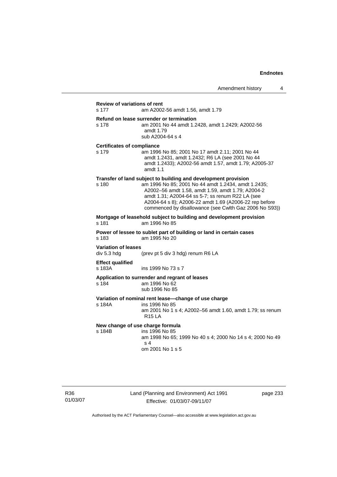#### **Review of variations of rent**

s 177 am A2002-56 amdt 1.56, amdt 1.79

#### **Refund on lease surrender or termination**

s 178 am 2001 No 44 amdt 1.2428, amdt 1.2429; A2002-56 amdt 1.79 sub A2004-64 s 4

#### **Certificates of compliance**

s 179 am 1996 No 85; 2001 No 17 amdt 2.11; 2001 No 44 amdt 1.2431, amdt 1.2432; R6 LA (see 2001 No 44 amdt 1.2433); A2002-56 amdt 1.57, amdt 1.79; A2005-37 amdt 1.1

#### **Transfer of land subject to building and development provision**

s 180 am 1996 No 85; 2001 No 44 amdt 1.2434, amdt 1.2435; A2002–56 amdt 1.58, amdt 1.59, amdt 1.79; A2004-2 amdt 1.31; A2004-64 ss 5-7; ss renum R22 LA (see A2004-64 s 8); A2006-22 amdt 1.69 (A2006-22 rep before commenced by disallowance (see Cwlth Gaz 2006 No S93))

#### **Mortgage of leasehold subject to building and development provision**  s 181 am 1996 No 85

**Power of lessee to sublet part of building or land in certain cases**  s 183 am 1995 No 20

#### **Variation of leases**

div 5.3 hdg (prev pt 5 div 3 hdg) renum R6 LA

#### **Effect qualified**

s 183A ins 1999 No 73 s 7

#### **Application to surrender and regrant of leases**

s 184 am 1996 No 62 sub 1996 No 85

## **Variation of nominal rent lease—change of use charge**

s 184A ins 1996 No 85

 am 2001 No 1 s 4; A2002–56 amdt 1.60, amdt 1.79; ss renum R15 LA

#### **New change of use charge formula**<br>s 184B ins 1996 No 85 ins 1996 No 85

 am 1998 No 65; 1999 No 40 s 4; 2000 No 14 s 4; 2000 No 49 s 4 om 2001 No 1 s 5

R36 01/03/07

# Land (Planning and Environment) Act 1991 Effective: 01/03/07-09/11/07

page 233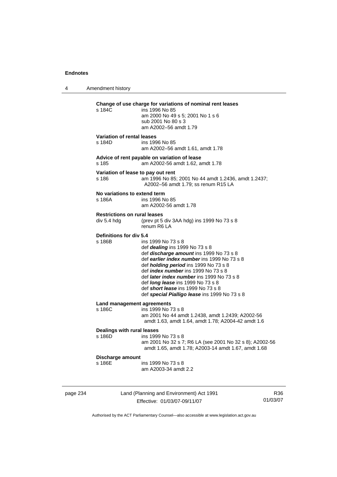4 Amendment history **Change of use charge for variations of nominal rent leases**  ins 1996 No 85 am 2000 No 49 s 5; 2001 No 1 s 6 sub 2001 No 80 s 3 am A2002–56 amdt 1.79 **Variation of rental leases**  s 184D ins 1996 No 85 am A2002–56 amdt 1.61, amdt 1.78 **Advice of rent payable on variation of lease**  s 185 am A2002-56 amdt 1.62, amdt 1.78 **Variation of lease to pay out rent**  s 186 am 1996 No 85; 2001 No 44 amdt 1.2436, amdt 1.2437; A2002–56 amdt 1.79; ss renum R15 LA **No variations to extend term**  s 186A ins 1996 No 85 am A2002-56 amdt 1.78 **Restrictions on rural leases**  div 5.4 hdg (prev pt 5 div 3AA hdg) ins 1999 No 73 s 8 renum R6 LA **Definitions for div 5.4**  s 186B ins 1999 No 73 s 8 def *dealing* ins 1999 No 73 s 8 def *discharge amount* ins 1999 No 73 s 8 def *earlier index number* ins 1999 No 73 s 8 def *holding period* ins 1999 No 73 s 8 def *index number* ins 1999 No 73 s 8 def *later index number* ins 1999 No 73 s 8 def *long lease* ins 1999 No 73 s 8 def *short lease* ins 1999 No 73 s 8 def *special Pialligo lease* ins 1999 No 73 s 8 **Land management agreements**  s 186C ins 1999 No 73 s 8 am 2001 No 44 amdt 1.2438, amdt 1.2439; A2002-56 amdt 1.63, amdt 1.64, amdt 1.78; A2004-42 amdt 1.6 **Dealings with rural leases**  s 186D ins 1999 No 73 s 8 am 2001 No 32 s 7; R6 LA (see 2001 No 32 s 8); A2002-56 amdt 1.65, amdt 1.78; A2003-14 amdt 1.67, amdt 1.68 **Discharge amount**  ins 1999 No 73 s 8 am A2003-34 amdt 2.2

page 234 Land (Planning and Environment) Act 1991 Effective: 01/03/07-09/11/07

R36 01/03/07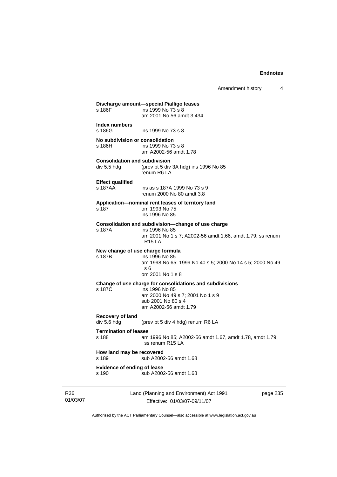Amendment history 4

| s 186F                                              | ins 1999 No 73 s 8<br>am 2001 No 56 amdt 3.434                                                                                                                |
|-----------------------------------------------------|---------------------------------------------------------------------------------------------------------------------------------------------------------------|
| Index numbers<br>$s$ 186 $G$                        | ins 1999 No 73 s 8                                                                                                                                            |
| No subdivision or consolidation<br>s 186H           | ins 1999 No 73 s 8<br>am A2002-56 amdt 1.78                                                                                                                   |
| <b>Consolidation and subdivision</b><br>div 5.5 hdg | (prev pt 5 div 3A hdg) ins 1996 No 85<br>renum R6 LA                                                                                                          |
| <b>Effect qualified</b><br>s 187AA                  | ins as s 187A 1999 No 73 s 9<br>renum 2000 No 80 amdt 3.8                                                                                                     |
| s 187                                               | Application-nominal rent leases of territory land<br>om 1993 No 75<br>ins 1996 No 85                                                                          |
| s 187A                                              | Consolidation and subdivision-change of use charge<br>ins 1996 No 85<br>am 2001 No 1 s 7; A2002-56 amdt 1.66, amdt 1.79; ss renum<br><b>R15 LA</b>            |
| New change of use charge formula<br>s 187B          | ins 1996 No 85<br>am 1998 No 65; 1999 No 40 s 5; 2000 No 14 s 5; 2000 No 49<br>s 6<br>om 2001 No 1 s 8                                                        |
| s 187C                                              | Change of use charge for consolidations and subdivisions<br>ins 1996 No 85<br>am 2000 No 49 s 7; 2001 No 1 s 9<br>sub 2001 No 80 s 4<br>am A2002-56 amdt 1.79 |
| Recovery of land<br>div 5.6 hdg                     | (prev pt 5 div 4 hdg) renum R6 LA                                                                                                                             |
| <b>Termination of leases</b><br>s 188               | am 1996 No 85; A2002-56 amdt 1.67, amdt 1.78, amdt 1.79;<br>ss renum R15 LA                                                                                   |
| How land may be recovered<br>s 189                  | sub A2002-56 amdt 1.68                                                                                                                                        |
| <b>Evidence of ending of lease</b><br>s 190         | sub A2002-56 amdt 1.68                                                                                                                                        |

R36 01/03/07 Land (Planning and Environment) Act 1991 Effective: 01/03/07-09/11/07

page 235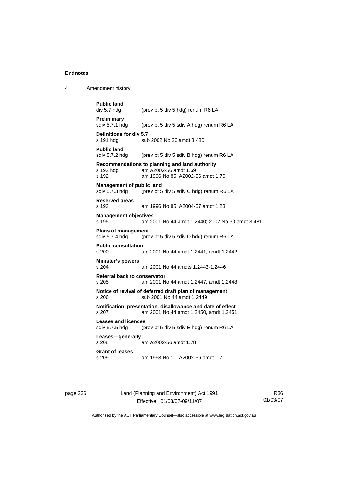| 4 | Amendment history |
|---|-------------------|
|   |                   |

```
Public land<br>div 5.7 hdg
                 (prev pt 5 div 5 hdg) renum R6 LA
Preliminary 
sdiv 5.7.1 hdg (prev pt 5 div 5 sdiv A hdg) renum R6 LA
Definitions for div 5.7 
s 191 hdg sub 2002 No 30 amdt 3.480
Public land 
sdiv 5.7.2 hdg (prev pt 5 div 5 sdiv B hdg) renum R6 LA 
Recommendations to planning and land authority 
s 192 hdg am A2002-56 amdt 1.69 
s 192 am 1996 No 85; A2002-56 amdt 1.70 
Management of public land 
sdiv 5.7.3 hdg (prev pt 5 div 5 sdiv C hdg) renum R6 LA 
Reserved areas 
s 193 am 1996 No 85; A2004-57 amdt 1.23 
Management objectives 
s 195 am 2001 No 44 amdt 1.2440; 2002 No 30 amdt 3.481 
Plans of management 
sdiv 5.7.4 hdg (prev pt 5 div 5 sdiv D hdg) renum R6 LA 
Public consultation 
s 200 am 2001 No 44 amdt 1.2441, amdt 1.2442 
Minister's powers 
s 204 am 2001 No 44 amdts 1.2443-1.2446 
Referral back to conservator 
s 205 am 2001 No 44 amdt 1.2447, amdt 1.2448 
Notice of revival of deferred draft plan of management 
s 206 sub 2001 No 44 amdt 1.2449 
Notification, presentation, disallowance and date of effect 
s 207 am 2001 No 44 amdt 1.2450, amdt 1.2451 
Leases and licences 
sdiv 5.7.5 hdg (prev pt 5 div 5 sdiv E hdg) renum R6 LA 
Leases—generally 
s 208 am A2002-56 amdt 1.78 
Grant of leases 
s 209 am 1993 No 11, A2002-56 amdt 1.71
```
page 236 Land (Planning and Environment) Act 1991 Effective: 01/03/07-09/11/07

R36 01/03/07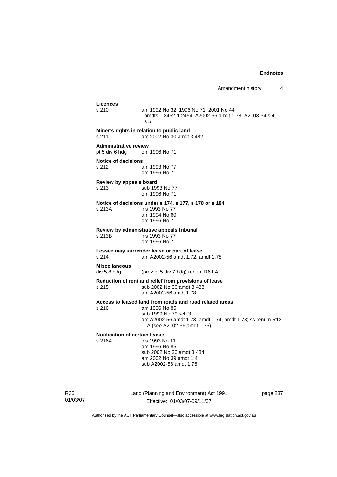|                                                              | Allienument mstory                                                                                                                                                                           |  |
|--------------------------------------------------------------|----------------------------------------------------------------------------------------------------------------------------------------------------------------------------------------------|--|
| Licences<br>s 210                                            | am 1992 No 32; 1996 No 71; 2001 No 44<br>amdts 1.2452-1.2454; A2002-56 amdt 1.78; A2003-34 s 4,<br>s <sub>5</sub>                                                                            |  |
| s 211                                                        | Miner's rights in relation to public land<br>am 2002 No 30 amdt 3.482                                                                                                                        |  |
| <b>Administrative review</b><br>pt 5 div 6 hdg om 1996 No 71 |                                                                                                                                                                                              |  |
| <b>Notice of decisions</b><br>s 212                          | am 1993 No 77<br>om 1996 No 71                                                                                                                                                               |  |
| Review by appeals board<br>s 213                             | sub 1993 No 77<br>om 1996 No 71                                                                                                                                                              |  |
| s 213A                                                       | Notice of decisions under s 174, s 177, s 178 or s 184<br>ins 1993 No 77<br>am 1994 No 60<br>om 1996 No 71                                                                                   |  |
| s 213B                                                       | Review by administrative appeals tribunal<br>ins 1993 No 77<br>om 1996 No 71                                                                                                                 |  |
| s 214                                                        | Lessee may surrender lease or part of lease<br>am A2002-56 amdt 1.72, amdt 1.78                                                                                                              |  |
| <b>Miscellaneous</b><br>div 5.8 hdg                          | (prev pt 5 div 7 hdg) renum R6 LA                                                                                                                                                            |  |
| s 215                                                        | Reduction of rent and relief from provisions of lease<br>sub 2002 No 30 amdt 3.483<br>am A2002-56 amdt 1.78                                                                                  |  |
| s 216                                                        | Access to leased land from roads and road related areas<br>am 1996 No 85<br>sub 1999 No 79 sch 3<br>am A2002-56 amdt 1.73, amdt 1.74, amdt 1.78; ss renum R12<br>LA (see A2002-56 amdt 1.75) |  |
| <b>Notification of certain leases</b><br>s 216A              | ins 1993 No 11<br>am 1996 No 85<br>sub 2002 No 30 amdt 3.484<br>am 2002 No 39 amdt 1.4<br>sub A2002-56 amdt 1.76                                                                             |  |

R36 01/03/07 Land (Planning and Environment) Act 1991 Effective: 01/03/07-09/11/07

page 237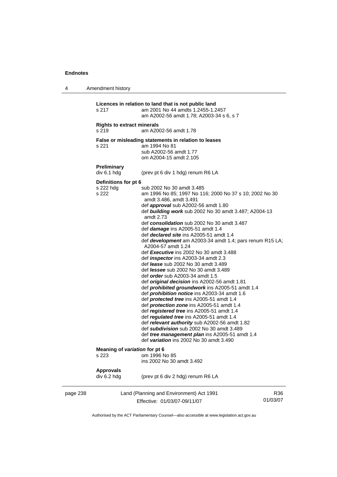| 4        | Amendment history                                                                                        |                                                                                                                                                                                                                                                                                                                                                                                                                                                                                                                                                                                                                                                                                                                                                                                                                                                                                                                                                                                                                                                                                                                                                                                                                                                                                                                                 |
|----------|----------------------------------------------------------------------------------------------------------|---------------------------------------------------------------------------------------------------------------------------------------------------------------------------------------------------------------------------------------------------------------------------------------------------------------------------------------------------------------------------------------------------------------------------------------------------------------------------------------------------------------------------------------------------------------------------------------------------------------------------------------------------------------------------------------------------------------------------------------------------------------------------------------------------------------------------------------------------------------------------------------------------------------------------------------------------------------------------------------------------------------------------------------------------------------------------------------------------------------------------------------------------------------------------------------------------------------------------------------------------------------------------------------------------------------------------------|
|          | s 217                                                                                                    | Licences in relation to land that is not public land<br>am 2001 No 44 amdts 1.2455-1.2457<br>am A2002-56 amdt 1.78; A2003-34 s 6, s 7                                                                                                                                                                                                                                                                                                                                                                                                                                                                                                                                                                                                                                                                                                                                                                                                                                                                                                                                                                                                                                                                                                                                                                                           |
|          | <b>Rights to extract minerals</b><br>s 219                                                               | am A2002-56 amdt 1.78                                                                                                                                                                                                                                                                                                                                                                                                                                                                                                                                                                                                                                                                                                                                                                                                                                                                                                                                                                                                                                                                                                                                                                                                                                                                                                           |
|          | s 221                                                                                                    | False or misleading statements in relation to leases<br>am 1994 No 81                                                                                                                                                                                                                                                                                                                                                                                                                                                                                                                                                                                                                                                                                                                                                                                                                                                                                                                                                                                                                                                                                                                                                                                                                                                           |
|          |                                                                                                          | sub A2002-56 amdt 1.77<br>om A2004-15 amdt 2.105                                                                                                                                                                                                                                                                                                                                                                                                                                                                                                                                                                                                                                                                                                                                                                                                                                                                                                                                                                                                                                                                                                                                                                                                                                                                                |
|          | <b>Preliminary</b><br>div 6.1 hdg                                                                        | (prev pt 6 div 1 hdg) renum R6 LA                                                                                                                                                                                                                                                                                                                                                                                                                                                                                                                                                                                                                                                                                                                                                                                                                                                                                                                                                                                                                                                                                                                                                                                                                                                                                               |
|          | Definitions for pt 6<br>s 222 hdg<br>s 222<br>Meaning of variation for pt 6<br>s 223<br><b>Approvals</b> | sub 2002 No 30 amdt 3.485<br>am 1996 No 85; 1997 No 116; 2000 No 37 s 10; 2002 No 30<br>amdt 3.486, amdt 3.491<br>def <i>approval</i> sub A2002-56 amdt 1.80<br>def <b>building work</b> sub 2002 No 30 amdt 3.487; A2004-13<br>amdt 2.73<br>def consolidation sub 2002 No 30 amdt 3.487<br>def <i>damage</i> ins A2005-51 amdt 1.4<br>def <b>declared site</b> ins A2005-51 amdt 1.4<br>def <b>development</b> am A2003-34 amdt 1.4; pars renum R15 LA;<br>A2004-57 amdt 1.24<br>def Executive ins 2002 No 30 amdt 3.488<br>def <i>inspector</i> ins A2003-34 amdt 2.3<br>def <i>lease</i> sub 2002 No 30 amdt 3.489<br>def <i>lessee</i> sub 2002 No 30 amdt 3.489<br>def <i>order</i> sub A2003-34 amdt 1.5<br>def original decision ins A2002-56 amdt 1.81<br>def <i>prohibited groundwork</i> ins A2005-51 amdt 1.4<br>def <i>prohibition notice</i> ins A2003-34 amdt 1.6<br>def <b>protected tree</b> ins A2005-51 amdt 1.4<br>def <i>protection zone</i> ins A2005-51 amdt 1.4<br>def registered tree ins A2005-51 amdt 1.4<br>def regulated tree ins A2005-51 amdt 1.4<br>def relevant authority sub A2002-56 amdt 1.82<br>def subdivision sub 2002 No 30 amdt 3.489<br>def <i>tree management plan</i> ins A2005-51 amdt 1.4<br>def variation ins 2002 No 30 amdt 3.490<br>om 1996 No 85<br>ins 2002 No 30 amdt 3.492 |
|          | div 6.2 hdg                                                                                              | (prev pt 6 div 2 hdg) renum R6 LA                                                                                                                                                                                                                                                                                                                                                                                                                                                                                                                                                                                                                                                                                                                                                                                                                                                                                                                                                                                                                                                                                                                                                                                                                                                                                               |
| page 238 |                                                                                                          | Land (Planning and Environment) Act 1991<br>R36<br>01/03/07<br>Effective: 01/03/07-09/11/07                                                                                                                                                                                                                                                                                                                                                                                                                                                                                                                                                                                                                                                                                                                                                                                                                                                                                                                                                                                                                                                                                                                                                                                                                                     |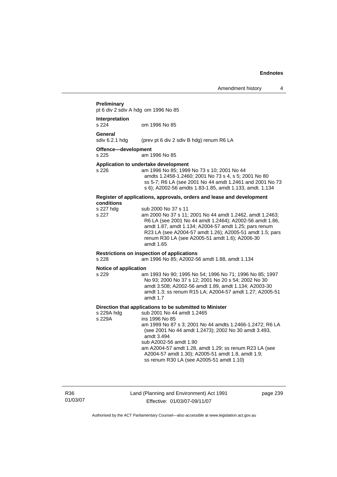### **Preliminary**

pt 6 div 2 sdiv A hdg om 1996 No 85

#### **Interpretation**  om 1996 No 85

**General**<br>sdiv 6.2.1 hdg (prev pt 6 div 2 sdiv B hdg) renum R6 LA

**Offence—development** 

s 225 am 1996 No 85

### **Application to undertake development**

s 226 am 1996 No 85; 1999 No 73 s 10; 2001 No 44 amdts 1.2458-1.2460; 2001 No 73 s 4, s 5; 2001 No 80 ss 5-7; R6 LA (see 2001 No 44 amdt 1.2461 and 2001 No 73 s 6); A2002-56 amdts 1.83-1.85, amdt 1.133, amdt. 1.134

#### **Register of applications, approvals, orders and lease and development conditions**

| s 227 hdg | sub 2000 No 37 s 11                                      |
|-----------|----------------------------------------------------------|
| s 227     | am 2000 No 37 s 11; 2001 No 44 amdt 1.2462, amdt 1.2463; |
|           | R6 LA (see 2001 No 44 amdt 1.2464); A2002-56 amdt 1.86,  |
|           | amdt 1.87, amdt 1.134; A2004-57 amdt 1.25; pars renum    |
|           | R23 LA (see A2004-57 amdt 1.26); A2005-51 amdt 1.5; pars |
|           | renum R30 LA (see A2005-51 amdt 1.6); A2006-30           |
|           | amdt 1.65                                                |
|           |                                                          |

### **Restrictions on inspection of applications**

s 228 am 1996 No 85; A2002-56 amdt 1.88, amdt 1.134

#### **Notice of application**

s 229 am 1993 No 90; 1995 No 54; 1996 No 71; 1996 No 85; 1997 No 93; 2000 No 37 s 12; 2001 No 20 s 54; 2002 No 30 amdt 3.508; A2002-56 amdt 1.89, amdt 1.134; A2003-30 amdt 1.3; ss renum R15 LA; A2004-57 amdt 1.27; A2005-51 amdt 1.7

# **Direction that applications to be submitted to Minister**

s 229A hdg sub 2001 No 44 amdt 1.2465<br>s 229A ins 1996 No 85 ins 1996 No 85 am 1999 No 87 s 3; 2001 No 44 amdts 1.2466-1.2472; R6 LA (see 2001 No 44 amdt 1.2473); 2002 No 30 amdt 3.493, amdt 3.494 sub A2002-56 amdt 1.90 am A2004-57 amdt 1.28, amdt 1.29; ss renum R23 LA (see A2004-57 amdt 1.30); A2005-51 amdt 1.8, amdt 1.9; ss renum R30 LA (see A2005-51 amdt 1.10)

R36 01/03/07

# Land (Planning and Environment) Act 1991 Effective: 01/03/07-09/11/07

page 239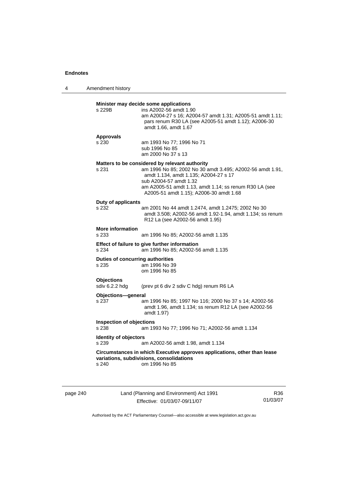# **Minister may decide some applications**  s 229B ins A2002-56 amdt 1.90 am A2004-27 s 16; A2004-57 amdt 1.31; A2005-51 amdt 1.11; pars renum R30 LA (see A2005-51 amdt 1.12); A2006-30 amdt 1.66, amdt 1.67 **Approvals**  s 230 am 1993 No 77; 1996 No 71 sub 1996 No 85 am 2000 No 37 s 13 **Matters to be considered by relevant authority**  s 231 am 1996 No 85; 2002 No 30 amdt 3.495; A2002-56 amdt 1.91, amdt 1.134, amdt 1.135; A2004-27 s 17 sub A2004-57 amdt 1.32 am A2005-51 amdt 1.13, amdt 1.14; ss renum R30 LA (see A2005-51 amdt 1.15); A2006-30 amdt 1.68 **Duty of applicants**  s 232 am 2001 No 44 amdt 1.2474, amdt 1.2475; 2002 No 30 amdt 3.508; A2002-56 amdt 1.92-1.94, amdt 1.134; ss renum R12 La (see A2002-56 amdt 1.95) **More information**  s 233 am 1996 No 85; A2002-56 amdt 1.135 **Effect of failure to give further information**  s 234 am 1996 No 85; A2002-56 amdt 1.135 **Duties of concurring authorities**  s 235 am 1996 No 39 om 1996 No 85 **Objections**  sdiv 6.2.2 hdg (prev pt 6 div 2 sdiv C hdg) renum R6 LA **Objections—general**  s 237 am 1996 No 85; 1997 No 116; 2000 No 37 s 14; A2002-56 amdt 1.96, amdt 1.134; ss renum R12 LA (see A2002-56 amdt 1.97) **Inspection of objections**  s 238 am 1993 No 77; 1996 No 71; A2002-56 amdt 1.134 **Identity of objectors**  s 239 am A2002-56 amdt 1.98, amdt 1.134 **Circumstances in which Executive approves applications, other than lease variations, subdivisions, consolidations**  s 240 om 1996 No 85

page 240 Land (Planning and Environment) Act 1991 Effective: 01/03/07-09/11/07

R36 01/03/07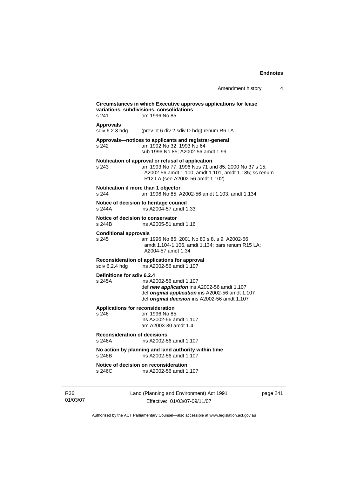|                                                  |                                                                                                                                                                                                        | Amendment history | 4        |
|--------------------------------------------------|--------------------------------------------------------------------------------------------------------------------------------------------------------------------------------------------------------|-------------------|----------|
| s 241                                            | Circumstances in which Executive approves applications for lease<br>variations, subdivisions, consolidations<br>om 1996 No 85                                                                          |                   |          |
| <b>Approvals</b><br>sdiv 6.2.3 hdg               | (prev pt 6 div 2 sdiv D hdg) renum R6 LA                                                                                                                                                               |                   |          |
| s 242                                            | Approvals-notices to applicants and registrar-general<br>am 1992 No 32; 1993 No 64<br>sub 1996 No 85; A2002-56 amdt 1.99                                                                               |                   |          |
| s 243                                            | Notification of approval or refusal of application<br>am 1993 No 77; 1996 Nos 71 and 85; 2000 No 37 s 15;<br>A2002-56 amdt 1.100, amdt 1.101, amdt 1.135; ss renum<br>R12 LA (see A2002-56 amdt 1.102) |                   |          |
| Notification if more than 1 objector<br>s 244    | am 1996 No 85; A2002-56 amdt 1.103, amdt 1.134                                                                                                                                                         |                   |          |
| s 244A                                           | Notice of decision to heritage council<br>ins A2004-57 amdt 1.33                                                                                                                                       |                   |          |
| Notice of decision to conservator<br>s 244B      | ins A2005-51 amdt 1.16                                                                                                                                                                                 |                   |          |
| <b>Conditional approvals</b><br>s 245            | am 1996 No 85; 2001 No 80 s 8, s 9; A2002-56<br>amdt 1.104-1.106, amdt 1.134; pars renum R15 LA;<br>A2004-57 amdt 1.34                                                                                 |                   |          |
| sdiv 6.2.4 hdg                                   | Reconsideration of applications for approval<br>ins A2002-56 amdt 1.107                                                                                                                                |                   |          |
| Definitions for sdiv 6.2.4<br>s 245A             | ins A2002-56 amdt 1.107<br>def new application ins A2002-56 amdt 1.107<br>def original application ins A2002-56 amdt 1.107<br>def original decision ins A2002-56 amdt 1.107                            |                   |          |
| <b>Applications for reconsideration</b><br>s 246 | om 1996 No 85<br>ins A2002-56 amdt 1.107<br>am A2003-30 amdt 1.4                                                                                                                                       |                   |          |
| <b>Reconsideration of decisions</b><br>s 246A    | ins A2002-56 amdt 1.107                                                                                                                                                                                |                   |          |
| s 246B                                           | No action by planning and land authority within time<br>ins A2002-56 amdt 1.107                                                                                                                        |                   |          |
| s 246C                                           | Notice of decision on reconsideration<br>ins A2002-56 amdt 1.107                                                                                                                                       |                   |          |
|                                                  | Land (Planning and Environment) Act 1991<br>Effective: 01/03/07-09/11/07                                                                                                                               |                   | page 241 |

Authorised by the ACT Parliamentary Counsel—also accessible at www.legislation.act.gov.au

R36 01/03/07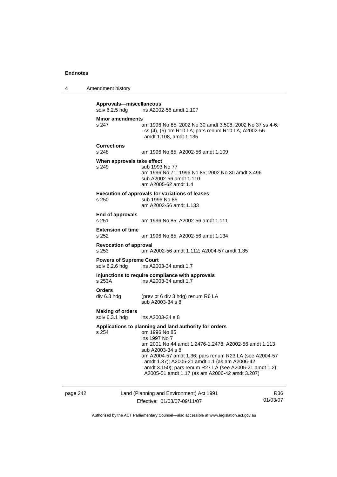4 Amendment history

page 242 Land (Planning and Environment) Act 1991 Effective: 01/03/07-09/11/07 R36 01/03/07 **Approvals—miscellaneous**  ins A2002-56 amdt 1.107 **Minor amendments**  s 247 am 1996 No 85; 2002 No 30 amdt 3.508; 2002 No 37 ss 4-6; ss (4), (5) om R10 LA; pars renum R10 LA; A2002-56 amdt 1.108, amdt 1.135 **Corrections**  s 248 am 1996 No 85; A2002-56 amdt 1.109 **When approvals take effect**  s 249 sub 1993 No 77 am 1996 No 71; 1996 No 85; 2002 No 30 amdt 3.496 sub A2002-56 amdt 1.110 am A2005-62 amdt 1.4 **Execution of approvals for variations of leases**  s 250 sub 1996 No 85 am A2002-56 amdt 1.133 **End of approvals**  s 251 am 1996 No 85; A2002-56 amdt 1.111 **Extension of time**  s 252 am 1996 No 85; A2002-56 amdt 1.134 **Revocation of approval**  s 253 am A2002-56 amdt 1.112; A2004-57 amdt 1.35 **Powers of Supreme Court**  sdiv 6.2.6 hdg ins A2003-34 amdt 1.7 **Injunctions to require compliance with approvals**  s 253A ins A2003-34 amdt 1.7 **Orders**  (prev pt 6 div 3 hdg) renum R6 LA sub A2003-34 s 8 **Making of orders**  sdiv 6.3.1 hdg ins A2003-34 s 8 **Applications to planning and land authority for orders**  s 254 om 1996 No 85 ins 1997 No 7 am 2001 No 44 amdt 1.2476-1.2478; A2002-56 amdt 1.113 sub A2003-34 s 8 am A2004-57 amdt 1.36; pars renum R23 LA (see A2004-57 amdt 1.37); A2005-21 amdt 1.1 (as am A2006-42 amdt 3.150); pars renum R27 LA (see A2005-21 amdt 1.2); A2005-51 amdt 1.17 (as am A2006-42 amdt 3.207)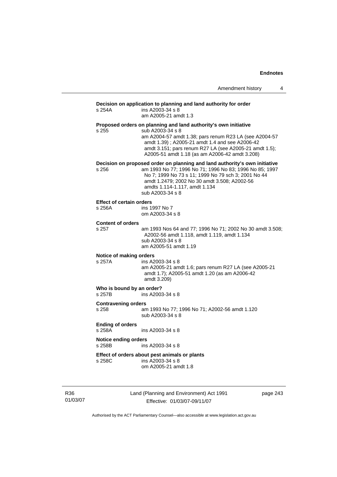| Amendment history |  |
|-------------------|--|
|-------------------|--|

| s 254A                                    | Decision on application to planning and land authority for order<br>ins A2003-34 s 8<br>am A2005-21 amdt 1.3                                                                                                                                                                                                |
|-------------------------------------------|-------------------------------------------------------------------------------------------------------------------------------------------------------------------------------------------------------------------------------------------------------------------------------------------------------------|
| s 255                                     | Proposed orders on planning and land authority's own initiative<br>sub A2003-34 s 8<br>am A2004-57 amdt 1.38; pars renum R23 LA (see A2004-57<br>amdt 1.39); A2005-21 amdt 1.4 and see A2006-42<br>amdt 3.151; pars renum R27 LA (see A2005-21 amdt 1.5);<br>A2005-51 amdt 1.18 (as am A2006-42 amdt 3.208) |
| s 256                                     | Decision on proposed order on planning and land authority's own initiative<br>am 1993 No 77; 1996 No 71; 1996 No 83; 1996 No 85; 1997<br>No 7; 1999 No 73 s 11; 1999 No 79 sch 3; 2001 No 44<br>amdt 1.2479; 2002 No 30 amdt 3.508; A2002-56<br>amdts 1.114-1.117, amdt 1.134<br>sub A2003-34 s 8           |
| <b>Effect of certain orders</b><br>s 256A | ins 1997 No 7<br>om A2003-34 s 8                                                                                                                                                                                                                                                                            |
| <b>Content of orders</b><br>s 257         | am 1993 Nos 64 and 77; 1996 No 71; 2002 No 30 amdt 3.508;<br>A2002-56 amdt 1.118, amdt 1.119, amdt 1.134<br>sub A2003-34 s 8<br>am A2005-51 amdt 1.19                                                                                                                                                       |
| Notice of making orders<br>s 257A         | ins A2003-34 s 8<br>am A2005-21 amdt 1.6; pars renum R27 LA (see A2005-21<br>amdt 1.7); A2005-51 amdt 1.20 (as am A2006-42<br>amdt 3.209)                                                                                                                                                                   |
| Who is bound by an order?<br>s 257B       | ins A2003-34 s 8                                                                                                                                                                                                                                                                                            |
| <b>Contravening orders</b><br>s 258       | am 1993 No 77; 1996 No 71; A2002-56 amdt 1.120<br>sub A2003-34 s 8                                                                                                                                                                                                                                          |
| <b>Ending of orders</b><br>s 258A         | ins A2003-34 s 8                                                                                                                                                                                                                                                                                            |
| <b>Notice ending orders</b><br>s 258B     | ins A2003-34 s 8                                                                                                                                                                                                                                                                                            |
| s 258C                                    | Effect of orders about pest animals or plants<br>ins A2003-34 s 8<br>om A2005-21 amdt 1.8                                                                                                                                                                                                                   |

R36 01/03/07 Land (Planning and Environment) Act 1991 Effective: 01/03/07-09/11/07

page 243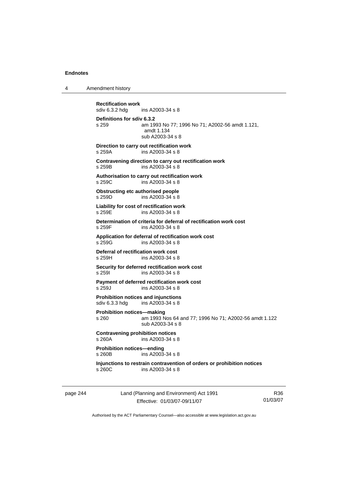4 Amendment history

**Rectification work**  ins A2003-34 s 8 **Definitions for sdiv 6.3.2**  s 259 am 1993 No 77; 1996 No 71; A2002-56 amdt 1.121, amdt 1.134 sub A2003-34 s 8 **Direction to carry out rectification work**  s 259A ins A2003-34 s 8 **Contravening direction to carry out rectification work**  s 259B ins A2003-34 s 8 **Authorisation to carry out rectification work**   $ins$  A2003-34 s 8 **Obstructing etc authorised people**  s 259D ins A2003-34 s 8 **Liability for cost of rectification work**  s 259E ins A2003-34 s 8 **Determination of criteria for deferral of rectification work cost**  s 259F ins A2003-34 s 8 **Application for deferral of rectification work cost**  s 259G ins A2003-34 s 8 **Deferral of rectification work cost**<br>**s** 259H **ins A2003-34 s** 8 ins A2003-34 s 8 **Security for deferred rectification work cost**  s 259I ins A2003-34 s 8 **Payment of deferred rectification work cost**<br>s 259J ms A2003-34 s 8 ins A2003-34 s 8 **Prohibition notices and injunctions**  sdiv 6.3.3 hdg ins A2003-34 s 8 **Prohibition notices—making**  s 260 am 1993 Nos 64 and 77; 1996 No 71; A2002-56 amdt 1.122 sub A2003-34 s 8 **Contravening prohibition notices**  s 260A ins A2003-34 s 8 **Prohibition notices—ending**  s 260B ins A2003-34 s 8 **Injunctions to restrain contravention of orders or prohibition notices**  ins A2003-34 s 8

page 244 Land (Planning and Environment) Act 1991 Effective: 01/03/07-09/11/07

R36 01/03/07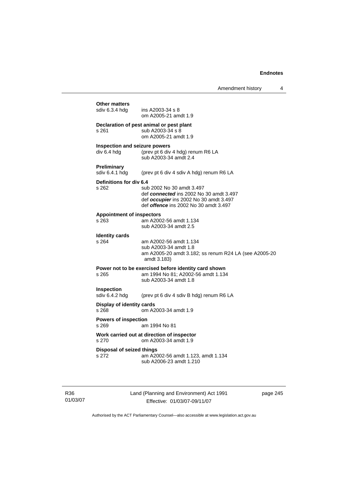| sdiv 6.3.4 hdg                               | ins $A$ 2003-34 s $8$                                                                                                                                          |
|----------------------------------------------|----------------------------------------------------------------------------------------------------------------------------------------------------------------|
|                                              | om A2005-21 amdt 1.9                                                                                                                                           |
| s 261                                        | Declaration of pest animal or pest plant<br>sub A2003-34 s 8<br>om A2005-21 amdt 1.9                                                                           |
| Inspection and seizure powers<br>div 6.4 hdg | (prev pt 6 div 4 hdg) renum R6 LA<br>sub A2003-34 amdt 2.4                                                                                                     |
| Preliminary<br>sdiv 6.4.1 hdg                | (prev pt 6 div 4 sdiv A hdg) renum R6 LA                                                                                                                       |
| Definitions for div 6.4<br>s 262             | sub 2002 No 30 amdt 3.497<br>def connected ins 2002 No 30 amdt 3.497<br>def occupier ins 2002 No 30 amdt 3.497<br>def <i>offence</i> ins 2002 No 30 amdt 3.497 |
| <b>Appointment of inspectors</b><br>$s$ 263  | am A2002-56 amdt 1.134<br>sub A2003-34 amdt 2.5                                                                                                                |
| <b>Identity cards</b>                        |                                                                                                                                                                |
| s 264                                        | am A2002-56 amdt 1.134<br>sub A2003-34 amdt 1.8<br>am A2005-20 amdt 3.182; ss renum R24 LA (see A2005-20<br>amdt 3.183)                                        |
| s 265                                        | Power not to be exercised before identity card shown<br>am 1994 No 81; A2002-56 amdt 1.134<br>sub A2003-34 amdt 1.8                                            |
| <b>Inspection</b><br>sdiv 6.4.2 hdg          | (prev pt 6 div 4 sdiv B hdg) renum R6 LA                                                                                                                       |
| Display of identity cards<br>s 268           | om A2003-34 amdt 1.9                                                                                                                                           |
| <b>Powers of inspection</b><br>s 269         | am 1994 No 81                                                                                                                                                  |
| s 270                                        | Work carried out at direction of inspector<br>om A2003-34 amdt 1.9                                                                                             |
| <b>Disposal of seized things</b><br>s 272    | am A2002-56 amdt 1.123, amdt 1.134                                                                                                                             |

R36 01/03/07 Land (Planning and Environment) Act 1991 Effective: 01/03/07-09/11/07

page 245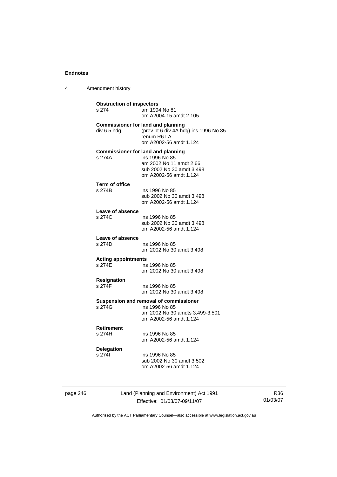4 Amendment history

| <b>Obstruction of inspectors</b><br>s 274 | am 1994 No 81<br>om A2004-15 amdt 2.105                                                                                                       |
|-------------------------------------------|-----------------------------------------------------------------------------------------------------------------------------------------------|
| div 6.5 hdg                               | <b>Commissioner for land and planning</b><br>(prev pt 6 div 4A hdg) ins 1996 No 85<br>renum R6 LA<br>om A2002-56 amdt 1.124                   |
| s 274A                                    | <b>Commissioner for land and planning</b><br>ins 1996 No 85<br>am 2002 No 11 amdt 2.66<br>sub 2002 No 30 amdt 3.498<br>om A2002-56 amdt 1.124 |
| <b>Term of office</b><br>s 274B           | ins 1996 No 85<br>sub 2002 No 30 amdt 3.498<br>om A2002-56 amdt 1.124                                                                         |
| Leave of absence<br>s 274C                | ins 1996 No 85<br>sub 2002 No 30 amdt 3.498<br>om A2002-56 amdt 1.124                                                                         |
| Leave of absence<br>s 274D                | ins 1996 No 85<br>om 2002 No 30 amdt 3.498                                                                                                    |
| <b>Acting appointments</b><br>s 274F      | ins 1996 No 85<br>om 2002 No 30 amdt 3.498                                                                                                    |
| <b>Resignation</b><br>s 274F              | ins 1996 No 85<br>om 2002 No 30 amdt 3.498                                                                                                    |
| s 274G                                    | Suspension and removal of commissioner<br>ins 1996 No 85<br>am 2002 No 30 amdts 3.499-3.501<br>om A2002-56 amdt 1.124                         |
| <b>Retirement</b><br>s 274H               | ins 1996 No 85<br>om A2002-56 amdt 1.124                                                                                                      |
| <b>Delegation</b><br>s 2741               | ins 1996 No 85<br>sub 2002 No 30 amdt 3.502<br>om A2002-56 amdt 1.124                                                                         |

page 246 Land (Planning and Environment) Act 1991 Effective: 01/03/07-09/11/07

R36 01/03/07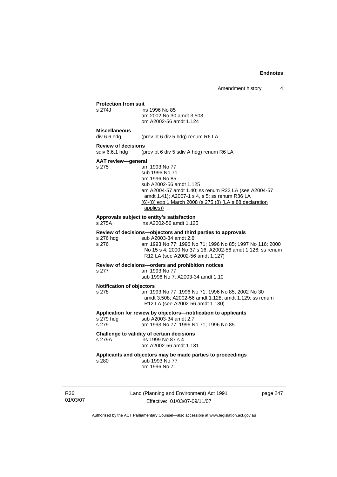**Protection from suit**  ins 1996 No 85 am 2002 No 30 amdt 3.503 om A2002-56 amdt 1.124

# **Miscellaneous**

div 6.6 hdg (prev pt 6 div 5 hdg) renum R6 LA

## **Review of decisions**

sdiv 6.6.1 hdg (prev pt 6 div 5 sdiv A hdg) renum R6 LA

### **AAT review—general**

s 275 am 1993 No 77 sub 1996 No 71 am 1996 No 85 sub A2002-56 amdt 1.125 am A2004-57 amdt 1.40; ss renum R23 LA (see A2004-57 amdt 1.41); A2007-1 s 4, s 5; ss renum R36 LA (6)-(8) exp 1 March 2008 (s 275 (8) (LA s 88 declaration

applies))

#### **Approvals subject to entity's satisfaction**

s 275A ins A2002-56 amdt 1.125

## **Review of decisions—objectors and third parties to approvals**

| s 276 hda | sub A2003-34 amdt 2.6                                     |
|-----------|-----------------------------------------------------------|
| s 276     | am 1993 No 77: 1996 No 71: 1996 No 85: 1997 No 116: 2000  |
|           | No 15 s 4; 2000 No 37 s 16; A2002-56 amdt 1.126; ss renum |
|           | R <sub>12</sub> LA (see A <sub>2002</sub> -56 amdt 1.127) |
|           |                                                           |

#### **Review of decisions—orders and prohibition notices**  s 277

|  | am 1993 No |  |
|--|------------|--|
|  |            |  |

sub 1996 No 7; A2003-34 amdt 1.10

### **Notification of objectors**

| s 278 | am 1993 No 77; 1996 No 71; 1996 No 85; 2002 No 30     |
|-------|-------------------------------------------------------|
|       | amdt 3.508; A2002-56 amdt 1.128, amdt 1.129; ss renum |
|       | R12 LA (see A2002-56 amdt 1.130)                      |

## **Application for review by objectors—notification to applicants**

| s 279 hda | sub A2003-34 amdt 2.7                 |
|-----------|---------------------------------------|
| s 279     | am 1993 No 77; 1996 No 71; 1996 No 85 |

### **Challenge to validity of certain decisions**

s 279A ins 1999 No 87 s 4

### am A2002-56 amdt 1.131

### **Applicants and objectors may be made parties to proceedings**

s 280 sub 1993 No 77 om 1996 No 71

R36 01/03/07 Land (Planning and Environment) Act 1991 Effective: 01/03/07-09/11/07

page 247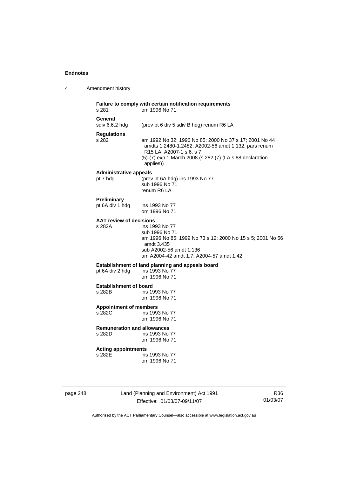4 Amendment history

| s 281                                   | om 1996 No 71                                                                                                                                                                                                       |
|-----------------------------------------|---------------------------------------------------------------------------------------------------------------------------------------------------------------------------------------------------------------------|
| General<br>sdiv 6.6.2 hdg               | (prev pt 6 div 5 sdiv B hdg) renum R6 LA                                                                                                                                                                            |
| <b>Regulations</b><br>s 282             | am 1992 No 32; 1996 No 85; 2000 No 37 s 17; 2001 No 44<br>amdts 1.2480-1.2482; A2002-56 amdt 1.132; pars renum<br>R15 LA; A2007-1 s 6, s 7<br>(5)-(7) exp 1 March 2008 (s 282 (7) (LA s 88 declaration<br>applies)) |
| <b>Administrative appeals</b>           |                                                                                                                                                                                                                     |
| pt 7 hdg                                | (prev pt 6A hdg) ins 1993 No 77<br>sub 1996 No 71<br>renum R6 LA                                                                                                                                                    |
| Preliminary<br>pt 6A div 1 hdg          | ins 1993 No 77<br>om 1996 No 71                                                                                                                                                                                     |
| <b>AAT review of decisions</b>          |                                                                                                                                                                                                                     |
| s 282A                                  | ins 1993 No 77<br>sub 1996 No 71<br>am 1996 No 85; 1999 No 73 s 12; 2000 No 15 s 5; 2001 No 56<br>amdt 3.435<br>sub A2002-56 amdt 1.136<br>am A2004-42 amdt 1.7; A2004-57 amdt 1.42                                 |
|                                         | Establishment of land planning and appeals board                                                                                                                                                                    |
| pt 6A div 2 hdg                         | ins 1993 No 77<br>om 1996 No 71                                                                                                                                                                                     |
| <b>Establishment of board</b><br>s 282B | ins 1993 No 77<br>om 1996 No 71                                                                                                                                                                                     |
| <b>Appointment of members</b><br>s 282C | ins 1993 No 77<br>om 1996 No 71                                                                                                                                                                                     |
| <b>Remuneration and allowances</b>      |                                                                                                                                                                                                                     |
| s 282D                                  | ins 1993 No 77<br>om 1996 No 71                                                                                                                                                                                     |
| <b>Acting appointments</b>              |                                                                                                                                                                                                                     |
| s 282E                                  | ins 1993 No 77                                                                                                                                                                                                      |

page 248 Land (Planning and Environment) Act 1991 Effective: 01/03/07-09/11/07

R36 01/03/07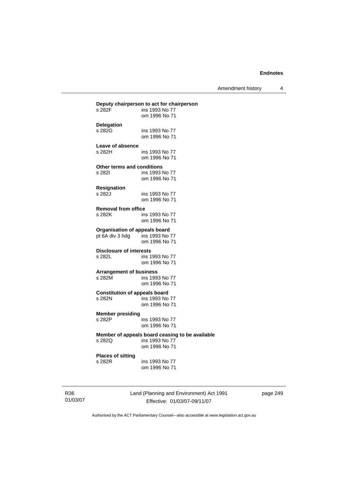Amendment history 4

| Deputy chairperson to act for chairperson |                                                 |  |  |
|-------------------------------------------|-------------------------------------------------|--|--|
| s 282F                                    | ins 1993 No 77                                  |  |  |
|                                           | om 1996 No 71                                   |  |  |
| <b>Delegation</b>                         |                                                 |  |  |
| s 282G                                    | ins 1993 No 77                                  |  |  |
|                                           | om 1996 No 71                                   |  |  |
|                                           |                                                 |  |  |
| Leave of absence                          |                                                 |  |  |
| s 282H                                    | ins 1993 No 77                                  |  |  |
|                                           | om 1996 No 71                                   |  |  |
| Other terms and conditions                |                                                 |  |  |
| s 282l                                    | ins 1993 No 77                                  |  |  |
|                                           | om 1996 No 71                                   |  |  |
|                                           |                                                 |  |  |
| Resignation                               |                                                 |  |  |
| s 282J                                    | ins 1993 No 77                                  |  |  |
|                                           | om 1996 No 71                                   |  |  |
| <b>Removal from office</b>                |                                                 |  |  |
| s 282K                                    | ins 1993 No 77                                  |  |  |
|                                           | om 1996 No 71                                   |  |  |
|                                           |                                                 |  |  |
| <b>Organisation of appeals board</b>      |                                                 |  |  |
| pt 6A div 3 hdg                           | ins 1993 No 77                                  |  |  |
|                                           | om 1996 No 71                                   |  |  |
|                                           |                                                 |  |  |
| <b>Disclosure of interests</b><br>s 282L  |                                                 |  |  |
|                                           | ins 1993 No 77                                  |  |  |
|                                           | om 1996 No 71                                   |  |  |
| <b>Arrangement of business</b>            |                                                 |  |  |
| s 282M                                    | ins 1993 No 77                                  |  |  |
|                                           | om 1996 No 71                                   |  |  |
|                                           |                                                 |  |  |
| <b>Constitution of appeals board</b>      |                                                 |  |  |
| s 282N                                    | ins 1993 No 77                                  |  |  |
|                                           | om 1996 No 71                                   |  |  |
| <b>Member presiding</b>                   |                                                 |  |  |
| s 282P                                    | ins 1993 No 77                                  |  |  |
|                                           | om 1996 No 71                                   |  |  |
|                                           |                                                 |  |  |
|                                           | Member of appeals board ceasing to be available |  |  |
| s 282Q                                    | ins 1993 No 77                                  |  |  |
|                                           | om 1996 No 71                                   |  |  |
| <b>Places of sitting</b>                  |                                                 |  |  |
| s 282R                                    | ins 1993 No 77                                  |  |  |
|                                           | om 1996 No 71                                   |  |  |
|                                           |                                                 |  |  |

R36 01/03/07 Land (Planning and Environment) Act 1991 Effective: 01/03/07-09/11/07

page 249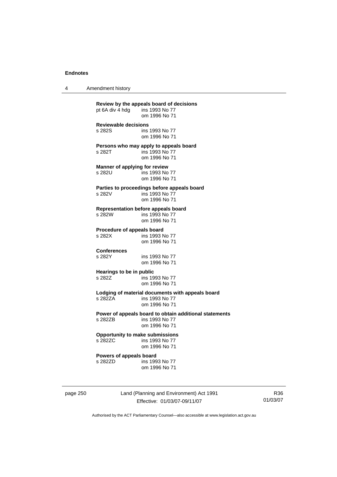4 Amendment history

| pt 6A div 4 hdg ins 1993 No 77          | om 1996 No 71                                                                             |
|-----------------------------------------|-------------------------------------------------------------------------------------------|
| <b>Reviewable decisions</b><br>s 282S   | ins 1993 No 77<br>om 1996 No 71                                                           |
| s 282T                                  | Persons who may apply to appeals board<br>ins 1993 No 77<br>om 1996 No 71                 |
| Manner of applying for review<br>s 282U | ins 1993 No 77<br>om 1996 No 71                                                           |
| s 282V                                  | Parties to proceedings before appeals board<br>ins 1993 No 77<br>om 1996 No 71            |
| s 282W                                  | <b>Representation before appeals board</b><br>ins 1993 No 77<br>om 1996 No 71             |
| Procedure of appeals board<br>s 282X    | ins 1993 No 77<br>om 1996 No 71                                                           |
| <b>Conferences</b><br>s 282Y            | ins 1993 No 77<br>om 1996 No 71                                                           |
| Hearings to be in public<br>s 282Z      | ins 1993 No 77<br>om 1996 No 71                                                           |
| s 282ZA                                 | Lodging of material documents with appeals board<br>ins 1993 No 77<br>om 1996 No 71       |
| s 282ZB                                 | Power of appeals board to obtain additional statements<br>ins 1993 No 77<br>om 1996 No 71 |
| s 282ZC                                 | <b>Opportunity to make submissions</b><br>ins 1993 No 77<br>om 1996 No 71                 |
| Powers of appeals board<br>s 282ZD      | ins 1993 No 77<br>om 1996 No 71                                                           |

page 250 Land (Planning and Environment) Act 1991 Effective: 01/03/07-09/11/07

R36 01/03/07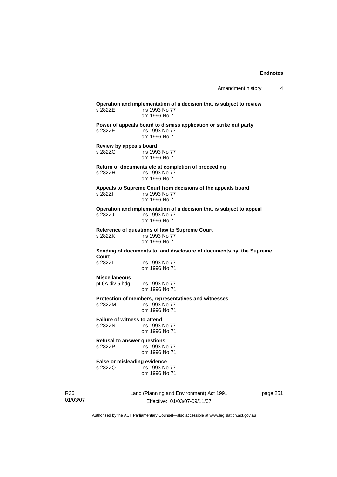**Operation and implementation of a decision that is subject to review**  ins 1993 No 77 om 1996 No 71 **Power of appeals board to dismiss application or strike out party**  s 282ZF ins 1993 No 77 om 1996 No 71 **Review by appeals board**  s 282ZG ins 1993 No 77 om 1996 No 71 **Return of documents etc at completion of proceeding**  s 282ZH ins 1993 No 77 om 1996 No 71 **Appeals to Supreme Court from decisions of the appeals board**  s 282ZI ins 1993 No 77 om 1996 No 71 **Operation and implementation of a decision that is subject to appeal**  ins 1993 No 77 om 1996 No 71 **Reference of questions of law to Supreme Court**  s 282ZK ins 1993 No 77 om 1996 No 71 **Sending of documents to, and disclosure of documents by, the Supreme Court**  s 282ZL ins 1993 No 77 om 1996 No 71 **Miscellaneous**  pt 6A div 5 hdg ins 1993 No 77 om 1996 No 71 **Protection of members, representatives and witnesses**  s 282ZM ins 1993 No 77 om 1996 No 71 **Failure of witness to attend**  s 282ZN ins 1993 No 77 om 1996 No 71 **Refusal to answer questions**  s 282ZP ins 1993 No 77 om 1996 No 71 **False or misleading evidence**  s 282ZQ ins 1993 No 77 om 1996 No 71

R36 01/03/07 Land (Planning and Environment) Act 1991 Effective: 01/03/07-09/11/07

page 251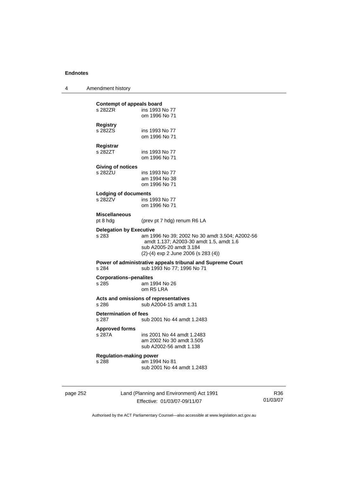4 Amendment history

| s 288                                                             | am 1994 No 81<br>sub 2001 No 44 amdt 1.2483                                                                                                                      |
|-------------------------------------------------------------------|------------------------------------------------------------------------------------------------------------------------------------------------------------------|
| <b>Approved forms</b><br>s 287A<br><b>Regulation-making power</b> | ins 2001 No 44 amdt 1.2483<br>am 2002 No 30 amdt 3.505<br>sub A2002-56 amdt 1.138                                                                                |
| <b>Determination of fees</b><br>s 287                             | sub 2001 No 44 amdt 1.2483                                                                                                                                       |
| s 286                                                             | Acts and omissions of representatives<br>sub A2004-15 amdt 1.31                                                                                                  |
| <b>Corporations-penalites</b><br>s 285                            | am 1994 No 26<br>om R5 LRA                                                                                                                                       |
| s 284                                                             | Power of administrative appeals tribunal and Supreme Court<br>sub 1993 No 77; 1996 No 71                                                                         |
| <b>Delegation by Executive</b><br>s 283                           | am 1996 No 39; 2002 No 30 amdt 3.504; A2002-56<br>amdt 1.137; A2003-30 amdt 1.5, amdt 1.6<br>sub A2005-20 amdt 3.184<br>$(2)-(4)$ exp 2 June 2006 (s 283 $(4)$ ) |
| <b>Miscellaneous</b><br>pt 8 hdg                                  | (prev pt 7 hdg) renum R6 LA                                                                                                                                      |
| Lodging of documents<br>s 282ZV                                   | ins 1993 No 77<br>om 1996 No 71                                                                                                                                  |
| Giving of notices<br>s 282ZU                                      | ins 1993 No 77<br>am 1994 No 38<br>om 1996 No 71                                                                                                                 |
| Registrar<br>s 282ZT                                              | ins 1993 No 77<br>om 1996 No 71                                                                                                                                  |
| <b>Registry</b><br>s 282ZS                                        | ins 1993 No 77<br>om 1996 No 71                                                                                                                                  |
| s 282ZR                                                           | ins 1993 No 77<br>om 1996 No 71                                                                                                                                  |

page 252 Land (Planning and Environment) Act 1991 Effective: 01/03/07-09/11/07

R36 01/03/07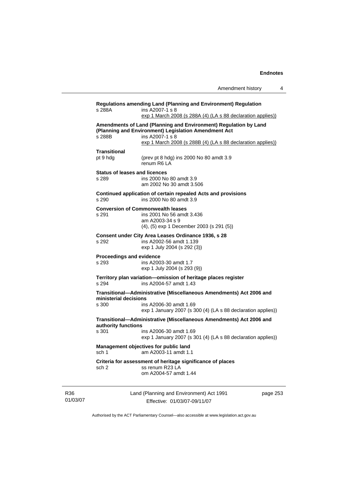| s 288A                                        | ins A2007-1 s 8<br>exp 1 March 2008 (s 288A (4) (LA s 88 declaration applies))                                                                                                                             |          |
|-----------------------------------------------|------------------------------------------------------------------------------------------------------------------------------------------------------------------------------------------------------------|----------|
| s 288B                                        | Amendments of Land (Planning and Environment) Regulation by Land<br>(Planning and Environment) Legislation Amendment Act<br>ins A2007-1 s 8<br>exp 1 March 2008 (s 288B (4) (LA s 88 declaration applies)) |          |
| <b>Transitional</b><br>pt 9 hdg               | (prev pt 8 hdg) ins 2000 No 80 amdt 3.9<br>renum R6 LA                                                                                                                                                     |          |
| <b>Status of leases and licences</b><br>s 289 | ins 2000 No 80 amdt 3.9<br>am 2002 No 30 amdt 3.506                                                                                                                                                        |          |
| s 290                                         | Continued application of certain repealed Acts and provisions<br>ins 2000 No 80 amdt 3.9                                                                                                                   |          |
| s 291                                         | <b>Conversion of Commonwealth leases</b><br>ins 2001 No 56 amdt 3.436<br>am A2003-34 s 9<br>(4), (5) exp 1 December 2003 (s 291 (5))                                                                       |          |
| s 292                                         | Consent under City Area Leases Ordinance 1936, s 28<br>ins A2002-56 amdt 1.139<br>exp 1 July 2004 (s 292 (3))                                                                                              |          |
| Proceedings and evidence<br>s 293             | ins A2003-30 amdt 1.7<br>exp 1 July 2004 (s 293 (9))                                                                                                                                                       |          |
| s 294                                         | Territory plan variation-omission of heritage places register<br>ins A2004-57 amdt 1.43                                                                                                                    |          |
| ministerial decisions<br>s 300                | Transitional-Administrative (Miscellaneous Amendments) Act 2006 and<br>ins A2006-30 amdt 1.69<br>exp 1 January 2007 (s 300 (4) (LA s 88 declaration applies))                                              |          |
| authority functions<br>s 301                  | Transitional-Administrative (Miscellaneous Amendments) Act 2006 and<br>ins A2006-30 amdt 1.69<br>exp 1 January 2007 (s 301 (4) (LA s 88 declaration applies))                                              |          |
|                                               | Management objectives for public land<br>sch 1 am A2003-11 amdt 1.1                                                                                                                                        |          |
| sch 2                                         | Criteria for assessment of heritage significance of places<br>ss renum R23 LA<br>om A2004-57 amdt 1.44                                                                                                     |          |
|                                               | Land (Planning and Environment) Act 1991                                                                                                                                                                   | page 253 |

R36 01/03/07

Authorised by the ACT Parliamentary Counsel—also accessible at www.legislation.act.gov.au

Effective: 01/03/07-09/11/07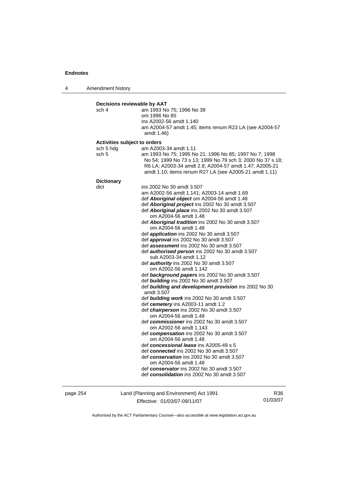4 Amendment history

| sch 4                        | am 1993 No 75; 1996 No 39                                                                                                                                                                                                                |
|------------------------------|------------------------------------------------------------------------------------------------------------------------------------------------------------------------------------------------------------------------------------------|
|                              | om 1996 No 85                                                                                                                                                                                                                            |
|                              | ins A2002-56 amdt 1.140                                                                                                                                                                                                                  |
|                              | am A2004-57 amdt 1.45; items renum R23 LA (see A2004-57                                                                                                                                                                                  |
|                              | amdt 1.46)                                                                                                                                                                                                                               |
| Activities subject to orders |                                                                                                                                                                                                                                          |
| sch 5 hdg                    | am A2003-34 amdt 1.11                                                                                                                                                                                                                    |
| sch 5                        | am 1993 No 75; 1995 No 21; 1996 No 85; 1997 No 7; 1998<br>No 54; 1999 No 73 s 13; 1999 No 79 sch 3; 2000 No 37 s 18;<br>R6 LA; A2003-34 amdt 2.8; A2004-57 amdt 1.47; A2005-21<br>amdt 1.10; items renum R27 LA (see A2005-21 amdt 1.11) |
| <b>Dictionary</b>            |                                                                                                                                                                                                                                          |
| dict                         | ins 2002 No 30 amdt 3.507                                                                                                                                                                                                                |
|                              | am A2002-56 amdt 1.141; A2003-14 amdt 1.69                                                                                                                                                                                               |
|                              | def <b>Aboriginal object</b> om A2004-56 amdt 1.48                                                                                                                                                                                       |
|                              | def Aboriginal project ins 2002 No 30 amdt 3.507                                                                                                                                                                                         |
|                              | def Aboriginal place ins 2002 No 30 amdt 3.507                                                                                                                                                                                           |
|                              | om A2004-56 amdt 1.48                                                                                                                                                                                                                    |
|                              | def Aboriginal tradition ins 2002 No 30 amdt 3.507<br>om A2004-56 amdt 1.48                                                                                                                                                              |
|                              | def <i>application</i> ins 2002 No 30 amdt 3.507                                                                                                                                                                                         |
|                              | def approval ins 2002 No 30 amdt 3.507                                                                                                                                                                                                   |
|                              | def assessment ins 2002 No 30 amdt 3.507                                                                                                                                                                                                 |
|                              | def <b>authorised person</b> ins 2002 No 30 amdt 3.507<br>sub A2003-34 amdt 1.12                                                                                                                                                         |
|                              | def <b>authority</b> ins 2002 No 30 amdt 3.507                                                                                                                                                                                           |
|                              | om A2002-56 amdt 1.142                                                                                                                                                                                                                   |
|                              | def background papers ins 2002 No 30 amdt 3.507                                                                                                                                                                                          |
|                              | def building ins 2002 No 30 amdt 3.507                                                                                                                                                                                                   |
|                              | def building and development provision ins 2002 No 30<br>amdt 3.507                                                                                                                                                                      |
|                              | def building work ins 2002 No 30 amdt 3.507                                                                                                                                                                                              |
|                              | def cemetery ins A2003-11 amdt 1.2                                                                                                                                                                                                       |
|                              | def chairperson ins 2002 No 30 amdt 3.507                                                                                                                                                                                                |
|                              | om A2004-56 amdt 1.48                                                                                                                                                                                                                    |
|                              | def commissioner ins 2002 No 30 amdt 3.507                                                                                                                                                                                               |
|                              | om A2002-56 amdt 1.143                                                                                                                                                                                                                   |
|                              | def compensation ins 2002 No 30 amdt 3.507                                                                                                                                                                                               |
|                              | om A2004-56 amdt 1.48                                                                                                                                                                                                                    |
|                              | def concessional lease ins A2005-49 s 5                                                                                                                                                                                                  |
|                              | def connected ins 2002 No 30 amdt 3.507                                                                                                                                                                                                  |
|                              | def conservation ins 2002 No 30 amdt 3.507                                                                                                                                                                                               |
|                              | om A2004-56 amdt 1.48                                                                                                                                                                                                                    |
|                              | def conservator ins 2002 No 30 amdt 3.507                                                                                                                                                                                                |
|                              | def consolidation ins 2002 No 30 amdt 3.507                                                                                                                                                                                              |

page 254 Land (Planning and Environment) Act 1991 Effective: 01/03/07-09/11/07

R36 01/03/07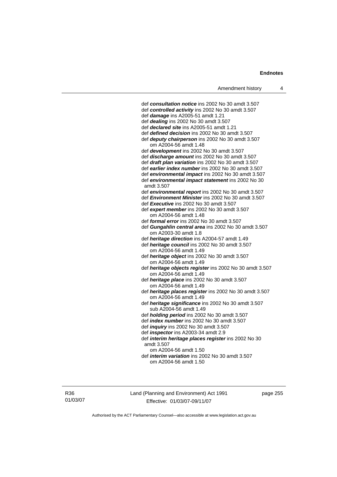def *consultation notice* ins 2002 No 30 amdt 3.507 def *controlled activity* ins 2002 No 30 amdt 3.507 def *damage* ins A2005-51 amdt 1.21 def *dealing* ins 2002 No 30 amdt 3.507 def *declared site* ins A2005-51 amdt 1.21 def *defined decision* ins 2002 No 30 amdt 3.507 def *deputy chairperson* ins 2002 No 30 amdt 3.507 om A2004-56 amdt 1.48 def *development* ins 2002 No 30 amdt 3.507 def *discharge amount* ins 2002 No 30 amdt 3.507 def *draft plan variation* ins 2002 No 30 amdt 3.507 def *earlier index number* ins 2002 No 30 amdt 3.507 def *environmental impact* ins 2002 No 30 amdt 3.507 def *environmental impact statement* ins 2002 No 30 amdt 3.507 def *environmental report* ins 2002 No 30 amdt 3.507 def *Environment Minister* ins 2002 No 30 amdt 3.507 def *Executive* ins 2002 No 30 amdt 3.507 def *expert member* ins 2002 No 30 amdt 3.507 om A2004-56 amdt 1.48 def *formal error* ins 2002 No 30 amdt 3.507 def *Gungahlin central area* ins 2002 No 30 amdt 3.507 om A2003-30 amdt 1.8 def *heritage direction* ins A2004-57 amdt 1.49 def *heritage council* ins 2002 No 30 amdt 3.507 om A2004-56 amdt 1.49 def *heritage object* ins 2002 No 30 amdt 3.507 om A2004-56 amdt 1.49 def *heritage objects register* ins 2002 No 30 amdt 3.507 om A2004-56 amdt 1.49 def *heritage place* ins 2002 No 30 amdt 3.507 om A2004-56 amdt 1.49 def *heritage places register* ins 2002 No 30 amdt 3.507 om A2004-56 amdt 1.49 def *heritage significance* ins 2002 No 30 amdt 3.507 sub A2004-56 amdt 1.49 def *holding period* ins 2002 No 30 amdt 3.507 def *index number* ins 2002 No 30 amdt 3.507 def *inquiry* ins 2002 No 30 amdt 3.507 def *inspector* ins A2003-34 amdt 2.9 def *interim heritage places register* ins 2002 No 30 amdt 3.507 om A2004-56 amdt 1.50

 def *interim variation* ins 2002 No 30 amdt 3.507 om A2004-56 amdt 1.50

R36 01/03/07 Land (Planning and Environment) Act 1991 Effective: 01/03/07-09/11/07

page 255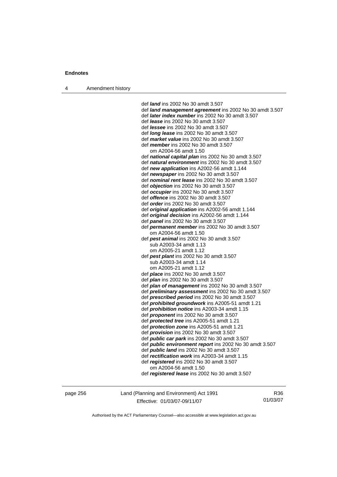4 Amendment history

 def *land* ins 2002 No 30 amdt 3.507 def *land management agreement* ins 2002 No 30 amdt 3.507 def *later index number* ins 2002 No 30 amdt 3.507 def *lease* ins 2002 No 30 amdt 3.507 def *lessee* ins 2002 No 30 amdt 3.507 def *long lease* ins 2002 No 30 amdt 3.507 def *market value* ins 2002 No 30 amdt 3.507 def *member* ins 2002 No 30 amdt 3.507 om A2004-56 amdt 1.50 def *national capital plan* ins 2002 No 30 amdt 3.507 def *natural environment* ins 2002 No 30 amdt 3.507 def *new application* ins A2002-56 amdt 1.144 def *newspaper* ins 2002 No 30 amdt 3.507 def *nominal rent lease* ins 2002 No 30 amdt 3.507 def *objection* ins 2002 No 30 amdt 3.507 def *occupier* ins 2002 No 30 amdt 3.507 def *offence* ins 2002 No 30 amdt 3.507 def *order* ins 2002 No 30 amdt 3.507 def *original application* ins A2002-56 amdt 1.144 def *original decision* ins A2002-56 amdt 1.144 def *panel* ins 2002 No 30 amdt 3.507 def *permanent member* ins 2002 No 30 amdt 3.507 om A2004-56 amdt 1.50 def *pest animal* ins 2002 No 30 amdt 3.507 sub A2003-34 amdt 1.13 om A2005-21 amdt 1.12 def *pest plant* ins 2002 No 30 amdt 3.507 sub A2003-34 amdt 1.14 om A2005-21 amdt 1.12 def *place* ins 2002 No 30 amdt 3.507 def *plan* ins 2002 No 30 amdt 3.507 def *plan of management* ins 2002 No 30 amdt 3.507 def *preliminary assessment* ins 2002 No 30 amdt 3.507 def *prescribed period* ins 2002 No 30 amdt 3.507 def *prohibited groundwork* ins A2005-51 amdt 1.21 def *prohibition notice* ins A2003-34 amdt 1.15 def *proponent* ins 2002 No 30 amdt 3.507 def *protected tree* ins A2005-51 amdt 1.21 def *protection zone* ins A2005-51 amdt 1.21 def *provision* ins 2002 No 30 amdt 3.507 def *public car park* ins 2002 No 30 amdt 3.507 def *public environment report* ins 2002 No 30 amdt 3.507 def *public land* ins 2002 No 30 amdt 3.507 def *rectification work* ins A2003-34 amdt 1.15 def *registered* ins 2002 No 30 amdt 3.507 om A2004-56 amdt 1.50 def *registered lease* ins 2002 No 30 amdt 3.507

page 256 Land (Planning and Environment) Act 1991 Effective: 01/03/07-09/11/07

R36 01/03/07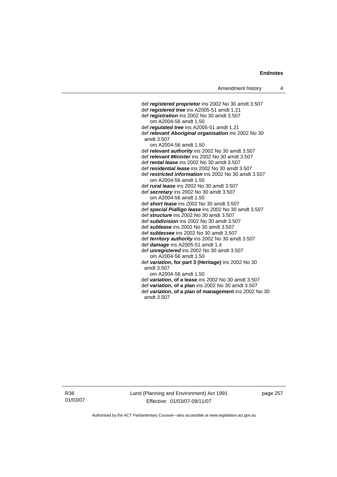def *registered proprietor* ins 2002 No 30 amdt 3.507 def *registered tree* ins A2005-51 amdt 1.21 def *registration* ins 2002 No 30 amdt 3.507 om A2004-56 amdt 1.50 def *regulated tree* ins A2005-51 amdt 1.21 def *relevant Aboriginal organisation* ins 2002 No 30 amdt 3.507 om A2004-56 amdt 1.50 def *relevant authority* ins 2002 No 30 amdt 3.507 def *relevant Minister* ins 2002 No 30 amdt 3.507 def *rental lease* ins 2002 No 30 amdt 3.507 def *residential lease* ins 2002 No 30 amdt 3.507 def *restricted information* ins 2002 No 30 amdt 3.507 om A2004-56 amdt 1.50 def *rural lease* ins 2002 No 30 amdt 3.507 def *secretary* ins 2002 No 30 amdt 3.507 om A2004-56 amdt 1.50 def *short lease* ins 2002 No 30 amdt 3.507 def *special Pialligo lease* ins 2002 No 30 amdt 3.507 def *structure* ins 2002 No 30 amdt 3.507 def *subdivision* ins 2002 No 30 amdt 3.507 def *sublease* ins 2002 No 30 amdt 3.507 def *sublessee* ins 2002 No 30 amdt 3.507 def *territory authority* ins 2002 No 30 amdt 3.507 def *damage* ins A2005-51 amdt 1.4 def *unregistered* ins 2002 No 30 amdt 3.507 om A2004-56 amdt 1.50 def *variation***, for part 3 (Heritage)** ins 2002 No 30 amdt 3.507 om A2004-56 amdt 1.50 def *variation***, of a lease** ins 2002 No 30 amdt 3.507 def *variation***, of a plan** ins 2002 No 30 amdt 3.507 def *variation***, of a plan of management** ins 2002 No 30 amdt 3.507

R36 01/03/07 Land (Planning and Environment) Act 1991 Effective: 01/03/07-09/11/07

page 257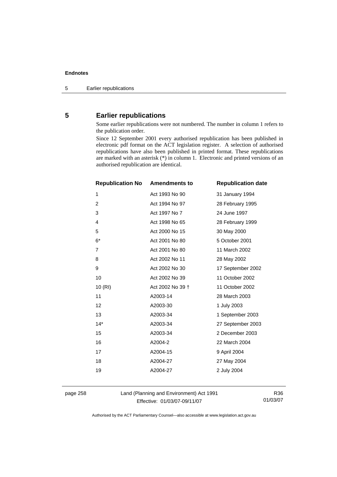# **5 Earlier republications**

Some earlier republications were not numbered. The number in column 1 refers to the publication order.

Since 12 September 2001 every authorised republication has been published in electronic pdf format on the ACT legislation register. A selection of authorised republications have also been published in printed format. These republications are marked with an asterisk (\*) in column 1. Electronic and printed versions of an authorised republication are identical.

| <b>Republication No</b> | <b>Amendments to</b> | <b>Republication date</b> |
|-------------------------|----------------------|---------------------------|
| 1                       | Act 1993 No 90       | 31 January 1994           |
| $\overline{2}$          | Act 1994 No 97       | 28 February 1995          |
| 3                       | Act 1997 No 7        | 24 June 1997              |
| 4                       | Act 1998 No 65       | 28 February 1999          |
| 5                       | Act 2000 No 15       | 30 May 2000               |
| $6*$                    | Act 2001 No 80       | 5 October 2001            |
| $\overline{7}$          | Act 2001 No 80       | 11 March 2002             |
| 8                       | Act 2002 No 11       | 28 May 2002               |
| 9                       | Act 2002 No 30       | 17 September 2002         |
| 10                      | Act 2002 No 39       | 11 October 2002           |
| 10(RI)                  | Act 2002 No 39 +     | 11 October 2002           |
| 11                      | A2003-14             | 28 March 2003             |
| 12                      | A2003-30             | 1 July 2003               |
| 13                      | A2003-34             | 1 September 2003          |
| $14*$                   | A2003-34             | 27 September 2003         |
| 15                      | A2003-34             | 2 December 2003           |
| 16                      | A2004-2              | 22 March 2004             |
| 17                      | A2004-15             | 9 April 2004              |
| 18                      | A2004-27             | 27 May 2004               |
| 19                      | A2004-27             | 2 July 2004               |
|                         |                      |                           |

page 258 Land (Planning and Environment) Act 1991 Effective: 01/03/07-09/11/07

R36 01/03/07